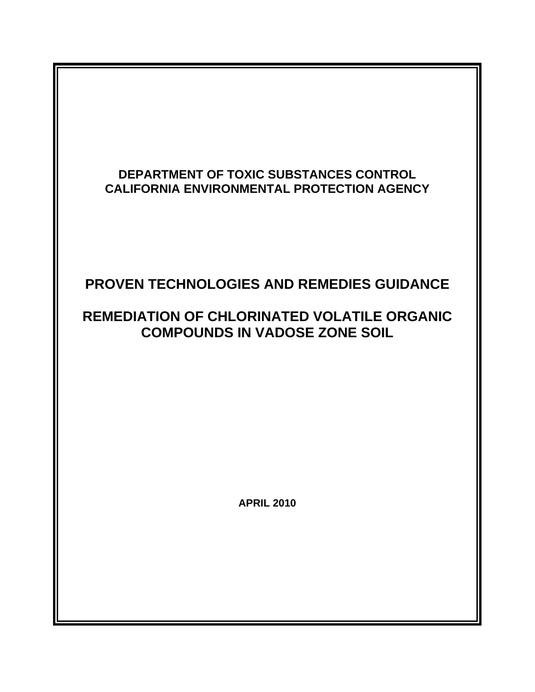## **DEPARTMENT OF TOXIC SUBSTANCES CONTROL CALIFORNIA ENVIRONMENTAL PROTECTION AGENCY**

# **PROVEN TECHNOLOGIES AND REMEDIES GUIDANCE**

# **REMEDIATION OF CHLORINATED VOLATILE ORGANIC COMPOUNDS IN VADOSE ZONE SOIL**

**APRIL 2010**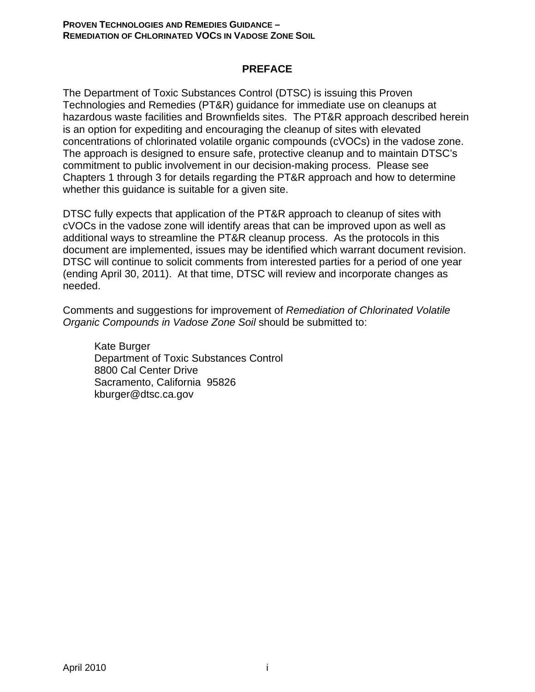### **PREFACE**

The Department of Toxic Substances Control (DTSC) is issuing this Proven Technologies and Remedies (PT&R) guidance for immediate use on cleanups at hazardous waste facilities and Brownfields sites. The PT&R approach described herein is an option for expediting and encouraging the cleanup of sites with elevated concentrations of chlorinated volatile organic compounds (cVOCs) in the vadose zone. The approach is designed to ensure safe, protective cleanup and to maintain DTSC's commitment to public involvement in our decision-making process. Please see Chapters 1 through 3 for details regarding the PT&R approach and how to determine whether this guidance is suitable for a given site.

DTSC fully expects that application of the PT&R approach to cleanup of sites with cVOCs in the vadose zone will identify areas that can be improved upon as well as additional ways to streamline the PT&R cleanup process. As the protocols in this document are implemented, issues may be identified which warrant document revision. DTSC will continue to solicit comments from interested parties for a period of one year (ending April 30, 2011). At that time, DTSC will review and incorporate changes as needed.

Comments and suggestions for improvement of *Remediation of Chlorinated Volatile Organic Compounds in Vadose Zone Soil* should be submitted to:

Kate Burger Department of Toxic Substances Control 8800 Cal Center Drive Sacramento, California 95826 kburger@dtsc.ca.gov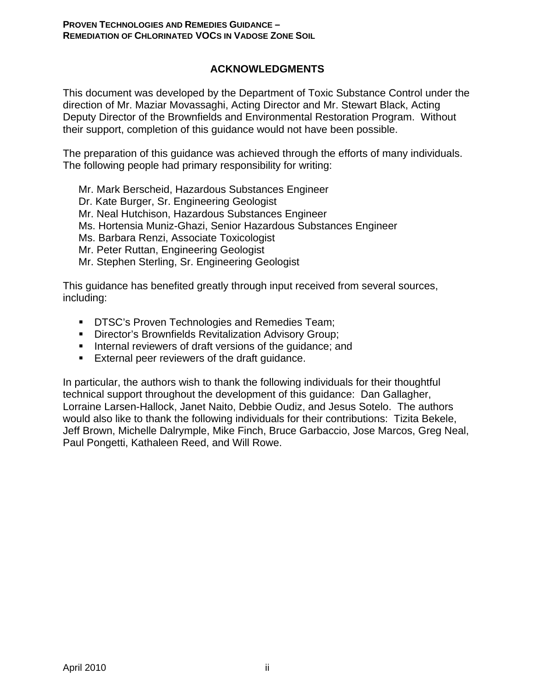### **ACKNOWLEDGMENTS**

This document was developed by the Department of Toxic Substance Control under the direction of Mr. Maziar Movassaghi, Acting Director and Mr. Stewart Black, Acting Deputy Director of the Brownfields and Environmental Restoration Program. Without their support, completion of this guidance would not have been possible.

The preparation of this guidance was achieved through the efforts of many individuals. The following people had primary responsibility for writing:

Mr. Mark Berscheid, Hazardous Substances Engineer Dr. Kate Burger, Sr. Engineering Geologist Mr. Neal Hutchison, Hazardous Substances Engineer Ms. Hortensia Muniz-Ghazi, Senior Hazardous Substances Engineer Ms. Barbara Renzi, Associate Toxicologist Mr. Peter Ruttan, Engineering Geologist Mr. Stephen Sterling, Sr. Engineering Geologist

This guidance has benefited greatly through input received from several sources, including:

- **DTSC's Proven Technologies and Remedies Team;**
- **Director's Brownfields Revitalization Advisory Group;**
- **Internal reviewers of draft versions of the guidance; and**
- **External peer reviewers of the draft guidance.**

In particular, the authors wish to thank the following individuals for their thoughtful technical support throughout the development of this guidance: Dan Gallagher, Lorraine Larsen-Hallock, Janet Naito, Debbie Oudiz, and Jesus Sotelo. The authors would also like to thank the following individuals for their contributions: Tizita Bekele, Jeff Brown, Michelle Dalrymple, Mike Finch, Bruce Garbaccio, Jose Marcos, Greg Neal, Paul Pongetti, Kathaleen Reed, and Will Rowe.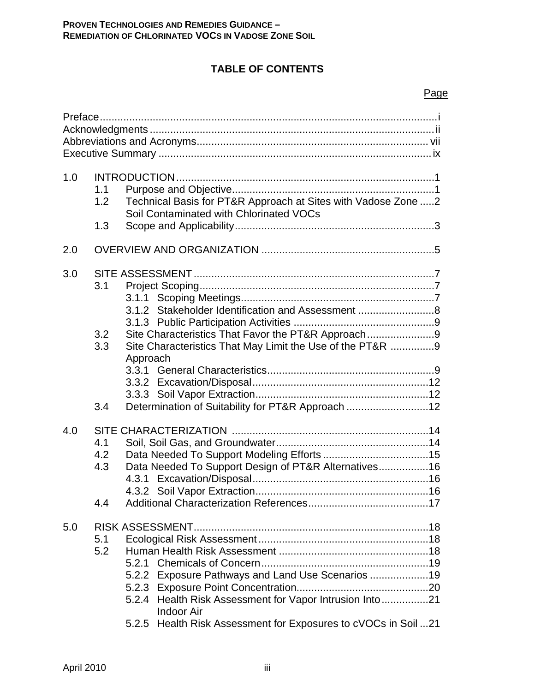## **TABLE OF CONTENTS**

### Page

| 1.0 | 1.1<br>1.2<br>1.3        | Technical Basis for PT&R Approach at Sites with Vadose Zone 2<br>Soil Contaminated with Chlorinated VOCs                                                                                                                              |
|-----|--------------------------|---------------------------------------------------------------------------------------------------------------------------------------------------------------------------------------------------------------------------------------|
| 2.0 |                          |                                                                                                                                                                                                                                       |
| 3.0 | 3.1<br>3.2<br>3.3<br>3.4 | 3.1.2 Stakeholder Identification and Assessment 8<br>Site Characteristics That Favor the PT&R Approach9<br>Site Characteristics That May Limit the Use of the PT&R 9<br>Approach<br>Determination of Suitability for PT&R Approach 12 |
| 4.0 | 4.1<br>4.2<br>4.3<br>4.4 | Data Needed To Support Design of PT&R Alternatives16                                                                                                                                                                                  |
| 5.0 | 5.1<br>5.2               | Exposure Pathways and Land Use Scenarios 19<br>5.2.2<br>5.2.4 Health Risk Assessment for Vapor Intrusion Into21<br><b>Indoor Air</b><br>5.2.5 Health Risk Assessment for Exposures to cVOCs in Soil 21                                |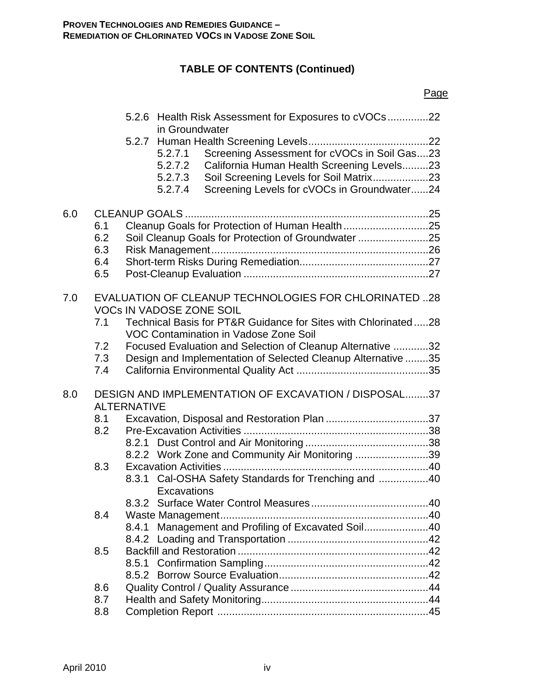# **TABLE OF CONTENTS (Continued)**

|     |                                 |                                                                                                                                                                                                                                  | Page |
|-----|---------------------------------|----------------------------------------------------------------------------------------------------------------------------------------------------------------------------------------------------------------------------------|------|
|     |                                 | 5.2.6 Health Risk Assessment for Exposures to cVOCs22<br>in Groundwater                                                                                                                                                          |      |
|     |                                 | Screening Assessment for cVOCs in Soil Gas23<br>5.2.7.1<br>California Human Health Screening Levels23<br>5.2.7.2<br>Soil Screening Levels for Soil Matrix23<br>5.2.7.3<br>Screening Levels for cVOCs in Groundwater24<br>5.2.7.4 |      |
| 6.0 | 6.1<br>6.2<br>6.3<br>6.4<br>6.5 | Cleanup Goals for Protection of Human Health25<br>Soil Cleanup Goals for Protection of Groundwater 25                                                                                                                            |      |
| 7.0 | 7.1                             | <b>EVALUATION OF CLEANUP TECHNOLOGIES FOR CHLORINATED28</b><br><b>VOCs IN VADOSE ZONE SOIL</b><br>Technical Basis for PT&R Guidance for Sites with Chlorinated28<br>VOC Contamination in Vadose Zone Soil                        |      |
|     | 7.2<br>7.3<br>7.4               | Focused Evaluation and Selection of Cleanup Alternative 32<br>Design and Implementation of Selected Cleanup Alternative 35                                                                                                       |      |
| 8.0 |                                 | DESIGN AND IMPLEMENTATION OF EXCAVATION / DISPOSAL37<br><b>ALTERNATIVE</b>                                                                                                                                                       |      |
|     | 8.1<br>8.2                      | 8.2.2 Work Zone and Community Air Monitoring 39                                                                                                                                                                                  |      |
|     | 8.3                             | 8.3.1 Cal-OSHA Safety Standards for Trenching and 40<br>Excavations                                                                                                                                                              |      |
|     | 8.4                             | 8.4.1 Management and Profiling of Excavated Soil40                                                                                                                                                                               |      |
|     | 8.5                             |                                                                                                                                                                                                                                  |      |
|     | 8.6                             |                                                                                                                                                                                                                                  |      |
|     | 8.7                             |                                                                                                                                                                                                                                  |      |
|     | 8.8                             |                                                                                                                                                                                                                                  |      |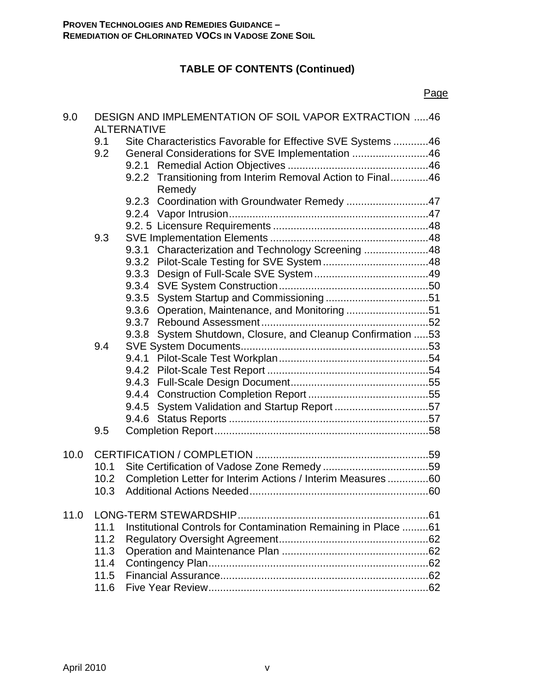# **TABLE OF CONTENTS (Continued)**

|      |            |                    |                                                                                                                 | Page |
|------|------------|--------------------|-----------------------------------------------------------------------------------------------------------------|------|
| 9.0  |            | <b>ALTERNATIVE</b> | DESIGN AND IMPLEMENTATION OF SOIL VAPOR EXTRACTION 46                                                           |      |
|      | 9.1<br>9.2 |                    | Site Characteristics Favorable for Effective SVE Systems 46<br>General Considerations for SVE Implementation 46 |      |
|      |            |                    | 9.2.2 Transitioning from Interim Removal Action to Final46<br>Remedy                                            |      |
|      |            | 9.2.3              | Coordination with Groundwater Remedy 47                                                                         |      |
|      |            |                    |                                                                                                                 |      |
|      |            |                    |                                                                                                                 |      |
|      | 9.3        |                    |                                                                                                                 |      |
|      |            |                    | 9.3.1 Characterization and Technology Screening 48                                                              |      |
|      |            |                    |                                                                                                                 |      |
|      |            |                    |                                                                                                                 |      |
|      |            |                    |                                                                                                                 |      |
|      |            | 9.3.5              |                                                                                                                 |      |
|      |            | 9.3.6              | Operation, Maintenance, and Monitoring51                                                                        |      |
|      |            |                    |                                                                                                                 |      |
|      |            | 9.3.8              | System Shutdown, Closure, and Cleanup Confirmation 53                                                           |      |
|      | 9.4        |                    |                                                                                                                 |      |
|      |            |                    |                                                                                                                 |      |
|      |            |                    |                                                                                                                 |      |
|      |            |                    |                                                                                                                 |      |
|      |            |                    |                                                                                                                 |      |
|      |            | 9.4.5              | System Validation and Startup Report 57                                                                         |      |
|      |            | 9.4.6              |                                                                                                                 |      |
|      | 9.5        |                    |                                                                                                                 |      |
| 10.0 |            |                    |                                                                                                                 |      |
|      | 10.1       |                    |                                                                                                                 |      |
|      |            |                    | 10.2 Completion Letter for Interim Actions / Interim Measures 60                                                |      |
|      |            |                    |                                                                                                                 |      |
| 11.0 |            |                    |                                                                                                                 |      |
|      | 11.1       |                    | Institutional Controls for Contamination Remaining in Place 61                                                  |      |
|      | 11.2       |                    |                                                                                                                 |      |
|      | 11.3       |                    |                                                                                                                 |      |
|      | 11.4       |                    |                                                                                                                 |      |
|      | 11.5       |                    |                                                                                                                 |      |
|      | 11.6       |                    |                                                                                                                 |      |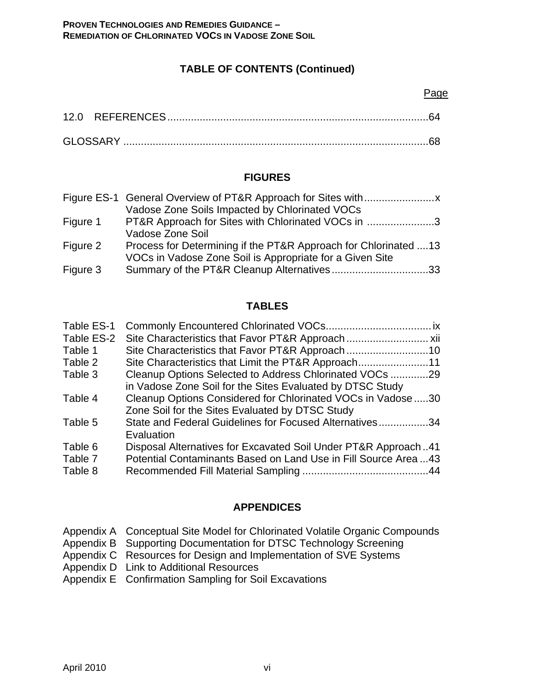## **TABLE OF CONTENTS (Continued)**

#### Page

| GLOSSARY. |  |
|-----------|--|

## **FIGURES**

| Vadose Zone Soils Impacted by Chlorinated VOCs                  |
|-----------------------------------------------------------------|
| PT&R Approach for Sites with Chlorinated VOCs in 3              |
| Vadose Zone Soil                                                |
| Process for Determining if the PT&R Approach for Chlorinated 13 |
| VOCs in Vadose Zone Soil is Appropriate for a Given Site        |
| Summary of the PT&R Cleanup Alternatives33                      |
|                                                                 |

### **TABLES**

| Table ES-1 |                                                                 |  |
|------------|-----------------------------------------------------------------|--|
| Table ES-2 |                                                                 |  |
| Table 1    |                                                                 |  |
| Table 2    |                                                                 |  |
| Table 3    | Cleanup Options Selected to Address Chlorinated VOCs 29         |  |
|            | in Vadose Zone Soil for the Sites Evaluated by DTSC Study       |  |
| Table 4    | Cleanup Options Considered for Chlorinated VOCs in Vadose 30    |  |
|            | Zone Soil for the Sites Evaluated by DTSC Study                 |  |
| Table 5    | State and Federal Guidelines for Focused Alternatives34         |  |
|            | Evaluation                                                      |  |
| Table 6    | Disposal Alternatives for Excavated Soil Under PT&R Approach41  |  |
| Table 7    | Potential Contaminants Based on Land Use in Fill Source Area 43 |  |
| Table 8    |                                                                 |  |
|            |                                                                 |  |

### **APPENDICES**

|  |  | Appendix A Conceptual Site Model for Chlorinated Volatile Organic Compounds |  |  |
|--|--|-----------------------------------------------------------------------------|--|--|
|--|--|-----------------------------------------------------------------------------|--|--|

- Appendix B Supporting Documentation for DTSC Technology Screening
- Appendix C Resources for Design and Implementation of SVE Systems
- Appendix D Link to Additional Resources
- Appendix E Confirmation Sampling for Soil Excavations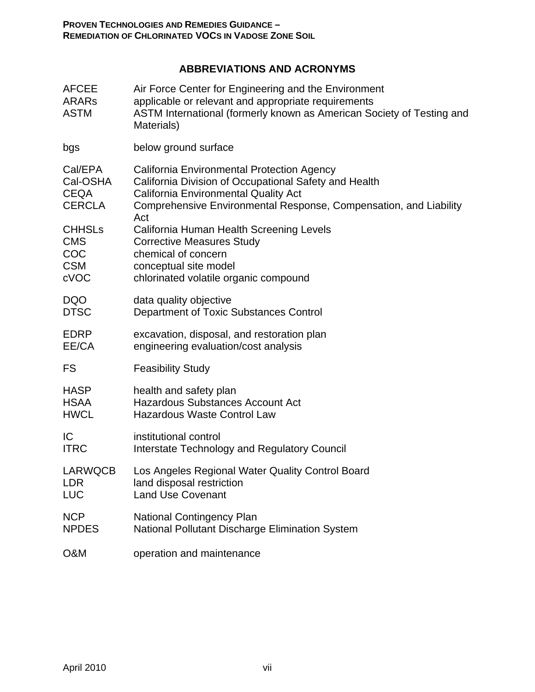## **ABBREVIATIONS AND ACRONYMS**

| <b>AFCEE</b><br><b>ARARS</b><br><b>ASTM</b>         | Air Force Center for Engineering and the Environment<br>applicable or relevant and appropriate requirements<br>ASTM International (formerly known as American Society of Testing and<br>Materials)                             |
|-----------------------------------------------------|--------------------------------------------------------------------------------------------------------------------------------------------------------------------------------------------------------------------------------|
| bgs                                                 | below ground surface                                                                                                                                                                                                           |
| Cal/EPA<br>Cal-OSHA<br><b>CEQA</b><br><b>CERCLA</b> | California Environmental Protection Agency<br>California Division of Occupational Safety and Health<br><b>California Environmental Quality Act</b><br>Comprehensive Environmental Response, Compensation, and Liability<br>Act |
| <b>CHHSLs</b>                                       | California Human Health Screening Levels                                                                                                                                                                                       |
| <b>CMS</b>                                          | <b>Corrective Measures Study</b>                                                                                                                                                                                               |
| COC                                                 | chemical of concern                                                                                                                                                                                                            |
| <b>CSM</b>                                          | conceptual site model                                                                                                                                                                                                          |
| cVOC                                                | chlorinated volatile organic compound                                                                                                                                                                                          |
| <b>DQO</b>                                          | data quality objective                                                                                                                                                                                                         |
| <b>DTSC</b>                                         | Department of Toxic Substances Control                                                                                                                                                                                         |
| <b>EDRP</b>                                         | excavation, disposal, and restoration plan                                                                                                                                                                                     |
| EE/CA                                               | engineering evaluation/cost analysis                                                                                                                                                                                           |
| <b>FS</b>                                           | <b>Feasibility Study</b>                                                                                                                                                                                                       |
| <b>HASP</b>                                         | health and safety plan                                                                                                                                                                                                         |
| <b>HSAA</b>                                         | <b>Hazardous Substances Account Act</b>                                                                                                                                                                                        |
| <b>HWCL</b>                                         | <b>Hazardous Waste Control Law</b>                                                                                                                                                                                             |
| IC                                                  | institutional control                                                                                                                                                                                                          |
| <b>ITRC</b>                                         | Interstate Technology and Regulatory Council                                                                                                                                                                                   |
| LARWQCB                                             | Los Angeles Regional Water Quality Control Board                                                                                                                                                                               |
| <b>LDR</b>                                          | land disposal restriction                                                                                                                                                                                                      |
| <b>LUC</b>                                          | <b>Land Use Covenant</b>                                                                                                                                                                                                       |
| <b>NCP</b>                                          | <b>National Contingency Plan</b>                                                                                                                                                                                               |
| <b>NPDES</b>                                        | National Pollutant Discharge Elimination System                                                                                                                                                                                |
| <b>O&amp;M</b>                                      | operation and maintenance                                                                                                                                                                                                      |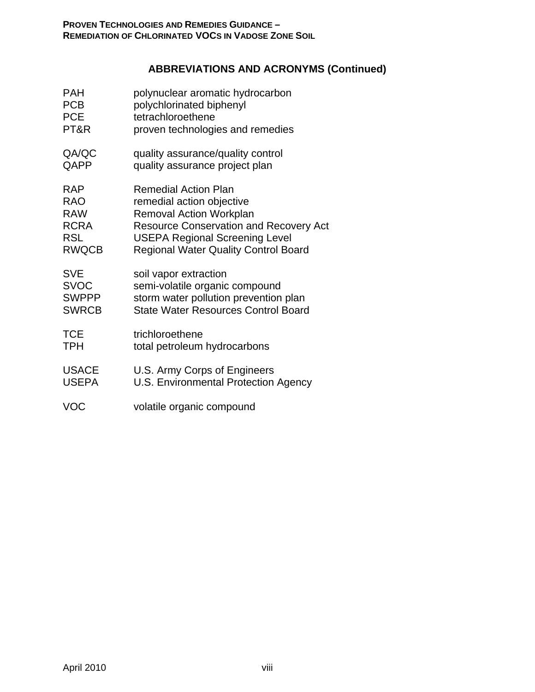## **ABBREVIATIONS AND ACRONYMS (Continued)**

| <b>PAH</b>   | polynuclear aromatic hydrocarbon              |
|--------------|-----------------------------------------------|
| <b>PCB</b>   | polychlorinated biphenyl                      |
| <b>PCE</b>   | tetrachloroethene                             |
| PT&R         | proven technologies and remedies              |
| QA/QC        | quality assurance/quality control             |
| QAPP         | quality assurance project plan                |
| <b>RAP</b>   | <b>Remedial Action Plan</b>                   |
| <b>RAO</b>   | remedial action objective                     |
| <b>RAW</b>   | <b>Removal Action Workplan</b>                |
| <b>RCRA</b>  | <b>Resource Conservation and Recovery Act</b> |
| <b>RSL</b>   | <b>USEPA Regional Screening Level</b>         |
| <b>RWQCB</b> | <b>Regional Water Quality Control Board</b>   |
| <b>SVE</b>   | soil vapor extraction                         |
| <b>SVOC</b>  | semi-volatile organic compound                |
| <b>SWPPP</b> | storm water pollution prevention plan         |
| <b>SWRCB</b> | <b>State Water Resources Control Board</b>    |
| <b>TCE</b>   | trichloroethene                               |
| <b>TPH</b>   | total petroleum hydrocarbons                  |
| <b>USACE</b> | U.S. Army Corps of Engineers                  |
| <b>USEPA</b> | U.S. Environmental Protection Agency          |
| <b>VOC</b>   | volatile organic compound                     |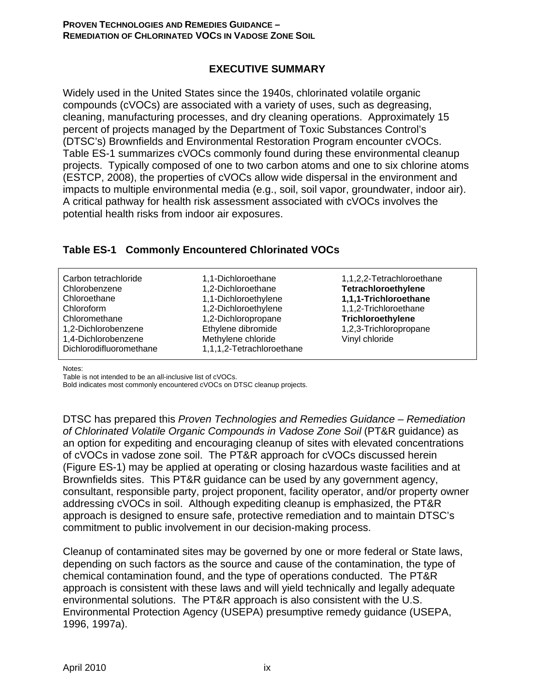### **EXECUTIVE SUMMARY**

Widely used in the United States since the 1940s, chlorinated volatile organic compounds (cVOCs) are associated with a variety of uses, such as degreasing, cleaning, manufacturing processes, and dry cleaning operations. Approximately 15 percent of projects managed by the Department of Toxic Substances Control's (DTSC's) Brownfields and Environmental Restoration Program encounter cVOCs. Table ES-1 summarizes cVOCs commonly found during these environmental cleanup projects. Typically composed of one to two carbon atoms and one to six chlorine atoms (ESTCP, 2008), the properties of cVOCs allow wide dispersal in the environment and impacts to multiple environmental media (e.g., soil, soil vapor, groundwater, indoor air). A critical pathway for health risk assessment associated with cVOCs involves the potential health risks from indoor air exposures.

|  |  |  | Table ES-1 Commonly Encountered Chlorinated VOCs |
|--|--|--|--------------------------------------------------|
|--|--|--|--------------------------------------------------|

| Carbon tetrachloride<br>Chlorobenzene<br>Chloroethane<br>Chloroform<br>Chloromethane<br>1,2-Dichlorobenzene<br>1,4-Dichlorobenzene<br>Dichlorodifluoromethane | 1,1-Dichloroethane<br>1,2-Dichloroethane<br>1,1-Dichloroethylene<br>1,2-Dichloroethylene<br>1,2-Dichloropropane<br>Ethylene dibromide<br>Methylene chloride<br>1,1,1,2-Tetrachloroethane | 1,1,2,2-Tetrachloroethane<br>Tetrachloroethylene<br>1,1,1-Trichloroethane<br>1,1,2-Trichloroethane<br>Trichloroethylene<br>1,2,3-Trichloropropane<br>Vinyl chloride |
|---------------------------------------------------------------------------------------------------------------------------------------------------------------|------------------------------------------------------------------------------------------------------------------------------------------------------------------------------------------|---------------------------------------------------------------------------------------------------------------------------------------------------------------------|
|---------------------------------------------------------------------------------------------------------------------------------------------------------------|------------------------------------------------------------------------------------------------------------------------------------------------------------------------------------------|---------------------------------------------------------------------------------------------------------------------------------------------------------------------|

Notes:

Table is not intended to be an all-inclusive list of cVOCs.

Bold indicates most commonly encountered cVOCs on DTSC cleanup projects.

DTSC has prepared this *Proven Technologies and Remedies Guidance – Remediation of Chlorinated Volatile Organic Compounds in Vadose Zone Soil* (PT&R guidance) as an option for expediting and encouraging cleanup of sites with elevated concentrations of cVOCs in vadose zone soil. The PT&R approach for cVOCs discussed herein (Figure ES-1) may be applied at operating or closing hazardous waste facilities and at Brownfields sites. This PT&R guidance can be used by any government agency, consultant, responsible party, project proponent, facility operator, and/or property owner addressing cVOCs in soil. Although expediting cleanup is emphasized, the PT&R approach is designed to ensure safe, protective remediation and to maintain DTSC's commitment to public involvement in our decision-making process.

Cleanup of contaminated sites may be governed by one or more federal or State laws, depending on such factors as the source and cause of the contamination, the type of chemical contamination found, and the type of operations conducted. The PT&R approach is consistent with these laws and will yield technically and legally adequate environmental solutions. The PT&R approach is also consistent with the U.S. Environmental Protection Agency (USEPA) presumptive remedy guidance (USEPA, 1996, 1997a).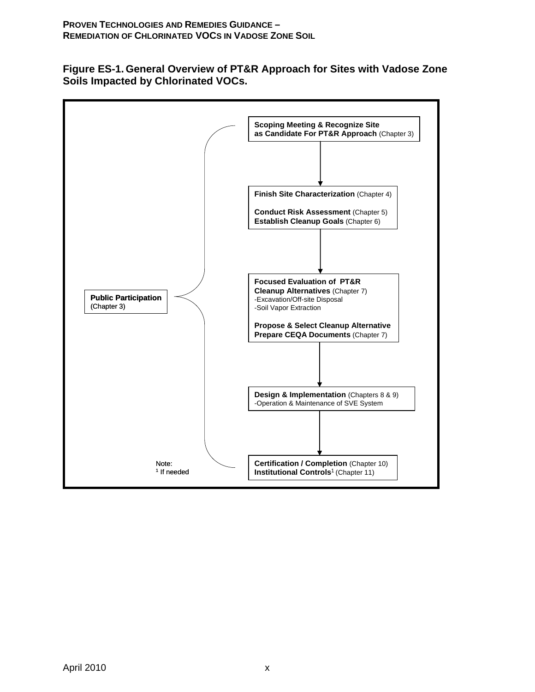**Figure ES-1. General Overview of PT&R Approach for Sites with Vadose Zone Soils Impacted by Chlorinated VOCs.**

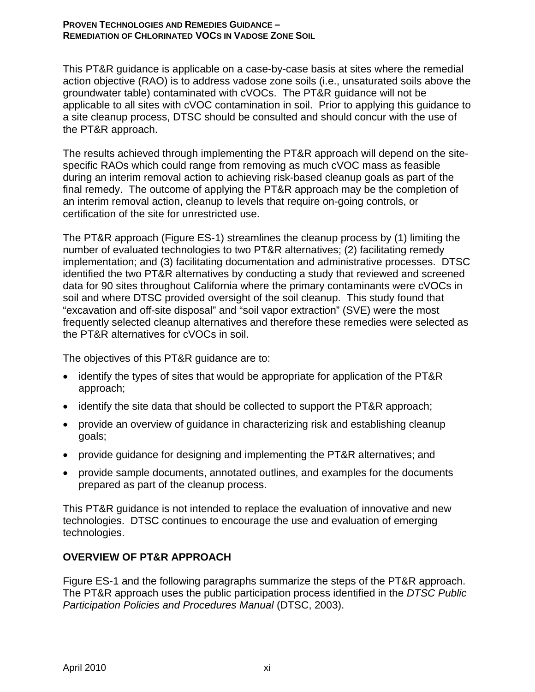This PT&R guidance is applicable on a case-by-case basis at sites where the remedial action objective (RAO) is to address vadose zone soils (i.e., unsaturated soils above the groundwater table) contaminated with cVOCs. The PT&R guidance will not be applicable to all sites with cVOC contamination in soil. Prior to applying this guidance to a site cleanup process, DTSC should be consulted and should concur with the use of the PT&R approach.

The results achieved through implementing the PT&R approach will depend on the sitespecific RAOs which could range from removing as much cVOC mass as feasible during an interim removal action to achieving risk-based cleanup goals as part of the final remedy. The outcome of applying the PT&R approach may be the completion of an interim removal action, cleanup to levels that require on-going controls, or certification of the site for unrestricted use.

The PT&R approach (Figure ES-1) streamlines the cleanup process by (1) limiting the number of evaluated technologies to two PT&R alternatives; (2) facilitating remedy implementation; and (3) facilitating documentation and administrative processes. DTSC identified the two PT&R alternatives by conducting a study that reviewed and screened data for 90 sites throughout California where the primary contaminants were cVOCs in soil and where DTSC provided oversight of the soil cleanup. This study found that "excavation and off-site disposal" and "soil vapor extraction" (SVE) were the most frequently selected cleanup alternatives and therefore these remedies were selected as the PT&R alternatives for cVOCs in soil.

The objectives of this PT&R guidance are to:

- identify the types of sites that would be appropriate for application of the PT&R approach;
- identify the site data that should be collected to support the PT&R approach;
- provide an overview of guidance in characterizing risk and establishing cleanup goals;
- provide guidance for designing and implementing the PT&R alternatives; and
- provide sample documents, annotated outlines, and examples for the documents prepared as part of the cleanup process.

This PT&R guidance is not intended to replace the evaluation of innovative and new technologies. DTSC continues to encourage the use and evaluation of emerging technologies.

## **OVERVIEW OF PT&R APPROACH**

Figure ES-1 and the following paragraphs summarize the steps of the PT&R approach. The PT&R approach uses the public participation process identified in the *DTSC Public Participation Policies and Procedures Manual* (DTSC, 2003).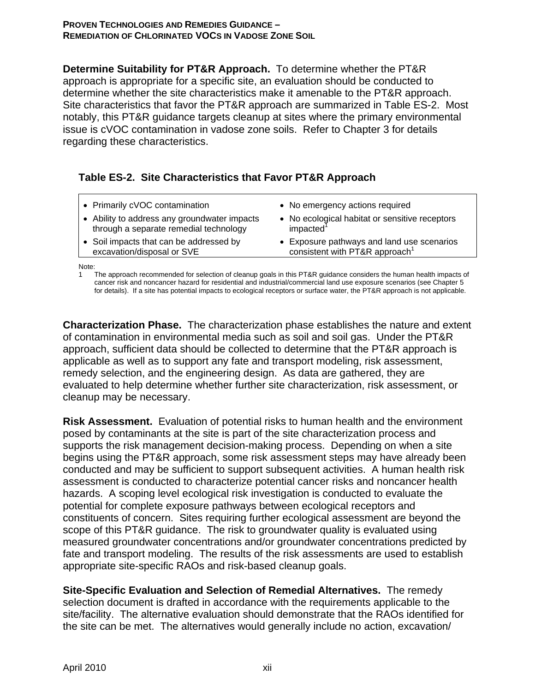**Determine Suitability for PT&R Approach.** To determine whether the PT&R approach is appropriate for a specific site, an evaluation should be conducted to determine whether the site characteristics make it amenable to the PT&R approach. Site characteristics that favor the PT&R approach are summarized in Table ES-2. Most notably, this PT&R guidance targets cleanup at sites where the primary environmental issue is cVOC contamination in vadose zone soils. Refer to Chapter 3 for details regarding these characteristics.

### **Table ES-2. Site Characteristics that Favor PT&R Approach**

| • Primarily cVOC contamination               | • No emergency actions required                |
|----------------------------------------------|------------------------------------------------|
| • Ability to address any groundwater impacts | • No ecological habitat or sensitive receptors |
| through a separate remedial technology       | impacted <sup>1</sup>                          |
| • Soil impacts that can be addressed by      | • Exposure pathways and land use scenarios     |
| excavation/disposal or SVE                   | consistent with PT&R approach <sup>1</sup>     |

Note:

1 The approach recommended for selection of cleanup goals in this PT&R guidance considers the human health impacts of cancer risk and noncancer hazard for residential and industrial/commercial land use exposure scenarios (see Chapter 5 for details). If a site has potential impacts to ecological receptors or surface water, the PT&R approach is not applicable.

**Characterization Phase.** The characterization phase establishes the nature and extent of contamination in environmental media such as soil and soil gas. Under the PT&R approach, sufficient data should be collected to determine that the PT&R approach is applicable as well as to support any fate and transport modeling, risk assessment, remedy selection, and the engineering design. As data are gathered, they are evaluated to help determine whether further site characterization, risk assessment, or cleanup may be necessary.

**Risk Assessment.** Evaluation of potential risks to human health and the environment posed by contaminants at the site is part of the site characterization process and supports the risk management decision-making process. Depending on when a site begins using the PT&R approach, some risk assessment steps may have already been conducted and may be sufficient to support subsequent activities. A human health risk assessment is conducted to characterize potential cancer risks and noncancer health hazards. A scoping level ecological risk investigation is conducted to evaluate the potential for complete exposure pathways between ecological receptors and constituents of concern. Sites requiring further ecological assessment are beyond the scope of this PT&R guidance. The risk to groundwater quality is evaluated using measured groundwater concentrations and/or groundwater concentrations predicted by fate and transport modeling. The results of the risk assessments are used to establish appropriate site-specific RAOs and risk-based cleanup goals.

**Site-Specific Evaluation and Selection of Remedial Alternatives.** The remedy selection document is drafted in accordance with the requirements applicable to the site/facility. The alternative evaluation should demonstrate that the RAOs identified for the site can be met. The alternatives would generally include no action, excavation/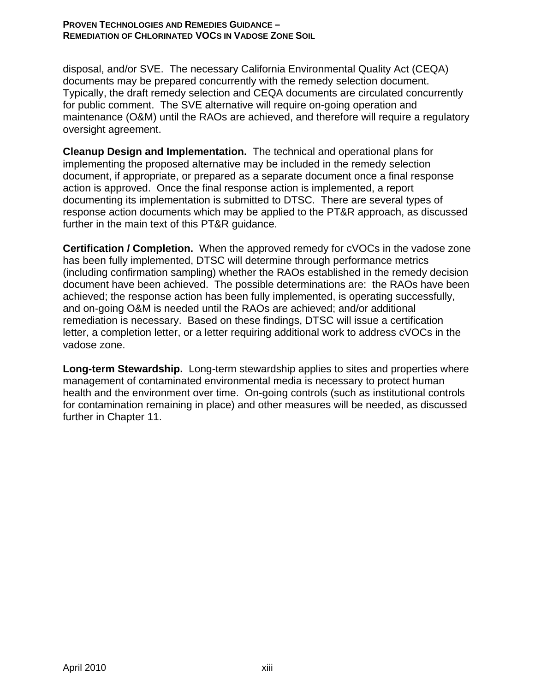disposal, and/or SVE. The necessary California Environmental Quality Act (CEQA) documents may be prepared concurrently with the remedy selection document. Typically, the draft remedy selection and CEQA documents are circulated concurrently for public comment. The SVE alternative will require on-going operation and maintenance (O&M) until the RAOs are achieved, and therefore will require a regulatory oversight agreement.

**Cleanup Design and Implementation.** The technical and operational plans for implementing the proposed alternative may be included in the remedy selection document, if appropriate, or prepared as a separate document once a final response action is approved. Once the final response action is implemented, a report documenting its implementation is submitted to DTSC. There are several types of response action documents which may be applied to the PT&R approach, as discussed further in the main text of this PT&R guidance.

**Certification / Completion.** When the approved remedy for cVOCs in the vadose zone has been fully implemented, DTSC will determine through performance metrics (including confirmation sampling) whether the RAOs established in the remedy decision document have been achieved. The possible determinations are: the RAOs have been achieved; the response action has been fully implemented, is operating successfully, and on-going O&M is needed until the RAOs are achieved; and/or additional remediation is necessary. Based on these findings, DTSC will issue a certification letter, a completion letter, or a letter requiring additional work to address cVOCs in the vadose zone.

**Long-term Stewardship.** Long-term stewardship applies to sites and properties where management of contaminated environmental media is necessary to protect human health and the environment over time. On-going controls (such as institutional controls for contamination remaining in place) and other measures will be needed, as discussed further in Chapter 11.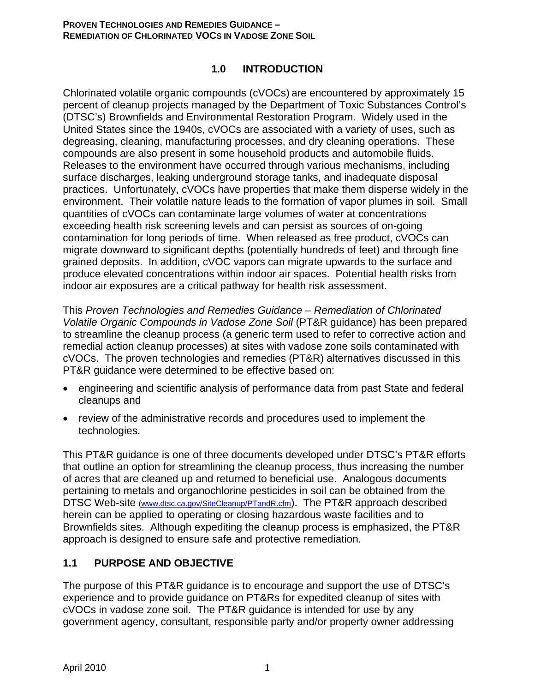### **1.0 INTRODUCTION**

Chlorinated volatile organic compounds (cVOCs) are encountered by approximately 15 percent of cleanup projects managed by the Department of Toxic Substances Control's (DTSC's) Brownfields and Environmental Restoration Program. Widely used in the United States since the 1940s, cVOCs are associated with a variety of uses, such as degreasing, cleaning, manufacturing processes, and dry cleaning operations. These compounds are also present in some household products and automobile fluids. Releases to the environment have occurred through various mechanisms, including surface discharges, leaking underground storage tanks, and inadequate disposal practices. Unfortunately, cVOCs have properties that make them disperse widely in the environment. Their volatile nature leads to the formation of vapor plumes in soil. Small quantities of cVOCs can contaminate large volumes of water at concentrations exceeding health risk screening levels and can persist as sources of on-going contamination for long periods of time. When released as free product, cVOCs can migrate downward to significant depths (potentially hundreds of feet) and through fine grained deposits. In addition, cVOC vapors can migrate upwards to the surface and produce elevated concentrations within indoor air spaces. Potential health risks from indoor air exposures are a critical pathway for health risk assessment.

This *Proven Technologies and Remedies Guidance – Remediation of Chlorinated Volatile Organic Compounds in Vadose Zone Soil* (PT&R guidance) has been prepared to streamline the cleanup process (a generic term used to refer to corrective action and remedial action cleanup processes) at sites with vadose zone soils contaminated with cVOCs. The proven technologies and remedies (PT&R) alternatives discussed in this PT&R guidance were determined to be effective based on:

- engineering and scientific analysis of performance data from past State and federal cleanups and
- review of the administrative records and procedures used to implement the technologies.

This PT&R guidance is one of three documents developed under DTSC's PT&R efforts that outline an option for streamlining the cleanup process, thus increasing the number of acres that are cleaned up and returned to beneficial use. Analogous documents pertaining to metals and organochlorine pesticides in soil can be obtained from the DTSC Web-site (www.dtsc.ca.gov/SiteCleanup/PTandR.cfm). The PT&R approach described herein can be applied to operating or closing hazardous waste facilities and to Brownfields sites. Although expediting the cleanup process is emphasized, the PT&R approach is designed to ensure safe and protective remediation.

## **1.1 PURPOSE AND OBJECTIVE**

The purpose of this PT&R guidance is to encourage and support the use of DTSC's experience and to provide guidance on PT&Rs for expedited cleanup of sites with cVOCs in vadose zone soil. The PT&R guidance is intended for use by any government agency, consultant, responsible party and/or property owner addressing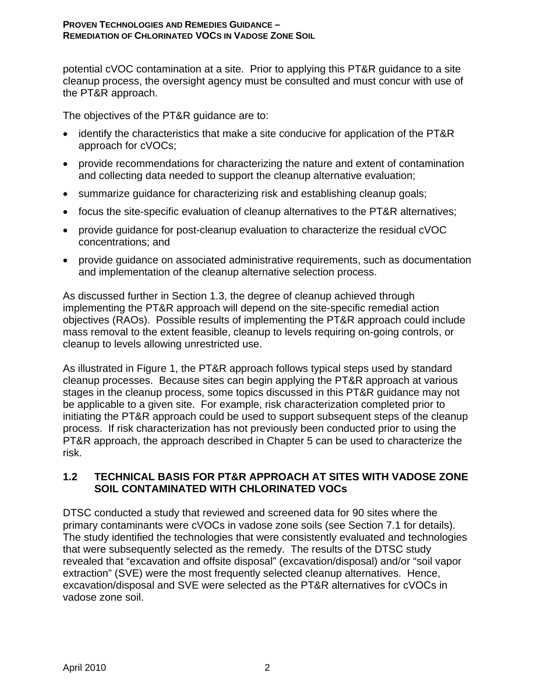potential cVOC contamination at a site. Prior to applying this PT&R guidance to a site cleanup process, the oversight agency must be consulted and must concur with use of the PT&R approach.

The objectives of the PT&R guidance are to:

- identify the characteristics that make a site conducive for application of the PT&R approach for cVOCs;
- provide recommendations for characterizing the nature and extent of contamination and collecting data needed to support the cleanup alternative evaluation;
- summarize guidance for characterizing risk and establishing cleanup goals;
- focus the site-specific evaluation of cleanup alternatives to the PT&R alternatives;
- provide guidance for post-cleanup evaluation to characterize the residual cVOC concentrations; and
- provide guidance on associated administrative requirements, such as documentation and implementation of the cleanup alternative selection process.

As discussed further in Section 1.3, the degree of cleanup achieved through implementing the PT&R approach will depend on the site-specific remedial action objectives (RAOs). Possible results of implementing the PT&R approach could include mass removal to the extent feasible, cleanup to levels requiring on-going controls, or cleanup to levels allowing unrestricted use.

As illustrated in Figure 1, the PT&R approach follows typical steps used by standard cleanup processes. Because sites can begin applying the PT&R approach at various stages in the cleanup process, some topics discussed in this PT&R guidance may not be applicable to a given site. For example, risk characterization completed prior to initiating the PT&R approach could be used to support subsequent steps of the cleanup process. If risk characterization has not previously been conducted prior to using the PT&R approach, the approach described in Chapter 5 can be used to characterize the risk.

### **1.2 TECHNICAL BASIS FOR PT&R APPROACH AT SITES WITH VADOSE ZONE SOIL CONTAMINATED WITH CHLORINATED VOCs**

DTSC conducted a study that reviewed and screened data for 90 sites where the primary contaminants were cVOCs in vadose zone soils (see Section 7.1 for details). The study identified the technologies that were consistently evaluated and technologies that were subsequently selected as the remedy. The results of the DTSC study revealed that "excavation and offsite disposal" (excavation/disposal) and/or "soil vapor extraction" (SVE) were the most frequently selected cleanup alternatives. Hence, excavation/disposal and SVE were selected as the PT&R alternatives for cVOCs in vadose zone soil.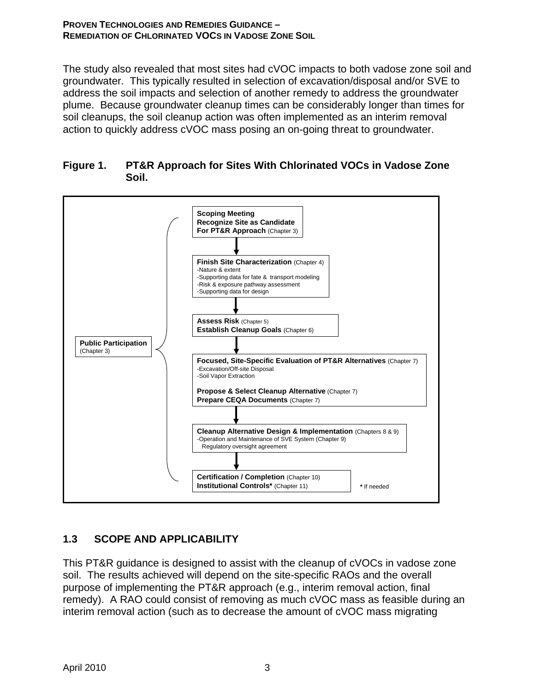The study also revealed that most sites had cVOC impacts to both vadose zone soil and groundwater. This typically resulted in selection of excavation/disposal and/or SVE to address the soil impacts and selection of another remedy to address the groundwater plume. Because groundwater cleanup times can be considerably longer than times for soil cleanups, the soil cleanup action was often implemented as an interim removal action to quickly address cVOC mass posing an on-going threat to groundwater.





## **1.3 SCOPE AND APPLICABILITY**

This PT&R guidance is designed to assist with the cleanup of cVOCs in vadose zone soil. The results achieved will depend on the site-specific RAOs and the overall purpose of implementing the PT&R approach (e.g., interim removal action, final remedy). A RAO could consist of removing as much cVOC mass as feasible during an interim removal action (such as to decrease the amount of cVOC mass migrating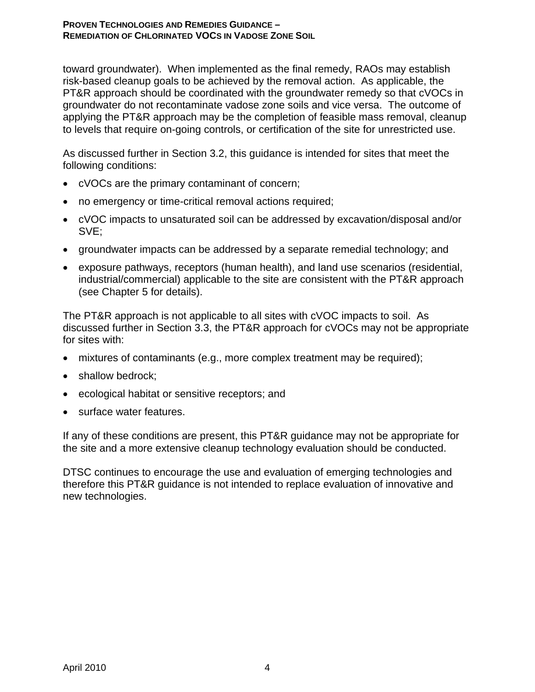toward groundwater). When implemented as the final remedy, RAOs may establish risk-based cleanup goals to be achieved by the removal action. As applicable, the PT&R approach should be coordinated with the groundwater remedy so that cVOCs in groundwater do not recontaminate vadose zone soils and vice versa. The outcome of applying the PT&R approach may be the completion of feasible mass removal, cleanup to levels that require on-going controls, or certification of the site for unrestricted use.

As discussed further in Section 3.2, this guidance is intended for sites that meet the following conditions:

- cVOCs are the primary contaminant of concern;
- no emergency or time-critical removal actions required;
- cVOC impacts to unsaturated soil can be addressed by excavation/disposal and/or SVE;
- groundwater impacts can be addressed by a separate remedial technology; and
- exposure pathways, receptors (human health), and land use scenarios (residential, industrial/commercial) applicable to the site are consistent with the PT&R approach (see Chapter 5 for details).

The PT&R approach is not applicable to all sites with cVOC impacts to soil. As discussed further in Section 3.3, the PT&R approach for cVOCs may not be appropriate for sites with:

- mixtures of contaminants (e.g., more complex treatment may be required);
- shallow bedrock:
- ecological habitat or sensitive receptors; and
- surface water features.

If any of these conditions are present, this PT&R guidance may not be appropriate for the site and a more extensive cleanup technology evaluation should be conducted.

DTSC continues to encourage the use and evaluation of emerging technologies and therefore this PT&R guidance is not intended to replace evaluation of innovative and new technologies.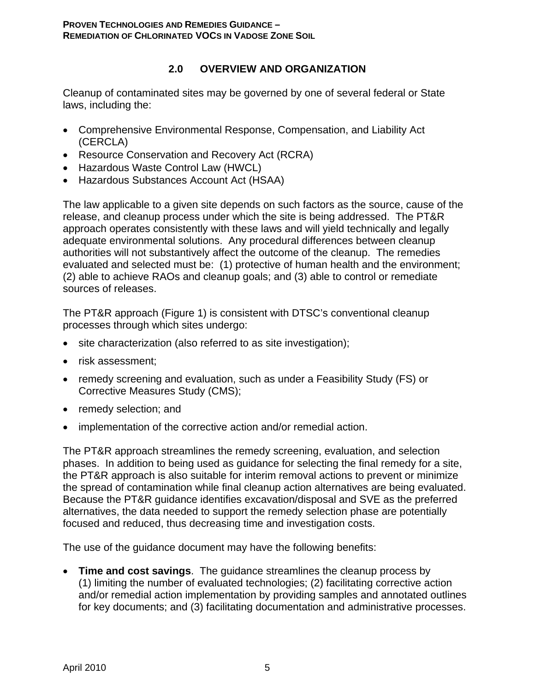## **2.0 OVERVIEW AND ORGANIZATION**

Cleanup of contaminated sites may be governed by one of several federal or State laws, including the:

- Comprehensive Environmental Response, Compensation, and Liability Act (CERCLA)
- Resource Conservation and Recovery Act (RCRA)
- Hazardous Waste Control Law (HWCL)
- Hazardous Substances Account Act (HSAA)

The law applicable to a given site depends on such factors as the source, cause of the release, and cleanup process under which the site is being addressed. The PT&R approach operates consistently with these laws and will yield technically and legally adequate environmental solutions. Any procedural differences between cleanup authorities will not substantively affect the outcome of the cleanup. The remedies evaluated and selected must be: (1) protective of human health and the environment; (2) able to achieve RAOs and cleanup goals; and (3) able to control or remediate sources of releases.

The PT&R approach (Figure 1) is consistent with DTSC's conventional cleanup processes through which sites undergo:

- site characterization (also referred to as site investigation);
- risk assessment;
- remedy screening and evaluation, such as under a Feasibility Study (FS) or Corrective Measures Study (CMS);
- remedy selection; and
- implementation of the corrective action and/or remedial action.

The PT&R approach streamlines the remedy screening, evaluation, and selection phases. In addition to being used as guidance for selecting the final remedy for a site, the PT&R approach is also suitable for interim removal actions to prevent or minimize the spread of contamination while final cleanup action alternatives are being evaluated. Because the PT&R guidance identifies excavation/disposal and SVE as the preferred alternatives, the data needed to support the remedy selection phase are potentially focused and reduced, thus decreasing time and investigation costs.

The use of the guidance document may have the following benefits:

• **Time and cost savings**. The guidance streamlines the cleanup process by (1) limiting the number of evaluated technologies; (2) facilitating corrective action and/or remedial action implementation by providing samples and annotated outlines for key documents; and (3) facilitating documentation and administrative processes.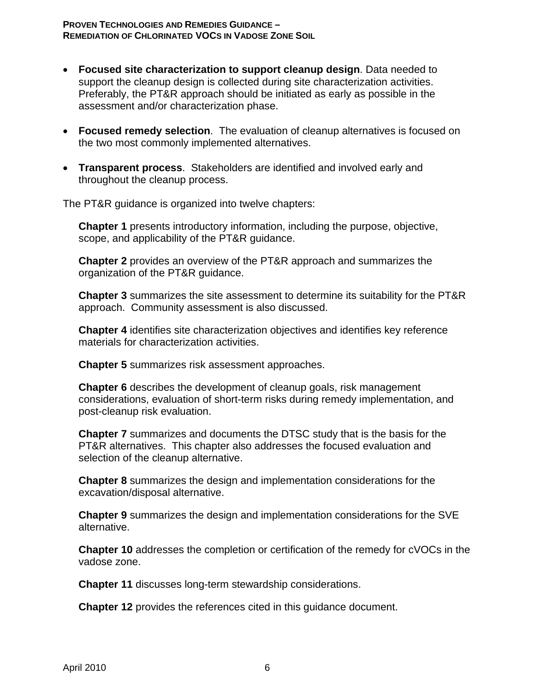- **Focused site characterization to support cleanup design**. Data needed to support the cleanup design is collected during site characterization activities. Preferably, the PT&R approach should be initiated as early as possible in the assessment and/or characterization phase.
- **Focused remedy selection**. The evaluation of cleanup alternatives is focused on the two most commonly implemented alternatives.
- **Transparent process**. Stakeholders are identified and involved early and throughout the cleanup process.

The PT&R guidance is organized into twelve chapters:

**Chapter 1** presents introductory information, including the purpose, objective, scope, and applicability of the PT&R guidance.

**Chapter 2** provides an overview of the PT&R approach and summarizes the organization of the PT&R guidance.

**Chapter 3** summarizes the site assessment to determine its suitability for the PT&R approach. Community assessment is also discussed.

**Chapter 4** identifies site characterization objectives and identifies key reference materials for characterization activities.

**Chapter 5** summarizes risk assessment approaches.

**Chapter 6** describes the development of cleanup goals, risk management considerations, evaluation of short-term risks during remedy implementation, and post-cleanup risk evaluation.

**Chapter 7** summarizes and documents the DTSC study that is the basis for the PT&R alternatives. This chapter also addresses the focused evaluation and selection of the cleanup alternative.

**Chapter 8** summarizes the design and implementation considerations for the excavation/disposal alternative.

**Chapter 9** summarizes the design and implementation considerations for the SVE alternative.

**Chapter 10** addresses the completion or certification of the remedy for cVOCs in the vadose zone.

**Chapter 11** discusses long-term stewardship considerations.

**Chapter 12** provides the references cited in this guidance document.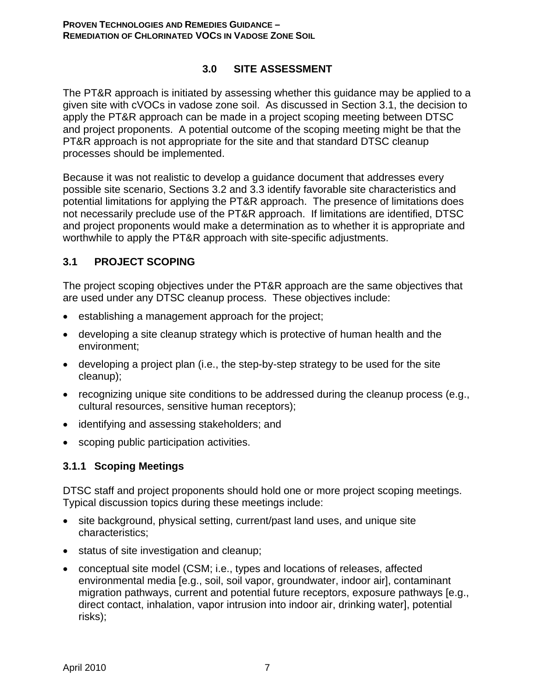### **3.0 SITE ASSESSMENT**

The PT&R approach is initiated by assessing whether this guidance may be applied to a given site with cVOCs in vadose zone soil. As discussed in Section 3.1, the decision to apply the PT&R approach can be made in a project scoping meeting between DTSC and project proponents. A potential outcome of the scoping meeting might be that the PT&R approach is not appropriate for the site and that standard DTSC cleanup processes should be implemented.

Because it was not realistic to develop a guidance document that addresses every possible site scenario, Sections 3.2 and 3.3 identify favorable site characteristics and potential limitations for applying the PT&R approach. The presence of limitations does not necessarily preclude use of the PT&R approach. If limitations are identified, DTSC and project proponents would make a determination as to whether it is appropriate and worthwhile to apply the PT&R approach with site-specific adjustments.

### **3.1 PROJECT SCOPING**

The project scoping objectives under the PT&R approach are the same objectives that are used under any DTSC cleanup process. These objectives include:

- establishing a management approach for the project;
- developing a site cleanup strategy which is protective of human health and the environment;
- developing a project plan (i.e., the step-by-step strategy to be used for the site cleanup);
- recognizing unique site conditions to be addressed during the cleanup process (e.g., cultural resources, sensitive human receptors);
- identifying and assessing stakeholders; and
- scoping public participation activities.

### **3.1.1 Scoping Meetings**

DTSC staff and project proponents should hold one or more project scoping meetings. Typical discussion topics during these meetings include:

- site background, physical setting, current/past land uses, and unique site characteristics;
- status of site investigation and cleanup;
- conceptual site model (CSM; i.e., types and locations of releases, affected environmental media [e.g., soil, soil vapor, groundwater, indoor air], contaminant migration pathways, current and potential future receptors, exposure pathways [e.g., direct contact, inhalation, vapor intrusion into indoor air, drinking water], potential risks);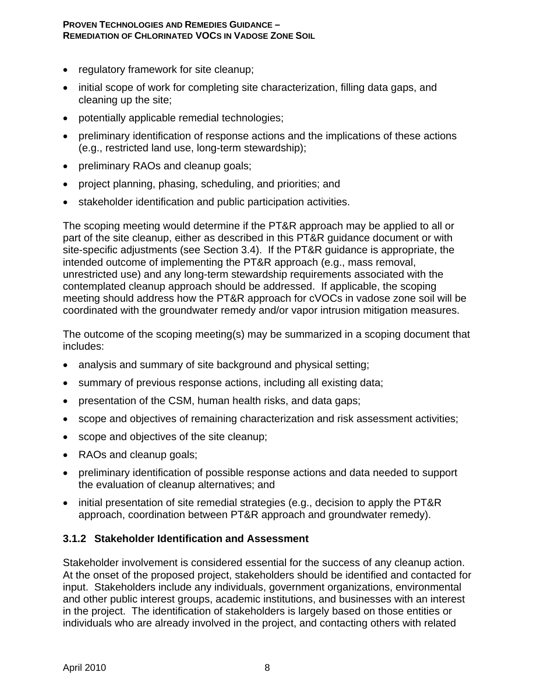- regulatory framework for site cleanup;
- initial scope of work for completing site characterization, filling data gaps, and cleaning up the site;
- potentially applicable remedial technologies;
- preliminary identification of response actions and the implications of these actions (e.g., restricted land use, long-term stewardship);
- preliminary RAOs and cleanup goals;
- project planning, phasing, scheduling, and priorities; and
- stakeholder identification and public participation activities.

The scoping meeting would determine if the PT&R approach may be applied to all or part of the site cleanup, either as described in this PT&R guidance document or with site-specific adjustments (see Section 3.4). If the PT&R guidance is appropriate, the intended outcome of implementing the PT&R approach (e.g., mass removal, unrestricted use) and any long-term stewardship requirements associated with the contemplated cleanup approach should be addressed. If applicable, the scoping meeting should address how the PT&R approach for cVOCs in vadose zone soil will be coordinated with the groundwater remedy and/or vapor intrusion mitigation measures.

The outcome of the scoping meeting(s) may be summarized in a scoping document that includes:

- analysis and summary of site background and physical setting;
- summary of previous response actions, including all existing data;
- presentation of the CSM, human health risks, and data gaps;
- scope and objectives of remaining characterization and risk assessment activities;
- scope and objectives of the site cleanup;
- RAOs and cleanup goals;
- preliminary identification of possible response actions and data needed to support the evaluation of cleanup alternatives; and
- initial presentation of site remedial strategies (e.g., decision to apply the PT&R approach, coordination between PT&R approach and groundwater remedy).

### **3.1.2 Stakeholder Identification and Assessment**

Stakeholder involvement is considered essential for the success of any cleanup action. At the onset of the proposed project, stakeholders should be identified and contacted for input. Stakeholders include any individuals, government organizations, environmental and other public interest groups, academic institutions, and businesses with an interest in the project. The identification of stakeholders is largely based on those entities or individuals who are already involved in the project, and contacting others with related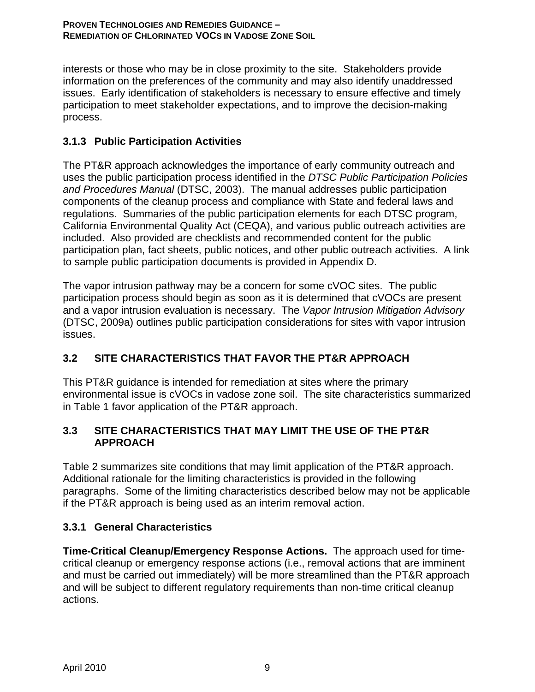interests or those who may be in close proximity to the site. Stakeholders provide information on the preferences of the community and may also identify unaddressed issues. Early identification of stakeholders is necessary to ensure effective and timely participation to meet stakeholder expectations, and to improve the decision-making process.

## **3.1.3 Public Participation Activities**

The PT&R approach acknowledges the importance of early community outreach and uses the public participation process identified in the *DTSC Public Participation Policies and Procedures Manual* (DTSC, 2003).The manual addresses public participation components of the cleanup process and compliance with State and federal laws and regulations. Summaries of the public participation elements for each DTSC program, California Environmental Quality Act (CEQA), and various public outreach activities are included. Also provided are checklists and recommended content for the public participation plan, fact sheets, public notices, and other public outreach activities. A link to sample public participation documents is provided in Appendix D.

The vapor intrusion pathway may be a concern for some cVOC sites. The public participation process should begin as soon as it is determined that cVOCs are present and a vapor intrusion evaluation is necessary. The *Vapor Intrusion Mitigation Advisory* (DTSC, 2009a) outlines public participation considerations for sites with vapor intrusion issues.

## **3.2 SITE CHARACTERISTICS THAT FAVOR THE PT&R APPROACH**

This PT&R guidance is intended for remediation at sites where the primary environmental issue is cVOCs in vadose zone soil. The site characteristics summarized in Table 1 favor application of the PT&R approach.

## **3.3 SITE CHARACTERISTICS THAT MAY LIMIT THE USE OF THE PT&R APPROACH**

Table 2 summarizes site conditions that may limit application of the PT&R approach. Additional rationale for the limiting characteristics is provided in the following paragraphs. Some of the limiting characteristics described below may not be applicable if the PT&R approach is being used as an interim removal action.

## **3.3.1 General Characteristics**

**Time-Critical Cleanup/Emergency Response Actions.** The approach used for timecritical cleanup or emergency response actions (i.e., removal actions that are imminent and must be carried out immediately) will be more streamlined than the PT&R approach and will be subject to different regulatory requirements than non-time critical cleanup actions.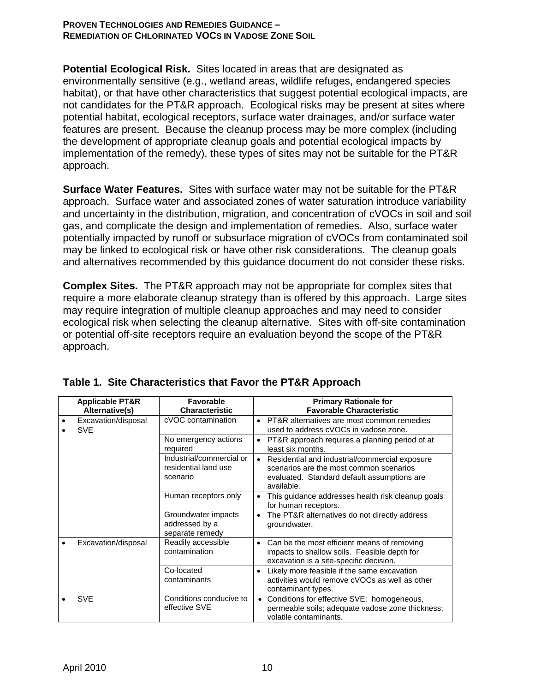**Potential Ecological Risk.** Sites located in areas that are designated as environmentally sensitive (e.g., wetland areas, wildlife refuges, endangered species habitat), or that have other characteristics that suggest potential ecological impacts, are not candidates for the PT&R approach. Ecological risks may be present at sites where potential habitat, ecological receptors, surface water drainages, and/or surface water features are present. Because the cleanup process may be more complex (including the development of appropriate cleanup goals and potential ecological impacts by implementation of the remedy), these types of sites may not be suitable for the PT&R approach.

**Surface Water Features.** Sites with surface water may not be suitable for the PT&R approach. Surface water and associated zones of water saturation introduce variability and uncertainty in the distribution, migration, and concentration of cVOCs in soil and soil gas, and complicate the design and implementation of remedies. Also, surface water potentially impacted by runoff or subsurface migration of cVOCs from contaminated soil may be linked to ecological risk or have other risk considerations. The cleanup goals and alternatives recommended by this guidance document do not consider these risks.

**Complex Sites.** The PT&R approach may not be appropriate for complex sites that require a more elaborate cleanup strategy than is offered by this approach. Large sites may require integration of multiple cleanup approaches and may need to consider ecological risk when selecting the cleanup alternative. Sites with off-site contamination or potential off-site receptors require an evaluation beyond the scope of the PT&R approach.

| <b>Applicable PT&amp;R</b><br>Alternative(s) | <b>Favorable</b><br><b>Characteristic</b>                    | <b>Primary Rationale for</b><br><b>Favorable Characteristic</b>                                                                                        |  |  |
|----------------------------------------------|--------------------------------------------------------------|--------------------------------------------------------------------------------------------------------------------------------------------------------|--|--|
| Excavation/disposal<br><b>SVE</b>            | cVOC contamination                                           | • PT&R alternatives are most common remedies<br>used to address cVOCs in vadose zone.                                                                  |  |  |
|                                              | No emergency actions<br>required                             | PT&R approach requires a planning period of at<br>$\bullet$<br>least six months.                                                                       |  |  |
|                                              | Industrial/commercial or<br>residential land use<br>scenario | Residential and industrial/commercial exposure<br>scenarios are the most common scenarios<br>evaluated. Standard default assumptions are<br>available. |  |  |
|                                              | Human receptors only                                         | This guidance addresses health risk cleanup goals<br>for human receptors.                                                                              |  |  |
|                                              | Groundwater impacts<br>addressed by a<br>separate remedy     | The PT&R alternatives do not directly address<br>groundwater.                                                                                          |  |  |
| Excavation/disposal                          | Readily accessible<br>contamination                          | Can be the most efficient means of removing<br>$\bullet$<br>impacts to shallow soils. Feasible depth for<br>excavation is a site-specific decision.    |  |  |
|                                              | Co-located<br>contaminants                                   | Likely more feasible if the same excavation<br>$\bullet$<br>activities would remove cVOCs as well as other<br>contaminant types.                       |  |  |
| <b>SVE</b>                                   | Conditions conducive to<br>effective SVE                     | Conditions for effective SVE: homogeneous,<br>permeable soils; adequate vadose zone thickness;<br>volatile contaminants.                               |  |  |

| Table 1. Site Characteristics that Favor the PT&R Approach |
|------------------------------------------------------------|
|------------------------------------------------------------|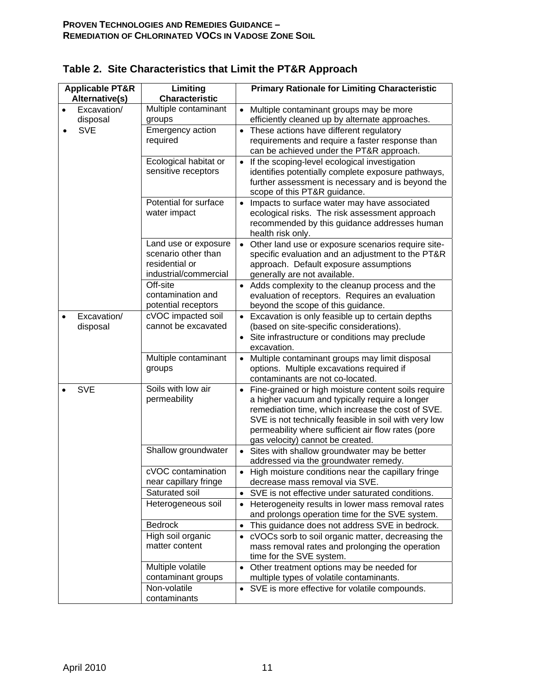| <b>Applicable PT&amp;R</b> |                         | Limiting                                                                               | <b>Primary Rationale for Limiting Characteristic</b>                                                                                                                                                                                                                                                                       |  |  |  |
|----------------------------|-------------------------|----------------------------------------------------------------------------------------|----------------------------------------------------------------------------------------------------------------------------------------------------------------------------------------------------------------------------------------------------------------------------------------------------------------------------|--|--|--|
| Alternative(s)             |                         | <b>Characteristic</b>                                                                  |                                                                                                                                                                                                                                                                                                                            |  |  |  |
|                            | Excavation/<br>disposal | Multiple contaminant<br>groups                                                         | Multiple contaminant groups may be more<br>$\bullet$<br>efficiently cleaned up by alternate approaches.                                                                                                                                                                                                                    |  |  |  |
|                            | SVE                     | Emergency action<br>required                                                           | These actions have different regulatory<br>$\bullet$<br>requirements and require a faster response than<br>can be achieved under the PT&R approach.                                                                                                                                                                        |  |  |  |
|                            |                         | Ecological habitat or<br>sensitive receptors                                           | If the scoping-level ecological investigation<br>$\bullet$<br>identifies potentially complete exposure pathways,<br>further assessment is necessary and is beyond the<br>scope of this PT&R guidance.                                                                                                                      |  |  |  |
|                            |                         | Potential for surface<br>water impact                                                  | Impacts to surface water may have associated<br>$\bullet$<br>ecological risks. The risk assessment approach<br>recommended by this guidance addresses human<br>health risk only.                                                                                                                                           |  |  |  |
|                            |                         | Land use or exposure<br>scenario other than<br>residential or<br>industrial/commercial | Other land use or exposure scenarios require site-<br>$\bullet$<br>specific evaluation and an adjustment to the PT&R<br>approach. Default exposure assumptions<br>generally are not available.                                                                                                                             |  |  |  |
|                            |                         | Off-site<br>contamination and<br>potential receptors                                   | • Adds complexity to the cleanup process and the<br>evaluation of receptors. Requires an evaluation<br>beyond the scope of this guidance.                                                                                                                                                                                  |  |  |  |
|                            | Excavation/<br>disposal | cVOC impacted soil<br>cannot be excavated                                              | • Excavation is only feasible up to certain depths<br>(based on site-specific considerations).<br>Site infrastructure or conditions may preclude<br>$\bullet$<br>excavation.                                                                                                                                               |  |  |  |
|                            |                         | Multiple contaminant<br>groups                                                         | Multiple contaminant groups may limit disposal<br>$\bullet$<br>options. Multiple excavations required if<br>contaminants are not co-located.                                                                                                                                                                               |  |  |  |
|                            | <b>SVE</b>              | Soils with low air<br>permeability                                                     | Fine-grained or high moisture content soils require<br>$\bullet$<br>a higher vacuum and typically require a longer<br>remediation time, which increase the cost of SVE.<br>SVE is not technically feasible in soil with very low<br>permeability where sufficient air flow rates (pore<br>gas velocity) cannot be created. |  |  |  |
|                            |                         | Shallow groundwater                                                                    | Sites with shallow groundwater may be better<br>$\bullet$<br>addressed via the groundwater remedy.                                                                                                                                                                                                                         |  |  |  |
|                            |                         | cVOC contamination<br>near capillary fringe                                            | • High moisture conditions near the capillary fringe<br>decrease mass removal via SVE.                                                                                                                                                                                                                                     |  |  |  |
|                            |                         | Saturated soil                                                                         | • SVE is not effective under saturated conditions.                                                                                                                                                                                                                                                                         |  |  |  |
|                            |                         | Heterogeneous soil                                                                     | Heterogeneity results in lower mass removal rates<br>$\bullet$<br>and prolongs operation time for the SVE system.                                                                                                                                                                                                          |  |  |  |
|                            |                         | <b>Bedrock</b>                                                                         | This guidance does not address SVE in bedrock.<br>$\bullet$                                                                                                                                                                                                                                                                |  |  |  |
|                            |                         | High soil organic<br>matter content                                                    | • cVOCs sorb to soil organic matter, decreasing the<br>mass removal rates and prolonging the operation<br>time for the SVE system.                                                                                                                                                                                         |  |  |  |
|                            |                         | Multiple volatile<br>contaminant groups                                                | • Other treatment options may be needed for<br>multiple types of volatile contaminants.                                                                                                                                                                                                                                    |  |  |  |
|                            |                         | Non-volatile<br>contaminants                                                           | • SVE is more effective for volatile compounds.                                                                                                                                                                                                                                                                            |  |  |  |

|  |  | Table 2. Site Characteristics that Limit the PT&R Approach |  |  |  |
|--|--|------------------------------------------------------------|--|--|--|
|--|--|------------------------------------------------------------|--|--|--|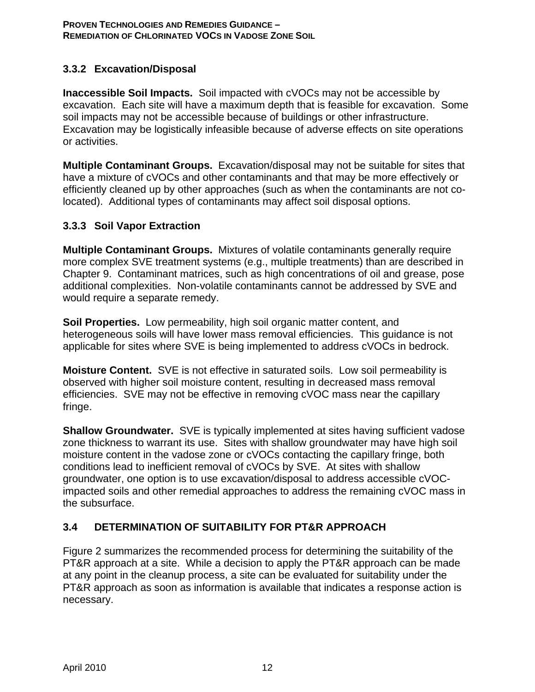## **3.3.2 Excavation/Disposal**

**Inaccessible Soil Impacts.** Soil impacted with cVOCs may not be accessible by excavation. Each site will have a maximum depth that is feasible for excavation. Some soil impacts may not be accessible because of buildings or other infrastructure. Excavation may be logistically infeasible because of adverse effects on site operations or activities.

**Multiple Contaminant Groups.** Excavation/disposal may not be suitable for sites that have a mixture of cVOCs and other contaminants and that may be more effectively or efficiently cleaned up by other approaches (such as when the contaminants are not colocated). Additional types of contaminants may affect soil disposal options.

### **3.3.3 Soil Vapor Extraction**

**Multiple Contaminant Groups.** Mixtures of volatile contaminants generally require more complex SVE treatment systems (e.g., multiple treatments) than are described in Chapter 9. Contaminant matrices, such as high concentrations of oil and grease, pose additional complexities. Non-volatile contaminants cannot be addressed by SVE and would require a separate remedy.

**Soil Properties.** Low permeability, high soil organic matter content, and heterogeneous soils will have lower mass removal efficiencies. This guidance is not applicable for sites where SVE is being implemented to address cVOCs in bedrock.

**Moisture Content.** SVE is not effective in saturated soils. Low soil permeability is observed with higher soil moisture content, resulting in decreased mass removal efficiencies. SVE may not be effective in removing cVOC mass near the capillary fringe.

**Shallow Groundwater.** SVE is typically implemented at sites having sufficient vadose zone thickness to warrant its use. Sites with shallow groundwater may have high soil moisture content in the vadose zone or cVOCs contacting the capillary fringe, both conditions lead to inefficient removal of cVOCs by SVE. At sites with shallow groundwater, one option is to use excavation/disposal to address accessible cVOCimpacted soils and other remedial approaches to address the remaining cVOC mass in the subsurface.

## **3.4 DETERMINATION OF SUITABILITY FOR PT&R APPROACH**

Figure 2 summarizes the recommended process for determining the suitability of the PT&R approach at a site. While a decision to apply the PT&R approach can be made at any point in the cleanup process, a site can be evaluated for suitability under the PT&R approach as soon as information is available that indicates a response action is necessary.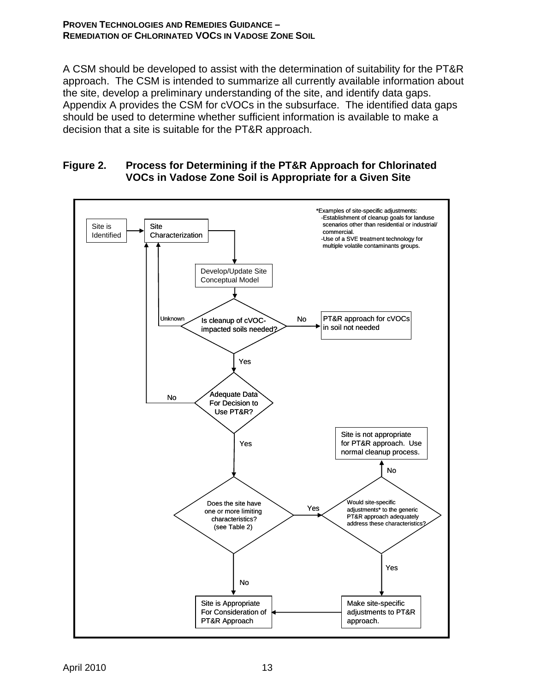A CSM should be developed to assist with the determination of suitability for the PT&R approach. The CSM is intended to summarize all currently available information about the site, develop a preliminary understanding of the site, and identify data gaps. Appendix A provides the CSM for cVOCs in the subsurface. The identified data gaps should be used to determine whether sufficient information is available to make a decision that a site is suitable for the PT&R approach.

### **Figure 2. Process for Determining if the PT&R Approach for Chlorinated VOCs in Vadose Zone Soil is Appropriate for a Given Site**

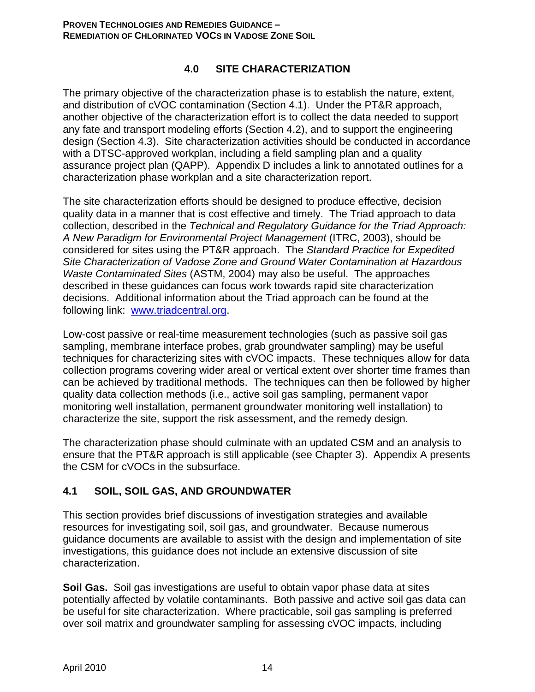## **4.0 SITE CHARACTERIZATION**

The primary objective of the characterization phase is to establish the nature, extent, and distribution of cVOC contamination (Section 4.1). Under the PT&R approach, another objective of the characterization effort is to collect the data needed to support any fate and transport modeling efforts (Section 4.2), and to support the engineering design (Section 4.3). Site characterization activities should be conducted in accordance with a DTSC-approved workplan, including a field sampling plan and a quality assurance project plan (QAPP). Appendix D includes a link to annotated outlines for a characterization phase workplan and a site characterization report.

The site characterization efforts should be designed to produce effective, decision quality data in a manner that is cost effective and timely. The Triad approach to data collection, described in the *Technical and Regulatory Guidance for the Triad Approach: A New Paradigm for Environmental Project Management* (ITRC, 2003), should be considered for sites using the PT&R approach. The *Standard Practice for Expedited Site Characterization of Vadose Zone and Ground Water Contamination at Hazardous Waste Contaminated Sites* (ASTM, 2004) may also be useful. The approaches described in these guidances can focus work towards rapid site characterization decisions. Additional information about the Triad approach can be found at the following link: www.triadcentral.org.

Low-cost passive or real-time measurement technologies (such as passive soil gas sampling, membrane interface probes, grab groundwater sampling) may be useful techniques for characterizing sites with cVOC impacts. These techniques allow for data collection programs covering wider areal or vertical extent over shorter time frames than can be achieved by traditional methods. The techniques can then be followed by higher quality data collection methods (i.e., active soil gas sampling, permanent vapor monitoring well installation, permanent groundwater monitoring well installation) to characterize the site, support the risk assessment, and the remedy design.

The characterization phase should culminate with an updated CSM and an analysis to ensure that the PT&R approach is still applicable (see Chapter 3). Appendix A presents the CSM for cVOCs in the subsurface.

## **4.1 SOIL, SOIL GAS, AND GROUNDWATER**

This section provides brief discussions of investigation strategies and available resources for investigating soil, soil gas, and groundwater. Because numerous guidance documents are available to assist with the design and implementation of site investigations, this guidance does not include an extensive discussion of site characterization.

**Soil Gas.** Soil gas investigations are useful to obtain vapor phase data at sites potentially affected by volatile contaminants. Both passive and active soil gas data can be useful for site characterization. Where practicable, soil gas sampling is preferred over soil matrix and groundwater sampling for assessing cVOC impacts, including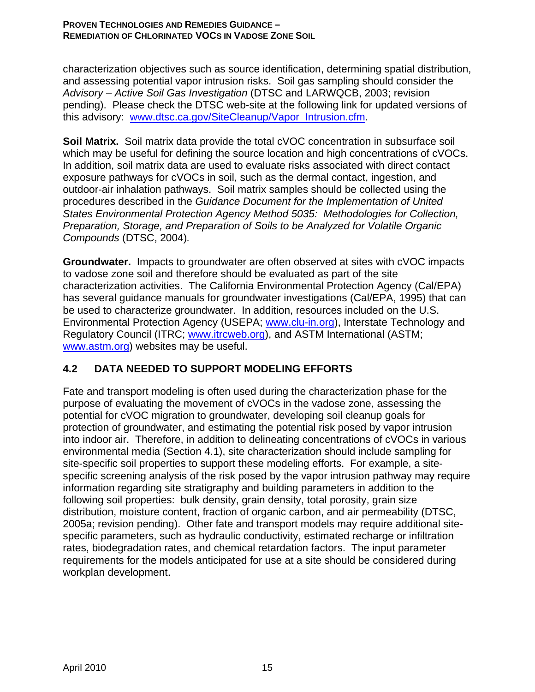characterization objectives such as source identification, determining spatial distribution, and assessing potential vapor intrusion risks. Soil gas sampling should consider the *Advisory – Active Soil Gas Investigation* (DTSC and LARWQCB, 2003; revision pending). Please check the DTSC web-site at the following link for updated versions of this advisory: www.dtsc.ca.gov/SiteCleanup/Vapor\_Intrusion.cfm.

**Soil Matrix.** Soil matrix data provide the total cVOC concentration in subsurface soil which may be useful for defining the source location and high concentrations of cVOCs. In addition, soil matrix data are used to evaluate risks associated with direct contact exposure pathways for cVOCs in soil, such as the dermal contact, ingestion, and outdoor-air inhalation pathways. Soil matrix samples should be collected using the procedures described in the *Guidance Document for the Implementation of United States Environmental Protection Agency Method 5035: Methodologies for Collection, Preparation, Storage, and Preparation of Soils to be Analyzed for Volatile Organic Compounds* (DTSC, 2004)*.* 

**Groundwater.** Impacts to groundwater are often observed at sites with cVOC impacts to vadose zone soil and therefore should be evaluated as part of the site characterization activities. The California Environmental Protection Agency (Cal/EPA) has several guidance manuals for groundwater investigations (Cal/EPA, 1995) that can be used to characterize groundwater. In addition, resources included on the U.S. Environmental Protection Agency (USEPA; www.clu-in.org), Interstate Technology and Regulatory Council (ITRC; www.itrcweb.org), and ASTM International (ASTM; www.astm.org) websites may be useful.

## **4.2 DATA NEEDED TO SUPPORT MODELING EFFORTS**

Fate and transport modeling is often used during the characterization phase for the purpose of evaluating the movement of cVOCs in the vadose zone, assessing the potential for cVOC migration to groundwater, developing soil cleanup goals for protection of groundwater, and estimating the potential risk posed by vapor intrusion into indoor air. Therefore, in addition to delineating concentrations of cVOCs in various environmental media (Section 4.1), site characterization should include sampling for site-specific soil properties to support these modeling efforts. For example, a sitespecific screening analysis of the risk posed by the vapor intrusion pathway may require information regarding site stratigraphy and building parameters in addition to the following soil properties: bulk density, grain density, total porosity, grain size distribution, moisture content, fraction of organic carbon, and air permeability (DTSC, 2005a; revision pending). Other fate and transport models may require additional sitespecific parameters, such as hydraulic conductivity, estimated recharge or infiltration rates, biodegradation rates, and chemical retardation factors. The input parameter requirements for the models anticipated for use at a site should be considered during workplan development.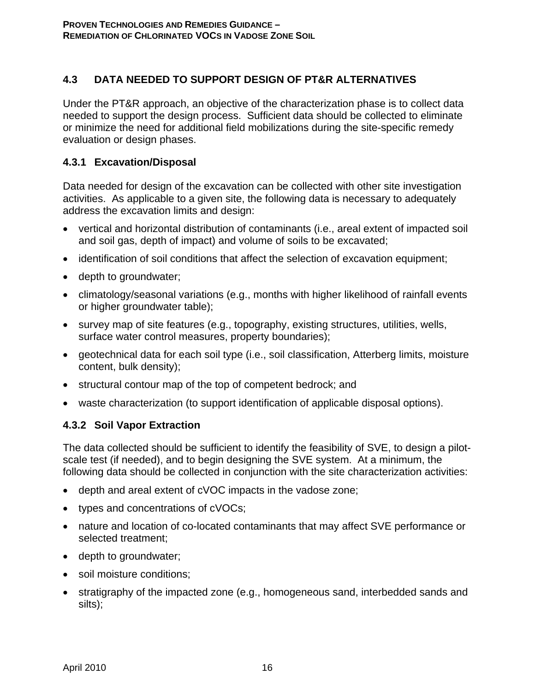## **4.3 DATA NEEDED TO SUPPORT DESIGN OF PT&R ALTERNATIVES**

Under the PT&R approach, an objective of the characterization phase is to collect data needed to support the design process. Sufficient data should be collected to eliminate or minimize the need for additional field mobilizations during the site-specific remedy evaluation or design phases.

### **4.3.1 Excavation/Disposal**

Data needed for design of the excavation can be collected with other site investigation activities. As applicable to a given site, the following data is necessary to adequately address the excavation limits and design:

- vertical and horizontal distribution of contaminants (i.e., areal extent of impacted soil and soil gas, depth of impact) and volume of soils to be excavated;
- identification of soil conditions that affect the selection of excavation equipment;
- depth to groundwater;
- climatology/seasonal variations (e.g., months with higher likelihood of rainfall events or higher groundwater table);
- survey map of site features (e.g., topography, existing structures, utilities, wells, surface water control measures, property boundaries);
- geotechnical data for each soil type (i.e., soil classification, Atterberg limits, moisture content, bulk density);
- structural contour map of the top of competent bedrock; and
- waste characterization (to support identification of applicable disposal options).

### **4.3.2 Soil Vapor Extraction**

The data collected should be sufficient to identify the feasibility of SVE, to design a pilotscale test (if needed), and to begin designing the SVE system. At a minimum, the following data should be collected in conjunction with the site characterization activities:

- depth and areal extent of cVOC impacts in the vadose zone;
- types and concentrations of cVOCs;
- nature and location of co-located contaminants that may affect SVE performance or selected treatment;
- depth to groundwater;
- soil moisture conditions;
- stratigraphy of the impacted zone (e.g., homogeneous sand, interbedded sands and silts);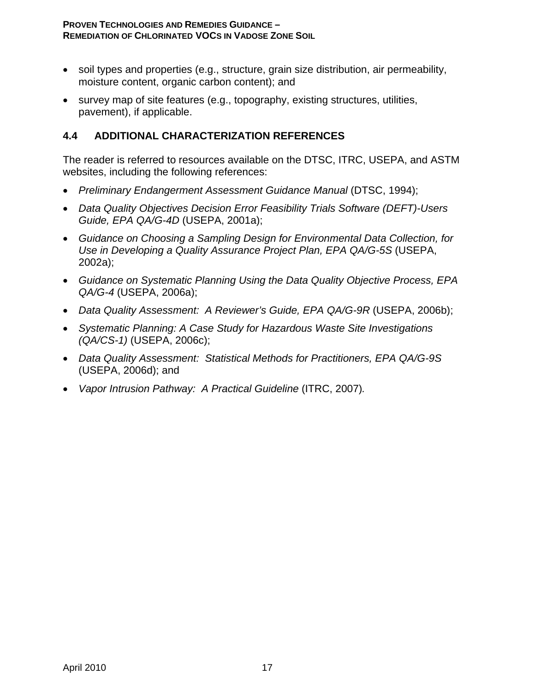- soil types and properties (e.g., structure, grain size distribution, air permeability, moisture content, organic carbon content); and
- survey map of site features (e.g., topography, existing structures, utilities, pavement), if applicable.

## **4.4 ADDITIONAL CHARACTERIZATION REFERENCES**

The reader is referred to resources available on the DTSC, ITRC, USEPA, and ASTM websites, including the following references:

- *Preliminary Endangerment Assessment Guidance Manual* (DTSC, 1994);
- *Data Quality Objectives Decision Error Feasibility Trials Software (DEFT)-Users Guide, EPA QA/G-4D* (USEPA, 2001a);
- *Guidance on Choosing a Sampling Design for Environmental Data Collection, for Use in Developing a Quality Assurance Project Plan, EPA QA/G-5S* (USEPA, 2002a);
- *Guidance on Systematic Planning Using the Data Quality Objective Process, EPA QA/G-4* (USEPA, 2006a);
- *Data Quality Assessment: A Reviewer's Guide, EPA QA/G-9R* (USEPA, 2006b);
- *Systematic Planning: A Case Study for Hazardous Waste Site Investigations (QA/CS-1)* (USEPA, 2006c);
- *Data Quality Assessment: Statistical Methods for Practitioners, EPA QA/G-9S* (USEPA, 2006d); and
- *Vapor Intrusion Pathway: A Practical Guideline* (ITRC, 2007)*.*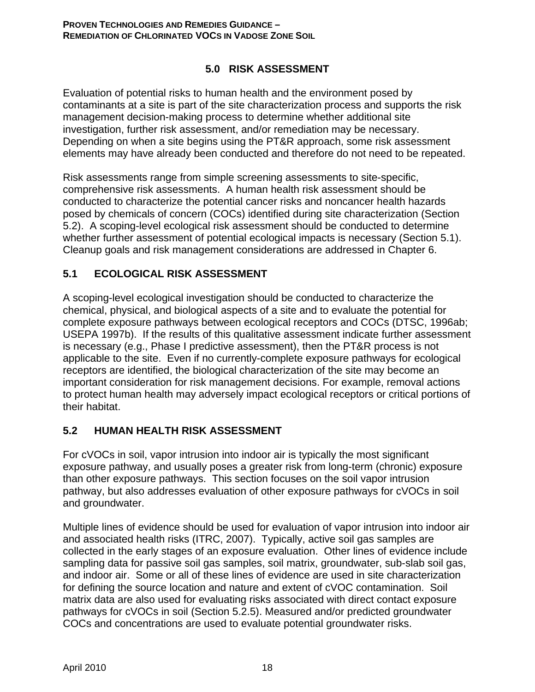## **5.0 RISK ASSESSMENT**

Evaluation of potential risks to human health and the environment posed by contaminants at a site is part of the site characterization process and supports the risk management decision-making process to determine whether additional site investigation, further risk assessment, and/or remediation may be necessary. Depending on when a site begins using the PT&R approach, some risk assessment elements may have already been conducted and therefore do not need to be repeated.

Risk assessments range from simple screening assessments to site-specific, comprehensive risk assessments. A human health risk assessment should be conducted to characterize the potential cancer risks and noncancer health hazards posed by chemicals of concern (COCs) identified during site characterization (Section 5.2). A scoping-level ecological risk assessment should be conducted to determine whether further assessment of potential ecological impacts is necessary (Section 5.1). Cleanup goals and risk management considerations are addressed in Chapter 6.

## **5.1 ECOLOGICAL RISK ASSESSMENT**

A scoping-level ecological investigation should be conducted to characterize the chemical, physical, and biological aspects of a site and to evaluate the potential for complete exposure pathways between ecological receptors and COCs (DTSC, 1996ab; USEPA 1997b). If the results of this qualitative assessment indicate further assessment is necessary (e.g., Phase I predictive assessment), then the PT&R process is not applicable to the site. Even if no currently-complete exposure pathways for ecological receptors are identified, the biological characterization of the site may become an important consideration for risk management decisions. For example, removal actions to protect human health may adversely impact ecological receptors or critical portions of their habitat.

## **5.2 HUMAN HEALTH RISK ASSESSMENT**

For cVOCs in soil, vapor intrusion into indoor air is typically the most significant exposure pathway, and usually poses a greater risk from long-term (chronic) exposure than other exposure pathways. This section focuses on the soil vapor intrusion pathway, but also addresses evaluation of other exposure pathways for cVOCs in soil and groundwater.

Multiple lines of evidence should be used for evaluation of vapor intrusion into indoor air and associated health risks (ITRC, 2007). Typically, active soil gas samples are collected in the early stages of an exposure evaluation. Other lines of evidence include sampling data for passive soil gas samples, soil matrix, groundwater, sub-slab soil gas, and indoor air. Some or all of these lines of evidence are used in site characterization for defining the source location and nature and extent of cVOC contamination. Soil matrix data are also used for evaluating risks associated with direct contact exposure pathways for cVOCs in soil (Section 5.2.5). Measured and/or predicted groundwater COCs and concentrations are used to evaluate potential groundwater risks.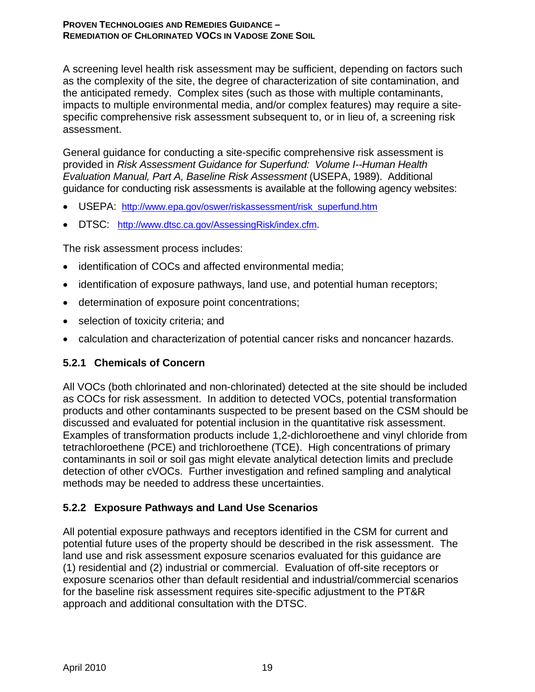A screening level health risk assessment may be sufficient, depending on factors such as the complexity of the site, the degree of characterization of site contamination, and the anticipated remedy. Complex sites (such as those with multiple contaminants, impacts to multiple environmental media, and/or complex features) may require a sitespecific comprehensive risk assessment subsequent to, or in lieu of, a screening risk assessment.

General guidance for conducting a site-specific comprehensive risk assessment is provided in *Risk Assessment Guidance for Superfund: Volume I--Human Health Evaluation Manual, Part A, Baseline Risk Assessment* (USEPA, 1989). Additional guidance for conducting risk assessments is available at the following agency websites:

- USEPA: http://www.epa.gov/oswer/riskassessment/risk\_superfund.htm
- DTSC: http://www.dtsc.ca.gov/AssessingRisk/index.cfm.

The risk assessment process includes:

- identification of COCs and affected environmental media;
- identification of exposure pathways, land use, and potential human receptors;
- determination of exposure point concentrations;
- selection of toxicity criteria; and
- calculation and characterization of potential cancer risks and noncancer hazards.

### **5.2.1 Chemicals of Concern**

All VOCs (both chlorinated and non-chlorinated) detected at the site should be included as COCs for risk assessment. In addition to detected VOCs, potential transformation products and other contaminants suspected to be present based on the CSM should be discussed and evaluated for potential inclusion in the quantitative risk assessment. Examples of transformation products include 1,2-dichloroethene and vinyl chloride from tetrachloroethene (PCE) and trichloroethene (TCE). High concentrations of primary contaminants in soil or soil gas might elevate analytical detection limits and preclude detection of other cVOCs. Further investigation and refined sampling and analytical methods may be needed to address these uncertainties.

### **5.2.2 Exposure Pathways and Land Use Scenarios**

All potential exposure pathways and receptors identified in the CSM for current and potential future uses of the property should be described in the risk assessment. The land use and risk assessment exposure scenarios evaluated for this guidance are (1) residential and (2) industrial or commercial. Evaluation of off-site receptors or exposure scenarios other than default residential and industrial/commercial scenarios for the baseline risk assessment requires site-specific adjustment to the PT&R approach and additional consultation with the DTSC.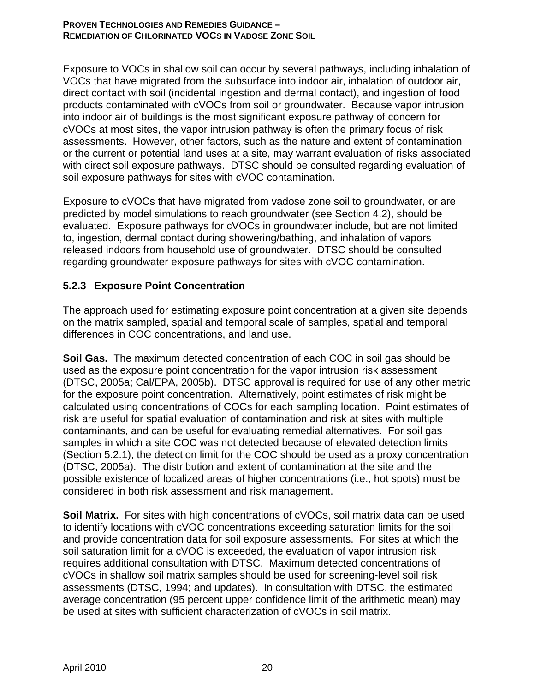Exposure to VOCs in shallow soil can occur by several pathways, including inhalation of VOCs that have migrated from the subsurface into indoor air, inhalation of outdoor air, direct contact with soil (incidental ingestion and dermal contact), and ingestion of food products contaminated with cVOCs from soil or groundwater. Because vapor intrusion into indoor air of buildings is the most significant exposure pathway of concern for cVOCs at most sites, the vapor intrusion pathway is often the primary focus of risk assessments. However, other factors, such as the nature and extent of contamination or the current or potential land uses at a site, may warrant evaluation of risks associated with direct soil exposure pathways. DTSC should be consulted regarding evaluation of soil exposure pathways for sites with cVOC contamination.

Exposure to cVOCs that have migrated from vadose zone soil to groundwater, or are predicted by model simulations to reach groundwater (see Section 4.2), should be evaluated. Exposure pathways for cVOCs in groundwater include, but are not limited to, ingestion, dermal contact during showering/bathing, and inhalation of vapors released indoors from household use of groundwater. DTSC should be consulted regarding groundwater exposure pathways for sites with cVOC contamination.

## **5.2.3 Exposure Point Concentration**

The approach used for estimating exposure point concentration at a given site depends on the matrix sampled, spatial and temporal scale of samples, spatial and temporal differences in COC concentrations, and land use.

**Soil Gas.** The maximum detected concentration of each COC in soil gas should be used as the exposure point concentration for the vapor intrusion risk assessment (DTSC, 2005a; Cal/EPA, 2005b). DTSC approval is required for use of any other metric for the exposure point concentration. Alternatively, point estimates of risk might be calculated using concentrations of COCs for each sampling location. Point estimates of risk are useful for spatial evaluation of contamination and risk at sites with multiple contaminants, and can be useful for evaluating remedial alternatives. For soil gas samples in which a site COC was not detected because of elevated detection limits (Section 5.2.1), the detection limit for the COC should be used as a proxy concentration (DTSC, 2005a). The distribution and extent of contamination at the site and the possible existence of localized areas of higher concentrations (i.e., hot spots) must be considered in both risk assessment and risk management.

**Soil Matrix.** For sites with high concentrations of cVOCs, soil matrix data can be used to identify locations with cVOC concentrations exceeding saturation limits for the soil and provide concentration data for soil exposure assessments. For sites at which the soil saturation limit for a cVOC is exceeded, the evaluation of vapor intrusion risk requires additional consultation with DTSC. Maximum detected concentrations of cVOCs in shallow soil matrix samples should be used for screening-level soil risk assessments (DTSC, 1994; and updates). In consultation with DTSC, the estimated average concentration (95 percent upper confidence limit of the arithmetic mean) may be used at sites with sufficient characterization of cVOCs in soil matrix.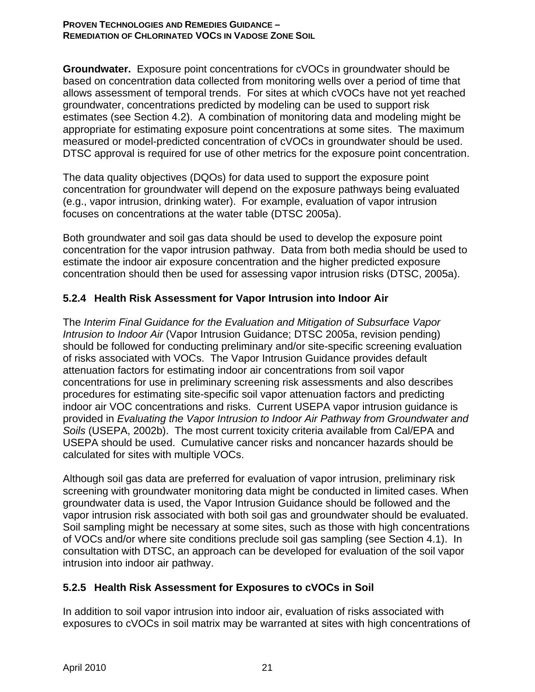**Groundwater.** Exposure point concentrations for cVOCs in groundwater should be based on concentration data collected from monitoring wells over a period of time that allows assessment of temporal trends. For sites at which cVOCs have not yet reached groundwater, concentrations predicted by modeling can be used to support risk estimates (see Section 4.2). A combination of monitoring data and modeling might be appropriate for estimating exposure point concentrations at some sites. The maximum measured or model-predicted concentration of cVOCs in groundwater should be used. DTSC approval is required for use of other metrics for the exposure point concentration.

The data quality objectives (DQOs) for data used to support the exposure point concentration for groundwater will depend on the exposure pathways being evaluated (e.g., vapor intrusion, drinking water). For example, evaluation of vapor intrusion focuses on concentrations at the water table (DTSC 2005a).

Both groundwater and soil gas data should be used to develop the exposure point concentration for the vapor intrusion pathway. Data from both media should be used to estimate the indoor air exposure concentration and the higher predicted exposure concentration should then be used for assessing vapor intrusion risks (DTSC, 2005a).

## **5.2.4 Health Risk Assessment for Vapor Intrusion into Indoor Air**

The *Interim Final Guidance for the Evaluation and Mitigation of Subsurface Vapor Intrusion to Indoor Air* (Vapor Intrusion Guidance; DTSC 2005a, revision pending) should be followed for conducting preliminary and/or site-specific screening evaluation of risks associated with VOCs. The Vapor Intrusion Guidance provides default attenuation factors for estimating indoor air concentrations from soil vapor concentrations for use in preliminary screening risk assessments and also describes procedures for estimating site-specific soil vapor attenuation factors and predicting indoor air VOC concentrations and risks. Current USEPA vapor intrusion guidance is provided in *Evaluating the Vapor Intrusion to Indoor Air Pathway from Groundwater and Soils* (USEPA, 2002b). The most current toxicity criteria available from Cal/EPA and USEPA should be used. Cumulative cancer risks and noncancer hazards should be calculated for sites with multiple VOCs.

Although soil gas data are preferred for evaluation of vapor intrusion, preliminary risk screening with groundwater monitoring data might be conducted in limited cases. When groundwater data is used, the Vapor Intrusion Guidance should be followed and the vapor intrusion risk associated with both soil gas and groundwater should be evaluated. Soil sampling might be necessary at some sites, such as those with high concentrations of VOCs and/or where site conditions preclude soil gas sampling (see Section 4.1). In consultation with DTSC, an approach can be developed for evaluation of the soil vapor intrusion into indoor air pathway.

### **5.2.5 Health Risk Assessment for Exposures to cVOCs in Soil**

In addition to soil vapor intrusion into indoor air, evaluation of risks associated with exposures to cVOCs in soil matrix may be warranted at sites with high concentrations of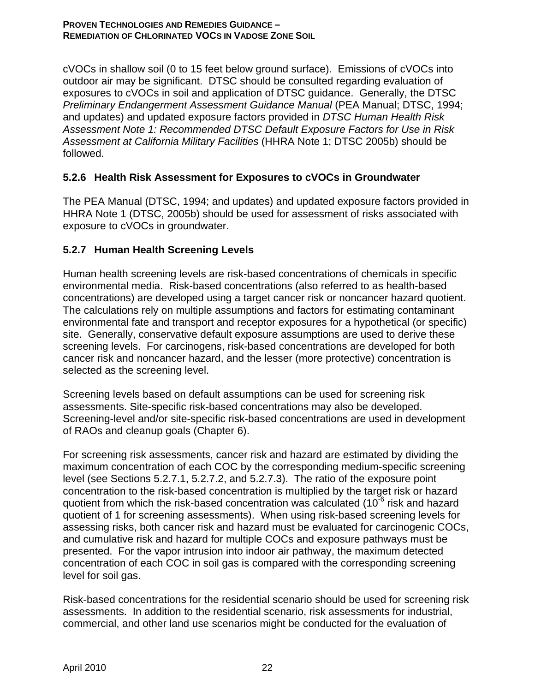cVOCs in shallow soil (0 to 15 feet below ground surface). Emissions of cVOCs into outdoor air may be significant. DTSC should be consulted regarding evaluation of exposures to cVOCs in soil and application of DTSC guidance. Generally, the DTSC *Preliminary Endangerment Assessment Guidance Manual* (PEA Manual; DTSC, 1994; and updates) and updated exposure factors provided in *DTSC Human Health Risk Assessment Note 1: Recommended DTSC Default Exposure Factors for Use in Risk Assessment at California Military Facilities* (HHRA Note 1; DTSC 2005b) should be followed.

### **5.2.6 Health Risk Assessment for Exposures to cVOCs in Groundwater**

The PEA Manual (DTSC, 1994; and updates) and updated exposure factors provided in HHRA Note 1 (DTSC, 2005b) should be used for assessment of risks associated with exposure to cVOCs in groundwater.

## **5.2.7 Human Health Screening Levels**

Human health screening levels are risk-based concentrations of chemicals in specific environmental media. Risk-based concentrations (also referred to as health-based concentrations) are developed using a target cancer risk or noncancer hazard quotient. The calculations rely on multiple assumptions and factors for estimating contaminant environmental fate and transport and receptor exposures for a hypothetical (or specific) site. Generally, conservative default exposure assumptions are used to derive these screening levels. For carcinogens, risk-based concentrations are developed for both cancer risk and noncancer hazard, and the lesser (more protective) concentration is selected as the screening level.

Screening levels based on default assumptions can be used for screening risk assessments. Site-specific risk-based concentrations may also be developed. Screening-level and/or site-specific risk-based concentrations are used in development of RAOs and cleanup goals (Chapter 6).

For screening risk assessments, cancer risk and hazard are estimated by dividing the maximum concentration of each COC by the corresponding medium-specific screening level (see Sections 5.2.7.1, 5.2.7.2, and 5.2.7.3). The ratio of the exposure point concentration to the risk-based concentration is multiplied by the target risk or hazard quotient from which the risk-based concentration was calculated ( $10^{-6}$  risk and hazard quotient of 1 for screening assessments). When using risk-based screening levels for assessing risks, both cancer risk and hazard must be evaluated for carcinogenic COCs, and cumulative risk and hazard for multiple COCs and exposure pathways must be presented. For the vapor intrusion into indoor air pathway, the maximum detected concentration of each COC in soil gas is compared with the corresponding screening level for soil gas.

Risk-based concentrations for the residential scenario should be used for screening risk assessments. In addition to the residential scenario, risk assessments for industrial, commercial, and other land use scenarios might be conducted for the evaluation of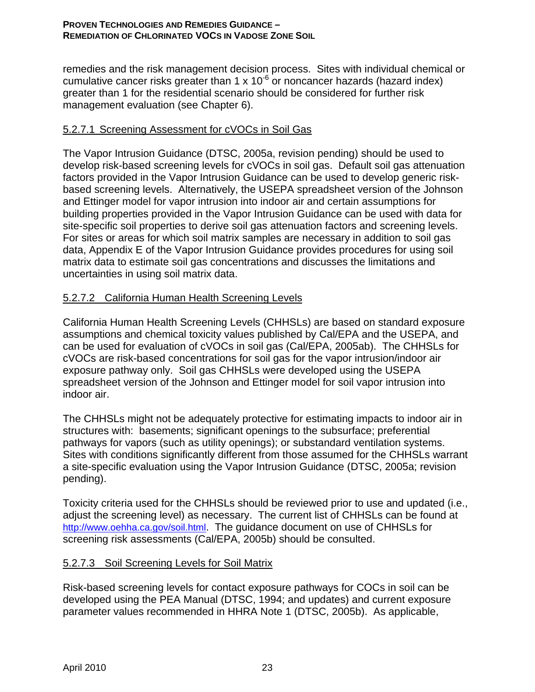remedies and the risk management decision process. Sites with individual chemical or cumulative cancer risks greater than 1 x  $10^{-6}$  or noncancer hazards (hazard index) greater than 1 for the residential scenario should be considered for further risk management evaluation (see Chapter 6).

## 5.2.7.1 Screening Assessment for cVOCs in Soil Gas

The Vapor Intrusion Guidance (DTSC, 2005a, revision pending) should be used to develop risk-based screening levels for cVOCs in soil gas. Default soil gas attenuation factors provided in the Vapor Intrusion Guidance can be used to develop generic riskbased screening levels. Alternatively, the USEPA spreadsheet version of the Johnson and Ettinger model for vapor intrusion into indoor air and certain assumptions for building properties provided in the Vapor Intrusion Guidance can be used with data for site-specific soil properties to derive soil gas attenuation factors and screening levels. For sites or areas for which soil matrix samples are necessary in addition to soil gas data, Appendix E of the Vapor Intrusion Guidance provides procedures for using soil matrix data to estimate soil gas concentrations and discusses the limitations and uncertainties in using soil matrix data.

# 5.2.7.2 California Human Health Screening Levels

California Human Health Screening Levels (CHHSLs) are based on standard exposure assumptions and chemical toxicity values published by Cal/EPA and the USEPA, and can be used for evaluation of cVOCs in soil gas (Cal/EPA, 2005ab). The CHHSLs for cVOCs are risk-based concentrations for soil gas for the vapor intrusion/indoor air exposure pathway only. Soil gas CHHSLs were developed using the USEPA spreadsheet version of the Johnson and Ettinger model for soil vapor intrusion into indoor air.

The CHHSLs might not be adequately protective for estimating impacts to indoor air in structures with: basements; significant openings to the subsurface; preferential pathways for vapors (such as utility openings); or substandard ventilation systems. Sites with conditions significantly different from those assumed for the CHHSLs warrant a site-specific evaluation using the Vapor Intrusion Guidance (DTSC, 2005a; revision pending).

Toxicity criteria used for the CHHSLs should be reviewed prior to use and updated (i.e., adjust the screening level) as necessary. The current list of CHHSLs can be found at http://www.oehha.ca.gov/soil.html. The guidance document on use of CHHSLs for screening risk assessments (Cal/EPA, 2005b) should be consulted.

## 5.2.7.3 Soil Screening Levels for Soil Matrix

Risk-based screening levels for contact exposure pathways for COCs in soil can be developed using the PEA Manual (DTSC, 1994; and updates) and current exposure parameter values recommended in HHRA Note 1 (DTSC, 2005b). As applicable,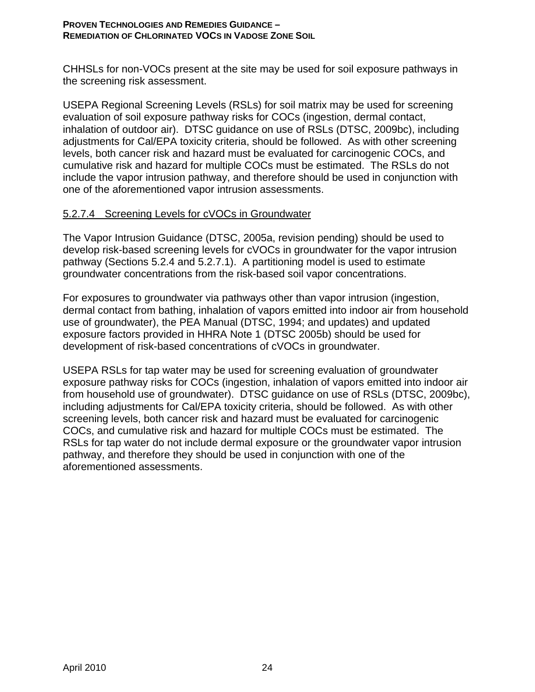CHHSLs for non-VOCs present at the site may be used for soil exposure pathways in the screening risk assessment.

USEPA Regional Screening Levels (RSLs) for soil matrix may be used for screening evaluation of soil exposure pathway risks for COCs (ingestion, dermal contact, inhalation of outdoor air). DTSC guidance on use of RSLs (DTSC, 2009bc), including adjustments for Cal/EPA toxicity criteria, should be followed. As with other screening levels, both cancer risk and hazard must be evaluated for carcinogenic COCs, and cumulative risk and hazard for multiple COCs must be estimated. The RSLs do not include the vapor intrusion pathway, and therefore should be used in conjunction with one of the aforementioned vapor intrusion assessments.

### 5.2.7.4 Screening Levels for cVOCs in Groundwater

The Vapor Intrusion Guidance (DTSC, 2005a, revision pending) should be used to develop risk-based screening levels for cVOCs in groundwater for the vapor intrusion pathway (Sections 5.2.4 and 5.2.7.1). A partitioning model is used to estimate groundwater concentrations from the risk-based soil vapor concentrations.

For exposures to groundwater via pathways other than vapor intrusion (ingestion, dermal contact from bathing, inhalation of vapors emitted into indoor air from household use of groundwater), the PEA Manual (DTSC, 1994; and updates) and updated exposure factors provided in HHRA Note 1 (DTSC 2005b) should be used for development of risk-based concentrations of cVOCs in groundwater.

USEPA RSLs for tap water may be used for screening evaluation of groundwater exposure pathway risks for COCs (ingestion, inhalation of vapors emitted into indoor air from household use of groundwater). DTSC guidance on use of RSLs (DTSC, 2009bc), including adjustments for Cal/EPA toxicity criteria, should be followed. As with other screening levels, both cancer risk and hazard must be evaluated for carcinogenic COCs, and cumulative risk and hazard for multiple COCs must be estimated. The RSLs for tap water do not include dermal exposure or the groundwater vapor intrusion pathway, and therefore they should be used in conjunction with one of the aforementioned assessments.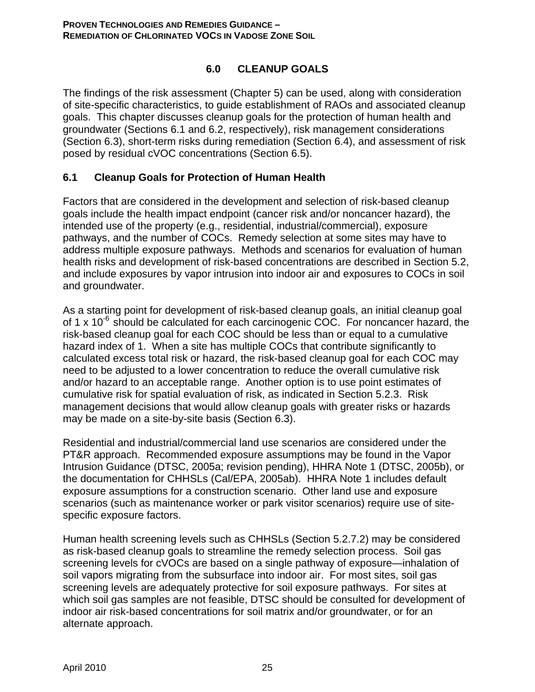## **6.0 CLEANUP GOALS**

The findings of the risk assessment (Chapter 5) can be used, along with consideration of site-specific characteristics, to guide establishment of RAOs and associated cleanup goals. This chapter discusses cleanup goals for the protection of human health and groundwater (Sections 6.1 and 6.2, respectively), risk management considerations (Section 6.3), short-term risks during remediation (Section 6.4), and assessment of risk posed by residual cVOC concentrations (Section 6.5).

## **6.1 Cleanup Goals for Protection of Human Health**

Factors that are considered in the development and selection of risk-based cleanup goals include the health impact endpoint (cancer risk and/or noncancer hazard), the intended use of the property (e.g., residential, industrial/commercial), exposure pathways, and the number of COCs. Remedy selection at some sites may have to address multiple exposure pathways. Methods and scenarios for evaluation of human health risks and development of risk-based concentrations are described in Section 5.2, and include exposures by vapor intrusion into indoor air and exposures to COCs in soil and groundwater.

As a starting point for development of risk-based cleanup goals, an initial cleanup goal of 1 x  $10^{-6}$  should be calculated for each carcinogenic COC. For noncancer hazard, the risk-based cleanup goal for each COC should be less than or equal to a cumulative hazard index of 1. When a site has multiple COCs that contribute significantly to calculated excess total risk or hazard, the risk-based cleanup goal for each COC may need to be adjusted to a lower concentration to reduce the overall cumulative risk and/or hazard to an acceptable range. Another option is to use point estimates of cumulative risk for spatial evaluation of risk, as indicated in Section 5.2.3. Risk management decisions that would allow cleanup goals with greater risks or hazards may be made on a site-by-site basis (Section 6.3).

Residential and industrial/commercial land use scenarios are considered under the PT&R approach. Recommended exposure assumptions may be found in the Vapor Intrusion Guidance (DTSC, 2005a; revision pending), HHRA Note 1 (DTSC, 2005b), or the documentation for CHHSLs (Cal/EPA, 2005ab). HHRA Note 1 includes default exposure assumptions for a construction scenario. Other land use and exposure scenarios (such as maintenance worker or park visitor scenarios) require use of sitespecific exposure factors.

Human health screening levels such as CHHSLs (Section 5.2.7.2) may be considered as risk-based cleanup goals to streamline the remedy selection process. Soil gas screening levels for cVOCs are based on a single pathway of exposure—inhalation of soil vapors migrating from the subsurface into indoor air. For most sites, soil gas screening levels are adequately protective for soil exposure pathways. For sites at which soil gas samples are not feasible, DTSC should be consulted for development of indoor air risk-based concentrations for soil matrix and/or groundwater, or for an alternate approach.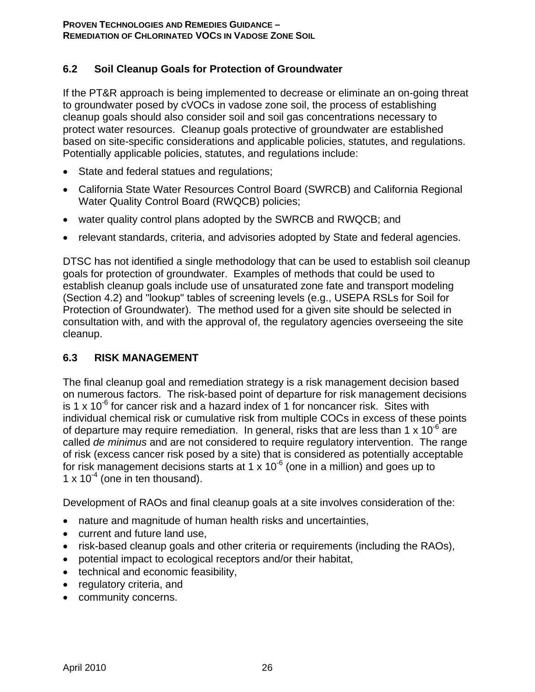## **6.2 Soil Cleanup Goals for Protection of Groundwater**

If the PT&R approach is being implemented to decrease or eliminate an on-going threat to groundwater posed by cVOCs in vadose zone soil, the process of establishing cleanup goals should also consider soil and soil gas concentrations necessary to protect water resources. Cleanup goals protective of groundwater are established based on site-specific considerations and applicable policies, statutes, and regulations. Potentially applicable policies, statutes, and regulations include:

- State and federal statues and regulations;
- California State Water Resources Control Board (SWRCB) and California Regional Water Quality Control Board (RWQCB) policies;
- water quality control plans adopted by the SWRCB and RWQCB; and
- relevant standards, criteria, and advisories adopted by State and federal agencies.

DTSC has not identified a single methodology that can be used to establish soil cleanup goals for protection of groundwater. Examples of methods that could be used to establish cleanup goals include use of unsaturated zone fate and transport modeling (Section 4.2) and "lookup" tables of screening levels (e.g., USEPA RSLs for Soil for Protection of Groundwater). The method used for a given site should be selected in consultation with, and with the approval of, the regulatory agencies overseeing the site cleanup.

## **6.3 RISK MANAGEMENT**

The final cleanup goal and remediation strategy is a risk management decision based on numerous factors. The risk-based point of departure for risk management decisions is 1 x 10<sup>-6</sup> for cancer risk and a hazard index of 1 for noncancer risk. Sites with individual chemical risk or cumulative risk from multiple COCs in excess of these points of departure may require remediation. In general, risks that are less than 1 x  $10^{-6}$  are called *de minimus* and are not considered to require regulatory intervention. The range of risk (excess cancer risk posed by a site) that is considered as potentially acceptable for risk management decisions starts at 1  $\times$  10<sup>-6</sup> (one in a million) and goes up to 1 x  $10^{-4}$  (one in ten thousand).

Development of RAOs and final cleanup goals at a site involves consideration of the:

- nature and magnitude of human health risks and uncertainties,
- current and future land use,
- risk-based cleanup goals and other criteria or requirements (including the RAOs),
- potential impact to ecological receptors and/or their habitat,
- technical and economic feasibility,
- regulatory criteria, and
- community concerns.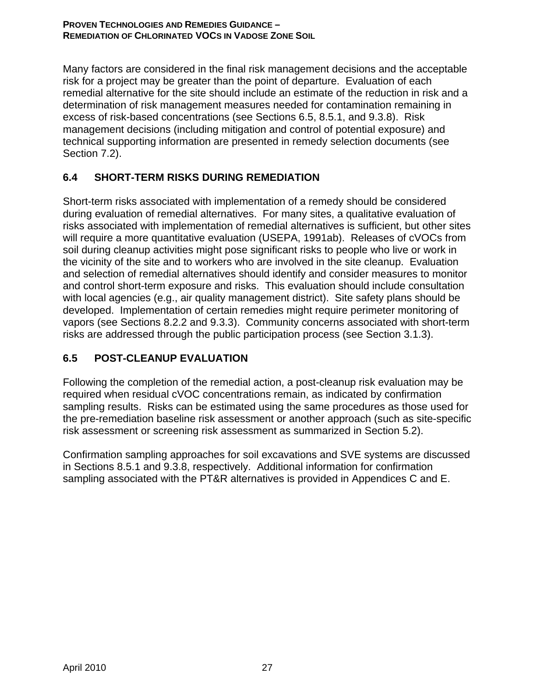Many factors are considered in the final risk management decisions and the acceptable risk for a project may be greater than the point of departure. Evaluation of each remedial alternative for the site should include an estimate of the reduction in risk and a determination of risk management measures needed for contamination remaining in excess of risk-based concentrations (see Sections 6.5, 8.5.1, and 9.3.8). Risk management decisions (including mitigation and control of potential exposure) and technical supporting information are presented in remedy selection documents (see Section 7.2).

# **6.4 SHORT-TERM RISKS DURING REMEDIATION**

Short-term risks associated with implementation of a remedy should be considered during evaluation of remedial alternatives. For many sites, a qualitative evaluation of risks associated with implementation of remedial alternatives is sufficient, but other sites will require a more quantitative evaluation (USEPA, 1991ab). Releases of cVOCs from soil during cleanup activities might pose significant risks to people who live or work in the vicinity of the site and to workers who are involved in the site cleanup. Evaluation and selection of remedial alternatives should identify and consider measures to monitor and control short-term exposure and risks. This evaluation should include consultation with local agencies (e.g., air quality management district). Site safety plans should be developed. Implementation of certain remedies might require perimeter monitoring of vapors (see Sections 8.2.2 and 9.3.3). Community concerns associated with short-term risks are addressed through the public participation process (see Section 3.1.3).

# **6.5 POST-CLEANUP EVALUATION**

Following the completion of the remedial action, a post-cleanup risk evaluation may be required when residual cVOC concentrations remain, as indicated by confirmation sampling results. Risks can be estimated using the same procedures as those used for the pre-remediation baseline risk assessment or another approach (such as site-specific risk assessment or screening risk assessment as summarized in Section 5.2).

Confirmation sampling approaches for soil excavations and SVE systems are discussed in Sections 8.5.1 and 9.3.8, respectively. Additional information for confirmation sampling associated with the PT&R alternatives is provided in Appendices C and E.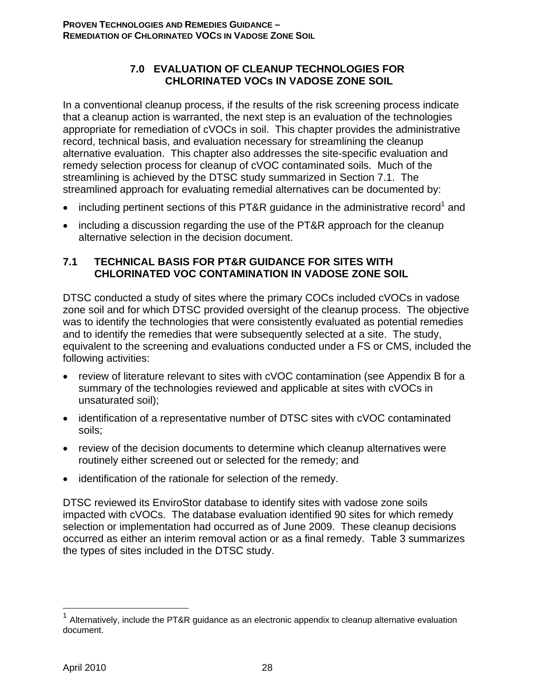### **7.0 EVALUATION OF CLEANUP TECHNOLOGIES FOR CHLORINATED VOCs IN VADOSE ZONE SOIL**

In a conventional cleanup process, if the results of the risk screening process indicate that a cleanup action is warranted, the next step is an evaluation of the technologies appropriate for remediation of cVOCs in soil. This chapter provides the administrative record, technical basis, and evaluation necessary for streamlining the cleanup alternative evaluation. This chapter also addresses the site-specific evaluation and remedy selection process for cleanup of cVOC contaminated soils. Much of the streamlining is achieved by the DTSC study summarized in Section 7.1. The streamlined approach for evaluating remedial alternatives can be documented by:

- including pertinent sections of this PT&R guidance in the administrative record<sup>1</sup> and
- including a discussion regarding the use of the PT&R approach for the cleanup alternative selection in the decision document.

### **7.1 TECHNICAL BASIS FOR PT&R GUIDANCE FOR SITES WITH CHLORINATED VOC CONTAMINATION IN VADOSE ZONE SOIL**

DTSC conducted a study of sites where the primary COCs included cVOCs in vadose zone soil and for which DTSC provided oversight of the cleanup process. The objective was to identify the technologies that were consistently evaluated as potential remedies and to identify the remedies that were subsequently selected at a site. The study, equivalent to the screening and evaluations conducted under a FS or CMS, included the following activities:

- review of literature relevant to sites with cVOC contamination (see Appendix B for a summary of the technologies reviewed and applicable at sites with cVOCs in unsaturated soil);
- identification of a representative number of DTSC sites with cVOC contaminated soils;
- review of the decision documents to determine which cleanup alternatives were routinely either screened out or selected for the remedy; and
- identification of the rationale for selection of the remedy.

DTSC reviewed its EnviroStor database to identify sites with vadose zone soils impacted with cVOCs. The database evaluation identified 90 sites for which remedy selection or implementation had occurred as of June 2009. These cleanup decisions occurred as either an interim removal action or as a final remedy. Table 3 summarizes the types of sites included in the DTSC study.

1

Alternatively, include the PT&R guidance as an electronic appendix to cleanup alternative evaluation document.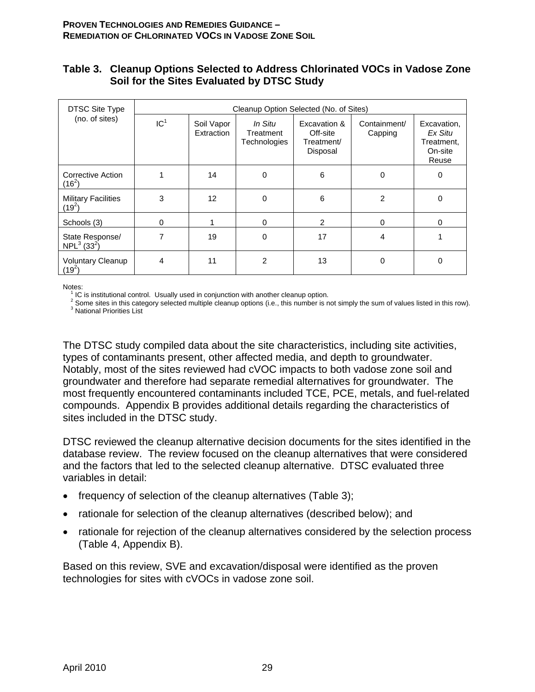#### **Table 3. Cleanup Options Selected to Address Chlorinated VOCs in Vadose Zone Soil for the Sites Evaluated by DTSC Study**

| <b>DTSC Site Type</b>                                  |                 |                          | Cleanup Option Selected (No. of Sites) |                                                    |                         |                                                          |
|--------------------------------------------------------|-----------------|--------------------------|----------------------------------------|----------------------------------------------------|-------------------------|----------------------------------------------------------|
| (no. of sites)                                         | IC <sup>1</sup> | Soil Vapor<br>Extraction | In Situ<br>Treatment<br>Technologies   | Excavation &<br>Off-site<br>Treatment/<br>Disposal | Containment/<br>Capping | Excavation,<br>Ex Situ<br>Treatment,<br>On-site<br>Reuse |
| Corrective Action<br>$(16^2)$                          |                 | 14                       | 0                                      | 6                                                  | 0                       | 0                                                        |
| <b>Military Facilities</b><br>$(19^2)$                 | 3               | 12                       | 0                                      | 6                                                  | 2                       | 0                                                        |
| Schools (3)                                            | 0               |                          | $\Omega$                               | 2                                                  | $\Omega$                | 0                                                        |
| State Response/<br>NPL <sup>3</sup> (33 <sup>2</sup> ) | 7               | 19                       | $\Omega$                               | 17                                                 | 4                       |                                                          |
| <b>Voluntary Cleanup</b><br>$(19^2)$                   | 4               | 11                       | $\overline{2}$                         | 13                                                 | 0                       | $\Omega$                                                 |

Notes:<br><sup>1</sup> IC is institutional control. Usually used in conjunction with another cleanup option.

<sup>1</sup> IC is institutional control. Usually used in conjunction with another cleanup option.<br><sup>2</sup> Some sites in this category selected multiple cleanup options (i.e., this number is not simply the sum of values listed in this <sup>3</sup> National Priorities List

The DTSC study compiled data about the site characteristics, including site activities, types of contaminants present, other affected media, and depth to groundwater. Notably, most of the sites reviewed had cVOC impacts to both vadose zone soil and groundwater and therefore had separate remedial alternatives for groundwater. The most frequently encountered contaminants included TCE, PCE, metals, and fuel-related compounds. Appendix B provides additional details regarding the characteristics of sites included in the DTSC study.

DTSC reviewed the cleanup alternative decision documents for the sites identified in the database review. The review focused on the cleanup alternatives that were considered and the factors that led to the selected cleanup alternative. DTSC evaluated three variables in detail:

- frequency of selection of the cleanup alternatives (Table 3);
- rationale for selection of the cleanup alternatives (described below); and
- rationale for rejection of the cleanup alternatives considered by the selection process (Table 4, Appendix B).

Based on this review, SVE and excavation/disposal were identified as the proven technologies for sites with cVOCs in vadose zone soil.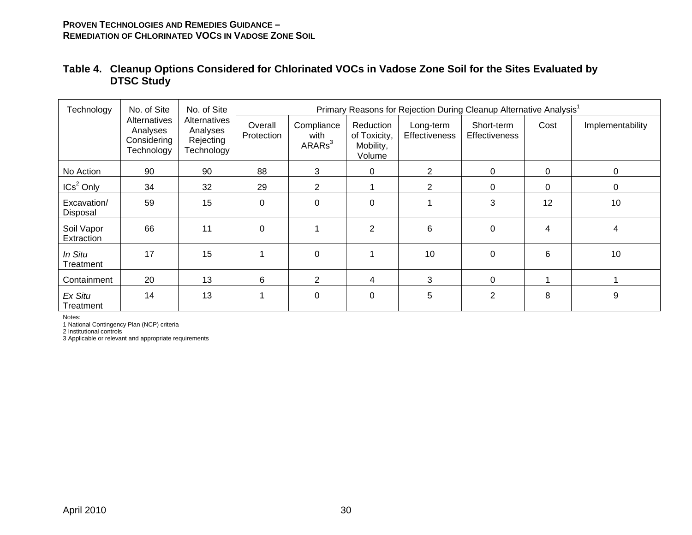| Technology               | No. of Site                                           | No. of Site                                         |                       |                                          |                                                  |                            | Primary Reasons for Rejection During Cleanup Alternative Analysis <sup>1</sup> |          |                  |
|--------------------------|-------------------------------------------------------|-----------------------------------------------------|-----------------------|------------------------------------------|--------------------------------------------------|----------------------------|--------------------------------------------------------------------------------|----------|------------------|
|                          | Alternatives<br>Analyses<br>Considering<br>Technology | Alternatives<br>Analyses<br>Rejecting<br>Technology | Overall<br>Protection | Compliance<br>with<br>ARARS <sup>3</sup> | Reduction<br>of Toxicity,<br>Mobility,<br>Volume | Long-term<br>Effectiveness | Short-term<br><b>Effectiveness</b>                                             | Cost     | Implementability |
| No Action                | 90                                                    | 90                                                  | 88                    | 3                                        | 0                                                | $\overline{2}$             | 0                                                                              | $\Omega$ | 0                |
| ICs <sup>2</sup> Only    | 34                                                    | 32                                                  | 29                    | $\overline{2}$                           |                                                  | $\overline{2}$             | 0                                                                              | 0        | 0                |
| Excavation/<br>Disposal  | 59                                                    | 15                                                  | $\mathbf 0$           | 0                                        | $\Omega$                                         |                            | 3                                                                              | 12       | 10               |
| Soil Vapor<br>Extraction | 66                                                    | 11                                                  | $\mathbf 0$           |                                          | $\overline{2}$                                   | 6                          | $\mathbf 0$                                                                    | 4        | 4                |
| In Situ<br>Treatment     | 17                                                    | 15                                                  |                       | 0                                        |                                                  | 10                         | 0                                                                              | 6        | 10               |
| Containment              | 20                                                    | 13                                                  | 6                     | $\overline{2}$                           | 4                                                | 3                          | $\Omega$                                                                       |          |                  |
| Ex Situ<br>Treatment     | 14                                                    | 13                                                  | 1                     | 0                                        | $\Omega$                                         | 5                          | 2                                                                              | 8        | 9                |

### **Table 4. Cleanup Options Considered for Chlorinated VOCs in Vadose Zone Soil for the Sites Evaluated by DTSC Study**

Notes:

1 National Contingency Plan (NCP) criteria

2 Institutional controls

3 Applicable or relevant and appropriate requirements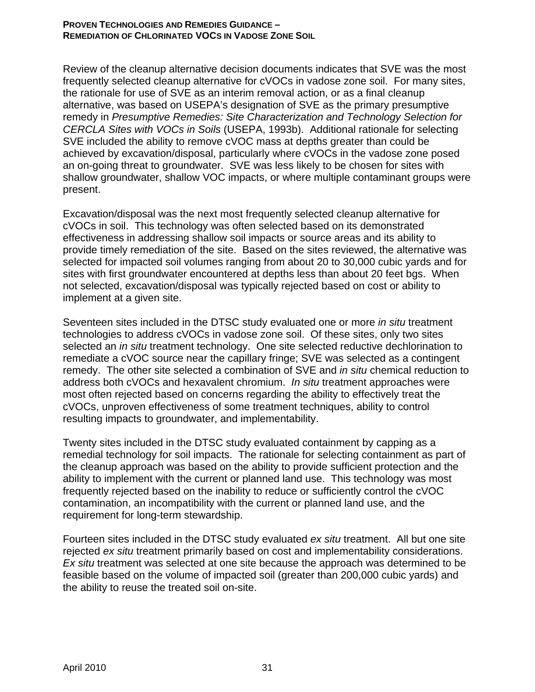Review of the cleanup alternative decision documents indicates that SVE was the most frequently selected cleanup alternative for cVOCs in vadose zone soil. For many sites, the rationale for use of SVE as an interim removal action, or as a final cleanup alternative, was based on USEPA's designation of SVE as the primary presumptive remedy in *Presumptive Remedies: Site Characterization and Technology Selection for CERCLA Sites with VOCs in Soils* (USEPA, 1993b). Additional rationale for selecting SVE included the ability to remove cVOC mass at depths greater than could be achieved by excavation/disposal, particularly where cVOCs in the vadose zone posed an on-going threat to groundwater. SVE was less likely to be chosen for sites with shallow groundwater, shallow VOC impacts, or where multiple contaminant groups were present.

Excavation/disposal was the next most frequently selected cleanup alternative for cVOCs in soil. This technology was often selected based on its demonstrated effectiveness in addressing shallow soil impacts or source areas and its ability to provide timely remediation of the site. Based on the sites reviewed, the alternative was selected for impacted soil volumes ranging from about 20 to 30,000 cubic yards and for sites with first groundwater encountered at depths less than about 20 feet bgs. When not selected, excavation/disposal was typically rejected based on cost or ability to implement at a given site.

Seventeen sites included in the DTSC study evaluated one or more *in situ* treatment technologies to address cVOCs in vadose zone soil. Of these sites, only two sites selected an *in situ* treatment technology. One site selected reductive dechlorination to remediate a cVOC source near the capillary fringe; SVE was selected as a contingent remedy. The other site selected a combination of SVE and *in situ* chemical reduction to address both cVOCs and hexavalent chromium. *In situ* treatment approaches were most often rejected based on concerns regarding the ability to effectively treat the cVOCs, unproven effectiveness of some treatment techniques, ability to control resulting impacts to groundwater, and implementability.

Twenty sites included in the DTSC study evaluated containment by capping as a remedial technology for soil impacts. The rationale for selecting containment as part of the cleanup approach was based on the ability to provide sufficient protection and the ability to implement with the current or planned land use. This technology was most frequently rejected based on the inability to reduce or sufficiently control the cVOC contamination, an incompatibility with the current or planned land use, and the requirement for long-term stewardship.

Fourteen sites included in the DTSC study evaluated *ex situ* treatment. All but one site rejected *ex situ* treatment primarily based on cost and implementability considerations. *Ex situ* treatment was selected at one site because the approach was determined to be feasible based on the volume of impacted soil (greater than 200,000 cubic yards) and the ability to reuse the treated soil on-site.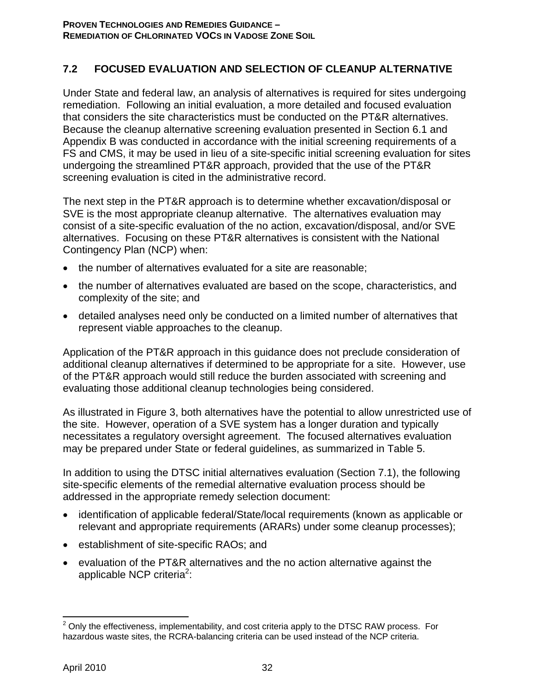# **7.2 FOCUSED EVALUATION AND SELECTION OF CLEANUP ALTERNATIVE**

Under State and federal law, an analysis of alternatives is required for sites undergoing remediation. Following an initial evaluation, a more detailed and focused evaluation that considers the site characteristics must be conducted on the PT&R alternatives. Because the cleanup alternative screening evaluation presented in Section 6.1 and Appendix B was conducted in accordance with the initial screening requirements of a FS and CMS, it may be used in lieu of a site-specific initial screening evaluation for sites undergoing the streamlined PT&R approach, provided that the use of the PT&R screening evaluation is cited in the administrative record.

The next step in the PT&R approach is to determine whether excavation/disposal or SVE is the most appropriate cleanup alternative. The alternatives evaluation may consist of a site-specific evaluation of the no action, excavation/disposal, and/or SVE alternatives. Focusing on these PT&R alternatives is consistent with the National Contingency Plan (NCP) when:

- the number of alternatives evaluated for a site are reasonable;
- the number of alternatives evaluated are based on the scope, characteristics, and complexity of the site; and
- detailed analyses need only be conducted on a limited number of alternatives that represent viable approaches to the cleanup.

Application of the PT&R approach in this guidance does not preclude consideration of additional cleanup alternatives if determined to be appropriate for a site. However, use of the PT&R approach would still reduce the burden associated with screening and evaluating those additional cleanup technologies being considered.

As illustrated in Figure 3, both alternatives have the potential to allow unrestricted use of the site. However, operation of a SVE system has a longer duration and typically necessitates a regulatory oversight agreement. The focused alternatives evaluation may be prepared under State or federal guidelines, as summarized in Table 5.

In addition to using the DTSC initial alternatives evaluation (Section 7.1), the following site-specific elements of the remedial alternative evaluation process should be addressed in the appropriate remedy selection document:

- identification of applicable federal/State/local requirements (known as applicable or relevant and appropriate requirements (ARARs) under some cleanup processes);
- establishment of site-specific RAOs; and
- evaluation of the PT&R alternatives and the no action alternative against the applicable NCP criteria<sup>2</sup>:

 $\overline{a}$  $2$  Only the effectiveness, implementability, and cost criteria apply to the DTSC RAW process. For hazardous waste sites, the RCRA-balancing criteria can be used instead of the NCP criteria.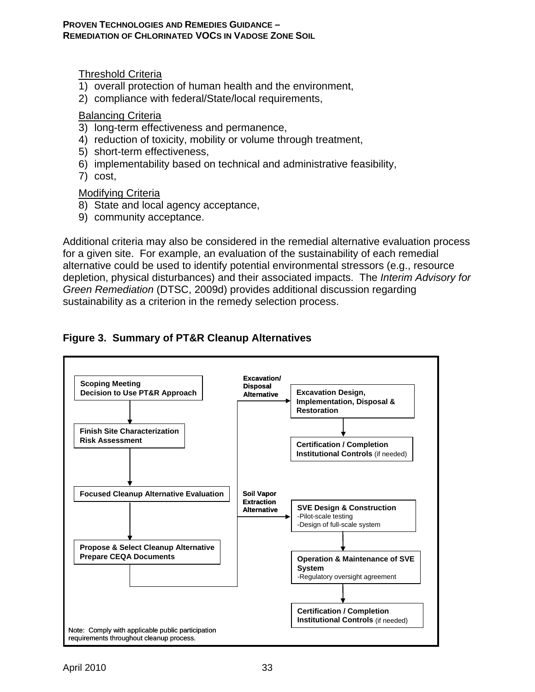### Threshold Criteria

- 1) overall protection of human health and the environment,
- 2) compliance with federal/State/local requirements,

#### Balancing Criteria

- 3) long-term effectiveness and permanence,
- 4) reduction of toxicity, mobility or volume through treatment,
- 5) short-term effectiveness,
- 6) implementability based on technical and administrative feasibility,
- 7) cost,

### Modifying Criteria

- 8) State and local agency acceptance,
- 9) community acceptance.

Additional criteria may also be considered in the remedial alternative evaluation process for a given site. For example, an evaluation of the sustainability of each remedial alternative could be used to identify potential environmental stressors (e.g., resource depletion, physical disturbances) and their associated impacts. The *Interim Advisory for Green Remediation* (DTSC, 2009d) provides additional discussion regarding sustainability as a criterion in the remedy selection process.

# **Figure 3. Summary of PT&R Cleanup Alternatives**

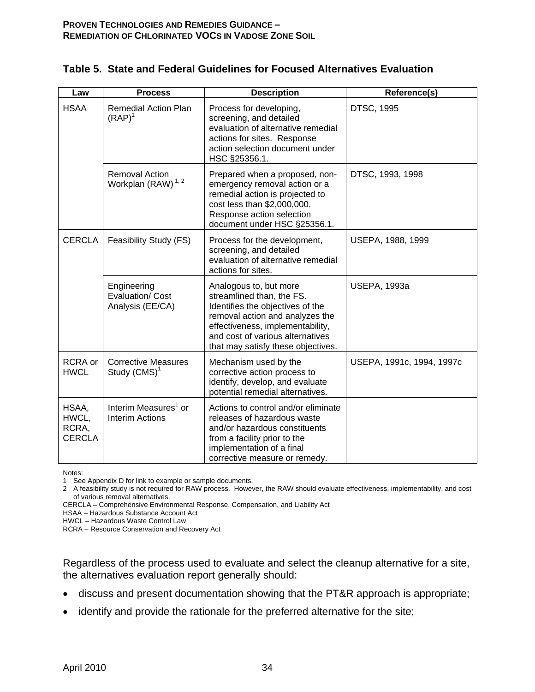| Law                                      | <b>Process</b>                                             | <b>Description</b>                                                                                                                                                                                                                       | Reference(s)              |
|------------------------------------------|------------------------------------------------------------|------------------------------------------------------------------------------------------------------------------------------------------------------------------------------------------------------------------------------------------|---------------------------|
| <b>HSAA</b>                              | <b>Remedial Action Plan</b><br>$(RAP)^1$                   | Process for developing,<br>screening, and detailed<br>evaluation of alternative remedial<br>actions for sites. Response<br>action selection document under<br>HSC §25356.1.                                                              | <b>DTSC, 1995</b>         |
|                                          | <b>Removal Action</b><br>Workplan (RAW) <sup>1,2</sup>     | Prepared when a proposed, non-<br>emergency removal action or a<br>remedial action is projected to<br>cost less than \$2,000,000.<br>Response action selection<br>document under HSC §25356.1.                                           | DTSC, 1993, 1998          |
| <b>CERCLA</b>                            | Feasibility Study (FS)                                     | Process for the development,<br>screening, and detailed<br>evaluation of alternative remedial<br>actions for sites.                                                                                                                      | USEPA, 1988, 1999         |
|                                          | Engineering<br>Evaluation/ Cost<br>Analysis (EE/CA)        | Analogous to, but more<br>streamlined than, the FS.<br>Identifies the objectives of the<br>removal action and analyzes the<br>effectiveness, implementability,<br>and cost of various alternatives<br>that may satisfy these objectives. | <b>USEPA, 1993a</b>       |
| RCRA or<br><b>HWCL</b>                   | <b>Corrective Measures</b><br>Study $(CMS)^1$              | Mechanism used by the<br>corrective action process to<br>identify, develop, and evaluate<br>potential remedial alternatives.                                                                                                             | USEPA, 1991c, 1994, 1997c |
| HSAA,<br>HWCL,<br>RCRA,<br><b>CERCLA</b> | Interim Measures <sup>1</sup> or<br><b>Interim Actions</b> | Actions to control and/or eliminate<br>releases of hazardous waste<br>and/or hazardous constituents<br>from a facility prior to the<br>implementation of a final<br>corrective measure or remedy.                                        |                           |

#### **Table 5. State and Federal Guidelines for Focused Alternatives Evaluation**

Notes:

1 See Appendix D for link to example or sample documents.

2 A feasibility study is not required for RAW process. However, the RAW should evaluate effectiveness, implementability, and cost of various removal alternatives.

CERCLA – Comprehensive Environmental Response, Compensation, and Liability Act

HSAA – Hazardous Substance Account Act

HWCL – Hazardous Waste Control Law

RCRA – Resource Conservation and Recovery Act

Regardless of the process used to evaluate and select the cleanup alternative for a site, the alternatives evaluation report generally should:

- discuss and present documentation showing that the PT&R approach is appropriate;
- identify and provide the rationale for the preferred alternative for the site;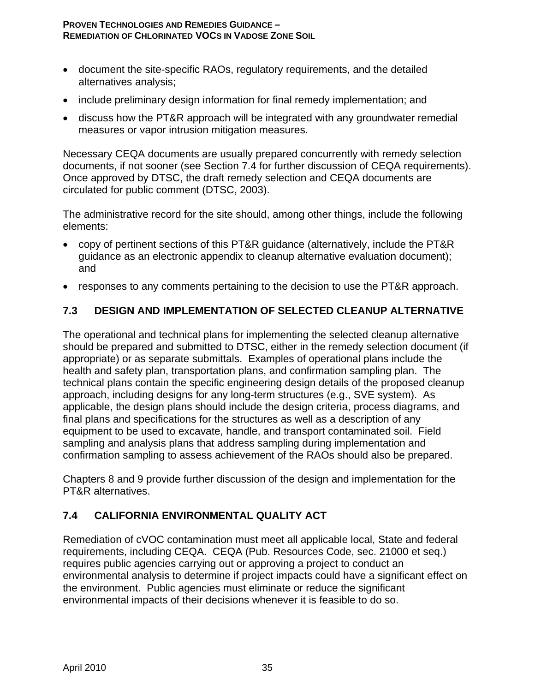- document the site-specific RAOs, regulatory requirements, and the detailed alternatives analysis;
- include preliminary design information for final remedy implementation; and
- discuss how the PT&R approach will be integrated with any groundwater remedial measures or vapor intrusion mitigation measures.

Necessary CEQA documents are usually prepared concurrently with remedy selection documents, if not sooner (see Section 7.4 for further discussion of CEQA requirements). Once approved by DTSC, the draft remedy selection and CEQA documents are circulated for public comment (DTSC, 2003).

The administrative record for the site should, among other things, include the following elements:

- copy of pertinent sections of this PT&R guidance (alternatively, include the PT&R guidance as an electronic appendix to cleanup alternative evaluation document); and
- responses to any comments pertaining to the decision to use the PT&R approach.

# **7.3 DESIGN AND IMPLEMENTATION OF SELECTED CLEANUP ALTERNATIVE**

The operational and technical plans for implementing the selected cleanup alternative should be prepared and submitted to DTSC, either in the remedy selection document (if appropriate) or as separate submittals. Examples of operational plans include the health and safety plan, transportation plans, and confirmation sampling plan. The technical plans contain the specific engineering design details of the proposed cleanup approach, including designs for any long-term structures (e.g., SVE system). As applicable, the design plans should include the design criteria, process diagrams, and final plans and specifications for the structures as well as a description of any equipment to be used to excavate, handle, and transport contaminated soil. Field sampling and analysis plans that address sampling during implementation and confirmation sampling to assess achievement of the RAOs should also be prepared.

Chapters 8 and 9 provide further discussion of the design and implementation for the PT&R alternatives.

# **7.4 CALIFORNIA ENVIRONMENTAL QUALITY ACT**

Remediation of cVOC contamination must meet all applicable local, State and federal requirements, including CEQA. CEQA (Pub. Resources Code, sec. 21000 et seq.) requires public agencies carrying out or approving a project to conduct an environmental analysis to determine if project impacts could have a significant effect on the environment. Public agencies must eliminate or reduce the significant environmental impacts of their decisions whenever it is feasible to do so.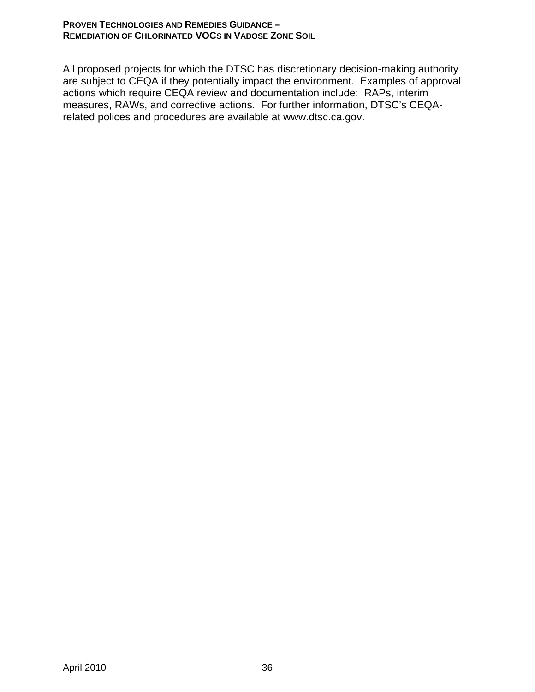All proposed projects for which the DTSC has discretionary decision-making authority are subject to CEQA if they potentially impact the environment. Examples of approval actions which require CEQA review and documentation include: RAPs, interim measures, RAWs, and corrective actions. For further information, DTSC's CEQArelated polices and procedures are available at www.dtsc.ca.gov.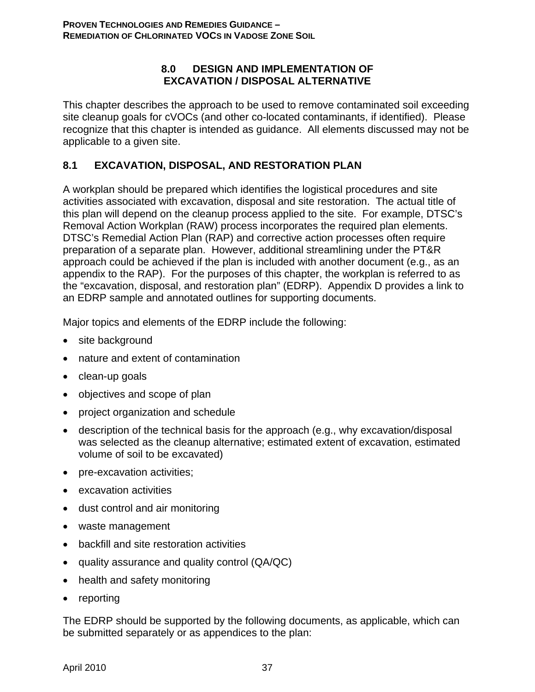#### **8.0 DESIGN AND IMPLEMENTATION OF EXCAVATION / DISPOSAL ALTERNATIVE**

This chapter describes the approach to be used to remove contaminated soil exceeding site cleanup goals for cVOCs (and other co-located contaminants, if identified). Please recognize that this chapter is intended as guidance. All elements discussed may not be applicable to a given site.

# **8.1 EXCAVATION, DISPOSAL, AND RESTORATION PLAN**

A workplan should be prepared which identifies the logistical procedures and site activities associated with excavation, disposal and site restoration. The actual title of this plan will depend on the cleanup process applied to the site. For example, DTSC's Removal Action Workplan (RAW) process incorporates the required plan elements. DTSC's Remedial Action Plan (RAP) and corrective action processes often require preparation of a separate plan. However, additional streamlining under the PT&R approach could be achieved if the plan is included with another document (e.g., as an appendix to the RAP). For the purposes of this chapter, the workplan is referred to as the "excavation, disposal, and restoration plan" (EDRP). Appendix D provides a link to an EDRP sample and annotated outlines for supporting documents.

Major topics and elements of the EDRP include the following:

- site background
- nature and extent of contamination
- clean-up goals
- objectives and scope of plan
- project organization and schedule
- description of the technical basis for the approach (e.g., why excavation/disposal was selected as the cleanup alternative; estimated extent of excavation, estimated volume of soil to be excavated)
- pre-excavation activities;
- excavation activities
- dust control and air monitoring
- waste management
- backfill and site restoration activities
- quality assurance and quality control (QA/QC)
- health and safety monitoring
- reporting

The EDRP should be supported by the following documents, as applicable, which can be submitted separately or as appendices to the plan: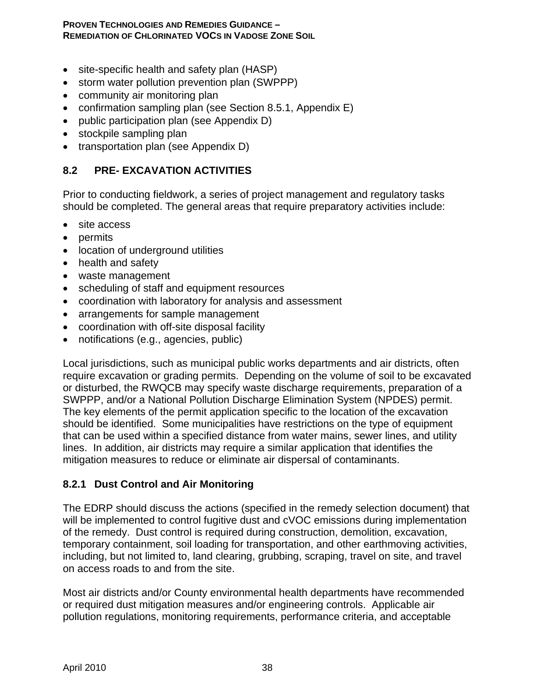- site-specific health and safety plan (HASP)
- storm water pollution prevention plan (SWPPP)
- community air monitoring plan
- confirmation sampling plan (see Section 8.5.1, Appendix E)
- public participation plan (see Appendix D)
- stockpile sampling plan
- transportation plan (see Appendix D)

## **8.2 PRE- EXCAVATION ACTIVITIES**

Prior to conducting fieldwork, a series of project management and regulatory tasks should be completed. The general areas that require preparatory activities include:

- site access
- permits
- location of underground utilities
- health and safety
- waste management
- scheduling of staff and equipment resources
- coordination with laboratory for analysis and assessment
- arrangements for sample management
- coordination with off-site disposal facility
- notifications (e.g., agencies, public)

Local jurisdictions, such as municipal public works departments and air districts, often require excavation or grading permits. Depending on the volume of soil to be excavated or disturbed, the RWQCB may specify waste discharge requirements, preparation of a SWPPP, and/or a National Pollution Discharge Elimination System (NPDES) permit. The key elements of the permit application specific to the location of the excavation should be identified. Some municipalities have restrictions on the type of equipment that can be used within a specified distance from water mains, sewer lines, and utility lines. In addition, air districts may require a similar application that identifies the mitigation measures to reduce or eliminate air dispersal of contaminants.

#### **8.2.1 Dust Control and Air Monitoring**

The EDRP should discuss the actions (specified in the remedy selection document) that will be implemented to control fugitive dust and cVOC emissions during implementation of the remedy. Dust control is required during construction, demolition, excavation, temporary containment, soil loading for transportation, and other earthmoving activities, including, but not limited to, land clearing, grubbing, scraping, travel on site, and travel on access roads to and from the site.

Most air districts and/or County environmental health departments have recommended or required dust mitigation measures and/or engineering controls. Applicable air pollution regulations, monitoring requirements, performance criteria, and acceptable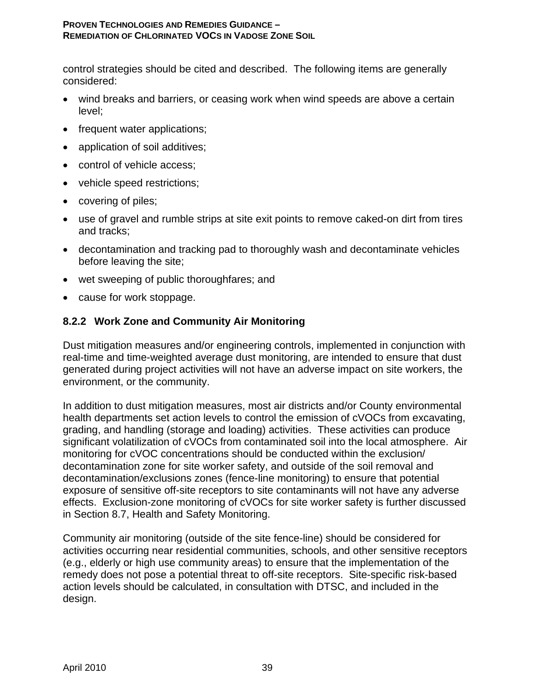control strategies should be cited and described. The following items are generally considered:

- wind breaks and barriers, or ceasing work when wind speeds are above a certain level;
- frequent water applications;
- application of soil additives;
- control of vehicle access:
- vehicle speed restrictions;
- covering of piles;
- use of gravel and rumble strips at site exit points to remove caked-on dirt from tires and tracks;
- decontamination and tracking pad to thoroughly wash and decontaminate vehicles before leaving the site;
- wet sweeping of public thoroughfares; and
- cause for work stoppage.

## **8.2.2 Work Zone and Community Air Monitoring**

Dust mitigation measures and/or engineering controls, implemented in conjunction with real-time and time-weighted average dust monitoring, are intended to ensure that dust generated during project activities will not have an adverse impact on site workers, the environment, or the community.

In addition to dust mitigation measures, most air districts and/or County environmental health departments set action levels to control the emission of cVOCs from excavating, grading, and handling (storage and loading) activities. These activities can produce significant volatilization of cVOCs from contaminated soil into the local atmosphere. Air monitoring for cVOC concentrations should be conducted within the exclusion/ decontamination zone for site worker safety, and outside of the soil removal and decontamination/exclusions zones (fence-line monitoring) to ensure that potential exposure of sensitive off-site receptors to site contaminants will not have any adverse effects. Exclusion-zone monitoring of cVOCs for site worker safety is further discussed in Section 8.7, Health and Safety Monitoring.

Community air monitoring (outside of the site fence-line) should be considered for activities occurring near residential communities, schools, and other sensitive receptors (e.g., elderly or high use community areas) to ensure that the implementation of the remedy does not pose a potential threat to off-site receptors. Site-specific risk-based action levels should be calculated, in consultation with DTSC, and included in the design.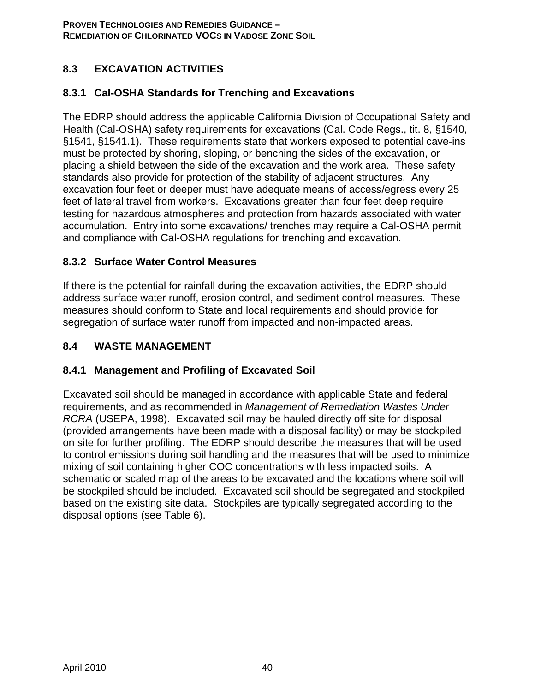# **8.3 EXCAVATION ACTIVITIES**

# **8.3.1 Cal-OSHA Standards for Trenching and Excavations**

The EDRP should address the applicable California Division of Occupational Safety and Health (Cal-OSHA) safety requirements for excavations (Cal. Code Regs., tit. 8, §1540, §1541, §1541.1). These requirements state that workers exposed to potential cave-ins must be protected by shoring, sloping, or benching the sides of the excavation, or placing a shield between the side of the excavation and the work area. These safety standards also provide for protection of the stability of adjacent structures. Any excavation four feet or deeper must have adequate means of access/egress every 25 feet of lateral travel from workers. Excavations greater than four feet deep require testing for hazardous atmospheres and protection from hazards associated with water accumulation. Entry into some excavations/ trenches may require a Cal-OSHA permit and compliance with Cal-OSHA regulations for trenching and excavation.

# **8.3.2 Surface Water Control Measures**

If there is the potential for rainfall during the excavation activities, the EDRP should address surface water runoff, erosion control, and sediment control measures. These measures should conform to State and local requirements and should provide for segregation of surface water runoff from impacted and non-impacted areas.

# **8.4 WASTE MANAGEMENT**

# **8.4.1 Management and Profiling of Excavated Soil**

Excavated soil should be managed in accordance with applicable State and federal requirements, and as recommended in *Management of Remediation Wastes Under RCRA* (USEPA, 1998). Excavated soil may be hauled directly off site for disposal (provided arrangements have been made with a disposal facility) or may be stockpiled on site for further profiling. The EDRP should describe the measures that will be used to control emissions during soil handling and the measures that will be used to minimize mixing of soil containing higher COC concentrations with less impacted soils. A schematic or scaled map of the areas to be excavated and the locations where soil will be stockpiled should be included. Excavated soil should be segregated and stockpiled based on the existing site data. Stockpiles are typically segregated according to the disposal options (see Table 6).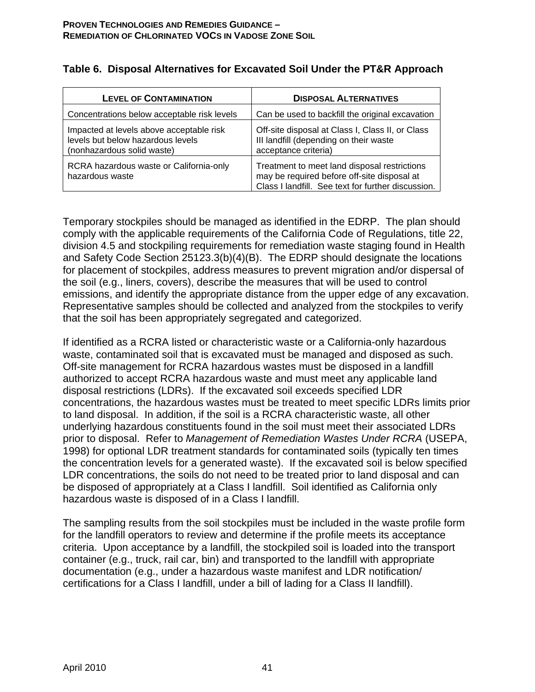| <b>LEVEL OF CONTAMINATION</b>                                                                               | <b>DISPOSAL ALTERNATIVES</b>                                                                                                                      |
|-------------------------------------------------------------------------------------------------------------|---------------------------------------------------------------------------------------------------------------------------------------------------|
| Concentrations below acceptable risk levels                                                                 | Can be used to backfill the original excavation                                                                                                   |
| Impacted at levels above acceptable risk<br>levels but below hazardous levels<br>(nonhazardous solid waste) | Off-site disposal at Class I, Class II, or Class<br>III landfill (depending on their waste<br>acceptance criteria)                                |
| RCRA hazardous waste or California-only<br>hazardous waste                                                  | Treatment to meet land disposal restrictions<br>may be required before off-site disposal at<br>Class I landfill. See text for further discussion. |

## **Table 6. Disposal Alternatives for Excavated Soil Under the PT&R Approach**

Temporary stockpiles should be managed as identified in the EDRP. The plan should comply with the applicable requirements of the California Code of Regulations, title 22, division 4.5 and stockpiling requirements for remediation waste staging found in Health and Safety Code Section 25123.3(b)(4)(B). The EDRP should designate the locations for placement of stockpiles, address measures to prevent migration and/or dispersal of the soil (e.g., liners, covers), describe the measures that will be used to control emissions, and identify the appropriate distance from the upper edge of any excavation. Representative samples should be collected and analyzed from the stockpiles to verify that the soil has been appropriately segregated and categorized.

If identified as a RCRA listed or characteristic waste or a California-only hazardous waste, contaminated soil that is excavated must be managed and disposed as such. Off-site management for RCRA hazardous wastes must be disposed in a landfill authorized to accept RCRA hazardous waste and must meet any applicable land disposal restrictions (LDRs). If the excavated soil exceeds specified LDR concentrations, the hazardous wastes must be treated to meet specific LDRs limits prior to land disposal. In addition, if the soil is a RCRA characteristic waste, all other underlying hazardous constituents found in the soil must meet their associated LDRs prior to disposal. Refer to *Management of Remediation Wastes Under RCRA* (USEPA, 1998) for optional LDR treatment standards for contaminated soils (typically ten times the concentration levels for a generated waste). If the excavated soil is below specified LDR concentrations, the soils do not need to be treated prior to land disposal and can be disposed of appropriately at a Class I landfill. Soil identified as California only hazardous waste is disposed of in a Class I landfill.

The sampling results from the soil stockpiles must be included in the waste profile form for the landfill operators to review and determine if the profile meets its acceptance criteria. Upon acceptance by a landfill, the stockpiled soil is loaded into the transport container (e.g., truck, rail car, bin) and transported to the landfill with appropriate documentation (e.g., under a hazardous waste manifest and LDR notification/ certifications for a Class I landfill, under a bill of lading for a Class II landfill).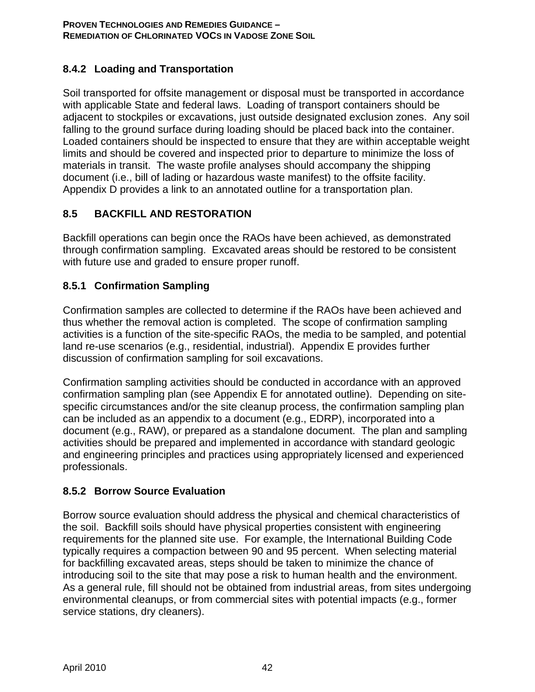# **8.4.2 Loading and Transportation**

Soil transported for offsite management or disposal must be transported in accordance with applicable State and federal laws. Loading of transport containers should be adjacent to stockpiles or excavations, just outside designated exclusion zones. Any soil falling to the ground surface during loading should be placed back into the container. Loaded containers should be inspected to ensure that they are within acceptable weight limits and should be covered and inspected prior to departure to minimize the loss of materials in transit. The waste profile analyses should accompany the shipping document (i.e., bill of lading or hazardous waste manifest) to the offsite facility. Appendix D provides a link to an annotated outline for a transportation plan.

# **8.5 BACKFILL AND RESTORATION**

Backfill operations can begin once the RAOs have been achieved, as demonstrated through confirmation sampling. Excavated areas should be restored to be consistent with future use and graded to ensure proper runoff.

# **8.5.1 Confirmation Sampling**

Confirmation samples are collected to determine if the RAOs have been achieved and thus whether the removal action is completed. The scope of confirmation sampling activities is a function of the site-specific RAOs, the media to be sampled, and potential land re-use scenarios (e.g., residential, industrial). Appendix E provides further discussion of confirmation sampling for soil excavations.

Confirmation sampling activities should be conducted in accordance with an approved confirmation sampling plan (see Appendix E for annotated outline). Depending on sitespecific circumstances and/or the site cleanup process, the confirmation sampling plan can be included as an appendix to a document (e.g., EDRP), incorporated into a document (e.g., RAW), or prepared as a standalone document. The plan and sampling activities should be prepared and implemented in accordance with standard geologic and engineering principles and practices using appropriately licensed and experienced professionals.

# **8.5.2 Borrow Source Evaluation**

Borrow source evaluation should address the physical and chemical characteristics of the soil. Backfill soils should have physical properties consistent with engineering requirements for the planned site use. For example, the International Building Code typically requires a compaction between 90 and 95 percent. When selecting material for backfilling excavated areas, steps should be taken to minimize the chance of introducing soil to the site that may pose a risk to human health and the environment. As a general rule, fill should not be obtained from industrial areas, from sites undergoing environmental cleanups, or from commercial sites with potential impacts (e.g., former service stations, dry cleaners).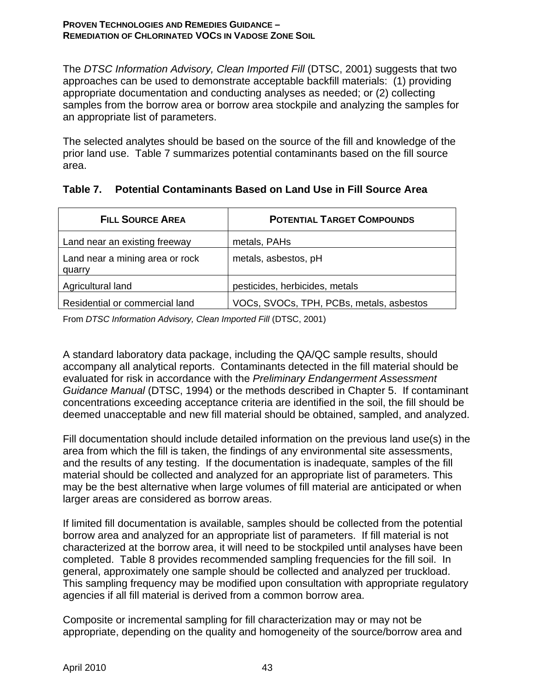The *DTSC Information Advisory, Clean Imported Fill* (DTSC, 2001) suggests that two approaches can be used to demonstrate acceptable backfill materials: (1) providing appropriate documentation and conducting analyses as needed; or (2) collecting samples from the borrow area or borrow area stockpile and analyzing the samples for an appropriate list of parameters.

The selected analytes should be based on the source of the fill and knowledge of the prior land use. Table 7 summarizes potential contaminants based on the fill source area.

|  |  |  |  |  | Table 7. Potential Contaminants Based on Land Use in Fill Source Area |
|--|--|--|--|--|-----------------------------------------------------------------------|
|--|--|--|--|--|-----------------------------------------------------------------------|

| <b>FILL SOURCE AREA</b>                   | <b>POTENTIAL TARGET COMPOUNDS</b>        |
|-------------------------------------------|------------------------------------------|
| Land near an existing freeway             | metals, PAHs                             |
| Land near a mining area or rock<br>quarry | metals, asbestos, pH                     |
| Agricultural land                         | pesticides, herbicides, metals           |
| Residential or commercial land            | VOCs, SVOCs, TPH, PCBs, metals, asbestos |

From *DTSC Information Advisory, Clean Imported Fill* (DTSC, 2001)

A standard laboratory data package, including the QA/QC sample results, should accompany all analytical reports. Contaminants detected in the fill material should be evaluated for risk in accordance with the *Preliminary Endangerment Assessment Guidance Manual* (DTSC, 1994) or the methods described in Chapter 5. If contaminant concentrations exceeding acceptance criteria are identified in the soil, the fill should be deemed unacceptable and new fill material should be obtained, sampled, and analyzed.

Fill documentation should include detailed information on the previous land use(s) in the area from which the fill is taken, the findings of any environmental site assessments, and the results of any testing. If the documentation is inadequate, samples of the fill material should be collected and analyzed for an appropriate list of parameters. This may be the best alternative when large volumes of fill material are anticipated or when larger areas are considered as borrow areas.

If limited fill documentation is available, samples should be collected from the potential borrow area and analyzed for an appropriate list of parameters. If fill material is not characterized at the borrow area, it will need to be stockpiled until analyses have been completed. Table 8 provides recommended sampling frequencies for the fill soil. In general, approximately one sample should be collected and analyzed per truckload. This sampling frequency may be modified upon consultation with appropriate regulatory agencies if all fill material is derived from a common borrow area.

Composite or incremental sampling for fill characterization may or may not be appropriate, depending on the quality and homogeneity of the source/borrow area and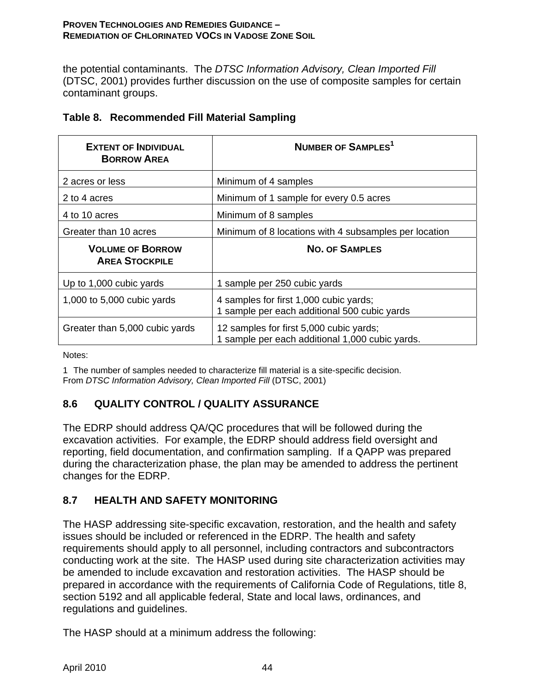the potential contaminants. The *DTSC Information Advisory, Clean Imported Fill* (DTSC, 2001) provides further discussion on the use of composite samples for certain contaminant groups.

| <b>EXTENT OF INDIVIDUAL</b><br><b>BORROW AREA</b> | NUMBER OF SAMPLES <sup>1</sup>                                                         |
|---------------------------------------------------|----------------------------------------------------------------------------------------|
| 2 acres or less                                   | Minimum of 4 samples                                                                   |
| 2 to 4 acres                                      | Minimum of 1 sample for every 0.5 acres                                                |
| 4 to 10 acres                                     | Minimum of 8 samples                                                                   |
| Greater than 10 acres                             | Minimum of 8 locations with 4 subsamples per location                                  |
| <b>VOLUME OF BORROW</b><br><b>AREA STOCKPILE</b>  | <b>NO. OF SAMPLES</b>                                                                  |
|                                                   |                                                                                        |
| Up to 1,000 cubic yards                           | 1 sample per 250 cubic yards                                                           |
| 1,000 to 5,000 cubic yards                        | 4 samples for first 1,000 cubic yards;<br>1 sample per each additional 500 cubic yards |

## **Table 8. Recommended Fill Material Sampling**

Notes:

1 The number of samples needed to characterize fill material is a site-specific decision. From *DTSC Information Advisory, Clean Imported Fill* (DTSC, 2001)

# **8.6 QUALITY CONTROL / QUALITY ASSURANCE**

The EDRP should address QA/QC procedures that will be followed during the excavation activities. For example, the EDRP should address field oversight and reporting, field documentation, and confirmation sampling. If a QAPP was prepared during the characterization phase, the plan may be amended to address the pertinent changes for the EDRP.

# **8.7 HEALTH AND SAFETY MONITORING**

The HASP addressing site-specific excavation, restoration, and the health and safety issues should be included or referenced in the EDRP. The health and safety requirements should apply to all personnel, including contractors and subcontractors conducting work at the site. The HASP used during site characterization activities may be amended to include excavation and restoration activities. The HASP should be prepared in accordance with the requirements of California Code of Regulations, title 8, section 5192 and all applicable federal, State and local laws, ordinances, and regulations and guidelines.

The HASP should at a minimum address the following: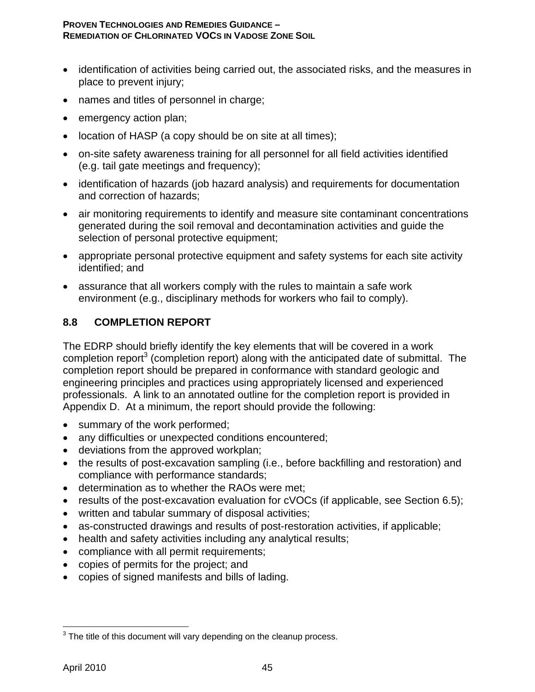- identification of activities being carried out, the associated risks, and the measures in place to prevent injury;
- names and titles of personnel in charge;
- emergency action plan;
- location of HASP (a copy should be on site at all times);
- on-site safety awareness training for all personnel for all field activities identified (e.g. tail gate meetings and frequency);
- identification of hazards (job hazard analysis) and requirements for documentation and correction of hazards;
- air monitoring requirements to identify and measure site contaminant concentrations generated during the soil removal and decontamination activities and guide the selection of personal protective equipment;
- appropriate personal protective equipment and safety systems for each site activity identified; and
- assurance that all workers comply with the rules to maintain a safe work environment (e.g., disciplinary methods for workers who fail to comply).

# **8.8 COMPLETION REPORT**

The EDRP should briefly identify the key elements that will be covered in a work completion report<sup>3</sup> (completion report) along with the anticipated date of submittal. The completion report should be prepared in conformance with standard geologic and engineering principles and practices using appropriately licensed and experienced professionals. A link to an annotated outline for the completion report is provided in Appendix D. At a minimum, the report should provide the following:

- summary of the work performed;
- any difficulties or unexpected conditions encountered;
- deviations from the approved workplan;
- the results of post-excavation sampling (i.e., before backfilling and restoration) and compliance with performance standards;
- determination as to whether the RAOs were met;
- results of the post-excavation evaluation for cVOCs (if applicable, see Section 6.5);
- written and tabular summary of disposal activities;
- as-constructed drawings and results of post-restoration activities, if applicable;
- health and safety activities including any analytical results;
- compliance with all permit requirements;
- copies of permits for the project; and
- copies of signed manifests and bills of lading.

<sup>1</sup>  $3$  The title of this document will vary depending on the cleanup process.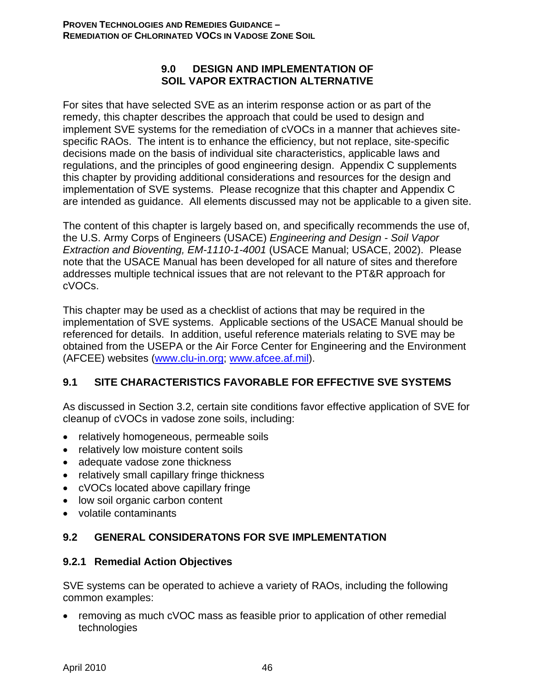#### **9.0 DESIGN AND IMPLEMENTATION OF SOIL VAPOR EXTRACTION ALTERNATIVE**

For sites that have selected SVE as an interim response action or as part of the remedy, this chapter describes the approach that could be used to design and implement SVE systems for the remediation of cVOCs in a manner that achieves sitespecific RAOs. The intent is to enhance the efficiency, but not replace, site-specific decisions made on the basis of individual site characteristics, applicable laws and regulations, and the principles of good engineering design. Appendix C supplements this chapter by providing additional considerations and resources for the design and implementation of SVE systems. Please recognize that this chapter and Appendix C are intended as guidance. All elements discussed may not be applicable to a given site.

The content of this chapter is largely based on, and specifically recommends the use of, the U.S. Army Corps of Engineers (USACE) *Engineering and Design - Soil Vapor Extraction and Bioventing, EM-1110-1-4001* (USACE Manual; USACE, 2002). Please note that the USACE Manual has been developed for all nature of sites and therefore addresses multiple technical issues that are not relevant to the PT&R approach for cVOCs.

This chapter may be used as a checklist of actions that may be required in the implementation of SVE systems. Applicable sections of the USACE Manual should be referenced for details. In addition, useful reference materials relating to SVE may be obtained from the USEPA or the Air Force Center for Engineering and the Environment (AFCEE) websites (www.clu-in.org; www.afcee.af.mil).

# **9.1 SITE CHARACTERISTICS FAVORABLE FOR EFFECTIVE SVE SYSTEMS**

As discussed in Section 3.2, certain site conditions favor effective application of SVE for cleanup of cVOCs in vadose zone soils, including:

- relatively homogeneous, permeable soils
- relatively low moisture content soils
- adequate vadose zone thickness
- relatively small capillary fringe thickness
- cVOCs located above capillary fringe
- low soil organic carbon content
- volatile contaminants

## **9.2 GENERAL CONSIDERATONS FOR SVE IMPLEMENTATION**

## **9.2.1 Remedial Action Objectives**

SVE systems can be operated to achieve a variety of RAOs, including the following common examples:

• removing as much cVOC mass as feasible prior to application of other remedial technologies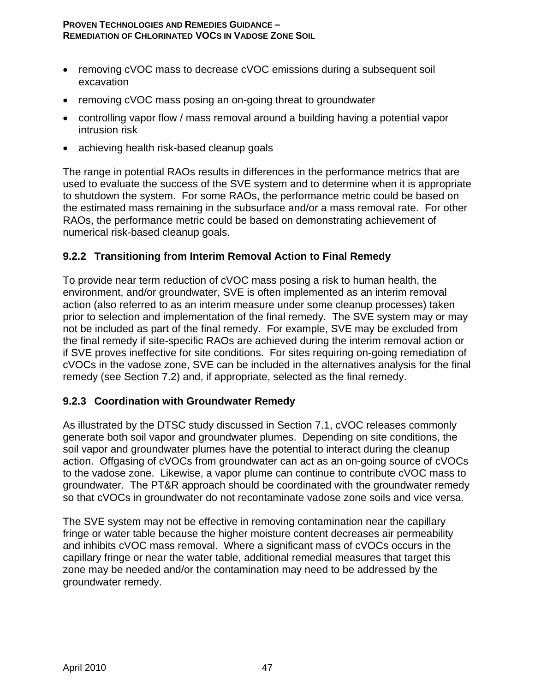- removing cVOC mass to decrease cVOC emissions during a subsequent soil excavation
- removing cVOC mass posing an on-going threat to groundwater
- controlling vapor flow / mass removal around a building having a potential vapor intrusion risk
- achieving health risk-based cleanup goals

The range in potential RAOs results in differences in the performance metrics that are used to evaluate the success of the SVE system and to determine when it is appropriate to shutdown the system. For some RAOs, the performance metric could be based on the estimated mass remaining in the subsurface and/or a mass removal rate. For other RAOs, the performance metric could be based on demonstrating achievement of numerical risk-based cleanup goals.

### **9.2.2 Transitioning from Interim Removal Action to Final Remedy**

To provide near term reduction of cVOC mass posing a risk to human health, the environment, and/or groundwater, SVE is often implemented as an interim removal action (also referred to as an interim measure under some cleanup processes) taken prior to selection and implementation of the final remedy. The SVE system may or may not be included as part of the final remedy. For example, SVE may be excluded from the final remedy if site-specific RAOs are achieved during the interim removal action or if SVE proves ineffective for site conditions. For sites requiring on-going remediation of cVOCs in the vadose zone, SVE can be included in the alternatives analysis for the final remedy (see Section 7.2) and, if appropriate, selected as the final remedy.

## **9.2.3 Coordination with Groundwater Remedy**

As illustrated by the DTSC study discussed in Section 7.1, cVOC releases commonly generate both soil vapor and groundwater plumes. Depending on site conditions, the soil vapor and groundwater plumes have the potential to interact during the cleanup action. Offgasing of cVOCs from groundwater can act as an on-going source of cVOCs to the vadose zone. Likewise, a vapor plume can continue to contribute cVOC mass to groundwater. The PT&R approach should be coordinated with the groundwater remedy so that cVOCs in groundwater do not recontaminate vadose zone soils and vice versa.

The SVE system may not be effective in removing contamination near the capillary fringe or water table because the higher moisture content decreases air permeability and inhibits cVOC mass removal. Where a significant mass of cVOCs occurs in the capillary fringe or near the water table, additional remedial measures that target this zone may be needed and/or the contamination may need to be addressed by the groundwater remedy.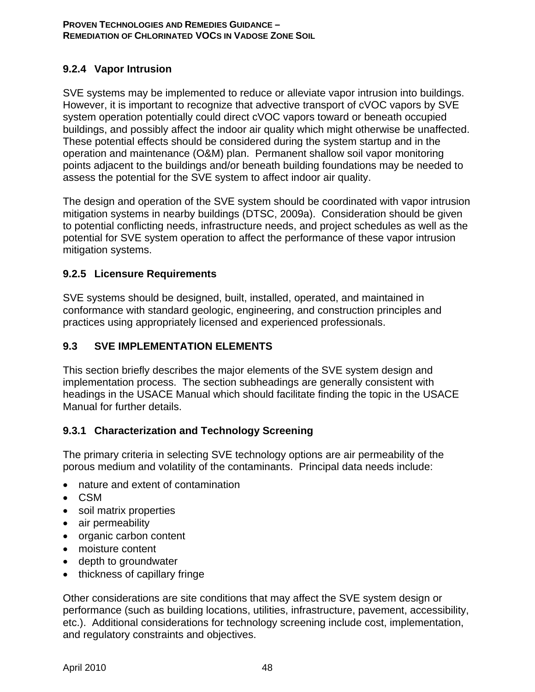# **9.2.4 Vapor Intrusion**

SVE systems may be implemented to reduce or alleviate vapor intrusion into buildings. However, it is important to recognize that advective transport of cVOC vapors by SVE system operation potentially could direct cVOC vapors toward or beneath occupied buildings, and possibly affect the indoor air quality which might otherwise be unaffected. These potential effects should be considered during the system startup and in the operation and maintenance (O&M) plan. Permanent shallow soil vapor monitoring points adjacent to the buildings and/or beneath building foundations may be needed to assess the potential for the SVE system to affect indoor air quality.

The design and operation of the SVE system should be coordinated with vapor intrusion mitigation systems in nearby buildings (DTSC, 2009a). Consideration should be given to potential conflicting needs, infrastructure needs, and project schedules as well as the potential for SVE system operation to affect the performance of these vapor intrusion mitigation systems.

## **9.2.5 Licensure Requirements**

SVE systems should be designed, built, installed, operated, and maintained in conformance with standard geologic, engineering, and construction principles and practices using appropriately licensed and experienced professionals.

## **9.3 SVE IMPLEMENTATION ELEMENTS**

This section briefly describes the major elements of the SVE system design and implementation process. The section subheadings are generally consistent with headings in the USACE Manual which should facilitate finding the topic in the USACE Manual for further details.

## **9.3.1 Characterization and Technology Screening**

The primary criteria in selecting SVE technology options are air permeability of the porous medium and volatility of the contaminants. Principal data needs include:

- nature and extent of contamination
- CSM
- soil matrix properties
- air permeability
- organic carbon content
- moisture content
- depth to groundwater
- thickness of capillary fringe

Other considerations are site conditions that may affect the SVE system design or performance (such as building locations, utilities, infrastructure, pavement, accessibility, etc.). Additional considerations for technology screening include cost, implementation, and regulatory constraints and objectives.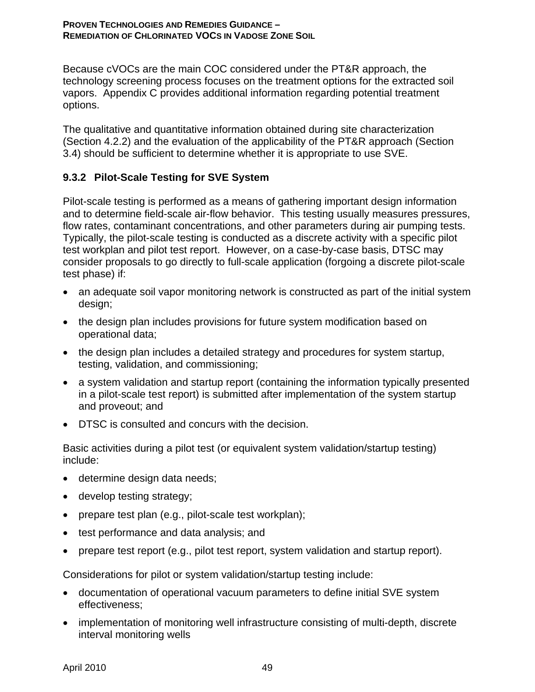Because cVOCs are the main COC considered under the PT&R approach, the technology screening process focuses on the treatment options for the extracted soil vapors. Appendix C provides additional information regarding potential treatment options.

The qualitative and quantitative information obtained during site characterization (Section 4.2.2) and the evaluation of the applicability of the PT&R approach (Section 3.4) should be sufficient to determine whether it is appropriate to use SVE.

# **9.3.2 Pilot-Scale Testing for SVE System**

Pilot-scale testing is performed as a means of gathering important design information and to determine field-scale air-flow behavior. This testing usually measures pressures, flow rates, contaminant concentrations, and other parameters during air pumping tests. Typically, the pilot-scale testing is conducted as a discrete activity with a specific pilot test workplan and pilot test report. However, on a case-by-case basis, DTSC may consider proposals to go directly to full-scale application (forgoing a discrete pilot-scale test phase) if:

- an adequate soil vapor monitoring network is constructed as part of the initial system design;
- the design plan includes provisions for future system modification based on operational data;
- the design plan includes a detailed strategy and procedures for system startup, testing, validation, and commissioning;
- a system validation and startup report (containing the information typically presented in a pilot-scale test report) is submitted after implementation of the system startup and proveout; and
- DTSC is consulted and concurs with the decision.

Basic activities during a pilot test (or equivalent system validation/startup testing) include:

- determine design data needs;
- develop testing strategy;
- prepare test plan (e.g., pilot-scale test workplan);
- test performance and data analysis; and
- prepare test report (e.g., pilot test report, system validation and startup report).

Considerations for pilot or system validation/startup testing include:

- documentation of operational vacuum parameters to define initial SVE system effectiveness;
- implementation of monitoring well infrastructure consisting of multi-depth, discrete interval monitoring wells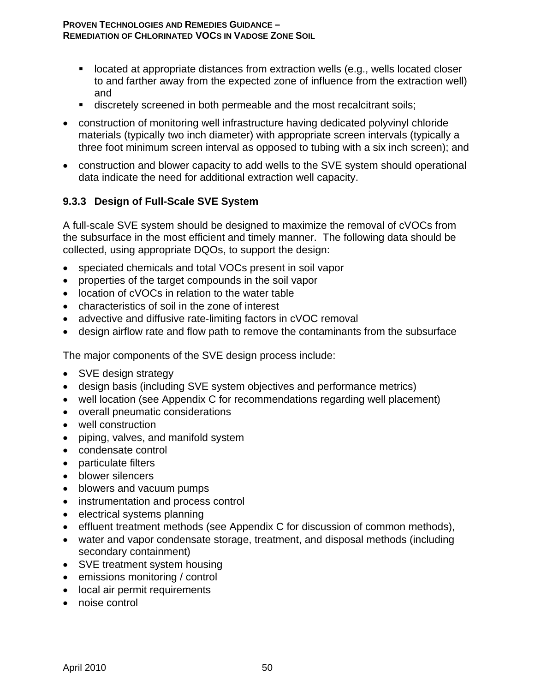- located at appropriate distances from extraction wells (e.g., wells located closer to and farther away from the expected zone of influence from the extraction well) and
- **discretely screened in both permeable and the most recalcitrant soils;**
- construction of monitoring well infrastructure having dedicated polyvinyl chloride materials (typically two inch diameter) with appropriate screen intervals (typically a three foot minimum screen interval as opposed to tubing with a six inch screen); and
- construction and blower capacity to add wells to the SVE system should operational data indicate the need for additional extraction well capacity.

# **9.3.3 Design of Full-Scale SVE System**

A full-scale SVE system should be designed to maximize the removal of cVOCs from the subsurface in the most efficient and timely manner. The following data should be collected, using appropriate DQOs, to support the design:

- speciated chemicals and total VOCs present in soil vapor
- properties of the target compounds in the soil vapor
- location of cVOCs in relation to the water table
- characteristics of soil in the zone of interest
- advective and diffusive rate-limiting factors in cVOC removal
- design airflow rate and flow path to remove the contaminants from the subsurface

The major components of the SVE design process include:

- SVE design strategy
- design basis (including SVE system objectives and performance metrics)
- well location (see Appendix C for recommendations regarding well placement)
- overall pneumatic considerations
- well construction
- piping, valves, and manifold system
- condensate control
- particulate filters
- blower silencers
- blowers and vacuum pumps
- instrumentation and process control
- electrical systems planning
- effluent treatment methods (see Appendix C for discussion of common methods),
- water and vapor condensate storage, treatment, and disposal methods (including secondary containment)
- SVE treatment system housing
- emissions monitoring / control
- local air permit requirements
- noise control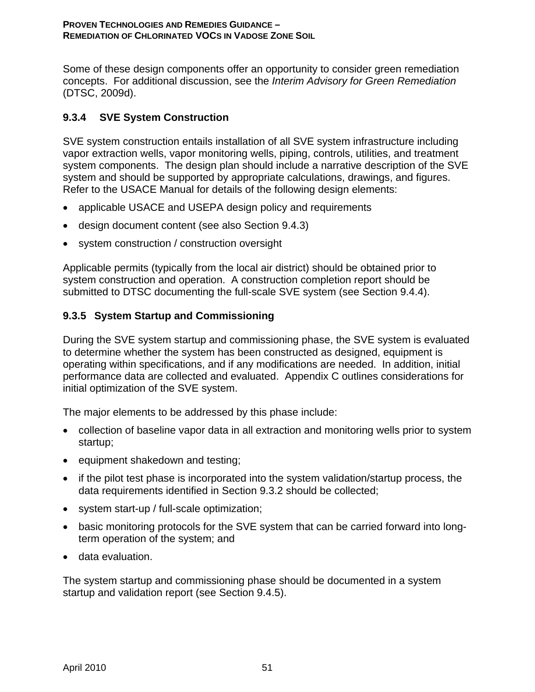Some of these design components offer an opportunity to consider green remediation concepts. For additional discussion, see the *Interim Advisory for Green Remediation* (DTSC, 2009d).

# **9.3.4 SVE System Construction**

SVE system construction entails installation of all SVE system infrastructure including vapor extraction wells, vapor monitoring wells, piping, controls, utilities, and treatment system components. The design plan should include a narrative description of the SVE system and should be supported by appropriate calculations, drawings, and figures. Refer to the USACE Manual for details of the following design elements:

- applicable USACE and USEPA design policy and requirements
- design document content (see also Section 9.4.3)
- system construction / construction oversight

Applicable permits (typically from the local air district) should be obtained prior to system construction and operation. A construction completion report should be submitted to DTSC documenting the full-scale SVE system (see Section 9.4.4).

# **9.3.5 System Startup and Commissioning**

During the SVE system startup and commissioning phase, the SVE system is evaluated to determine whether the system has been constructed as designed, equipment is operating within specifications, and if any modifications are needed. In addition, initial performance data are collected and evaluated. Appendix C outlines considerations for initial optimization of the SVE system.

The major elements to be addressed by this phase include:

- collection of baseline vapor data in all extraction and monitoring wells prior to system startup;
- equipment shakedown and testing;
- if the pilot test phase is incorporated into the system validation/startup process, the data requirements identified in Section 9.3.2 should be collected;
- system start-up / full-scale optimization;
- basic monitoring protocols for the SVE system that can be carried forward into longterm operation of the system; and
- data evaluation.

The system startup and commissioning phase should be documented in a system startup and validation report (see Section 9.4.5).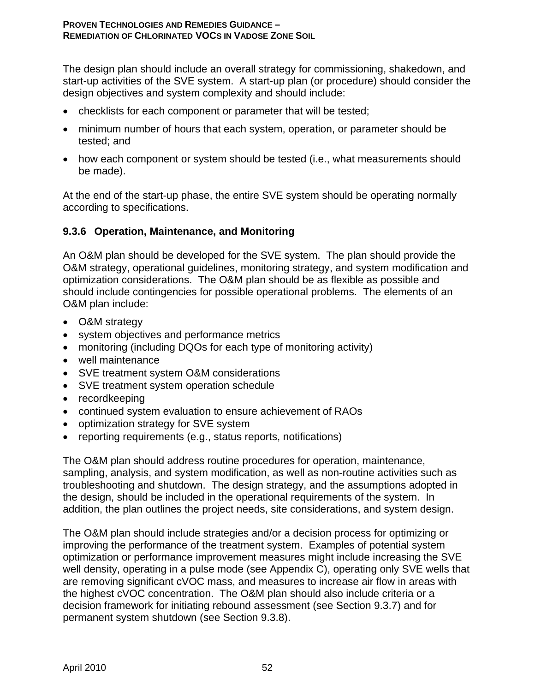The design plan should include an overall strategy for commissioning, shakedown, and start-up activities of the SVE system. A start-up plan (or procedure) should consider the design objectives and system complexity and should include:

- checklists for each component or parameter that will be tested;
- minimum number of hours that each system, operation, or parameter should be tested; and
- how each component or system should be tested (i.e., what measurements should be made).

At the end of the start-up phase, the entire SVE system should be operating normally according to specifications.

## **9.3.6 Operation, Maintenance, and Monitoring**

An O&M plan should be developed for the SVE system. The plan should provide the O&M strategy, operational guidelines, monitoring strategy, and system modification and optimization considerations. The O&M plan should be as flexible as possible and should include contingencies for possible operational problems. The elements of an O&M plan include:

- O&M strategy
- system objectives and performance metrics
- monitoring (including DQOs for each type of monitoring activity)
- well maintenance
- SVE treatment system O&M considerations
- SVE treatment system operation schedule
- recordkeeping
- continued system evaluation to ensure achievement of RAOs
- optimization strategy for SVE system
- reporting requirements (e.g., status reports, notifications)

The O&M plan should address routine procedures for operation, maintenance, sampling, analysis, and system modification, as well as non-routine activities such as troubleshooting and shutdown. The design strategy, and the assumptions adopted in the design, should be included in the operational requirements of the system. In addition, the plan outlines the project needs, site considerations, and system design.

The O&M plan should include strategies and/or a decision process for optimizing or improving the performance of the treatment system. Examples of potential system optimization or performance improvement measures might include increasing the SVE well density, operating in a pulse mode (see Appendix C), operating only SVE wells that are removing significant cVOC mass, and measures to increase air flow in areas with the highest cVOC concentration. The O&M plan should also include criteria or a decision framework for initiating rebound assessment (see Section 9.3.7) and for permanent system shutdown (see Section 9.3.8).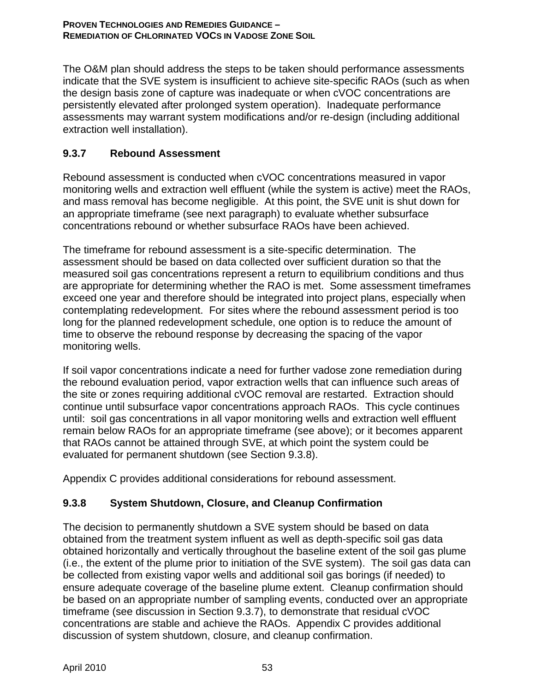The O&M plan should address the steps to be taken should performance assessments indicate that the SVE system is insufficient to achieve site-specific RAOs (such as when the design basis zone of capture was inadequate or when cVOC concentrations are persistently elevated after prolonged system operation). Inadequate performance assessments may warrant system modifications and/or re-design (including additional extraction well installation).

# **9.3.7 Rebound Assessment**

Rebound assessment is conducted when cVOC concentrations measured in vapor monitoring wells and extraction well effluent (while the system is active) meet the RAOs, and mass removal has become negligible. At this point, the SVE unit is shut down for an appropriate timeframe (see next paragraph) to evaluate whether subsurface concentrations rebound or whether subsurface RAOs have been achieved.

The timeframe for rebound assessment is a site-specific determination. The assessment should be based on data collected over sufficient duration so that the measured soil gas concentrations represent a return to equilibrium conditions and thus are appropriate for determining whether the RAO is met. Some assessment timeframes exceed one year and therefore should be integrated into project plans, especially when contemplating redevelopment. For sites where the rebound assessment period is too long for the planned redevelopment schedule, one option is to reduce the amount of time to observe the rebound response by decreasing the spacing of the vapor monitoring wells.

If soil vapor concentrations indicate a need for further vadose zone remediation during the rebound evaluation period, vapor extraction wells that can influence such areas of the site or zones requiring additional cVOC removal are restarted. Extraction should continue until subsurface vapor concentrations approach RAOs. This cycle continues until: soil gas concentrations in all vapor monitoring wells and extraction well effluent remain below RAOs for an appropriate timeframe (see above); or it becomes apparent that RAOs cannot be attained through SVE, at which point the system could be evaluated for permanent shutdown (see Section 9.3.8).

Appendix C provides additional considerations for rebound assessment.

# **9.3.8 System Shutdown, Closure, and Cleanup Confirmation**

The decision to permanently shutdown a SVE system should be based on data obtained from the treatment system influent as well as depth-specific soil gas data obtained horizontally and vertically throughout the baseline extent of the soil gas plume (i.e., the extent of the plume prior to initiation of the SVE system). The soil gas data can be collected from existing vapor wells and additional soil gas borings (if needed) to ensure adequate coverage of the baseline plume extent. Cleanup confirmation should be based on an appropriate number of sampling events, conducted over an appropriate timeframe (see discussion in Section 9.3.7), to demonstrate that residual cVOC concentrations are stable and achieve the RAOs. Appendix C provides additional discussion of system shutdown, closure, and cleanup confirmation.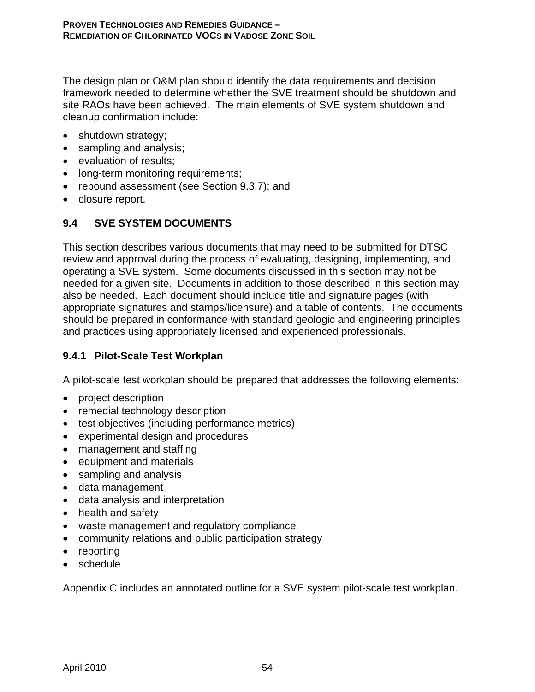The design plan or O&M plan should identify the data requirements and decision framework needed to determine whether the SVE treatment should be shutdown and site RAOs have been achieved. The main elements of SVE system shutdown and cleanup confirmation include:

- shutdown strategy;
- sampling and analysis;
- evaluation of results;
- long-term monitoring requirements;
- rebound assessment (see Section 9.3.7); and
- closure report.

# **9.4 SVE SYSTEM DOCUMENTS**

This section describes various documents that may need to be submitted for DTSC review and approval during the process of evaluating, designing, implementing, and operating a SVE system. Some documents discussed in this section may not be needed for a given site. Documents in addition to those described in this section may also be needed. Each document should include title and signature pages (with appropriate signatures and stamps/licensure) and a table of contents. The documents should be prepared in conformance with standard geologic and engineering principles and practices using appropriately licensed and experienced professionals.

## **9.4.1 Pilot-Scale Test Workplan**

A pilot-scale test workplan should be prepared that addresses the following elements:

- project description
- remedial technology description
- test objectives (including performance metrics)
- experimental design and procedures
- management and staffing
- equipment and materials
- sampling and analysis
- data management
- data analysis and interpretation
- health and safety
- waste management and regulatory compliance
- community relations and public participation strategy
- reporting
- schedule

Appendix C includes an annotated outline for a SVE system pilot-scale test workplan.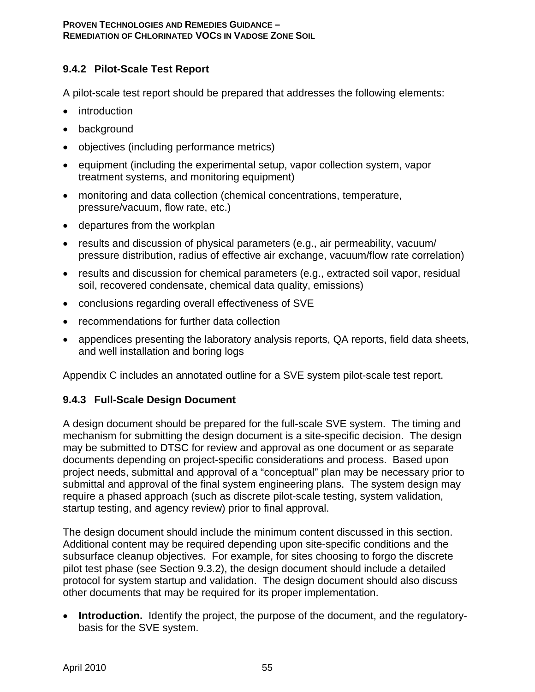# **9.4.2 Pilot-Scale Test Report**

A pilot-scale test report should be prepared that addresses the following elements:

- introduction
- background
- objectives (including performance metrics)
- equipment (including the experimental setup, vapor collection system, vapor treatment systems, and monitoring equipment)
- monitoring and data collection (chemical concentrations, temperature, pressure/vacuum, flow rate, etc.)
- departures from the workplan
- results and discussion of physical parameters (e.g., air permeability, vacuum/ pressure distribution, radius of effective air exchange, vacuum/flow rate correlation)
- results and discussion for chemical parameters (e.g., extracted soil vapor, residual soil, recovered condensate, chemical data quality, emissions)
- conclusions regarding overall effectiveness of SVE
- recommendations for further data collection
- appendices presenting the laboratory analysis reports, QA reports, field data sheets, and well installation and boring logs

Appendix C includes an annotated outline for a SVE system pilot-scale test report.

## **9.4.3 Full-Scale Design Document**

A design document should be prepared for the full-scale SVE system. The timing and mechanism for submitting the design document is a site-specific decision. The design may be submitted to DTSC for review and approval as one document or as separate documents depending on project-specific considerations and process. Based upon project needs, submittal and approval of a "conceptual" plan may be necessary prior to submittal and approval of the final system engineering plans. The system design may require a phased approach (such as discrete pilot-scale testing, system validation, startup testing, and agency review) prior to final approval.

The design document should include the minimum content discussed in this section. Additional content may be required depending upon site-specific conditions and the subsurface cleanup objectives. For example, for sites choosing to forgo the discrete pilot test phase (see Section 9.3.2), the design document should include a detailed protocol for system startup and validation. The design document should also discuss other documents that may be required for its proper implementation.

• **Introduction.** Identify the project, the purpose of the document, and the regulatorybasis for the SVE system.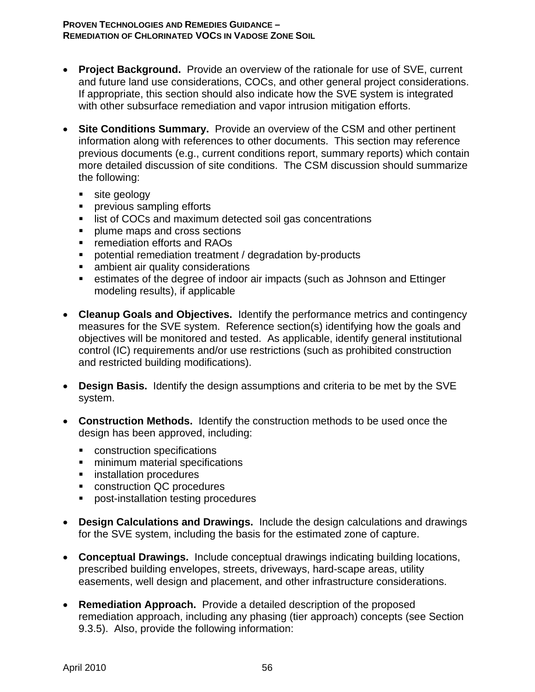- **Project Background.** Provide an overview of the rationale for use of SVE, current and future land use considerations, COCs, and other general project considerations. If appropriate, this section should also indicate how the SVE system is integrated with other subsurface remediation and vapor intrusion mitigation efforts.
- **Site Conditions Summary.** Provide an overview of the CSM and other pertinent information along with references to other documents. This section may reference previous documents (e.g., current conditions report, summary reports) which contain more detailed discussion of site conditions. The CSM discussion should summarize the following:
	- site geology
	- **Peropelenger** previous sampling efforts
	- **IF** list of COCs and maximum detected soil gas concentrations
	- **Paragele 1 maps and cross sections**
	- **Fig. 2** remediation efforts and RAOs
	- potential remediation treatment / degradation by-products
	- **EXECUTE:** ambient air quality considerations
	- estimates of the degree of indoor air impacts (such as Johnson and Ettinger modeling results), if applicable
- **Cleanup Goals and Objectives.** Identify the performance metrics and contingency measures for the SVE system. Reference section(s) identifying how the goals and objectives will be monitored and tested. As applicable, identify general institutional control (IC) requirements and/or use restrictions (such as prohibited construction and restricted building modifications).
- **Design Basis.** Identify the design assumptions and criteria to be met by the SVE system.
- **Construction Methods.** Identify the construction methods to be used once the design has been approved, including:
	- construction specifications
	- **numilianal** specifications
	- **EXECUTE:** installation procedures
	- **CONSTRUCTION QC procedures**
	- **Part of the standard procedures**
- **Design Calculations and Drawings.** Include the design calculations and drawings for the SVE system, including the basis for the estimated zone of capture.
- **Conceptual Drawings.** Include conceptual drawings indicating building locations, prescribed building envelopes, streets, driveways, hard-scape areas, utility easements, well design and placement, and other infrastructure considerations.
- **Remediation Approach.** Provide a detailed description of the proposed remediation approach, including any phasing (tier approach) concepts (see Section 9.3.5). Also, provide the following information: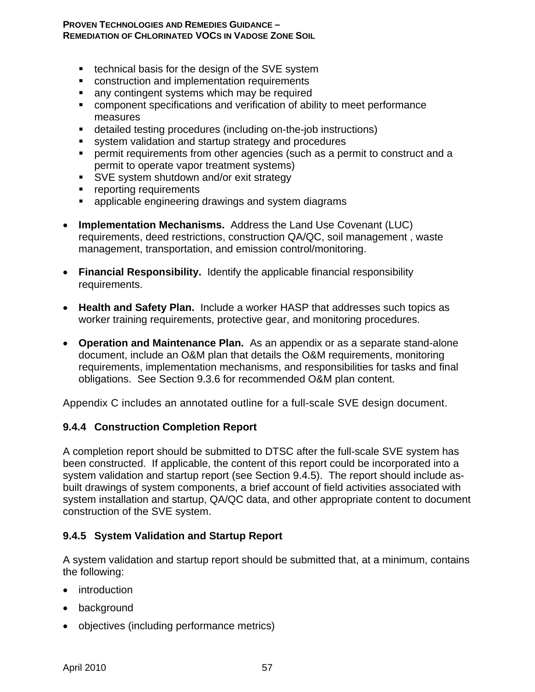- $\blacksquare$  technical basis for the design of the SVE system
- **EXECONSTRUCTION AND Implementation requirements**
- **a** any contingent systems which may be required
- component specifications and verification of ability to meet performance measures
- detailed testing procedures (including on-the-job instructions)
- system validation and startup strategy and procedures
- permit requirements from other agencies (such as a permit to construct and a permit to operate vapor treatment systems)
- SVE system shutdown and/or exit strategy
- **•** reporting requirements
- **EXEDENTER 2** applicable engineering drawings and system diagrams
- **Implementation Mechanisms.** Address the Land Use Covenant (LUC) requirements, deed restrictions, construction QA/QC, soil management , waste management, transportation, and emission control/monitoring.
- **Financial Responsibility.** Identify the applicable financial responsibility requirements.
- **Health and Safety Plan.** Include a worker HASP that addresses such topics as worker training requirements, protective gear, and monitoring procedures.
- **Operation and Maintenance Plan.** As an appendix or as a separate stand-alone document, include an O&M plan that details the O&M requirements, monitoring requirements, implementation mechanisms, and responsibilities for tasks and final obligations. See Section 9.3.6 for recommended O&M plan content.

Appendix C includes an annotated outline for a full-scale SVE design document.

#### **9.4.4 Construction Completion Report**

A completion report should be submitted to DTSC after the full-scale SVE system has been constructed. If applicable, the content of this report could be incorporated into a system validation and startup report (see Section 9.4.5). The report should include asbuilt drawings of system components, a brief account of field activities associated with system installation and startup, QA/QC data, and other appropriate content to document construction of the SVE system.

#### **9.4.5 System Validation and Startup Report**

A system validation and startup report should be submitted that, at a minimum, contains the following:

- introduction
- background
- objectives (including performance metrics)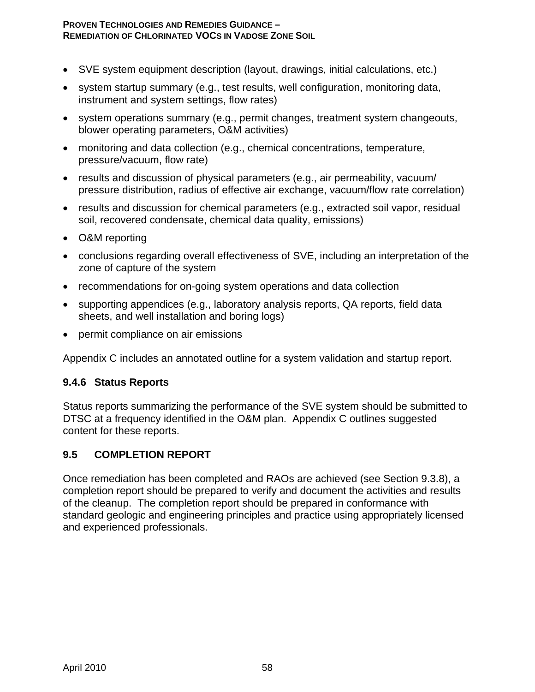- SVE system equipment description (layout, drawings, initial calculations, etc.)
- system startup summary (e.g., test results, well configuration, monitoring data, instrument and system settings, flow rates)
- system operations summary (e.g., permit changes, treatment system changeouts, blower operating parameters, O&M activities)
- monitoring and data collection (e.g., chemical concentrations, temperature, pressure/vacuum, flow rate)
- results and discussion of physical parameters (e.g., air permeability, vacuum/ pressure distribution, radius of effective air exchange, vacuum/flow rate correlation)
- results and discussion for chemical parameters (e.g., extracted soil vapor, residual soil, recovered condensate, chemical data quality, emissions)
- O&M reporting
- conclusions regarding overall effectiveness of SVE, including an interpretation of the zone of capture of the system
- recommendations for on-going system operations and data collection
- supporting appendices (e.g., laboratory analysis reports, QA reports, field data sheets, and well installation and boring logs)
- permit compliance on air emissions

Appendix C includes an annotated outline for a system validation and startup report.

#### **9.4.6 Status Reports**

Status reports summarizing the performance of the SVE system should be submitted to DTSC at a frequency identified in the O&M plan. Appendix C outlines suggested content for these reports.

#### **9.5 COMPLETION REPORT**

Once remediation has been completed and RAOs are achieved (see Section 9.3.8), a completion report should be prepared to verify and document the activities and results of the cleanup. The completion report should be prepared in conformance with standard geologic and engineering principles and practice using appropriately licensed and experienced professionals.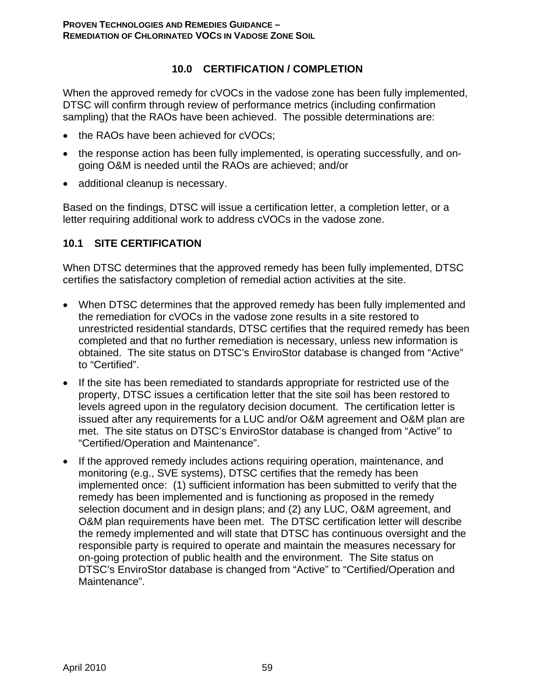### **10.0 CERTIFICATION / COMPLETION**

When the approved remedy for cVOCs in the vadose zone has been fully implemented, DTSC will confirm through review of performance metrics (including confirmation sampling) that the RAOs have been achieved. The possible determinations are:

- the RAOs have been achieved for cVOCs:
- the response action has been fully implemented, is operating successfully, and ongoing O&M is needed until the RAOs are achieved; and/or
- additional cleanup is necessary.

Based on the findings, DTSC will issue a certification letter, a completion letter, or a letter requiring additional work to address cVOCs in the vadose zone.

### **10.1 SITE CERTIFICATION**

When DTSC determines that the approved remedy has been fully implemented, DTSC certifies the satisfactory completion of remedial action activities at the site.

- When DTSC determines that the approved remedy has been fully implemented and the remediation for cVOCs in the vadose zone results in a site restored to unrestricted residential standards, DTSC certifies that the required remedy has been completed and that no further remediation is necessary, unless new information is obtained. The site status on DTSC's EnviroStor database is changed from "Active" to "Certified".
- If the site has been remediated to standards appropriate for restricted use of the property, DTSC issues a certification letter that the site soil has been restored to levels agreed upon in the regulatory decision document. The certification letter is issued after any requirements for a LUC and/or O&M agreement and O&M plan are met. The site status on DTSC's EnviroStor database is changed from "Active" to "Certified/Operation and Maintenance".
- If the approved remedy includes actions requiring operation, maintenance, and monitoring (e.g., SVE systems), DTSC certifies that the remedy has been implemented once: (1) sufficient information has been submitted to verify that the remedy has been implemented and is functioning as proposed in the remedy selection document and in design plans; and (2) any LUC, O&M agreement, and O&M plan requirements have been met. The DTSC certification letter will describe the remedy implemented and will state that DTSC has continuous oversight and the responsible party is required to operate and maintain the measures necessary for on-going protection of public health and the environment. The Site status on DTSC's EnviroStor database is changed from "Active" to "Certified/Operation and Maintenance".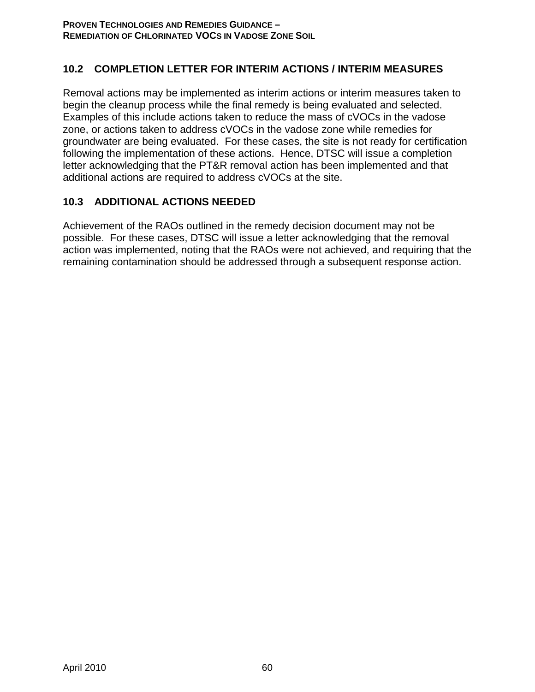### **10.2 COMPLETION LETTER FOR INTERIM ACTIONS / INTERIM MEASURES**

Removal actions may be implemented as interim actions or interim measures taken to begin the cleanup process while the final remedy is being evaluated and selected. Examples of this include actions taken to reduce the mass of cVOCs in the vadose zone, or actions taken to address cVOCs in the vadose zone while remedies for groundwater are being evaluated. For these cases, the site is not ready for certification following the implementation of these actions. Hence, DTSC will issue a completion letter acknowledging that the PT&R removal action has been implemented and that additional actions are required to address cVOCs at the site.

### **10.3 ADDITIONAL ACTIONS NEEDED**

Achievement of the RAOs outlined in the remedy decision document may not be possible. For these cases, DTSC will issue a letter acknowledging that the removal action was implemented, noting that the RAOs were not achieved, and requiring that the remaining contamination should be addressed through a subsequent response action.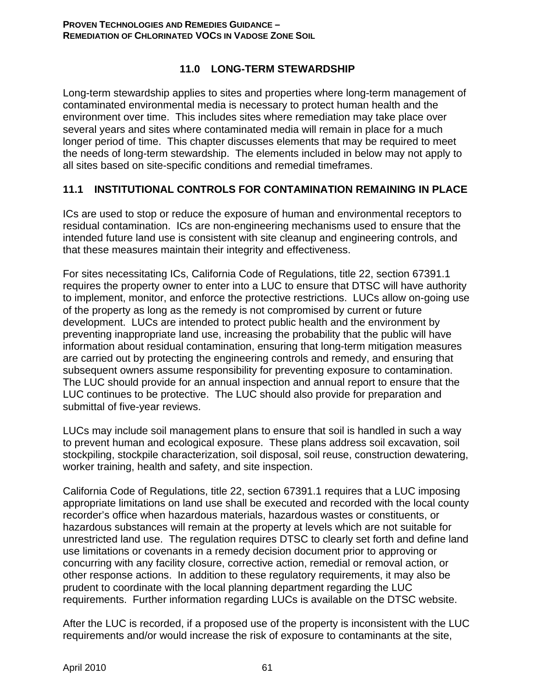### **11.0 LONG-TERM STEWARDSHIP**

Long-term stewardship applies to sites and properties where long-term management of contaminated environmental media is necessary to protect human health and the environment over time. This includes sites where remediation may take place over several years and sites where contaminated media will remain in place for a much longer period of time. This chapter discusses elements that may be required to meet the needs of long-term stewardship. The elements included in below may not apply to all sites based on site-specific conditions and remedial timeframes.

### **11.1 INSTITUTIONAL CONTROLS FOR CONTAMINATION REMAINING IN PLACE**

ICs are used to stop or reduce the exposure of human and environmental receptors to residual contamination. ICs are non-engineering mechanisms used to ensure that the intended future land use is consistent with site cleanup and engineering controls, and that these measures maintain their integrity and effectiveness.

For sites necessitating ICs, California Code of Regulations, title 22, section 67391.1 requires the property owner to enter into a LUC to ensure that DTSC will have authority to implement, monitor, and enforce the protective restrictions. LUCs allow on-going use of the property as long as the remedy is not compromised by current or future development. LUCs are intended to protect public health and the environment by preventing inappropriate land use, increasing the probability that the public will have information about residual contamination, ensuring that long-term mitigation measures are carried out by protecting the engineering controls and remedy, and ensuring that subsequent owners assume responsibility for preventing exposure to contamination. The LUC should provide for an annual inspection and annual report to ensure that the LUC continues to be protective. The LUC should also provide for preparation and submittal of five-year reviews.

LUCs may include soil management plans to ensure that soil is handled in such a way to prevent human and ecological exposure. These plans address soil excavation, soil stockpiling, stockpile characterization, soil disposal, soil reuse, construction dewatering, worker training, health and safety, and site inspection.

California Code of Regulations, title 22, section 67391.1 requires that a LUC imposing appropriate limitations on land use shall be executed and recorded with the local county recorder's office when hazardous materials, hazardous wastes or constituents, or hazardous substances will remain at the property at levels which are not suitable for unrestricted land use. The regulation requires DTSC to clearly set forth and define land use limitations or covenants in a remedy decision document prior to approving or concurring with any facility closure, corrective action, remedial or removal action, or other response actions. In addition to these regulatory requirements, it may also be prudent to coordinate with the local planning department regarding the LUC requirements. Further information regarding LUCs is available on the DTSC website.

After the LUC is recorded, if a proposed use of the property is inconsistent with the LUC requirements and/or would increase the risk of exposure to contaminants at the site,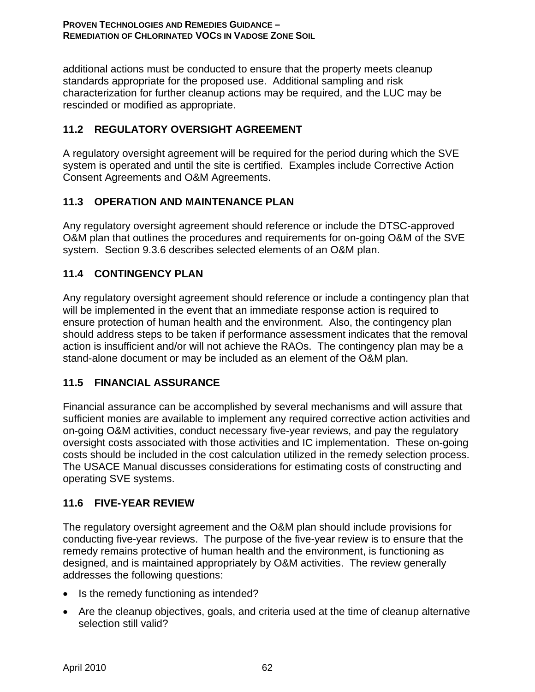additional actions must be conducted to ensure that the property meets cleanup standards appropriate for the proposed use. Additional sampling and risk characterization for further cleanup actions may be required, and the LUC may be rescinded or modified as appropriate.

### **11.2 REGULATORY OVERSIGHT AGREEMENT**

A regulatory oversight agreement will be required for the period during which the SVE system is operated and until the site is certified. Examples include Corrective Action Consent Agreements and O&M Agreements.

### **11.3 OPERATION AND MAINTENANCE PLAN**

Any regulatory oversight agreement should reference or include the DTSC-approved O&M plan that outlines the procedures and requirements for on-going O&M of the SVE system. Section 9.3.6 describes selected elements of an O&M plan.

### **11.4 CONTINGENCY PLAN**

Any regulatory oversight agreement should reference or include a contingency plan that will be implemented in the event that an immediate response action is required to ensure protection of human health and the environment. Also, the contingency plan should address steps to be taken if performance assessment indicates that the removal action is insufficient and/or will not achieve the RAOs. The contingency plan may be a stand-alone document or may be included as an element of the O&M plan.

### **11.5 FINANCIAL ASSURANCE**

Financial assurance can be accomplished by several mechanisms and will assure that sufficient monies are available to implement any required corrective action activities and on-going O&M activities, conduct necessary five-year reviews, and pay the regulatory oversight costs associated with those activities and IC implementation. These on-going costs should be included in the cost calculation utilized in the remedy selection process. The USACE Manual discusses considerations for estimating costs of constructing and operating SVE systems.

### **11.6 FIVE-YEAR REVIEW**

The regulatory oversight agreement and the O&M plan should include provisions for conducting five-year reviews. The purpose of the five-year review is to ensure that the remedy remains protective of human health and the environment, is functioning as designed, and is maintained appropriately by O&M activities. The review generally addresses the following questions:

- Is the remedy functioning as intended?
- Are the cleanup objectives, goals, and criteria used at the time of cleanup alternative selection still valid?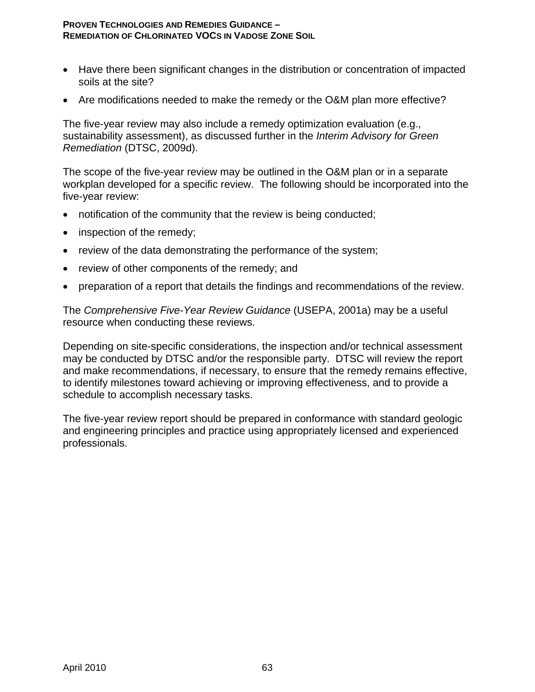- Have there been significant changes in the distribution or concentration of impacted soils at the site?
- Are modifications needed to make the remedy or the O&M plan more effective?

The five-year review may also include a remedy optimization evaluation (e.g., sustainability assessment), as discussed further in the *Interim Advisory for Green Remediation* (DTSC, 2009d).

The scope of the five-year review may be outlined in the O&M plan or in a separate workplan developed for a specific review. The following should be incorporated into the five-year review:

- notification of the community that the review is being conducted;
- inspection of the remedy;
- review of the data demonstrating the performance of the system;
- review of other components of the remedy; and
- preparation of a report that details the findings and recommendations of the review.

The *Comprehensive Five-Year Review Guidance* (USEPA, 2001a) may be a useful resource when conducting these reviews.

Depending on site-specific considerations, the inspection and/or technical assessment may be conducted by DTSC and/or the responsible party. DTSC will review the report and make recommendations, if necessary, to ensure that the remedy remains effective, to identify milestones toward achieving or improving effectiveness, and to provide a schedule to accomplish necessary tasks.

The five-year review report should be prepared in conformance with standard geologic and engineering principles and practice using appropriately licensed and experienced professionals.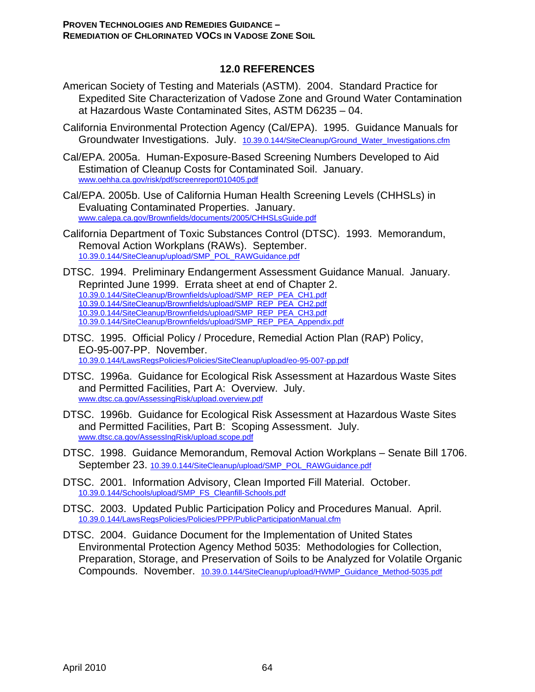### **12.0 REFERENCES**

- American Society of Testing and Materials (ASTM). 2004. Standard Practice for Expedited Site Characterization of Vadose Zone and Ground Water Contamination at Hazardous Waste Contaminated Sites, ASTM D6235 – 04.
- California Environmental Protection Agency (Cal/EPA). 1995. Guidance Manuals for Groundwater Investigations. July. 10.39.0.144/SiteCleanup/Ground\_Water\_Investigations.cfm
- Cal/EPA. 2005a. Human-Exposure-Based Screening Numbers Developed to Aid Estimation of Cleanup Costs for Contaminated Soil. January. www.oehha.ca.gov/risk/pdf/screenreport010405.pdf
- Cal/EPA. 2005b. Use of California Human Health Screening Levels (CHHSLs) in Evaluating Contaminated Properties. January. www.calepa.ca.gov/Brownfields/documents/2005/CHHSLsGuide.pdf
- California Department of Toxic Substances Control (DTSC). 1993. Memorandum, Removal Action Workplans (RAWs). September. 10.39.0.144/SiteCleanup/upload/SMP\_POL\_RAWGuidance.pdf
- DTSC. 1994. Preliminary Endangerment Assessment Guidance Manual. January. Reprinted June 1999. Errata sheet at end of Chapter 2. 10.39.0.144/SiteCleanup/Brownfields/upload/SMP\_REP\_PEA\_CH1.pdf 10.39.0.144/SiteCleanup/Brownfields/upload/SMP\_REP\_PEA\_CH2.pdf 10.39.0.144/SiteCleanup/Brownfields/upload/SMP\_REP\_PEA\_CH3.pdf 10.39.0.144/SiteCleanup/Brownfields/upload/SMP\_REP\_PEA\_Appendix.pdf
- DTSC. 1995. Official Policy / Procedure, Remedial Action Plan (RAP) Policy, EO-95-007-PP. November. 10.39.0.144/LawsRegsPolicies/Policies/SiteCleanup/upload/eo-95-007-pp.pdf
- DTSC. 1996a. Guidance for Ecological Risk Assessment at Hazardous Waste Sites and Permitted Facilities, Part A: Overview. July. www.dtsc.ca.gov/AssessingRisk/upload.overview.pdf
- DTSC. 1996b. Guidance for Ecological Risk Assessment at Hazardous Waste Sites and Permitted Facilities, Part B: Scoping Assessment. July. www.dtsc.ca.gov/AssessIngRisk/upload.scope.pdf
- DTSC. 1998. Guidance Memorandum, Removal Action Workplans Senate Bill 1706. September 23. 10.39.0.144/SiteCleanup/upload/SMP\_POL\_RAWGuidance.pdf
- DTSC. 2001. Information Advisory, Clean Imported Fill Material. October. 10.39.0.144/Schools/upload/SMP\_FS\_Cleanfill-Schools.pdf
- DTSC. 2003. Updated Public Participation Policy and Procedures Manual. April. 10.39.0.144/LawsRegsPolicies/Policies/PPP/PublicParticipationManual.cfm
- DTSC. 2004. Guidance Document for the Implementation of United States Environmental Protection Agency Method 5035: Methodologies for Collection, Preparation, Storage, and Preservation of Soils to be Analyzed for Volatile Organic Compounds. November. 10.39.0.144/SiteCleanup/upload/HWMP\_Guidance\_Method-5035.pdf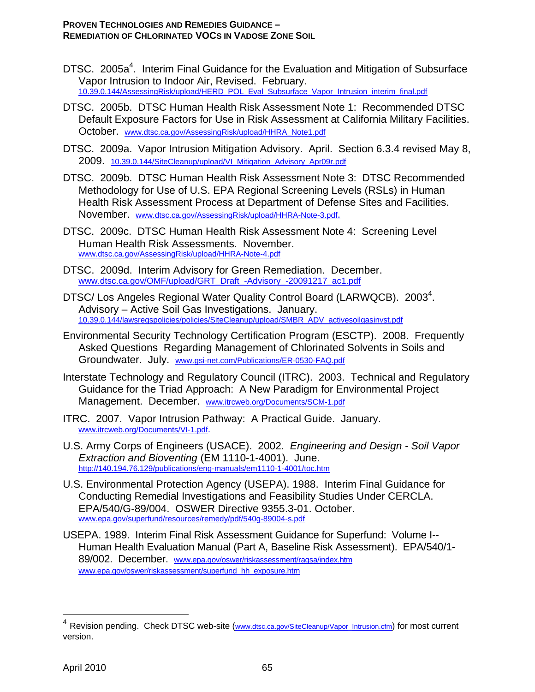- DTSC. 2005a<sup>4</sup>. Interim Final Guidance for the Evaluation and Mitigation of Subsurface Vapor Intrusion to Indoor Air, Revised. February. 10.39.0.144/AssessingRisk/upload/HERD\_POL\_Eval\_Subsurface\_Vapor\_Intrusion\_interim\_final.pdf
- DTSC. 2005b. DTSC Human Health Risk Assessment Note 1: Recommended DTSC Default Exposure Factors for Use in Risk Assessment at California Military Facilities. October. www.dtsc.ca.gov/AssessingRisk/upload/HHRA\_Note1.pdf
- DTSC. 2009a. Vapor Intrusion Mitigation Advisory. April. Section 6.3.4 revised May 8, 2009. 10.39.0.144/SiteCleanup/upload/VI\_Mitigation\_Advisory\_Apr09r.pdf
- DTSC. 2009b. DTSC Human Health Risk Assessment Note 3: DTSC Recommended Methodology for Use of U.S. EPA Regional Screening Levels (RSLs) in Human Health Risk Assessment Process at Department of Defense Sites and Facilities. November. www.dtsc.ca.gov/AssessingRisk/upload/HHRA-Note-3.pdf.
- DTSC. 2009c. DTSC Human Health Risk Assessment Note 4: Screening Level Human Health Risk Assessments. November. www.dtsc.ca.gov/AssessingRisk/upload/HHRA-Note-4.pdf
- DTSC. 2009d. Interim Advisory for Green Remediation. December. www.dtsc.ca.gov/OMF/upload/GRT\_Draft\_-Advisory\_-20091217\_ac1.pdf
- DTSC/ Los Angeles Regional Water Quality Control Board (LARWQCB). 2003<sup>4</sup>. Advisory – Active Soil Gas Investigations. January. 10.39.0.144/lawsregspolicies/policies/SiteCleanup/upload/SMBR\_ADV\_activesoilgasinvst.pdf
- Environmental Security Technology Certification Program (ESCTP). 2008. Frequently Asked Questions Regarding Management of Chlorinated Solvents in Soils and Groundwater. July. www.gsi-net.com/Publications/ER-0530-FAQ.pdf
- Interstate Technology and Regulatory Council (ITRC). 2003. Technical and Regulatory Guidance for the Triad Approach: A New Paradigm for Environmental Project Management. December. www.itrcweb.org/Documents/SCM-1.pdf
- ITRC. 2007. Vapor Intrusion Pathway: A Practical Guide. January. www.itrcweb.org/Documents/VI-1.pdf.
- U.S. Army Corps of Engineers (USACE). 2002. *Engineering and Design Soil Vapor Extraction and Bioventing* (EM 1110-1-4001). June. http://140.194.76.129/publications/eng-manuals/em1110-1-4001/toc.htm
- U.S. Environmental Protection Agency (USEPA). 1988. Interim Final Guidance for Conducting Remedial Investigations and Feasibility Studies Under CERCLA. EPA/540/G-89/004. OSWER Directive 9355.3-01. October. www.epa.gov/superfund/resources/remedy/pdf/540g-89004-s.pdf
- USEPA. 1989. Interim Final Risk Assessment Guidance for Superfund: Volume I-- Human Health Evaluation Manual (Part A, Baseline Risk Assessment). EPA/540/1- 89/002. December. www.epa.gov/oswer/riskassessment/ragsa/index.htm www.epa.gov/oswer/riskassessment/superfund\_hh\_exposure.htm

1

<sup>&</sup>lt;sup>4</sup> Revision pending. Check DTSC web-site (www.dtsc.ca.gov/SiteCleanup/Vapor\_Intrusion.cfm) for most current version.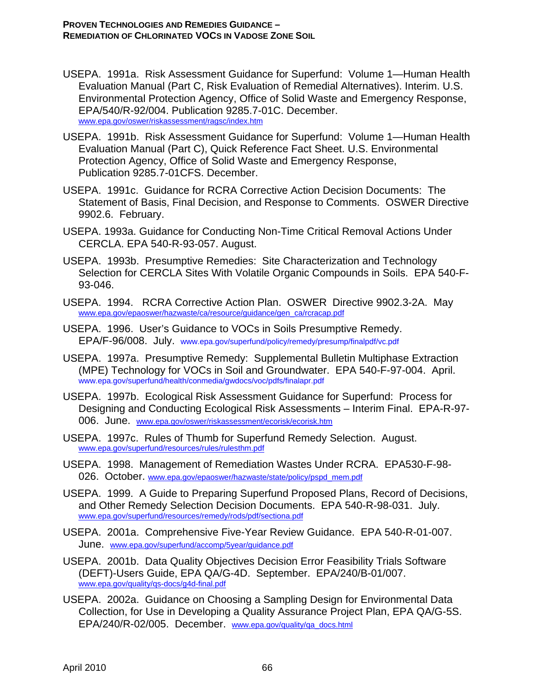- USEPA. 1991a. Risk Assessment Guidance for Superfund: Volume 1—Human Health Evaluation Manual (Part C, Risk Evaluation of Remedial Alternatives). Interim. U.S. Environmental Protection Agency, Office of Solid Waste and Emergency Response, EPA/540/R-92/004. Publication 9285.7-01C. December. www.epa.gov/oswer/riskassessment/ragsc/index.htm
- USEPA. 1991b. Risk Assessment Guidance for Superfund: Volume 1—Human Health Evaluation Manual (Part C), Quick Reference Fact Sheet. U.S. Environmental Protection Agency, Office of Solid Waste and Emergency Response, Publication 9285.7-01CFS. December.
- USEPA. 1991c. Guidance for RCRA Corrective Action Decision Documents: The Statement of Basis, Final Decision, and Response to Comments. OSWER Directive 9902.6. February.
- USEPA. 1993a. Guidance for Conducting Non-Time Critical Removal Actions Under CERCLA. EPA 540-R-93-057. August.
- USEPA. 1993b. Presumptive Remedies: Site Characterization and Technology Selection for CERCLA Sites With Volatile Organic Compounds in Soils. EPA 540-F-93-046.
- USEPA. 1994. RCRA Corrective Action Plan. OSWER Directive 9902.3-2A. May www.epa.gov/epaoswer/hazwaste/ca/resource/guidance/gen\_ca/rcracap.pdf
- USEPA. 1996. User's Guidance to VOCs in Soils Presumptive Remedy. EPA/F-96/008. July. www.epa.gov/superfund/policy/remedy/presump/finalpdf/vc.pdf
- USEPA. 1997a. Presumptive Remedy: Supplemental Bulletin Multiphase Extraction (MPE) Technology for VOCs in Soil and Groundwater. EPA 540-F-97-004. April. www.epa.gov/superfund/health/conmedia/gwdocs/voc/pdfs/finalapr.pdf
- USEPA. 1997b. Ecological Risk Assessment Guidance for Superfund: Process for Designing and Conducting Ecological Risk Assessments – Interim Final. EPA-R-97- 006. June. www.epa.gov/oswer/riskassessment/ecorisk/ecorisk.htm
- USEPA. 1997c. Rules of Thumb for Superfund Remedy Selection. August. www.epa.gov/superfund/resources/rules/rulesthm.pdf
- USEPA. 1998. Management of Remediation Wastes Under RCRA. EPA530-F-98- 026. October. www.epa.gov/epaoswer/hazwaste/state/policy/pspd\_mem.pdf
- USEPA. 1999. A Guide to Preparing Superfund Proposed Plans, Record of Decisions, and Other Remedy Selection Decision Documents. EPA 540-R-98-031. July. www.epa.gov/superfund/resources/remedy/rods/pdf/sectiona.pdf
- USEPA. 2001a. Comprehensive Five-Year Review Guidance. EPA 540-R-01-007. June. www.epa.gov/superfund/accomp/5year/guidance.pdf
- USEPA. 2001b. Data Quality Objectives Decision Error Feasibility Trials Software (DEFT)-Users Guide, EPA QA/G-4D. September. EPA/240/B-01/007. www.epa.gov/quality/qs-docs/g4d-final.pdf
- USEPA. 2002a. Guidance on Choosing a Sampling Design for Environmental Data Collection, for Use in Developing a Quality Assurance Project Plan, EPA QA/G-5S. EPA/240/R-02/005. December. www.epa.gov/quality/qa\_docs.html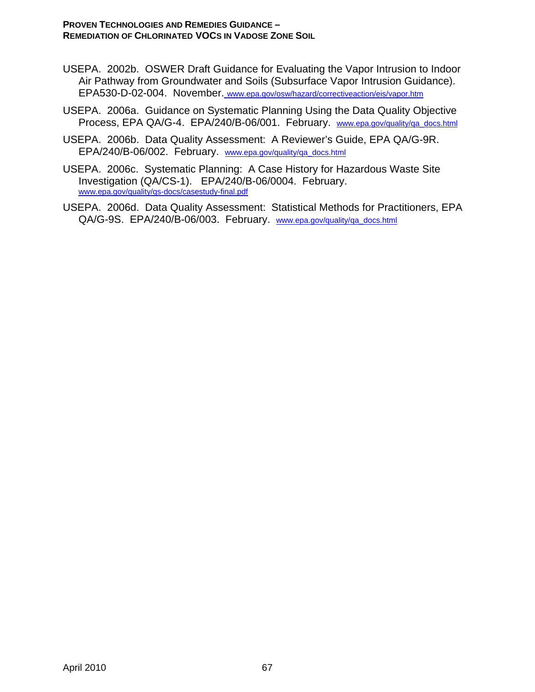- USEPA. 2002b. OSWER Draft Guidance for Evaluating the Vapor Intrusion to Indoor Air Pathway from Groundwater and Soils (Subsurface Vapor Intrusion Guidance). EPA530-D-02-004. November. www.epa.gov/osw/hazard/correctiveaction/eis/vapor.htm
- USEPA. 2006a. Guidance on Systematic Planning Using the Data Quality Objective Process, EPA QA/G-4. EPA/240/B-06/001. February. www.epa.gov/quality/qa\_docs.html
- USEPA. 2006b. Data Quality Assessment: A Reviewer's Guide, EPA QA/G-9R. EPA/240/B-06/002. February. www.epa.gov/quality/qa\_docs.html
- USEPA. 2006c. Systematic Planning: A Case History for Hazardous Waste Site Investigation (QA/CS-1). EPA/240/B-06/0004. February. www.epa.gov/quality/qs-docs/casestudy-final.pdf
- USEPA. 2006d. Data Quality Assessment: Statistical Methods for Practitioners, EPA QA/G-9S. EPA/240/B-06/003. February. www.epa.gov/quality/qa\_docs.html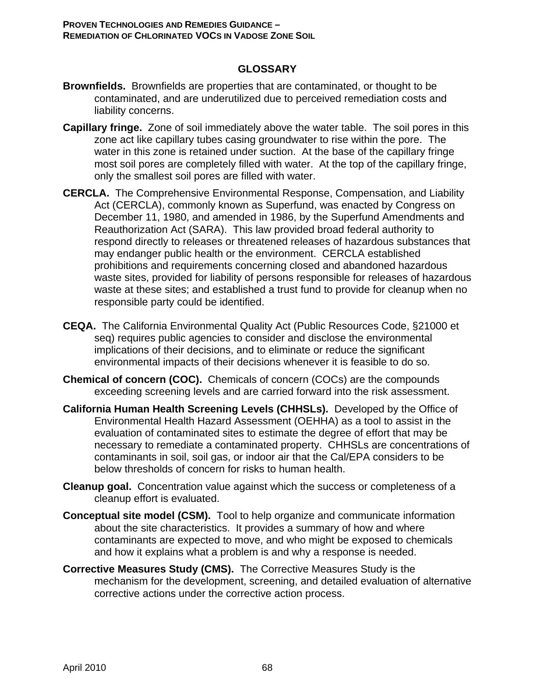### **GLOSSARY**

- **Brownfields.** Brownfields are properties that are contaminated, or thought to be contaminated, and are underutilized due to perceived remediation costs and liability concerns.
- **Capillary fringe.** Zone of soil immediately above the water table. The soil pores in this zone act like capillary tubes casing groundwater to rise within the pore. The water in this zone is retained under suction. At the base of the capillary fringe most soil pores are completely filled with water. At the top of the capillary fringe, only the smallest soil pores are filled with water.
- **CERCLA.** The Comprehensive Environmental Response, Compensation, and Liability Act (CERCLA), commonly known as Superfund, was enacted by Congress on December 11, 1980, and amended in 1986, by the Superfund Amendments and Reauthorization Act (SARA). This law provided broad federal authority to respond directly to releases or threatened releases of hazardous substances that may endanger public health or the environment. CERCLA established prohibitions and requirements concerning closed and abandoned hazardous waste sites, provided for liability of persons responsible for releases of hazardous waste at these sites; and established a trust fund to provide for cleanup when no responsible party could be identified.
- **CEQA.** The California Environmental Quality Act (Public Resources Code, §21000 et seq) requires public agencies to consider and disclose the environmental implications of their decisions, and to eliminate or reduce the significant environmental impacts of their decisions whenever it is feasible to do so.
- **Chemical of concern (COC).** Chemicals of concern (COCs) are the compounds exceeding screening levels and are carried forward into the risk assessment.
- **California Human Health Screening Levels (CHHSLs).** Developed by the Office of Environmental Health Hazard Assessment (OEHHA) as a tool to assist in the evaluation of contaminated sites to estimate the degree of effort that may be necessary to remediate a contaminated property. CHHSLs are concentrations of contaminants in soil, soil gas, or indoor air that the Cal/EPA considers to be below thresholds of concern for risks to human health.
- **Cleanup goal.** Concentration value against which the success or completeness of a cleanup effort is evaluated.
- **Conceptual site model (CSM).** Tool to help organize and communicate information about the site characteristics. It provides a summary of how and where contaminants are expected to move, and who might be exposed to chemicals and how it explains what a problem is and why a response is needed.
- **Corrective Measures Study (CMS).** The Corrective Measures Study is the mechanism for the development, screening, and detailed evaluation of alternative corrective actions under the corrective action process.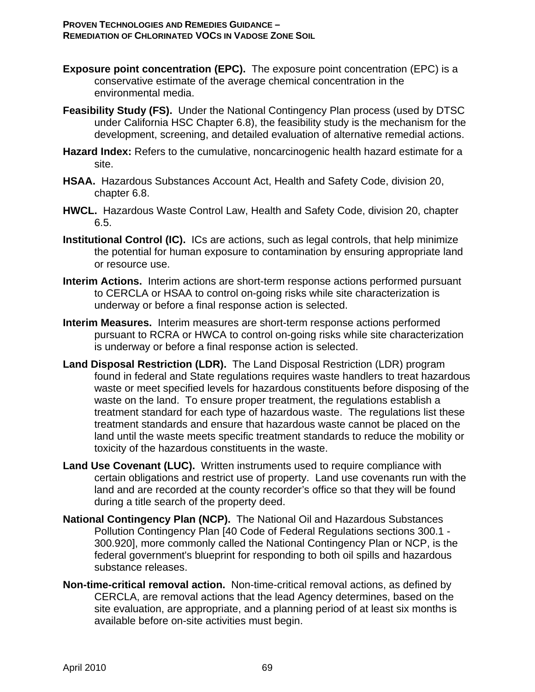- **Exposure point concentration (EPC).** The exposure point concentration (EPC) is a conservative estimate of the average chemical concentration in the environmental media.
- **Feasibility Study (FS).** Under the National Contingency Plan process (used by DTSC under California HSC Chapter 6.8), the feasibility study is the mechanism for the development, screening, and detailed evaluation of alternative remedial actions.
- **Hazard Index:** Refers to the cumulative, noncarcinogenic health hazard estimate for a site.
- **HSAA.** Hazardous Substances Account Act, Health and Safety Code, division 20, chapter 6.8.
- **HWCL.** Hazardous Waste Control Law, Health and Safety Code, division 20, chapter 6.5.
- **Institutional Control (IC).** ICs are actions, such as legal controls, that help minimize the potential for human exposure to contamination by ensuring appropriate land or resource use.
- **Interim Actions.** Interim actions are short-term response actions performed pursuant to CERCLA or HSAA to control on-going risks while site characterization is underway or before a final response action is selected.
- **Interim Measures.** Interim measures are short-term response actions performed pursuant to RCRA or HWCA to control on-going risks while site characterization is underway or before a final response action is selected.
- **Land Disposal Restriction (LDR).** The Land Disposal Restriction (LDR) program found in federal and State regulations requires waste handlers to treat hazardous waste or meet specified levels for hazardous constituents before disposing of the waste on the land. To ensure proper treatment, the regulations establish a treatment standard for each type of hazardous waste. The regulations list these treatment standards and ensure that hazardous waste cannot be placed on the land until the waste meets specific treatment standards to reduce the mobility or toxicity of the hazardous constituents in the waste.
- **Land Use Covenant (LUC).** Written instruments used to require compliance with certain obligations and restrict use of property. Land use covenants run with the land and are recorded at the county recorder's office so that they will be found during a title search of the property deed.
- **National Contingency Plan (NCP).** The National Oil and Hazardous Substances Pollution Contingency Plan [40 Code of Federal Regulations sections 300.1 - 300.920], more commonly called the National Contingency Plan or NCP, is the federal government's blueprint for responding to both oil spills and hazardous substance releases.
- **Non-time-critical removal action.** Non-time-critical removal actions, as defined by CERCLA, are removal actions that the lead Agency determines, based on the site evaluation, are appropriate, and a planning period of at least six months is available before on-site activities must begin.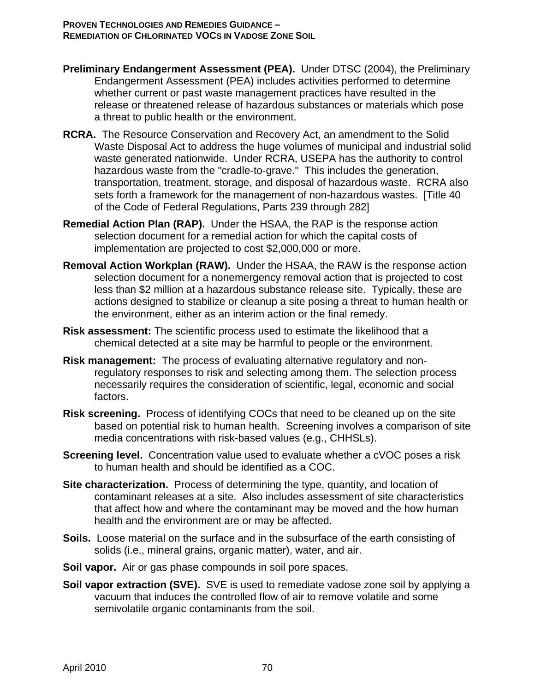- **Preliminary Endangerment Assessment (PEA).** Under DTSC (2004), the Preliminary Endangerment Assessment (PEA) includes activities performed to determine whether current or past waste management practices have resulted in the release or threatened release of hazardous substances or materials which pose a threat to public health or the environment.
- **RCRA.** The Resource Conservation and Recovery Act, an amendment to the Solid Waste Disposal Act to address the huge volumes of municipal and industrial solid waste generated nationwide. Under RCRA, USEPA has the authority to control hazardous waste from the "cradle-to-grave." This includes the generation, transportation, treatment, storage, and disposal of hazardous waste. RCRA also sets forth a framework for the management of non-hazardous wastes. [Title 40 of the Code of Federal Regulations, Parts 239 through 282]
- **Remedial Action Plan (RAP).** Under the HSAA, the RAP is the response action selection document for a remedial action for which the capital costs of implementation are projected to cost \$2,000,000 or more.
- **Removal Action Workplan (RAW).** Under the HSAA, the RAW is the response action selection document for a nonemergency removal action that is projected to cost less than \$2 million at a hazardous substance release site. Typically, these are actions designed to stabilize or cleanup a site posing a threat to human health or the environment, either as an interim action or the final remedy.
- **Risk assessment:** The scientific process used to estimate the likelihood that a chemical detected at a site may be harmful to people or the environment.
- **Risk management:** The process of evaluating alternative regulatory and nonregulatory responses to risk and selecting among them. The selection process necessarily requires the consideration of scientific, legal, economic and social factors.
- **Risk screening.** Process of identifying COCs that need to be cleaned up on the site based on potential risk to human health. Screening involves a comparison of site media concentrations with risk-based values (e.g., CHHSLs).
- **Screening level.** Concentration value used to evaluate whether a cVOC poses a risk to human health and should be identified as a COC.
- **Site characterization.** Process of determining the type, quantity, and location of contaminant releases at a site. Also includes assessment of site characteristics that affect how and where the contaminant may be moved and the how human health and the environment are or may be affected.
- **Soils.** Loose material on the surface and in the subsurface of the earth consisting of solids (i.e., mineral grains, organic matter), water, and air.
- **Soil vapor.** Air or gas phase compounds in soil pore spaces.
- **Soil vapor extraction (SVE).** SVE is used to remediate vadose zone soil by applying a vacuum that induces the controlled flow of air to remove volatile and some semivolatile organic contaminants from the soil.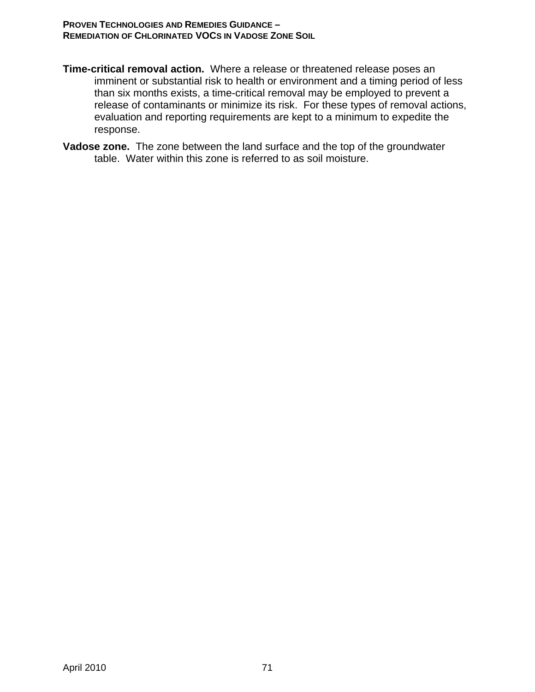- **Time-critical removal action.** Where a release or threatened release poses an imminent or substantial risk to health or environment and a timing period of less than six months exists, a time-critical removal may be employed to prevent a release of contaminants or minimize its risk. For these types of removal actions, evaluation and reporting requirements are kept to a minimum to expedite the response.
- **Vadose zone.** The zone between the land surface and the top of the groundwater table. Water within this zone is referred to as soil moisture.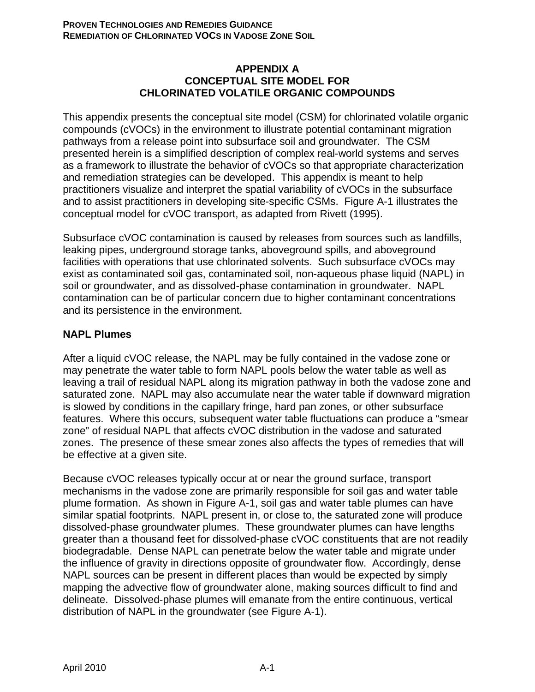### **APPENDIX A CONCEPTUAL SITE MODEL FOR CHLORINATED VOLATILE ORGANIC COMPOUNDS**

This appendix presents the conceptual site model (CSM) for chlorinated volatile organic compounds (cVOCs) in the environment to illustrate potential contaminant migration pathways from a release point into subsurface soil and groundwater. The CSM presented herein is a simplified description of complex real-world systems and serves as a framework to illustrate the behavior of cVOCs so that appropriate characterization and remediation strategies can be developed. This appendix is meant to help practitioners visualize and interpret the spatial variability of cVOCs in the subsurface and to assist practitioners in developing site-specific CSMs. Figure A-1 illustrates the conceptual model for cVOC transport, as adapted from Rivett (1995).

Subsurface cVOC contamination is caused by releases from sources such as landfills, leaking pipes, underground storage tanks, aboveground spills, and aboveground facilities with operations that use chlorinated solvents. Such subsurface cVOCs may exist as contaminated soil gas, contaminated soil, non-aqueous phase liquid (NAPL) in soil or groundwater, and as dissolved-phase contamination in groundwater. NAPL contamination can be of particular concern due to higher contaminant concentrations and its persistence in the environment.

### **NAPL Plumes**

After a liquid cVOC release, the NAPL may be fully contained in the vadose zone or may penetrate the water table to form NAPL pools below the water table as well as leaving a trail of residual NAPL along its migration pathway in both the vadose zone and saturated zone. NAPL may also accumulate near the water table if downward migration is slowed by conditions in the capillary fringe, hard pan zones, or other subsurface features. Where this occurs, subsequent water table fluctuations can produce a "smear zone" of residual NAPL that affects cVOC distribution in the vadose and saturated zones. The presence of these smear zones also affects the types of remedies that will be effective at a given site.

Because cVOC releases typically occur at or near the ground surface, transport mechanisms in the vadose zone are primarily responsible for soil gas and water table plume formation. As shown in Figure A-1, soil gas and water table plumes can have similar spatial footprints. NAPL present in, or close to, the saturated zone will produce dissolved-phase groundwater plumes. These groundwater plumes can have lengths greater than a thousand feet for dissolved-phase cVOC constituents that are not readily biodegradable. Dense NAPL can penetrate below the water table and migrate under the influence of gravity in directions opposite of groundwater flow. Accordingly, dense NAPL sources can be present in different places than would be expected by simply mapping the advective flow of groundwater alone, making sources difficult to find and delineate. Dissolved-phase plumes will emanate from the entire continuous, vertical distribution of NAPL in the groundwater (see Figure A-1).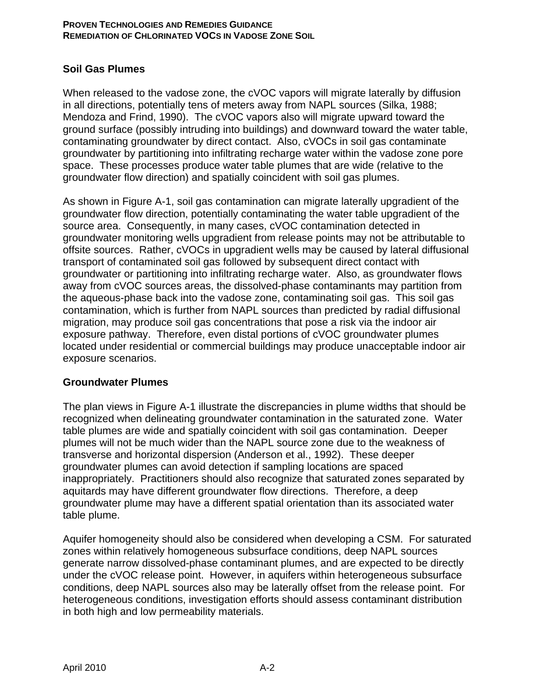### **Soil Gas Plumes**

When released to the vadose zone, the cVOC vapors will migrate laterally by diffusion in all directions, potentially tens of meters away from NAPL sources (Silka, 1988; Mendoza and Frind, 1990). The cVOC vapors also will migrate upward toward the ground surface (possibly intruding into buildings) and downward toward the water table, contaminating groundwater by direct contact. Also, cVOCs in soil gas contaminate groundwater by partitioning into infiltrating recharge water within the vadose zone pore space. These processes produce water table plumes that are wide (relative to the groundwater flow direction) and spatially coincident with soil gas plumes.

As shown in Figure A-1, soil gas contamination can migrate laterally upgradient of the groundwater flow direction, potentially contaminating the water table upgradient of the source area. Consequently, in many cases, cVOC contamination detected in groundwater monitoring wells upgradient from release points may not be attributable to offsite sources. Rather, cVOCs in upgradient wells may be caused by lateral diffusional transport of contaminated soil gas followed by subsequent direct contact with groundwater or partitioning into infiltrating recharge water. Also, as groundwater flows away from cVOC sources areas, the dissolved-phase contaminants may partition from the aqueous-phase back into the vadose zone, contaminating soil gas. This soil gas contamination, which is further from NAPL sources than predicted by radial diffusional migration, may produce soil gas concentrations that pose a risk via the indoor air exposure pathway. Therefore, even distal portions of cVOC groundwater plumes located under residential or commercial buildings may produce unacceptable indoor air exposure scenarios.

### **Groundwater Plumes**

The plan views in Figure A-1 illustrate the discrepancies in plume widths that should be recognized when delineating groundwater contamination in the saturated zone. Water table plumes are wide and spatially coincident with soil gas contamination. Deeper plumes will not be much wider than the NAPL source zone due to the weakness of transverse and horizontal dispersion (Anderson et al., 1992). These deeper groundwater plumes can avoid detection if sampling locations are spaced inappropriately. Practitioners should also recognize that saturated zones separated by aquitards may have different groundwater flow directions. Therefore, a deep groundwater plume may have a different spatial orientation than its associated water table plume.

Aquifer homogeneity should also be considered when developing a CSM. For saturated zones within relatively homogeneous subsurface conditions, deep NAPL sources generate narrow dissolved-phase contaminant plumes, and are expected to be directly under the cVOC release point. However, in aquifers within heterogeneous subsurface conditions, deep NAPL sources also may be laterally offset from the release point. For heterogeneous conditions, investigation efforts should assess contaminant distribution in both high and low permeability materials.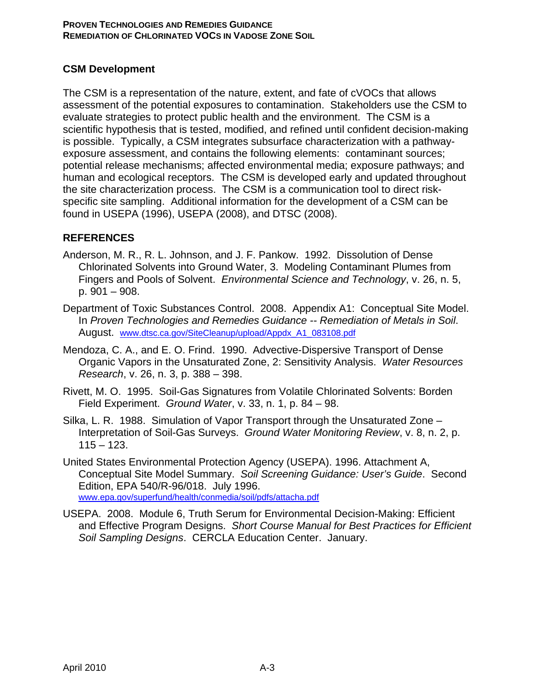### **CSM Development**

The CSM is a representation of the nature, extent, and fate of cVOCs that allows assessment of the potential exposures to contamination. Stakeholders use the CSM to evaluate strategies to protect public health and the environment. The CSM is a scientific hypothesis that is tested, modified, and refined until confident decision-making is possible. Typically, a CSM integrates subsurface characterization with a pathwayexposure assessment, and contains the following elements: contaminant sources; potential release mechanisms; affected environmental media; exposure pathways; and human and ecological receptors. The CSM is developed early and updated throughout the site characterization process. The CSM is a communication tool to direct riskspecific site sampling. Additional information for the development of a CSM can be found in USEPA (1996), USEPA (2008), and DTSC (2008).

### **REFERENCES**

- Anderson, M. R., R. L. Johnson, and J. F. Pankow. 1992. Dissolution of Dense Chlorinated Solvents into Ground Water, 3. Modeling Contaminant Plumes from Fingers and Pools of Solvent. *Environmental Science and Technology*, v. 26, n. 5, p. 901 – 908.
- Department of Toxic Substances Control. 2008. Appendix A1: Conceptual Site Model. In *Proven Technologies and Remedies Guidance -- Remediation of Metals in Soil*. August. www.dtsc.ca.gov/SiteCleanup/upload/Appdx\_A1\_083108.pdf
- Mendoza, C. A., and E. O. Frind. 1990. Advective-Dispersive Transport of Dense Organic Vapors in the Unsaturated Zone, 2: Sensitivity Analysis. *Water Resources Research*, v. 26, n. 3, p. 388 – 398.
- Rivett, M. O. 1995. Soil-Gas Signatures from Volatile Chlorinated Solvents: Borden Field Experiment. *Ground Water*, v. 33, n. 1, p. 84 – 98.
- Silka, L. R. 1988. Simulation of Vapor Transport through the Unsaturated Zone Interpretation of Soil-Gas Surveys. *Ground Water Monitoring Review*, v. 8, n. 2, p.  $115 - 123$ .
- United States Environmental Protection Agency (USEPA). 1996. Attachment A, Conceptual Site Model Summary. *Soil Screening Guidance: User's Guide*. Second Edition, EPA 540/R-96/018. July 1996. www.epa.gov/superfund/health/conmedia/soil/pdfs/attacha.pdf
- USEPA. 2008. Module 6, Truth Serum for Environmental Decision-Making: Efficient and Effective Program Designs. *Short Course Manual for Best Practices for Efficient Soil Sampling Designs*. CERCLA Education Center. January.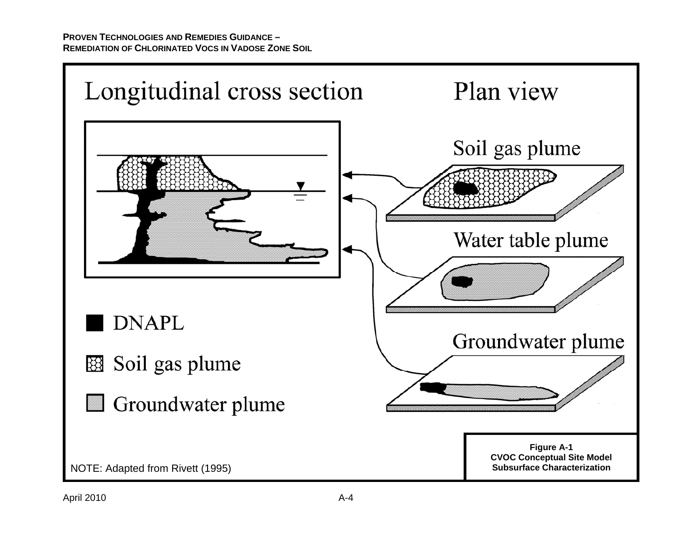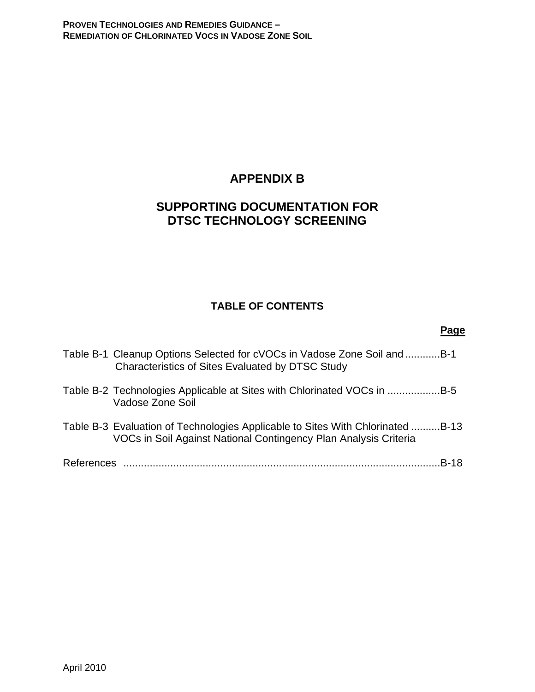# **APPENDIX B**

# **SUPPORTING DOCUMENTATION FOR DTSC TECHNOLOGY SCREENING**

### **TABLE OF CONTENTS**

|            |                                                                                                                                                    | Page        |
|------------|----------------------------------------------------------------------------------------------------------------------------------------------------|-------------|
|            | Table B-1 Cleanup Options Selected for cVOCs in Vadose Zone Soil and B-1<br>Characteristics of Sites Evaluated by DTSC Study                       |             |
|            | Table B-2 Technologies Applicable at Sites with Chlorinated VOCs in B-5<br>Vadose Zone Soil                                                        |             |
|            | Table B-3 Evaluation of Technologies Applicable to Sites With Chlorinated B-13<br>VOCs in Soil Against National Contingency Plan Analysis Criteria |             |
| References |                                                                                                                                                    | <b>B-18</b> |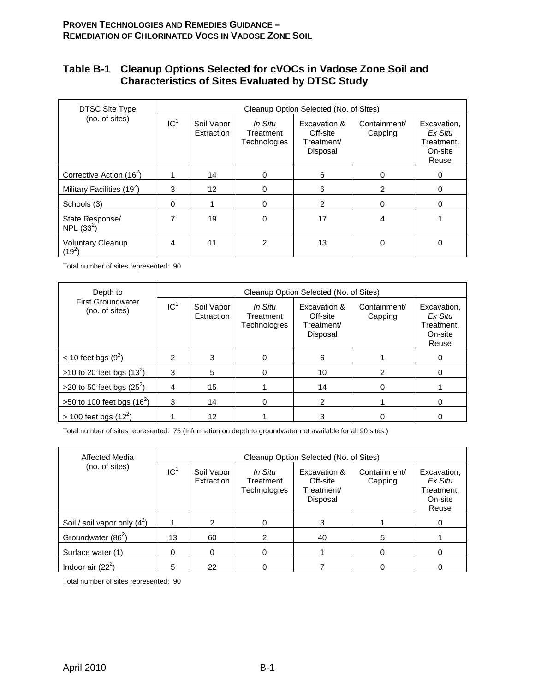### **Table B-1 Cleanup Options Selected for cVOCs in Vadose Zone Soil and Characteristics of Sites Evaluated by DTSC Study**

| <b>DTSC Site Type</b>                |                 | Cleanup Option Selected (No. of Sites) |                                      |                                                    |                         |                                                          |  |  |  |
|--------------------------------------|-----------------|----------------------------------------|--------------------------------------|----------------------------------------------------|-------------------------|----------------------------------------------------------|--|--|--|
| (no. of sites)                       | IC <sup>1</sup> | Soil Vapor<br>Extraction               | In Situ<br>Treatment<br>Technologies | Excavation &<br>Off-site<br>Treatment/<br>Disposal | Containment/<br>Capping | Excavation.<br>Ex Situ<br>Treatment,<br>On-site<br>Reuse |  |  |  |
| Corrective Action $(16^2)$           |                 | 14                                     | $\Omega$                             | 6                                                  | $\Omega$                | $\Omega$                                                 |  |  |  |
| Military Facilities $(19^2)$         | 3               | 12                                     | $\Omega$                             | 6                                                  | 2                       | $\Omega$                                                 |  |  |  |
| Schools (3)                          | $\Omega$        |                                        | $\Omega$                             | $\overline{2}$                                     | $\Omega$                | $\Omega$                                                 |  |  |  |
| State Response/<br>NPL $(33^2)$      | 7               | 19                                     | 0                                    | 17                                                 | 4                       |                                                          |  |  |  |
| <b>Voluntary Cleanup</b><br>$(19^2)$ | 4               | 11                                     | 2                                    | 13                                                 | 0                       |                                                          |  |  |  |

Total number of sites represented: 90

| Depth to                                   | Cleanup Option Selected (No. of Sites) |                          |                                      |                                                    |                         |                                                          |  |  |
|--------------------------------------------|----------------------------------------|--------------------------|--------------------------------------|----------------------------------------------------|-------------------------|----------------------------------------------------------|--|--|
| <b>First Groundwater</b><br>(no. of sites) | IC <sup>1</sup>                        | Soil Vapor<br>Extraction | In Situ<br>Treatment<br>Technologies | Excavation &<br>Off-site<br>Treatment/<br>Disposal | Containment/<br>Capping | Excavation.<br>Ex Situ<br>Treatment.<br>On-site<br>Reuse |  |  |
| $\leq$ 10 feet bgs (9 <sup>2</sup> )       | 2                                      | 3                        |                                      | 6                                                  |                         | Ω                                                        |  |  |
| >10 to 20 feet bgs $(13^2)$                | 3                                      | 5                        |                                      | 10                                                 | 2                       |                                                          |  |  |
| >20 to 50 feet bgs $(25^2)$                | 4                                      | 15                       |                                      | 14                                                 |                         |                                                          |  |  |
| $>50$ to 100 feet bgs (16 <sup>2</sup> )   | 3                                      | 14                       |                                      | 2                                                  |                         |                                                          |  |  |
| $> 100$ feet bgs (12 <sup>2</sup> )        |                                        | 12                       |                                      | 3                                                  |                         |                                                          |  |  |

Total number of sites represented: 75 (Information on depth to groundwater not available for all 90 sites.)

| Affected Media<br>(no. of sites) | Cleanup Option Selected (No. of Sites) |                          |                                      |                                                    |                         |                                                          |  |
|----------------------------------|----------------------------------------|--------------------------|--------------------------------------|----------------------------------------------------|-------------------------|----------------------------------------------------------|--|
|                                  | IC <sup>1</sup>                        | Soil Vapor<br>Extraction | In Situ<br>Treatment<br>Technologies | Excavation &<br>Off-site<br>Treatment/<br>Disposal | Containment/<br>Capping | Excavation,<br>Ex Situ<br>Treatment,<br>On-site<br>Reuse |  |
| Soil / soil vapor only $(4^2)$   |                                        | 2                        |                                      | 3                                                  |                         |                                                          |  |
| Groundwater (86 <sup>2</sup> )   | 13                                     | 60                       |                                      | 40                                                 | 5                       |                                                          |  |
| Surface water (1)                | 0                                      | 0                        | 0                                    |                                                    |                         | Ω                                                        |  |
| Indoor air $(22^2)$              | 5                                      | 22                       |                                      |                                                    |                         |                                                          |  |

Total number of sites represented: 90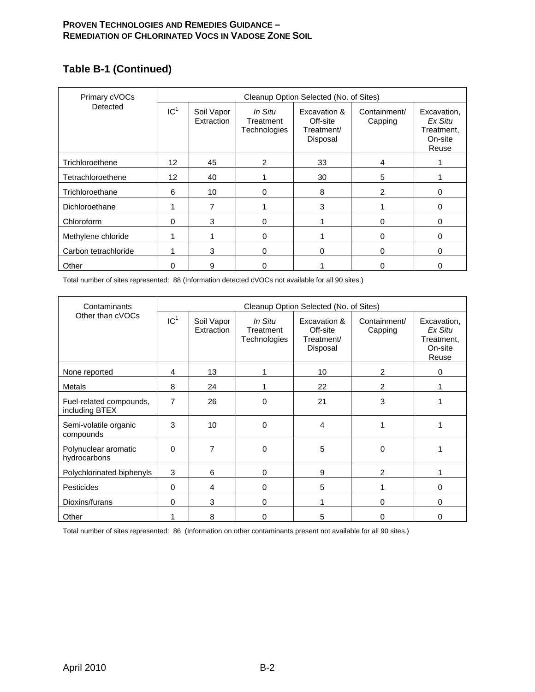# **Table B-1 (Continued)**

| Primary cVOCs        | Cleanup Option Selected (No. of Sites) |                          |                                      |                                                    |                         |                                                          |  |  |
|----------------------|----------------------------------------|--------------------------|--------------------------------------|----------------------------------------------------|-------------------------|----------------------------------------------------------|--|--|
| Detected             | IC <sup>1</sup>                        | Soil Vapor<br>Extraction | In Situ<br>Treatment<br>Technologies | Excavation &<br>Off-site<br>Treatment/<br>Disposal | Containment/<br>Capping | Excavation,<br>Ex Situ<br>Treatment,<br>On-site<br>Reuse |  |  |
| Trichloroethene      | 12 <sup>2</sup>                        | 45                       | $\overline{2}$                       | 33                                                 | 4                       |                                                          |  |  |
| Tetrachloroethene    | 12                                     | 40                       |                                      | 30                                                 | 5                       |                                                          |  |  |
| Trichloroethane      | 6                                      | 10                       | $\Omega$                             | 8                                                  | $\mathcal{P}$           | 0                                                        |  |  |
| Dichloroethane       |                                        | 7                        |                                      | 3                                                  |                         | 0                                                        |  |  |
| Chloroform           | 0                                      | 3                        | $\Omega$                             |                                                    | $\Omega$                | 0                                                        |  |  |
| Methylene chloride   |                                        |                          | $\Omega$                             |                                                    | $\Omega$                | 0                                                        |  |  |
| Carbon tetrachloride |                                        | 3                        | $\Omega$                             | $\Omega$                                           | $\Omega$                | $\Omega$                                                 |  |  |
| Other                | O                                      | 9                        | $\Omega$                             |                                                    | <sup>0</sup>            | 0                                                        |  |  |

Total number of sites represented: 88 (Information detected cVOCs not available for all 90 sites.)

| Contaminants                              | Cleanup Option Selected (No. of Sites) |                          |                                      |                                                    |                         |                                                          |  |  |
|-------------------------------------------|----------------------------------------|--------------------------|--------------------------------------|----------------------------------------------------|-------------------------|----------------------------------------------------------|--|--|
| Other than cVOCs                          | IC <sup>1</sup>                        | Soil Vapor<br>Extraction | In Situ<br>Treatment<br>Technologies | Excavation &<br>Off-site<br>Treatment/<br>Disposal | Containment/<br>Capping | Excavation,<br>Ex Situ<br>Treatment,<br>On-site<br>Reuse |  |  |
| None reported                             | 4                                      | 13                       |                                      | 10                                                 | 2                       | 0                                                        |  |  |
| Metals                                    | 8                                      | 24                       |                                      | 22                                                 | 2                       |                                                          |  |  |
| Fuel-related compounds,<br>including BTEX | 7                                      | 26                       | 0                                    | 21                                                 | 3                       |                                                          |  |  |
| Semi-volatile organic<br>compounds        | 3                                      | 10 <sup>1</sup>          | $\Omega$                             | 4                                                  |                         |                                                          |  |  |
| Polynuclear aromatic<br>hydrocarbons      | 0                                      | 7                        | $\Omega$                             | 5                                                  | 0                       |                                                          |  |  |
| Polychlorinated biphenyls                 | 3                                      | 6                        | 0                                    | 9                                                  | 2                       |                                                          |  |  |
| Pesticides                                | $\Omega$                               | 4                        | 0                                    | 5                                                  |                         | 0                                                        |  |  |
| Dioxins/furans                            | $\Omega$                               | 3                        | $\Omega$                             |                                                    | $\Omega$                | 0                                                        |  |  |
| Other                                     |                                        | 8                        | $\Omega$                             | 5                                                  | 0                       | 0                                                        |  |  |

Total number of sites represented: 86 (Information on other contaminants present not available for all 90 sites.)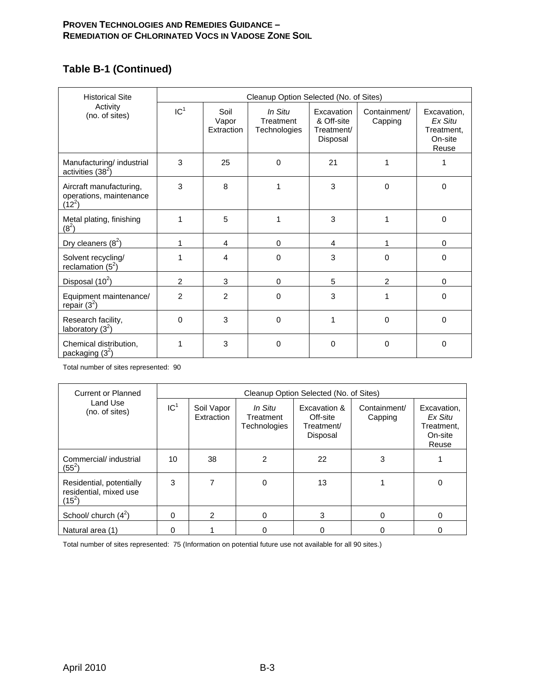# **Table B-1 (Continued)**

| <b>Historical Site</b>                                         | Cleanup Option Selected (No. of Sites) |                             |                                      |                                                    |                         |                                                          |  |  |
|----------------------------------------------------------------|----------------------------------------|-----------------------------|--------------------------------------|----------------------------------------------------|-------------------------|----------------------------------------------------------|--|--|
| Activity<br>(no. of sites)                                     | IC <sup>1</sup>                        | Soil<br>Vapor<br>Extraction | In Situ<br>Treatment<br>Technologies | Excavation<br>& Off-site<br>Treatment/<br>Disposal | Containment/<br>Capping | Excavation.<br>Ex Situ<br>Treatment,<br>On-site<br>Reuse |  |  |
| Manufacturing/ industrial<br>activities $(38^2)$               | 3                                      | 25                          | $\Omega$                             | 21                                                 | 1                       | 1                                                        |  |  |
| Aircraft manufacturing,<br>operations, maintenance<br>$(12^2)$ | 3                                      | 8                           | 1                                    | 3                                                  | $\Omega$                | $\Omega$                                                 |  |  |
| Metal plating, finishing<br>$(8^2)$                            | 1                                      | 5                           | 1                                    | 3                                                  | 1                       | $\Omega$                                                 |  |  |
| Dry cleaners $(8^2)$                                           | 1                                      | 4                           | $\Omega$                             | 4                                                  | 1                       | $\Omega$                                                 |  |  |
| Solvent recycling/<br>reclamation $(5^2)$                      | 1                                      | 4                           | $\Omega$                             | 3                                                  | $\Omega$                | $\Omega$                                                 |  |  |
| Disposal $(10^2)$                                              | $\overline{2}$                         | 3                           | $\Omega$                             | 5                                                  | 2                       | $\Omega$                                                 |  |  |
| Equipment maintenance/<br>repair $(3^2)$                       | 2                                      | $\overline{2}$              | $\mathbf 0$                          | 3                                                  | 1                       | 0                                                        |  |  |
| Research facility,<br>laboratory $(3^2)$                       | $\Omega$                               | 3                           | $\Omega$                             | 1                                                  | $\Omega$                | $\Omega$                                                 |  |  |
| Chemical distribution,<br>packaging $(3^2)$                    | 1                                      | 3                           | $\Omega$                             | $\Omega$                                           | $\Omega$                | $\mathbf 0$                                              |  |  |

Total number of sites represented: 90

| <b>Current or Planned</b>                                      | Cleanup Option Selected (No. of Sites) |                          |                                             |                                                    |                         |                                                          |  |
|----------------------------------------------------------------|----------------------------------------|--------------------------|---------------------------------------------|----------------------------------------------------|-------------------------|----------------------------------------------------------|--|
| Land Use<br>(no. of sites)                                     | IC <sup>1</sup>                        | Soil Vapor<br>Extraction | In Situ<br>Treatment<br><b>Technologies</b> | Excavation &<br>Off-site<br>Treatment/<br>Disposal | Containment/<br>Capping | Excavation.<br>Ex Situ<br>Treatment,<br>On-site<br>Reuse |  |
| Commercial/ industrial<br>$(55^2)$                             | 10                                     | 38                       | 2                                           | 22                                                 | 3                       |                                                          |  |
| Residential, potentially<br>residential, mixed use<br>$(15^2)$ | 3                                      |                          | 0                                           | 13                                                 |                         | 0                                                        |  |
| School/ church $(4^2)$                                         | 0                                      | $\overline{2}$           | $\Omega$                                    | 3                                                  | 0                       | 0                                                        |  |
| Natural area (1)                                               | O                                      |                          |                                             | 0                                                  |                         | 0                                                        |  |

Total number of sites represented: 75 (Information on potential future use not available for all 90 sites.)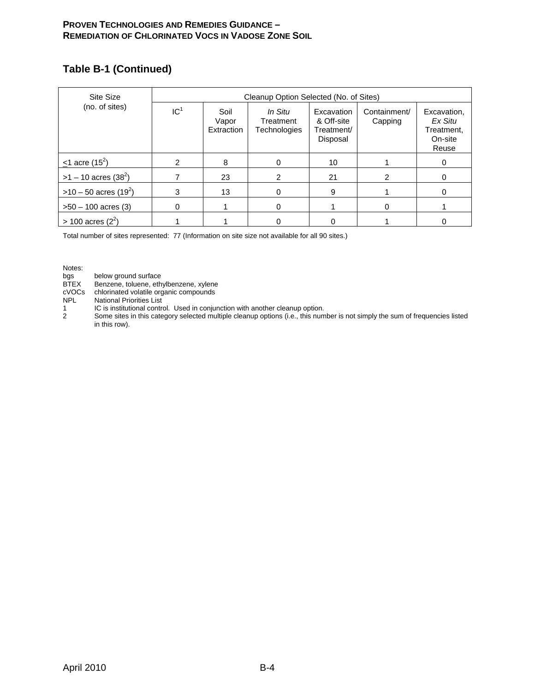### **Table B-1 (Continued)**

| Site Size                          |                 | Cleanup Option Selected (No. of Sites) |                                      |                                                    |                         |                                                          |  |  |
|------------------------------------|-----------------|----------------------------------------|--------------------------------------|----------------------------------------------------|-------------------------|----------------------------------------------------------|--|--|
| (no. of sites)                     | IC <sup>1</sup> | Soil<br>Vapor<br>Extraction            | In Situ<br>Treatment<br>Technologies | Excavation<br>& Off-site<br>Treatment/<br>Disposal | Containment/<br>Capping | Excavation.<br>Ex Situ<br>Treatment,<br>On-site<br>Reuse |  |  |
| $\leq$ 1 acre (15 <sup>2</sup> )   |                 | 8                                      | $\Omega$                             | 10                                                 |                         | 0                                                        |  |  |
| $>1 - 10$ acres (38 <sup>2</sup> ) |                 | 23                                     | $\mathcal{P}$                        | 21                                                 |                         |                                                          |  |  |
| $>10-50$ acres (19 <sup>2</sup> )  | 3               | 13                                     |                                      | 9                                                  |                         |                                                          |  |  |
| $>50 - 100$ acres (3)              |                 |                                        | 0                                    |                                                    |                         |                                                          |  |  |
| $> 100$ acres (2 <sup>2</sup> )    |                 |                                        |                                      |                                                    |                         |                                                          |  |  |

Total number of sites represented: 77 (Information on site size not available for all 90 sites.)

Notes:<br>bgs<br>BTEX below ground surface

BTEX Benzene, toluene, ethylbenzene, xylene<br>cVOCs chlorinated volatile organic compounds

cVOCs chlorinated volatile organic compounds<br>NPL National Priorities List

National Priorities List

1 IC is institutional control. Used in conjunction with another cleanup option.<br>2 Some sites in this category selected multiple cleanup options (i.e., this num

Some sites in this category selected multiple cleanup options (i.e., this number is not simply the sum of frequencies listed in this row).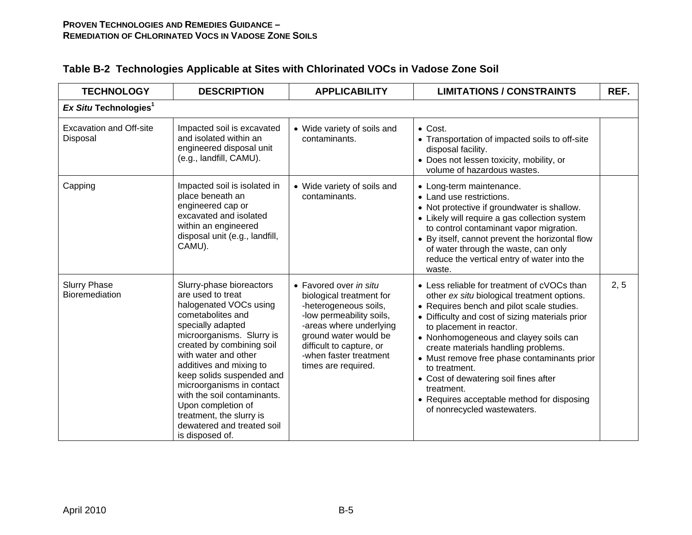| <b>TECHNOLOGY</b>                            | <b>DESCRIPTION</b>                                                                                                                                                                                                                                                                                                                                                                                                         | <b>APPLICABILITY</b>                                                                                                                                                                                                                     | <b>LIMITATIONS / CONSTRAINTS</b>                                                                                                                                                                                                                                                                                                                                                                                                                                                                           | REF. |
|----------------------------------------------|----------------------------------------------------------------------------------------------------------------------------------------------------------------------------------------------------------------------------------------------------------------------------------------------------------------------------------------------------------------------------------------------------------------------------|------------------------------------------------------------------------------------------------------------------------------------------------------------------------------------------------------------------------------------------|------------------------------------------------------------------------------------------------------------------------------------------------------------------------------------------------------------------------------------------------------------------------------------------------------------------------------------------------------------------------------------------------------------------------------------------------------------------------------------------------------------|------|
| Ex Situ Technologies <sup>1</sup>            |                                                                                                                                                                                                                                                                                                                                                                                                                            |                                                                                                                                                                                                                                          |                                                                                                                                                                                                                                                                                                                                                                                                                                                                                                            |      |
| <b>Excavation and Off-site</b><br>Disposal   | Impacted soil is excavated<br>and isolated within an<br>engineered disposal unit<br>(e.g., landfill, CAMU).                                                                                                                                                                                                                                                                                                                | • Wide variety of soils and<br>contaminants.                                                                                                                                                                                             | $\bullet$ Cost.<br>• Transportation of impacted soils to off-site<br>disposal facility.<br>• Does not lessen toxicity, mobility, or<br>volume of hazardous wastes.                                                                                                                                                                                                                                                                                                                                         |      |
| Capping                                      | Impacted soil is isolated in<br>place beneath an<br>engineered cap or<br>excavated and isolated<br>within an engineered<br>disposal unit (e.g., landfill,<br>CAMU).                                                                                                                                                                                                                                                        | • Wide variety of soils and<br>contaminants.                                                                                                                                                                                             | • Long-term maintenance.<br>• Land use restrictions.<br>• Not protective if groundwater is shallow.<br>• Likely will require a gas collection system<br>to control contaminant vapor migration.<br>• By itself, cannot prevent the horizontal flow<br>of water through the waste, can only<br>reduce the vertical entry of water into the<br>waste.                                                                                                                                                        |      |
| <b>Slurry Phase</b><br><b>Bioremediation</b> | Slurry-phase bioreactors<br>are used to treat<br>halogenated VOCs using<br>cometabolites and<br>specially adapted<br>microorganisms. Slurry is<br>created by combining soil<br>with water and other<br>additives and mixing to<br>keep solids suspended and<br>microorganisms in contact<br>with the soil contaminants.<br>Upon completion of<br>treatment, the slurry is<br>dewatered and treated soil<br>is disposed of. | • Favored over in situ<br>biological treatment for<br>-heterogeneous soils,<br>-low permeability soils,<br>-areas where underlying<br>ground water would be<br>difficult to capture, or<br>-when faster treatment<br>times are required. | • Less reliable for treatment of cVOCs than<br>other ex situ biological treatment options.<br>• Requires bench and pilot scale studies.<br>• Difficulty and cost of sizing materials prior<br>to placement in reactor.<br>• Nonhomogeneous and clayey soils can<br>create materials handling problems.<br>• Must remove free phase contaminants prior<br>to treatment.<br>• Cost of dewatering soil fines after<br>treatment.<br>• Requires acceptable method for disposing<br>of nonrecycled wastewaters. | 2, 5 |

# **Table B-2 Technologies Applicable at Sites with Chlorinated VOCs in Vadose Zone Soil**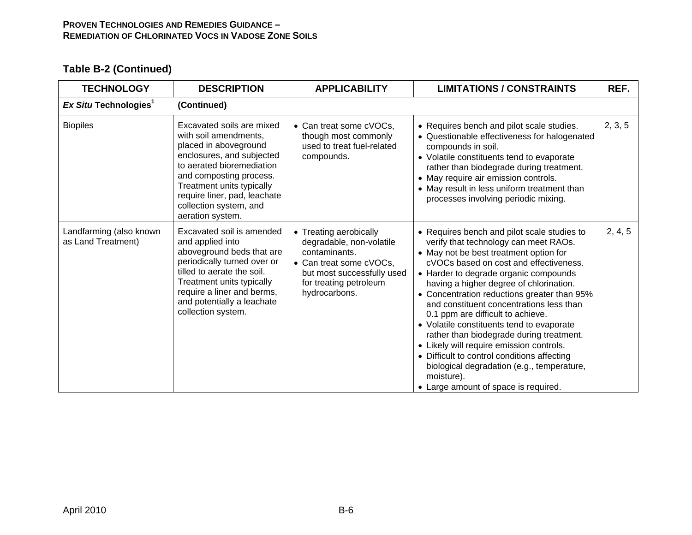| <b>TECHNOLOGY</b>                             | <b>DESCRIPTION</b>                                                                                                                                                                                                                                                          | <b>APPLICABILITY</b>                                                                                                                                                    | <b>LIMITATIONS / CONSTRAINTS</b>                                                                                                                                                                                                                                                                                                                                                                                                                                                                                                                                                                                                                                                     | REF.    |
|-----------------------------------------------|-----------------------------------------------------------------------------------------------------------------------------------------------------------------------------------------------------------------------------------------------------------------------------|-------------------------------------------------------------------------------------------------------------------------------------------------------------------------|--------------------------------------------------------------------------------------------------------------------------------------------------------------------------------------------------------------------------------------------------------------------------------------------------------------------------------------------------------------------------------------------------------------------------------------------------------------------------------------------------------------------------------------------------------------------------------------------------------------------------------------------------------------------------------------|---------|
| Ex Situ Technologies <sup>1</sup>             | (Continued)                                                                                                                                                                                                                                                                 |                                                                                                                                                                         |                                                                                                                                                                                                                                                                                                                                                                                                                                                                                                                                                                                                                                                                                      |         |
| <b>Biopiles</b>                               | Excavated soils are mixed<br>with soil amendments,<br>placed in aboveground<br>enclosures, and subjected<br>to aerated bioremediation<br>and composting process.<br>Treatment units typically<br>require liner, pad, leachate<br>collection system, and<br>aeration system. | • Can treat some cVOCs,<br>though most commonly<br>used to treat fuel-related<br>compounds.                                                                             | • Requires bench and pilot scale studies.<br>• Questionable effectiveness for halogenated<br>compounds in soil.<br>• Volatile constituents tend to evaporate<br>rather than biodegrade during treatment.<br>• May require air emission controls.<br>• May result in less uniform treatment than<br>processes involving periodic mixing.                                                                                                                                                                                                                                                                                                                                              | 2, 3, 5 |
| Landfarming (also known<br>as Land Treatment) | Excavated soil is amended<br>and applied into<br>aboveground beds that are<br>periodically turned over or<br>tilled to aerate the soil.<br>Treatment units typically<br>require a liner and berms,<br>and potentially a leachate<br>collection system.                      | • Treating aerobically<br>degradable, non-volatile<br>contaminants.<br>• Can treat some cVOCs,<br>but most successfully used<br>for treating petroleum<br>hydrocarbons. | • Requires bench and pilot scale studies to<br>verify that technology can meet RAOs.<br>• May not be best treatment option for<br>cVOCs based on cost and effectiveness.<br>• Harder to degrade organic compounds<br>having a higher degree of chlorination.<br>• Concentration reductions greater than 95%<br>and constituent concentrations less than<br>0.1 ppm are difficult to achieve.<br>• Volatile constituents tend to evaporate<br>rather than biodegrade during treatment.<br>• Likely will require emission controls.<br>• Difficult to control conditions affecting<br>biological degradation (e.g., temperature,<br>moisture).<br>• Large amount of space is required. | 2, 4, 5 |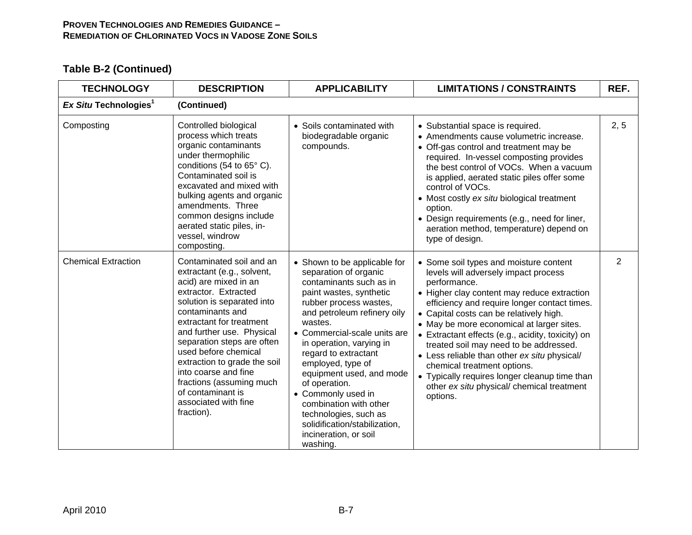| <b>TECHNOLOGY</b>                 | <b>DESCRIPTION</b>                                                                                                                                                                                                                                                                                                                                                                                                      | <b>APPLICABILITY</b>                                                                                                                                                                                                                                                                                                                                                                                                                                                                 | <b>LIMITATIONS / CONSTRAINTS</b>                                                                                                                                                                                                                                                                                                                                                                                                                                                                                                                                               | REF.           |
|-----------------------------------|-------------------------------------------------------------------------------------------------------------------------------------------------------------------------------------------------------------------------------------------------------------------------------------------------------------------------------------------------------------------------------------------------------------------------|--------------------------------------------------------------------------------------------------------------------------------------------------------------------------------------------------------------------------------------------------------------------------------------------------------------------------------------------------------------------------------------------------------------------------------------------------------------------------------------|--------------------------------------------------------------------------------------------------------------------------------------------------------------------------------------------------------------------------------------------------------------------------------------------------------------------------------------------------------------------------------------------------------------------------------------------------------------------------------------------------------------------------------------------------------------------------------|----------------|
| Ex Situ Technologies <sup>1</sup> | (Continued)                                                                                                                                                                                                                                                                                                                                                                                                             |                                                                                                                                                                                                                                                                                                                                                                                                                                                                                      |                                                                                                                                                                                                                                                                                                                                                                                                                                                                                                                                                                                |                |
| Composting                        | Controlled biological<br>process which treats<br>organic contaminants<br>under thermophilic<br>conditions (54 to 65° C).<br>Contaminated soil is<br>excavated and mixed with<br>bulking agents and organic<br>amendments. Three<br>common designs include<br>aerated static piles, in-<br>vessel, windrow<br>composting.                                                                                                | • Soils contaminated with<br>biodegradable organic<br>compounds.                                                                                                                                                                                                                                                                                                                                                                                                                     | • Substantial space is required.<br>• Amendments cause volumetric increase.<br>• Off-gas control and treatment may be<br>required. In-vessel composting provides<br>the best control of VOCs. When a vacuum<br>is applied, aerated static piles offer some<br>control of VOCs.<br>• Most costly ex situ biological treatment<br>option.<br>• Design requirements (e.g., need for liner,<br>aeration method, temperature) depend on<br>type of design.                                                                                                                          | 2, 5           |
| <b>Chemical Extraction</b>        | Contaminated soil and an<br>extractant (e.g., solvent,<br>acid) are mixed in an<br>extractor. Extracted<br>solution is separated into<br>contaminants and<br>extractant for treatment<br>and further use. Physical<br>separation steps are often<br>used before chemical<br>extraction to grade the soil<br>into coarse and fine<br>fractions (assuming much<br>of contaminant is<br>associated with fine<br>fraction). | • Shown to be applicable for<br>separation of organic<br>contaminants such as in<br>paint wastes, synthetic<br>rubber process wastes,<br>and petroleum refinery oily<br>wastes.<br>• Commercial-scale units are<br>in operation, varying in<br>regard to extractant<br>employed, type of<br>equipment used, and mode<br>of operation.<br>• Commonly used in<br>combination with other<br>technologies, such as<br>solidification/stabilization,<br>incineration, or soil<br>washing. | • Some soil types and moisture content<br>levels will adversely impact process<br>performance.<br>• Higher clay content may reduce extraction<br>efficiency and require longer contact times.<br>• Capital costs can be relatively high.<br>• May be more economical at larger sites.<br>• Extractant effects (e.g., acidity, toxicity) on<br>treated soil may need to be addressed.<br>• Less reliable than other ex situ physical/<br>chemical treatment options.<br>• Typically requires longer cleanup time than<br>other ex situ physical/ chemical treatment<br>options. | $\overline{2}$ |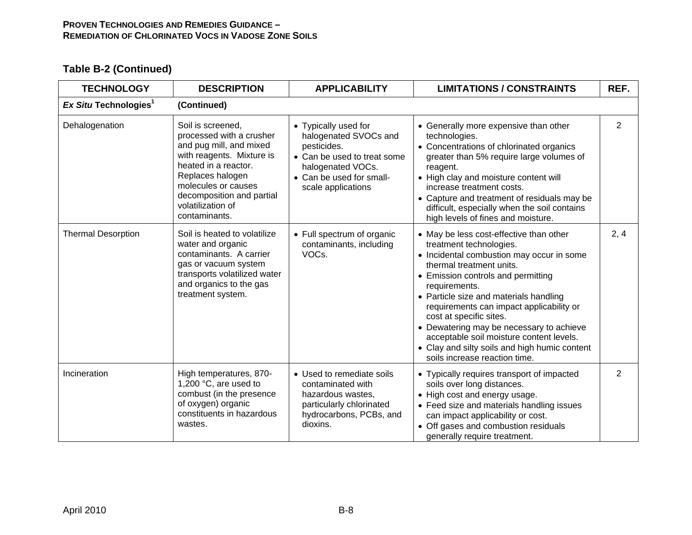| <b>TECHNOLOGY</b>                 | <b>DESCRIPTION</b>                                                                                                                                                                                                                          | <b>APPLICABILITY</b>                                                                                                                                               | <b>LIMITATIONS / CONSTRAINTS</b>                                                                                                                                                                                                                                                                                                                                                                                                                                                              | REF.           |
|-----------------------------------|---------------------------------------------------------------------------------------------------------------------------------------------------------------------------------------------------------------------------------------------|--------------------------------------------------------------------------------------------------------------------------------------------------------------------|-----------------------------------------------------------------------------------------------------------------------------------------------------------------------------------------------------------------------------------------------------------------------------------------------------------------------------------------------------------------------------------------------------------------------------------------------------------------------------------------------|----------------|
| Ex Situ Technologies <sup>1</sup> | (Continued)                                                                                                                                                                                                                                 |                                                                                                                                                                    |                                                                                                                                                                                                                                                                                                                                                                                                                                                                                               |                |
| Dehalogenation                    | Soil is screened,<br>processed with a crusher<br>and pug mill, and mixed<br>with reagents. Mixture is<br>heated in a reactor.<br>Replaces halogen<br>molecules or causes<br>decomposition and partial<br>volatilization of<br>contaminants. | • Typically used for<br>halogenated SVOCs and<br>pesticides.<br>• Can be used to treat some<br>halogenated VOCs.<br>• Can be used for small-<br>scale applications | • Generally more expensive than other<br>technologies.<br>• Concentrations of chlorinated organics<br>greater than 5% require large volumes of<br>reagent.<br>• High clay and moisture content will<br>increase treatment costs.<br>• Capture and treatment of residuals may be<br>difficult, especially when the soil contains<br>high levels of fines and moisture.                                                                                                                         | $\overline{2}$ |
| <b>Thermal Desorption</b>         | Soil is heated to volatilize<br>water and organic<br>contaminants. A carrier<br>gas or vacuum system<br>transports volatilized water<br>and organics to the gas<br>treatment system.                                                        | • Full spectrum of organic<br>contaminants, including<br>VOCs.                                                                                                     | • May be less cost-effective than other<br>treatment technologies.<br>• Incidental combustion may occur in some<br>thermal treatment units.<br>• Emission controls and permitting<br>requirements.<br>• Particle size and materials handling<br>requirements can impact applicability or<br>cost at specific sites.<br>• Dewatering may be necessary to achieve<br>acceptable soil moisture content levels.<br>• Clay and silty soils and high humic content<br>soils increase reaction time. | 2, 4           |
| Incineration                      | High temperatures, 870-<br>1,200 °C, are used to<br>combust (in the presence<br>of oxygen) organic<br>constituents in hazardous<br>wastes.                                                                                                  | • Used to remediate soils<br>contaminated with<br>hazardous wastes,<br>particularly chlorinated<br>hydrocarbons, PCBs, and<br>dioxins.                             | • Typically requires transport of impacted<br>soils over long distances.<br>• High cost and energy usage.<br>• Feed size and materials handling issues<br>can impact applicability or cost.<br>• Off gases and combustion residuals<br>generally require treatment.                                                                                                                                                                                                                           | $\overline{2}$ |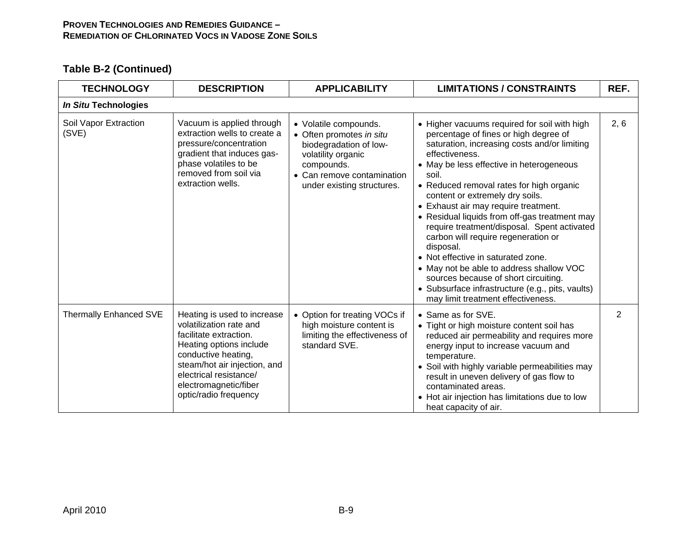| <b>TECHNOLOGY</b>              | <b>DESCRIPTION</b>                                                                                                                                                                                                                             | <b>APPLICABILITY</b>                                                                                                                                                        | <b>LIMITATIONS / CONSTRAINTS</b>                                                                                                                                                                                                                                                                                                                                                                                                                                                                                                                                                                                                                                                                            | REF.           |
|--------------------------------|------------------------------------------------------------------------------------------------------------------------------------------------------------------------------------------------------------------------------------------------|-----------------------------------------------------------------------------------------------------------------------------------------------------------------------------|-------------------------------------------------------------------------------------------------------------------------------------------------------------------------------------------------------------------------------------------------------------------------------------------------------------------------------------------------------------------------------------------------------------------------------------------------------------------------------------------------------------------------------------------------------------------------------------------------------------------------------------------------------------------------------------------------------------|----------------|
| In Situ Technologies           |                                                                                                                                                                                                                                                |                                                                                                                                                                             |                                                                                                                                                                                                                                                                                                                                                                                                                                                                                                                                                                                                                                                                                                             |                |
| Soil Vapor Extraction<br>(SVE) | Vacuum is applied through<br>extraction wells to create a<br>pressure/concentration<br>gradient that induces gas-<br>phase volatiles to be<br>removed from soil via<br>extraction wells.                                                       | • Volatile compounds.<br>• Often promotes in situ<br>biodegradation of low-<br>volatility organic<br>compounds.<br>• Can remove contamination<br>under existing structures. | • Higher vacuums required for soil with high<br>percentage of fines or high degree of<br>saturation, increasing costs and/or limiting<br>effectiveness.<br>• May be less effective in heterogeneous<br>soil.<br>• Reduced removal rates for high organic<br>content or extremely dry soils.<br>• Exhaust air may require treatment.<br>• Residual liquids from off-gas treatment may<br>require treatment/disposal. Spent activated<br>carbon will require regeneration or<br>disposal.<br>• Not effective in saturated zone.<br>• May not be able to address shallow VOC<br>sources because of short circuiting.<br>• Subsurface infrastructure (e.g., pits, vaults)<br>may limit treatment effectiveness. | 2, 6           |
| Thermally Enhanced SVE         | Heating is used to increase<br>volatilization rate and<br>facilitate extraction.<br>Heating options include<br>conductive heating,<br>steam/hot air injection, and<br>electrical resistance/<br>electromagnetic/fiber<br>optic/radio frequency | • Option for treating VOCs if<br>high moisture content is<br>limiting the effectiveness of<br>standard SVE.                                                                 | • Same as for SVE.<br>• Tight or high moisture content soil has<br>reduced air permeability and requires more<br>energy input to increase vacuum and<br>temperature.<br>• Soil with highly variable permeabilities may<br>result in uneven delivery of gas flow to<br>contaminated areas.<br>• Hot air injection has limitations due to low<br>heat capacity of air.                                                                                                                                                                                                                                                                                                                                        | $\overline{2}$ |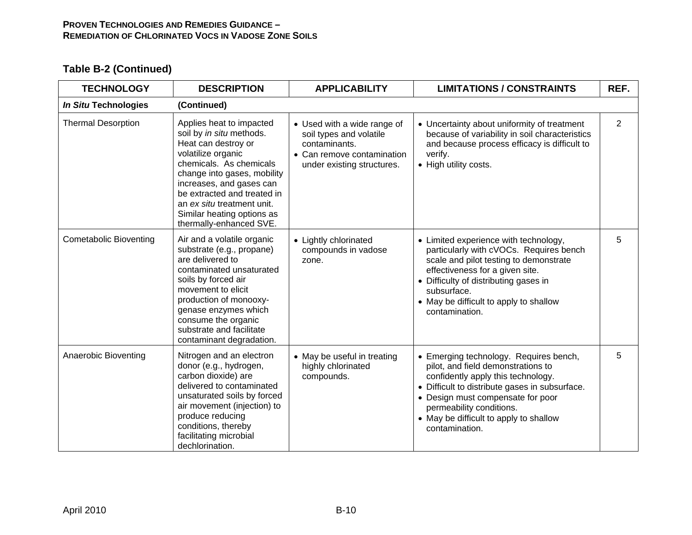| <b>TECHNOLOGY</b>             | <b>DESCRIPTION</b>                                                                                                                                                                                                                                                                                            | <b>APPLICABILITY</b>                                                                                                                | <b>LIMITATIONS / CONSTRAINTS</b>                                                                                                                                                                                                                                                                  | REF.           |
|-------------------------------|---------------------------------------------------------------------------------------------------------------------------------------------------------------------------------------------------------------------------------------------------------------------------------------------------------------|-------------------------------------------------------------------------------------------------------------------------------------|---------------------------------------------------------------------------------------------------------------------------------------------------------------------------------------------------------------------------------------------------------------------------------------------------|----------------|
| In Situ Technologies          | (Continued)                                                                                                                                                                                                                                                                                                   |                                                                                                                                     |                                                                                                                                                                                                                                                                                                   |                |
| <b>Thermal Desorption</b>     | Applies heat to impacted<br>soil by in situ methods.<br>Heat can destroy or<br>volatilize organic<br>chemicals. As chemicals<br>change into gases, mobility<br>increases, and gases can<br>be extracted and treated in<br>an ex situ treatment unit.<br>Similar heating options as<br>thermally-enhanced SVE. | • Used with a wide range of<br>soil types and volatile<br>contaminants.<br>• Can remove contamination<br>under existing structures. | • Uncertainty about uniformity of treatment<br>because of variability in soil characteristics<br>and because process efficacy is difficult to<br>verify.<br>• High utility costs.                                                                                                                 | $\overline{2}$ |
| <b>Cometabolic Bioventing</b> | Air and a volatile organic<br>substrate (e.g., propane)<br>are delivered to<br>contaminated unsaturated<br>soils by forced air<br>movement to elicit<br>production of monooxy-<br>genase enzymes which<br>consume the organic<br>substrate and facilitate<br>contaminant degradation.                         | • Lightly chlorinated<br>compounds in vadose<br>zone.                                                                               | • Limited experience with technology,<br>particularly with cVOCs. Requires bench<br>scale and pilot testing to demonstrate<br>effectiveness for a given site.<br>• Difficulty of distributing gases in<br>subsurface.<br>• May be difficult to apply to shallow<br>contamination.                 | 5              |
| Anaerobic Bioventing          | Nitrogen and an electron<br>donor (e.g., hydrogen,<br>carbon dioxide) are<br>delivered to contaminated<br>unsaturated soils by forced<br>air movement (injection) to<br>produce reducing<br>conditions, thereby<br>facilitating microbial<br>dechlorination.                                                  | • May be useful in treating<br>highly chlorinated<br>compounds.                                                                     | • Emerging technology. Requires bench,<br>pilot, and field demonstrations to<br>confidently apply this technology.<br>• Difficult to distribute gases in subsurface.<br>• Design must compensate for poor<br>permeability conditions.<br>• May be difficult to apply to shallow<br>contamination. | 5              |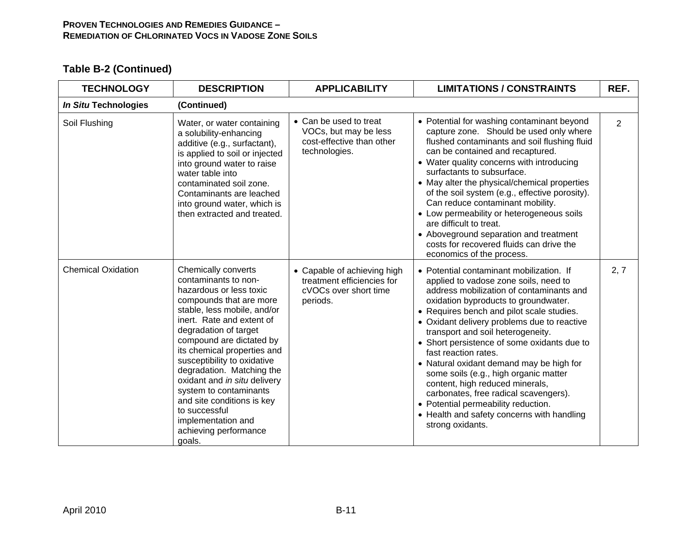| <b>TECHNOLOGY</b>         | <b>DESCRIPTION</b>                                                                                                                                                                                                                                                                                                                                                                                                                                                              | <b>APPLICABILITY</b>                                                                           | <b>LIMITATIONS / CONSTRAINTS</b>                                                                                                                                                                                                                                                                                                                                                                                                                                                                                                                                                                                                                        | REF. |
|---------------------------|---------------------------------------------------------------------------------------------------------------------------------------------------------------------------------------------------------------------------------------------------------------------------------------------------------------------------------------------------------------------------------------------------------------------------------------------------------------------------------|------------------------------------------------------------------------------------------------|---------------------------------------------------------------------------------------------------------------------------------------------------------------------------------------------------------------------------------------------------------------------------------------------------------------------------------------------------------------------------------------------------------------------------------------------------------------------------------------------------------------------------------------------------------------------------------------------------------------------------------------------------------|------|
| In Situ Technologies      | (Continued)                                                                                                                                                                                                                                                                                                                                                                                                                                                                     |                                                                                                |                                                                                                                                                                                                                                                                                                                                                                                                                                                                                                                                                                                                                                                         |      |
| Soil Flushing             | Water, or water containing<br>a solubility-enhancing<br>additive (e.g., surfactant),<br>is applied to soil or injected<br>into ground water to raise<br>water table into<br>contaminated soil zone.<br>Contaminants are leached<br>into ground water, which is<br>then extracted and treated.                                                                                                                                                                                   | • Can be used to treat<br>VOCs, but may be less<br>cost-effective than other<br>technologies.  | • Potential for washing contaminant beyond<br>capture zone. Should be used only where<br>flushed contaminants and soil flushing fluid<br>can be contained and recaptured.<br>• Water quality concerns with introducing<br>surfactants to subsurface.<br>• May alter the physical/chemical properties<br>of the soil system (e.g., effective porosity).<br>Can reduce contaminant mobility.<br>• Low permeability or heterogeneous soils<br>are difficult to treat.<br>• Aboveground separation and treatment<br>costs for recovered fluids can drive the<br>economics of the process.                                                                   | 2    |
| <b>Chemical Oxidation</b> | Chemically converts<br>contaminants to non-<br>hazardous or less toxic<br>compounds that are more<br>stable, less mobile, and/or<br>inert. Rate and extent of<br>degradation of target<br>compound are dictated by<br>its chemical properties and<br>susceptibility to oxidative<br>degradation. Matching the<br>oxidant and in situ delivery<br>system to contaminants<br>and site conditions is key<br>to successful<br>implementation and<br>achieving performance<br>goals. | • Capable of achieving high<br>treatment efficiencies for<br>cVOCs over short time<br>periods. | • Potential contaminant mobilization. If<br>applied to vadose zone soils, need to<br>address mobilization of contaminants and<br>oxidation byproducts to groundwater.<br>• Requires bench and pilot scale studies.<br>• Oxidant delivery problems due to reactive<br>transport and soil heterogeneity.<br>• Short persistence of some oxidants due to<br>fast reaction rates.<br>• Natural oxidant demand may be high for<br>some soils (e.g., high organic matter<br>content, high reduced minerals,<br>carbonates, free radical scavengers).<br>• Potential permeability reduction.<br>• Health and safety concerns with handling<br>strong oxidants. | 2, 7 |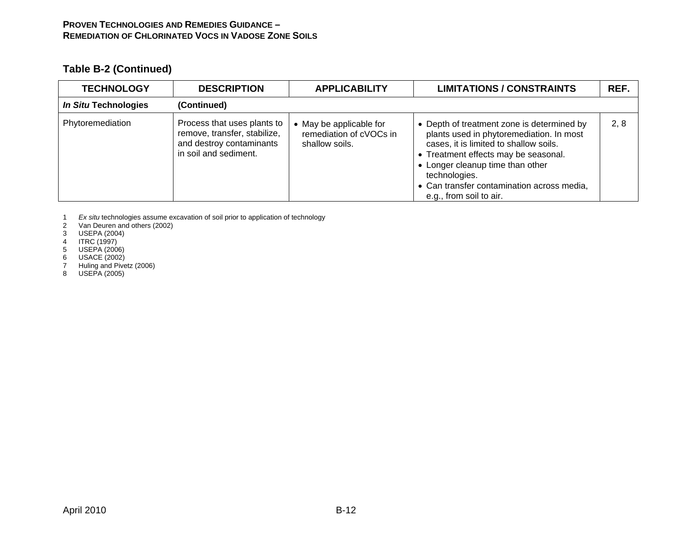# **Table B-2 (Continued)**

| <b>TECHNOLOGY</b>    | <b>DESCRIPTION</b>                                                                                               |                                                                      | <b>LIMITATIONS / CONSTRAINTS</b>                                                                                                                                                                                                                                                                       | REF. |
|----------------------|------------------------------------------------------------------------------------------------------------------|----------------------------------------------------------------------|--------------------------------------------------------------------------------------------------------------------------------------------------------------------------------------------------------------------------------------------------------------------------------------------------------|------|
| In Situ Technologies | (Continued)                                                                                                      |                                                                      |                                                                                                                                                                                                                                                                                                        |      |
| Phytoremediation     | Process that uses plants to<br>remove, transfer, stabilize,<br>and destroy contaminants<br>in soil and sediment. | • May be applicable for<br>remediation of cVOCs in<br>shallow soils. | • Depth of treatment zone is determined by<br>plants used in phytoremediation. In most<br>cases, it is limited to shallow soils.<br>• Treatment effects may be seasonal.<br>• Longer cleanup time than other<br>technologies.<br>• Can transfer contamination across media,<br>e.g., from soil to air. | 2, 8 |

1 *Ex situ* technologies assume excavation of soil prior to application of technology

2 Van Deuren and others (2002)

3 USEPA (2004)

- 4 ITRC (1997)
- 5 USEPA (2006)

6 USACE (2002)

7 Huling and Pivetz (2006)

8 USEPA (2005)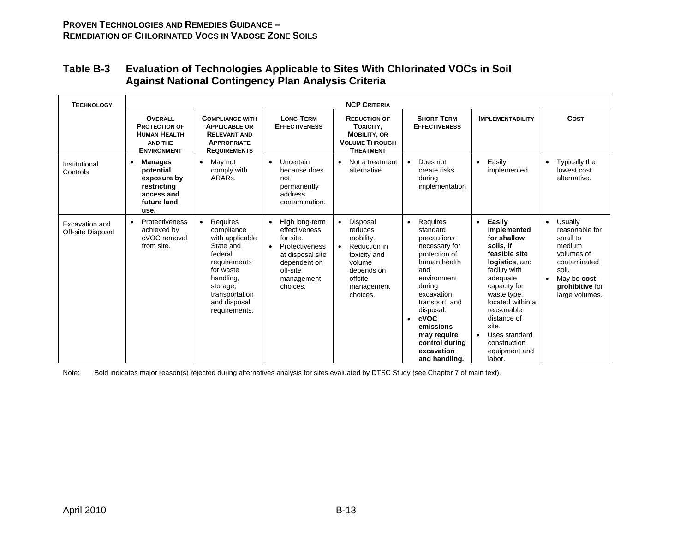| <b>TECHNOLOGY</b>                   | <b>NCP CRITERIA</b>                                                                                   |                                                                                                                                                                                         |                                                                                                                                                                    |                                                                                                                               |                                                                                                                                                                                                                                                                                    |                                                                                                                                                                                                                                                                                                  |                                                                                                                                                          |
|-------------------------------------|-------------------------------------------------------------------------------------------------------|-----------------------------------------------------------------------------------------------------------------------------------------------------------------------------------------|--------------------------------------------------------------------------------------------------------------------------------------------------------------------|-------------------------------------------------------------------------------------------------------------------------------|------------------------------------------------------------------------------------------------------------------------------------------------------------------------------------------------------------------------------------------------------------------------------------|--------------------------------------------------------------------------------------------------------------------------------------------------------------------------------------------------------------------------------------------------------------------------------------------------|----------------------------------------------------------------------------------------------------------------------------------------------------------|
|                                     | <b>OVERALL</b><br><b>PROTECTION OF</b><br><b>HUMAN HEALTH</b><br><b>AND THE</b><br><b>ENVIRONMENT</b> | <b>COMPLIANCE WITH</b><br><b>APPLICABLE OR</b><br><b>RELEVANT AND</b><br><b>APPROPRIATE</b><br><b>REQUIREMENTS</b>                                                                      | <b>LONG-TERM</b><br><b>EFFECTIVENESS</b>                                                                                                                           | <b>REDUCTION OF</b><br>TOXICITY,<br><b>MOBILITY, OR</b><br><b>VOLUME THROUGH</b><br><b>TREATMENT</b>                          | <b>SHORT-TERM</b><br><b>EFFECTIVENESS</b>                                                                                                                                                                                                                                          | <b>IMPLEMENTABILITY</b>                                                                                                                                                                                                                                                                          | <b>COST</b>                                                                                                                                              |
| Institutional<br>Controls           | <b>Manages</b><br>٠<br>potential<br>exposure by<br>restricting<br>access and<br>future land<br>use.   | May not<br>$\bullet$<br>comply with<br>ARAR <sub>s</sub> .                                                                                                                              | Uncertain<br>$\bullet$<br>because does<br>not<br>permanently<br>address<br>contamination.                                                                          | Not a treatment<br>$\bullet$<br>alternative.                                                                                  | Does not<br>$\bullet$<br>create risks<br>during<br>implementation                                                                                                                                                                                                                  | Easily<br>$\bullet$<br>implemented.                                                                                                                                                                                                                                                              | Typically the<br>$\bullet$<br>lowest cost<br>alternative.                                                                                                |
| Excavation and<br>Off-site Disposal | Protectiveness<br>$\bullet$<br>achieved by<br>cVOC removal<br>from site.                              | Requires<br>$\bullet$<br>compliance<br>with applicable<br>State and<br>federal<br>requirements<br>for waste<br>handling,<br>storage,<br>transportation<br>and disposal<br>requirements. | High long-term<br>$\bullet$<br>effectiveness<br>for site.<br>Protectiveness<br>$\bullet$<br>at disposal site<br>dependent on<br>off-site<br>management<br>choices. | Disposal<br>reduces<br>mobility.<br>Reduction in<br>toxicity and<br>volume<br>depends on<br>offsite<br>management<br>choices. | Requires<br>$\bullet$<br>standard<br>precautions<br>necessary for<br>protection of<br>human health<br>and<br>environment<br>during<br>excavation,<br>transport, and<br>disposal.<br>cVOC<br>$\bullet$<br>emissions<br>may require<br>control during<br>excavation<br>and handling. | Easily<br>$\bullet$<br>implemented<br>for shallow<br>soils, if<br>feasible site<br>logistics, and<br>facility with<br>adequate<br>capacity for<br>waste type,<br>located within a<br>reasonable<br>distance of<br>site.<br>Uses standard<br>$\bullet$<br>construction<br>equipment and<br>labor. | Usually<br>$\bullet$<br>reasonable for<br>small to<br>medium<br>volumes of<br>contaminated<br>soil.<br>May be cost-<br>prohibitive for<br>large volumes. |

### **Table B-3 Evaluation of Technologies Applicable to Sites With Chlorinated VOCs in Soil Against National Contingency Plan Analysis Criteria**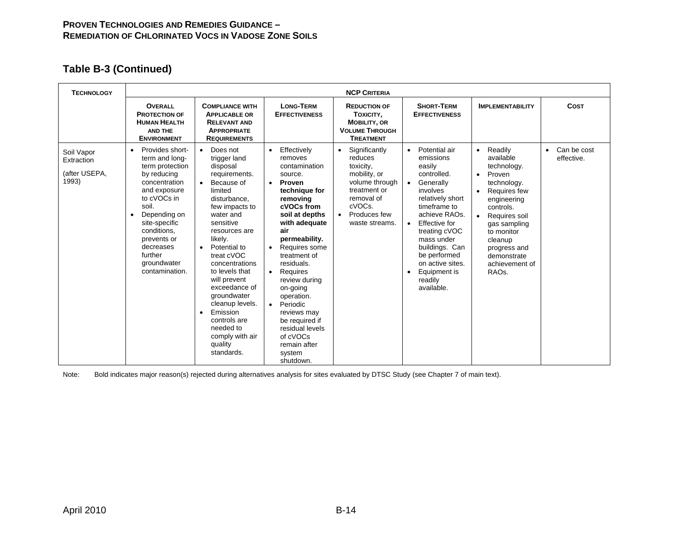# **Table B-3 (Continued)**

| <b>TECHNOLOGY</b>                                  | <b>NCP CRITERIA</b>                                                                                                                                                                                                                                  |                                                                                                                                                                                                                                                                                                                                                                                                                                                      |                                                                                                                                                                                                                                                                                                                                                                                                                                    |                                                                                                                                                                             |                                                                                                                                                                                                                                                                                                                         |                                                                                                                                                                                                                                                                                    |                                        |
|----------------------------------------------------|------------------------------------------------------------------------------------------------------------------------------------------------------------------------------------------------------------------------------------------------------|------------------------------------------------------------------------------------------------------------------------------------------------------------------------------------------------------------------------------------------------------------------------------------------------------------------------------------------------------------------------------------------------------------------------------------------------------|------------------------------------------------------------------------------------------------------------------------------------------------------------------------------------------------------------------------------------------------------------------------------------------------------------------------------------------------------------------------------------------------------------------------------------|-----------------------------------------------------------------------------------------------------------------------------------------------------------------------------|-------------------------------------------------------------------------------------------------------------------------------------------------------------------------------------------------------------------------------------------------------------------------------------------------------------------------|------------------------------------------------------------------------------------------------------------------------------------------------------------------------------------------------------------------------------------------------------------------------------------|----------------------------------------|
|                                                    | <b>OVERALL</b><br><b>PROTECTION OF</b><br><b>HUMAN HEALTH</b><br><b>AND THE</b><br><b>ENVIRONMENT</b>                                                                                                                                                | <b>COMPLIANCE WITH</b><br><b>APPLICABLE OR</b><br><b>RELEVANT AND</b><br><b>APPROPRIATE</b><br><b>REQUIREMENTS</b>                                                                                                                                                                                                                                                                                                                                   | <b>LONG-TERM</b><br><b>EFFECTIVENESS</b>                                                                                                                                                                                                                                                                                                                                                                                           | <b>REDUCTION OF</b><br>TOXICITY,<br><b>MOBILITY, OR</b><br><b>VOLUME THROUGH</b><br><b>TREATMENT</b>                                                                        | <b>SHORT-TERM</b><br><b>EFFECTIVENESS</b>                                                                                                                                                                                                                                                                               | <b>IMPLEMENTABILITY</b>                                                                                                                                                                                                                                                            | <b>COST</b>                            |
| Soil Vapor<br>Extraction<br>(after USEPA,<br>1993) | Provides short-<br>term and long-<br>term protection<br>by reducing<br>concentration<br>and exposure<br>to cVOCs in<br>soil.<br>Depending on<br>site-specific<br>conditions.<br>prevents or<br>decreases<br>further<br>groundwater<br>contamination. | Does not<br>$\bullet$<br>trigger land<br>disposal<br>requirements.<br>Because of<br>$\bullet$<br>limited<br>disturbance,<br>few impacts to<br>water and<br>sensitive<br>resources are<br>likely.<br>Potential to<br>$\bullet$<br>treat cVOC<br>concentrations<br>to levels that<br>will prevent<br>exceedance of<br>groundwater<br>cleanup levels.<br>Emission<br>$\bullet$<br>controls are<br>needed to<br>comply with air<br>quality<br>standards. | Effectively<br>$\bullet$<br>removes<br>contamination<br>source.<br>Proven<br>$\bullet$<br>technique for<br>removing<br>cVOCs from<br>soil at depths<br>with adequate<br>air<br>permeability.<br>Requires some<br>treatment of<br>residuals.<br>Requires<br>review during<br>on-going<br>operation.<br>Periodic<br>$\bullet$<br>reviews may<br>be required if<br>residual levels<br>of cVOCs<br>remain after<br>system<br>shutdown. | Significantly<br>$\bullet$<br>reduces<br>toxicity.<br>mobility, or<br>volume through<br>treatment or<br>removal of<br>cVOCs.<br>Produces few<br>$\bullet$<br>waste streams. | Potential air<br>$\bullet$<br>emissions<br>easily<br>controlled.<br>Generally<br>$\bullet$<br>involves<br>relatively short<br>timeframe to<br>achieve RAOs.<br>Effective for<br>$\bullet$<br>treating cVOC<br>mass under<br>buildings. Can<br>be performed<br>on active sites.<br>Equipment is<br>readily<br>available. | • Readily<br>available<br>technology.<br>Proven<br>$\bullet$<br>technology.<br>Requires few<br>$\bullet$<br>engineering<br>controls.<br>Requires soil<br>$\bullet$<br>gas sampling<br>to monitor<br>cleanup<br>progress and<br>demonstrate<br>achievement of<br>RAO <sub>s</sub> . | Can be cost<br>$\bullet$<br>effective. |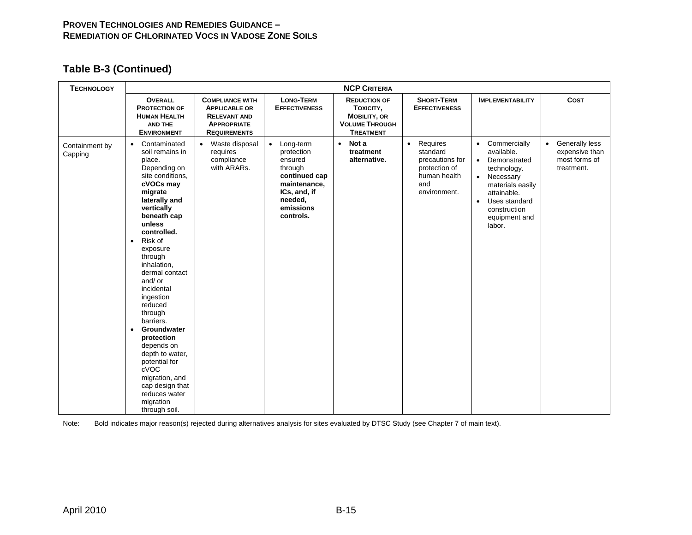# **Table B-3 (Continued)**

| <b>TECHNOLOGY</b>         | <b>NCP CRITERIA</b>                                                                                                                                                                                                                                                                                                                                                                                                                                                                                                                        |                                                                                                                    |                                                                                                                                     |                                                                                                      |                                                                                                              |                                                                                                                                                                                                                |                                                                              |
|---------------------------|--------------------------------------------------------------------------------------------------------------------------------------------------------------------------------------------------------------------------------------------------------------------------------------------------------------------------------------------------------------------------------------------------------------------------------------------------------------------------------------------------------------------------------------------|--------------------------------------------------------------------------------------------------------------------|-------------------------------------------------------------------------------------------------------------------------------------|------------------------------------------------------------------------------------------------------|--------------------------------------------------------------------------------------------------------------|----------------------------------------------------------------------------------------------------------------------------------------------------------------------------------------------------------------|------------------------------------------------------------------------------|
|                           | <b>OVERALL</b><br><b>PROTECTION OF</b><br><b>HUMAN HEALTH</b><br>AND THE<br><b>ENVIRONMENT</b>                                                                                                                                                                                                                                                                                                                                                                                                                                             | <b>COMPLIANCE WITH</b><br><b>APPLICABLE OR</b><br><b>RELEVANT AND</b><br><b>APPROPRIATE</b><br><b>REQUIREMENTS</b> | <b>LONG-TERM</b><br><b>EFFECTIVENESS</b>                                                                                            | <b>REDUCTION OF</b><br>TOXICITY,<br><b>MOBILITY, OR</b><br><b>VOLUME THROUGH</b><br><b>TREATMENT</b> | <b>SHORT-TERM</b><br><b>EFFECTIVENESS</b>                                                                    | <b>IMPLEMENTABILITY</b>                                                                                                                                                                                        | <b>COST</b>                                                                  |
| Containment by<br>Capping | Contaminated<br>$\bullet$<br>soil remains in<br>place.<br>Depending on<br>site conditions.<br>cVOCs may<br>migrate<br>laterally and<br>vertically<br>beneath cap<br>unless<br>controlled.<br>Risk of<br>$\bullet$<br>exposure<br>through<br>inhalation,<br>dermal contact<br>and/ or<br>incidental<br>ingestion<br>reduced<br>through<br>barriers.<br>Groundwater<br>$\bullet$<br>protection<br>depends on<br>depth to water,<br>potential for<br>cVOC<br>migration, and<br>cap design that<br>reduces water<br>migration<br>through soil. | Waste disposal<br>$\bullet$<br>requires<br>compliance<br>with ARARs.                                               | Long-term<br>protection<br>ensured<br>through<br>continued cap<br>maintenance,<br>ICs, and, if<br>needed,<br>emissions<br>controls. | $\bullet$ Not a<br>treatment<br>alternative.                                                         | Requires<br>$\bullet$<br>standard<br>precautions for<br>protection of<br>human health<br>and<br>environment. | • Commercially<br>available.<br>Demonstrated<br>$\bullet$<br>technology.<br>Necessary<br>$\bullet$<br>materials easily<br>attainable.<br>Uses standard<br>$\bullet$<br>construction<br>equipment and<br>labor. | Generally less<br>$\bullet$<br>expensive than<br>most forms of<br>treatment. |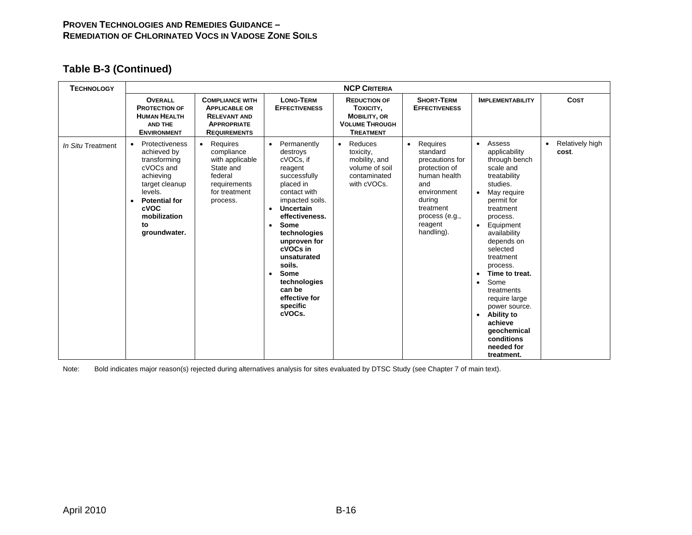# **Table B-3 (Continued)**

| <b>TECHNOLOGY</b> |                                                                                                                                                                                              |                                                                                                                             |                                                                                                                                                                                                                                                                                                                                                                               | <b>NCP CRITERIA</b>                                                                                  |                                                                                                                                                                               |                                                                                                                                                                                                                                                                                                                                                                                                                        |                                       |
|-------------------|----------------------------------------------------------------------------------------------------------------------------------------------------------------------------------------------|-----------------------------------------------------------------------------------------------------------------------------|-------------------------------------------------------------------------------------------------------------------------------------------------------------------------------------------------------------------------------------------------------------------------------------------------------------------------------------------------------------------------------|------------------------------------------------------------------------------------------------------|-------------------------------------------------------------------------------------------------------------------------------------------------------------------------------|------------------------------------------------------------------------------------------------------------------------------------------------------------------------------------------------------------------------------------------------------------------------------------------------------------------------------------------------------------------------------------------------------------------------|---------------------------------------|
|                   | <b>OVERALL</b><br><b>PROTECTION OF</b><br><b>HUMAN HEALTH</b><br><b>AND THE</b><br><b>ENVIRONMENT</b>                                                                                        | <b>COMPLIANCE WITH</b><br><b>APPLICABLE OR</b><br><b>RELEVANT AND</b><br><b>APPROPRIATE</b><br><b>REQUIREMENTS</b>          | <b>LONG-TERM</b><br><b>EFFECTIVENESS</b>                                                                                                                                                                                                                                                                                                                                      | <b>REDUCTION OF</b><br>TOXICITY,<br><b>MOBILITY, OR</b><br><b>VOLUME THROUGH</b><br><b>TREATMENT</b> | <b>SHORT-TERM</b><br><b>EFFECTIVENESS</b>                                                                                                                                     | <b>IMPLEMENTABILITY</b>                                                                                                                                                                                                                                                                                                                                                                                                | <b>COST</b>                           |
| In Situ Treatment | Protectiveness<br>٠<br>achieved by<br>transforming<br>cVOCs and<br>achieving<br>target cleanup<br>levels.<br><b>Potential for</b><br>$\bullet$<br>cVOC<br>mobilization<br>to<br>groundwater. | Requires<br>$\bullet$<br>compliance<br>with applicable<br>State and<br>federal<br>requirements<br>for treatment<br>process. | Permanently<br>$\bullet$<br>destroys<br>cVOCs, if<br>reagent<br>successfully<br>placed in<br>contact with<br>impacted soils.<br><b>Uncertain</b><br>$\bullet$<br>effectiveness.<br><b>Some</b><br>$\bullet$<br>technologies<br>unproven for<br>cVOCs in<br>unsaturated<br>soils.<br><b>Some</b><br>$\bullet$<br>technologies<br>can be<br>effective for<br>specific<br>cVOCs. | Reduces<br>$\bullet$<br>toxicity,<br>mobility, and<br>volume of soil<br>contaminated<br>with cVOCs.  | Requires<br>$\bullet$<br>standard<br>precautions for<br>protection of<br>human health<br>and<br>environment<br>during<br>treatment<br>process (e.g.,<br>reagent<br>handling). | • Assess<br>applicability<br>through bench<br>scale and<br>treatability<br>studies.<br>May require<br>permit for<br>treatment<br>process.<br>Equipment<br>availability<br>depends on<br>selected<br>treatment<br>process.<br>Time to treat.<br>Some<br>$\bullet$<br>treatments<br>require large<br>power source.<br><b>Ability to</b><br>$\bullet$<br>achieve<br>geochemical<br>conditions<br>needed for<br>treatment. | Relatively high<br>$\bullet$<br>cost. |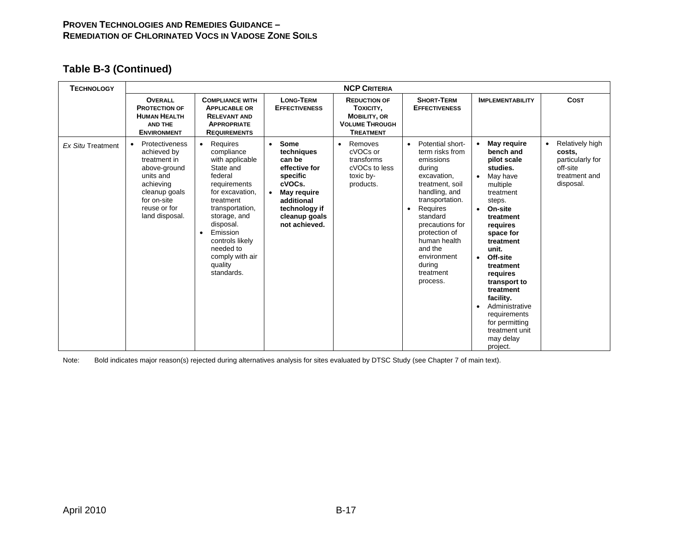# **Table B-3 (Continued)**

| <b>TECHNOLOGY</b>        | <b>NCP CRITERIA</b>                                                                                                                                       |                                                                                                                                                                                                                                                                                     |                                                                                                                                                                  |                                                                                                      |                                                                                                                                                                                                                                                                                                     |                                                                                                                                                                                                                                                                                                                                                         |                                                                                                      |
|--------------------------|-----------------------------------------------------------------------------------------------------------------------------------------------------------|-------------------------------------------------------------------------------------------------------------------------------------------------------------------------------------------------------------------------------------------------------------------------------------|------------------------------------------------------------------------------------------------------------------------------------------------------------------|------------------------------------------------------------------------------------------------------|-----------------------------------------------------------------------------------------------------------------------------------------------------------------------------------------------------------------------------------------------------------------------------------------------------|---------------------------------------------------------------------------------------------------------------------------------------------------------------------------------------------------------------------------------------------------------------------------------------------------------------------------------------------------------|------------------------------------------------------------------------------------------------------|
|                          | <b>OVERALL</b><br><b>PROTECTION OF</b><br><b>HUMAN HEALTH</b><br><b>AND THE</b><br><b>ENVIRONMENT</b>                                                     | <b>COMPLIANCE WITH</b><br><b>APPLICABLE OR</b><br><b>RELEVANT AND</b><br><b>APPROPRIATE</b><br><b>REQUIREMENTS</b>                                                                                                                                                                  | <b>LONG-TERM</b><br><b>EFFECTIVENESS</b>                                                                                                                         | <b>REDUCTION OF</b><br>TOXICITY,<br><b>MOBILITY, OR</b><br><b>VOLUME THROUGH</b><br><b>TREATMENT</b> | <b>SHORT-TERM</b><br><b>EFFECTIVENESS</b>                                                                                                                                                                                                                                                           | <b>IMPLEMENTABILITY</b>                                                                                                                                                                                                                                                                                                                                 | <b>COST</b>                                                                                          |
| <b>Ex Situ Treatment</b> | Protectiveness<br>achieved by<br>treatment in<br>above-ground<br>units and<br>achieving<br>cleanup goals<br>for on-site<br>reuse or for<br>land disposal. | Requires<br>$\bullet$<br>compliance<br>with applicable<br>State and<br>federal<br>requirements<br>for excavation,<br>treatment<br>transportation,<br>storage, and<br>disposal.<br>Emission<br>$\bullet$<br>controls likely<br>needed to<br>comply with air<br>quality<br>standards. | Some<br>$\bullet$<br>techniques<br>can be<br>effective for<br>specific<br>cVOCs.<br>May require<br>additional<br>technology if<br>cleanup goals<br>not achieved. | Removes<br>$\bullet$<br>cVOCs or<br>transforms<br>cVOCs to less<br>toxic by-<br>products.            | Potential short-<br>$\bullet$<br>term risks from<br>emissions<br>during<br>excavation,<br>treatment, soil<br>handling, and<br>transportation.<br>Requires<br>$\bullet$<br>standard<br>precautions for<br>protection of<br>human health<br>and the<br>environment<br>during<br>treatment<br>process. | May require<br>bench and<br>pilot scale<br>studies.<br>May have<br>multiple<br>treatment<br>steps.<br>On-site<br>treatment<br>requires<br>space for<br>treatment<br>unit.<br>Off-site<br>treatment<br>requires<br>transport to<br>treatment<br>facility.<br>Administrative<br>requirements<br>for permitting<br>treatment unit<br>may delay<br>project. | Relatively high<br>$\bullet$<br>costs,<br>particularly for<br>off-site<br>treatment and<br>disposal. |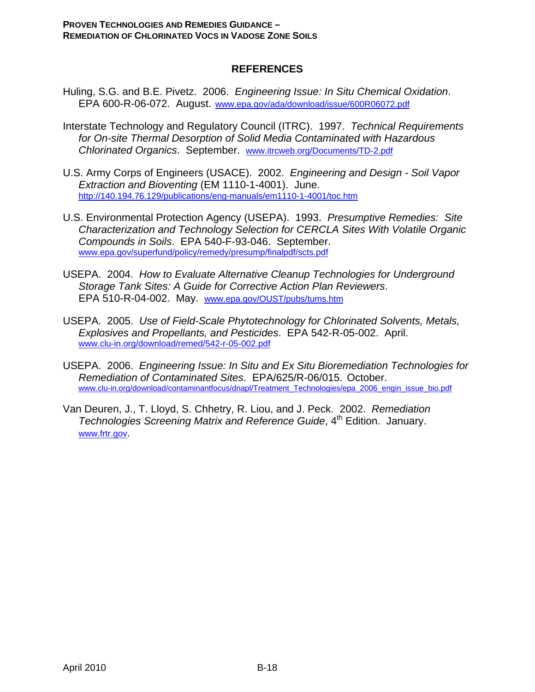#### **REFERENCES**

- Huling, S.G. and B.E. Pivetz. 2006. *Engineering Issue: In Situ Chemical Oxidation*. EPA 600-R-06-072. August. www.epa.gov/ada/download/issue/600R06072.pdf
- Interstate Technology and Regulatory Council (ITRC). 1997. *Technical Requirements for On-site Thermal Desorption of Solid Media Contaminated with Hazardous Chlorinated Organics*. September. www.itrcweb.org/Documents/TD-2.pdf
- U.S. Army Corps of Engineers (USACE). 2002. *Engineering and Design Soil Vapor Extraction and Bioventing* (EM 1110-1-4001). June. http://140.194.76.129/publications/eng-manuals/em1110-1-4001/toc.htm
- U.S. Environmental Protection Agency (USEPA). 1993. *Presumptive Remedies: Site Characterization and Technology Selection for CERCLA Sites With Volatile Organic Compounds in Soils*. EPA 540-F-93-046. September. www.epa.gov/superfund/policy/remedy/presump/finalpdf/scts.pdf
- USEPA. 2004. *How to Evaluate Alternative Cleanup Technologies for Underground Storage Tank Sites: A Guide for Corrective Action Plan Reviewers*. EPA 510-R-04-002. May. www.epa.gov/OUST/pubs/tums.htm
- USEPA. 2005. *Use of Field-Scale Phytotechnology for Chlorinated Solvents, Metals, Explosives and Propellants, and Pesticides*. EPA 542-R-05-002. April. www.clu-in.org/download/remed/542-r-05-002.pdf
- USEPA. 2006. *Engineering Issue: In Situ and Ex Situ Bioremediation Technologies for Remediation of Contaminated Sites*. EPA/625/R-06/015. October. www.clu-in.org/download/contaminantfocus/dnapl/Treatment\_Technologies/epa\_2006\_engin\_issue\_bio.pdf
- Van Deuren, J., T. Lloyd, S. Chhetry, R. Liou, and J. Peck. 2002. *Remediation Technologies Screening Matrix and Reference Guide*, 4<sup>th</sup> Edition. January. www.frtr.gov.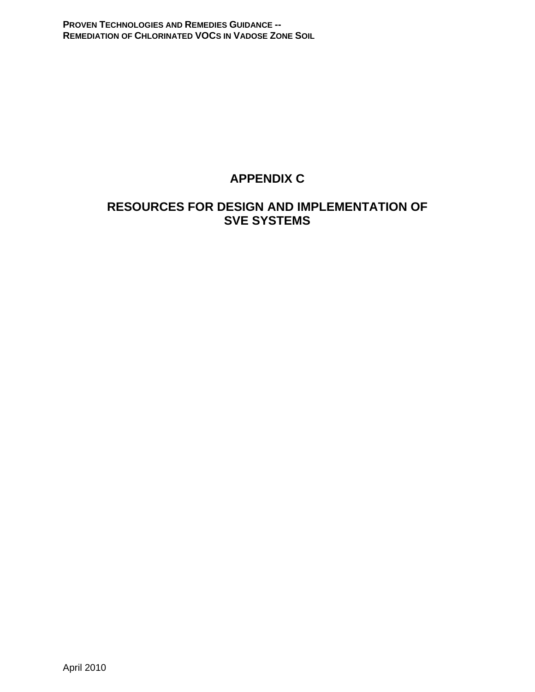# **APPENDIX C**

# **RESOURCES FOR DESIGN AND IMPLEMENTATION OF SVE SYSTEMS**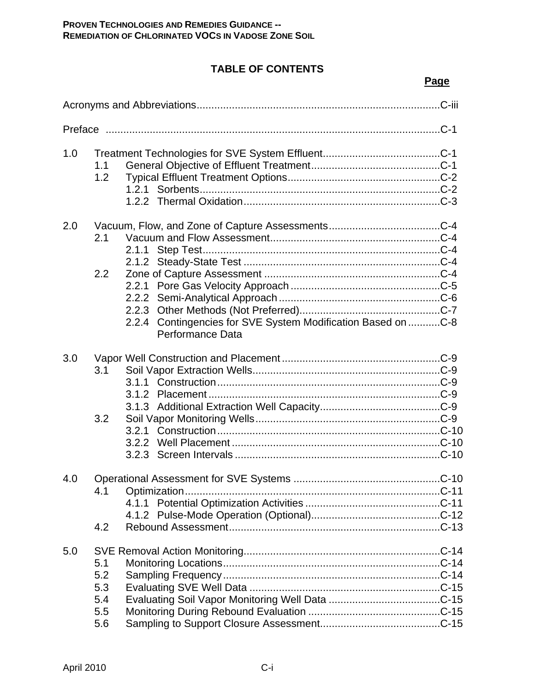# **TABLE OF CONTENTS**

|--|

| 1.0 | 1.1<br>1.2                             |                                                                                  |  |  |  |
|-----|----------------------------------------|----------------------------------------------------------------------------------|--|--|--|
| 2.0 | 2.1<br>$2.2^{\circ}$                   | 2.2.4 Contingencies for SVE System Modification Based on C-8<br>Performance Data |  |  |  |
| 3.0 | 3.1<br>3.2                             |                                                                                  |  |  |  |
| 4.0 | 4.1<br>4.2                             |                                                                                  |  |  |  |
| 5.0 | 5.1<br>5.2<br>5.3<br>5.4<br>5.5<br>5.6 |                                                                                  |  |  |  |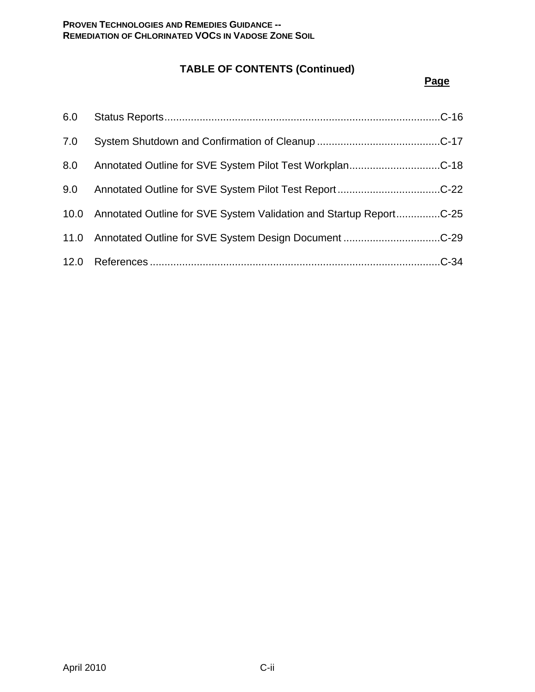# **TABLE OF CONTENTS (Continued)**

### **Page**

| 6.0 |                                                                         |
|-----|-------------------------------------------------------------------------|
| 7.0 |                                                                         |
| 8.0 | Annotated Outline for SVE System Pilot Test WorkplanC-18                |
| 9.0 |                                                                         |
|     | 10.0 Annotated Outline for SVE System Validation and Startup ReportC-25 |
|     | 11.0 Annotated Outline for SVE System Design DocumentC-29               |
|     |                                                                         |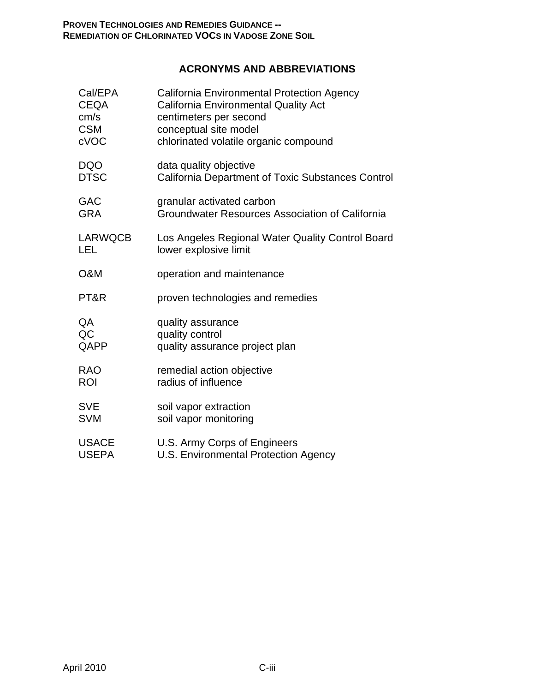# **ACRONYMS AND ABBREVIATIONS**

| Cal/EPA        | California Environmental Protection Agency               |
|----------------|----------------------------------------------------------|
| <b>CEQA</b>    | <b>California Environmental Quality Act</b>              |
| cm/s           | centimeters per second                                   |
| <b>CSM</b>     | conceptual site model                                    |
| cVOC           | chlorinated volatile organic compound                    |
| <b>DQO</b>     | data quality objective                                   |
| <b>DTSC</b>    | <b>California Department of Toxic Substances Control</b> |
| <b>GAC</b>     | granular activated carbon                                |
| <b>GRA</b>     | Groundwater Resources Association of California          |
| <b>LARWQCB</b> | Los Angeles Regional Water Quality Control Board         |
| LEL            | lower explosive limit                                    |
| O&M            | operation and maintenance                                |
| PT&R           | proven technologies and remedies                         |
| QA             | quality assurance                                        |
| QC             | quality control                                          |
| QAPP           | quality assurance project plan                           |
| <b>RAO</b>     | remedial action objective                                |
| <b>ROI</b>     | radius of influence                                      |
| <b>SVE</b>     | soil vapor extraction                                    |
| <b>SVM</b>     | soil vapor monitoring                                    |
| <b>USACE</b>   | U.S. Army Corps of Engineers                             |
| <b>USEPA</b>   | U.S. Environmental Protection Agency                     |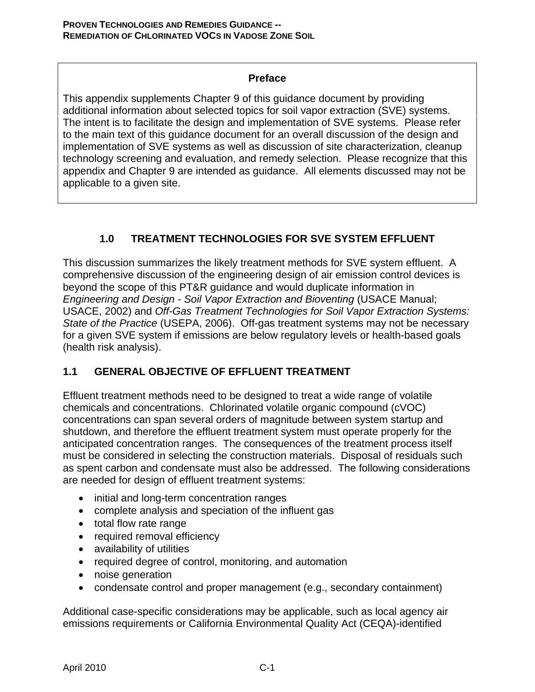### **Preface**

This appendix supplements Chapter 9 of this guidance document by providing additional information about selected topics for soil vapor extraction (SVE) systems. The intent is to facilitate the design and implementation of SVE systems. Please refer to the main text of this guidance document for an overall discussion of the design and implementation of SVE systems as well as discussion of site characterization, cleanup technology screening and evaluation, and remedy selection. Please recognize that this appendix and Chapter 9 are intended as guidance. All elements discussed may not be applicable to a given site.

# **1.0 TREATMENT TECHNOLOGIES FOR SVE SYSTEM EFFLUENT**

This discussion summarizes the likely treatment methods for SVE system effluent. A comprehensive discussion of the engineering design of air emission control devices is beyond the scope of this PT&R guidance and would duplicate information in *Engineering and Design - Soil Vapor Extraction and Bioventing* (USACE Manual; USACE, 2002) and *Off-Gas Treatment Technologies for Soil Vapor Extraction Systems: State of the Practice* (USEPA, 2006). Off-gas treatment systems may not be necessary for a given SVE system if emissions are below regulatory levels or health-based goals (health risk analysis).

# **1.1 GENERAL OBJECTIVE OF EFFLUENT TREATMENT**

Effluent treatment methods need to be designed to treat a wide range of volatile chemicals and concentrations. Chlorinated volatile organic compound (cVOC) concentrations can span several orders of magnitude between system startup and shutdown, and therefore the effluent treatment system must operate properly for the anticipated concentration ranges. The consequences of the treatment process itself must be considered in selecting the construction materials. Disposal of residuals such as spent carbon and condensate must also be addressed. The following considerations are needed for design of effluent treatment systems:

- initial and long-term concentration ranges
- complete analysis and speciation of the influent gas
- total flow rate range
- required removal efficiency
- availability of utilities
- required degree of control, monitoring, and automation
- noise generation
- condensate control and proper management (e.g., secondary containment)

Additional case-specific considerations may be applicable, such as local agency air emissions requirements or California Environmental Quality Act (CEQA)-identified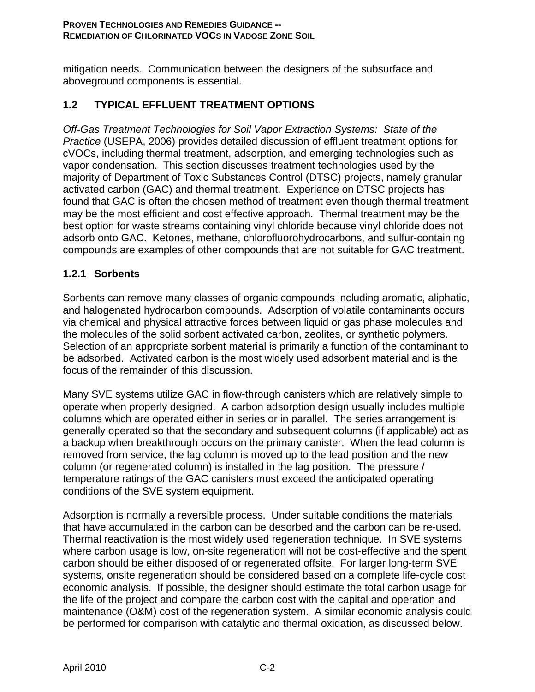mitigation needs. Communication between the designers of the subsurface and aboveground components is essential.

# **1.2 TYPICAL EFFLUENT TREATMENT OPTIONS**

*Off-Gas Treatment Technologies for Soil Vapor Extraction Systems: State of the Practice* (USEPA, 2006) provides detailed discussion of effluent treatment options for cVOCs, including thermal treatment, adsorption, and emerging technologies such as vapor condensation. This section discusses treatment technologies used by the majority of Department of Toxic Substances Control (DTSC) projects, namely granular activated carbon (GAC) and thermal treatment. Experience on DTSC projects has found that GAC is often the chosen method of treatment even though thermal treatment may be the most efficient and cost effective approach. Thermal treatment may be the best option for waste streams containing vinyl chloride because vinyl chloride does not adsorb onto GAC. Ketones, methane, chlorofluorohydrocarbons, and sulfur-containing compounds are examples of other compounds that are not suitable for GAC treatment.

### **1.2.1 Sorbents**

Sorbents can remove many classes of organic compounds including aromatic, aliphatic, and halogenated hydrocarbon compounds. Adsorption of volatile contaminants occurs via chemical and physical attractive forces between liquid or gas phase molecules and the molecules of the solid sorbent activated carbon, zeolites, or synthetic polymers. Selection of an appropriate sorbent material is primarily a function of the contaminant to be adsorbed. Activated carbon is the most widely used adsorbent material and is the focus of the remainder of this discussion.

Many SVE systems utilize GAC in flow-through canisters which are relatively simple to operate when properly designed. A carbon adsorption design usually includes multiple columns which are operated either in series or in parallel. The series arrangement is generally operated so that the secondary and subsequent columns (if applicable) act as a backup when breakthrough occurs on the primary canister. When the lead column is removed from service, the lag column is moved up to the lead position and the new column (or regenerated column) is installed in the lag position. The pressure / temperature ratings of the GAC canisters must exceed the anticipated operating conditions of the SVE system equipment.

Adsorption is normally a reversible process. Under suitable conditions the materials that have accumulated in the carbon can be desorbed and the carbon can be re-used. Thermal reactivation is the most widely used regeneration technique. In SVE systems where carbon usage is low, on-site regeneration will not be cost-effective and the spent carbon should be either disposed of or regenerated offsite. For larger long-term SVE systems, onsite regeneration should be considered based on a complete life-cycle cost economic analysis. If possible, the designer should estimate the total carbon usage for the life of the project and compare the carbon cost with the capital and operation and maintenance (O&M) cost of the regeneration system. A similar economic analysis could be performed for comparison with catalytic and thermal oxidation, as discussed below.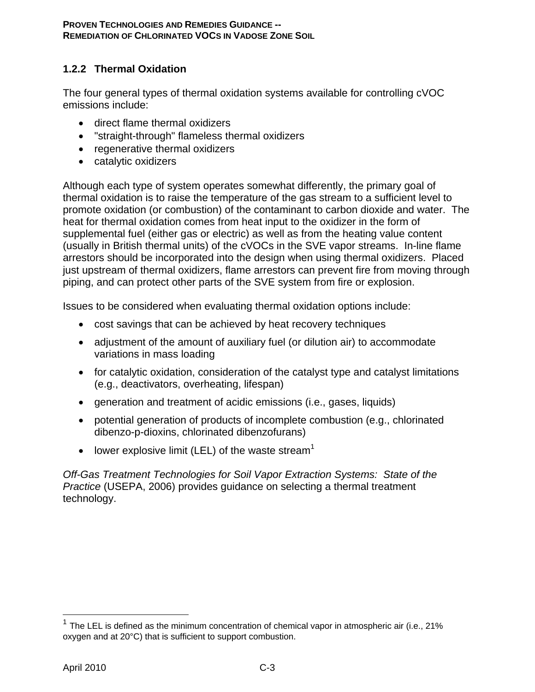## **1.2.2 Thermal Oxidation**

The four general types of thermal oxidation systems available for controlling cVOC emissions include:

- direct flame thermal oxidizers
- "straight-through" flameless thermal oxidizers
- regenerative thermal oxidizers
- catalytic oxidizers

Although each type of system operates somewhat differently, the primary goal of thermal oxidation is to raise the temperature of the gas stream to a sufficient level to promote oxidation (or combustion) of the contaminant to carbon dioxide and water. The heat for thermal oxidation comes from heat input to the oxidizer in the form of supplemental fuel (either gas or electric) as well as from the heating value content (usually in British thermal units) of the cVOCs in the SVE vapor streams. In-line flame arrestors should be incorporated into the design when using thermal oxidizers. Placed just upstream of thermal oxidizers, flame arrestors can prevent fire from moving through piping, and can protect other parts of the SVE system from fire or explosion.

Issues to be considered when evaluating thermal oxidation options include:

- cost savings that can be achieved by heat recovery techniques
- adjustment of the amount of auxiliary fuel (or dilution air) to accommodate variations in mass loading
- for catalytic oxidation, consideration of the catalyst type and catalyst limitations (e.g., deactivators, overheating, lifespan)
- generation and treatment of acidic emissions (i.e., gases, liquids)
- potential generation of products of incomplete combustion (e.g., chlorinated dibenzo-p-dioxins, chlorinated dibenzofurans)
- lower explosive limit (LEL) of the waste stream<sup>1</sup>

*Off-Gas Treatment Technologies for Soil Vapor Extraction Systems: State of the Practice* (USEPA, 2006) provides guidance on selecting a thermal treatment technology.

1

<sup>1</sup> The LEL is defined as the minimum concentration of chemical vapor in atmospheric air (i.e., 21% oxygen and at 20°C) that is sufficient to support combustion.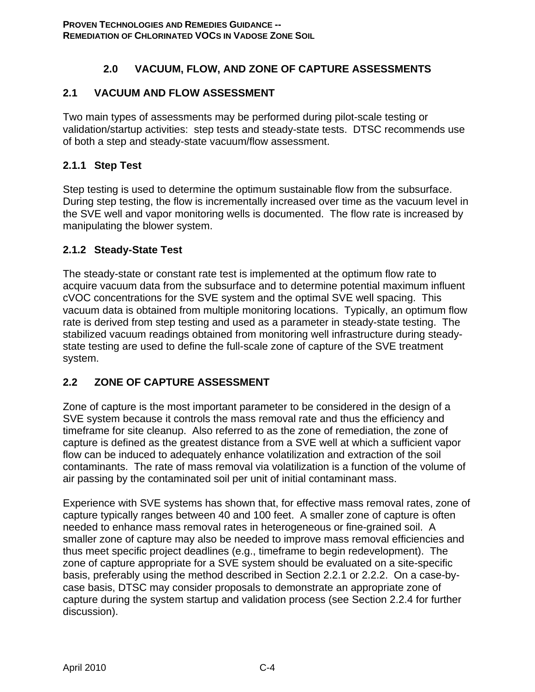# **2.0 VACUUM, FLOW, AND ZONE OF CAPTURE ASSESSMENTS**

# **2.1 VACUUM AND FLOW ASSESSMENT**

Two main types of assessments may be performed during pilot-scale testing or validation/startup activities: step tests and steady-state tests. DTSC recommends use of both a step and steady-state vacuum/flow assessment.

# **2.1.1 Step Test**

Step testing is used to determine the optimum sustainable flow from the subsurface. During step testing, the flow is incrementally increased over time as the vacuum level in the SVE well and vapor monitoring wells is documented. The flow rate is increased by manipulating the blower system.

# **2.1.2 Steady-State Test**

The steady-state or constant rate test is implemented at the optimum flow rate to acquire vacuum data from the subsurface and to determine potential maximum influent cVOC concentrations for the SVE system and the optimal SVE well spacing. This vacuum data is obtained from multiple monitoring locations. Typically, an optimum flow rate is derived from step testing and used as a parameter in steady-state testing. The stabilized vacuum readings obtained from monitoring well infrastructure during steadystate testing are used to define the full-scale zone of capture of the SVE treatment system.

# **2.2 ZONE OF CAPTURE ASSESSMENT**

Zone of capture is the most important parameter to be considered in the design of a SVE system because it controls the mass removal rate and thus the efficiency and timeframe for site cleanup. Also referred to as the zone of remediation, the zone of capture is defined as the greatest distance from a SVE well at which a sufficient vapor flow can be induced to adequately enhance volatilization and extraction of the soil contaminants. The rate of mass removal via volatilization is a function of the volume of air passing by the contaminated soil per unit of initial contaminant mass.

Experience with SVE systems has shown that, for effective mass removal rates, zone of capture typically ranges between 40 and 100 feet. A smaller zone of capture is often needed to enhance mass removal rates in heterogeneous or fine-grained soil. A smaller zone of capture may also be needed to improve mass removal efficiencies and thus meet specific project deadlines (e.g., timeframe to begin redevelopment). The zone of capture appropriate for a SVE system should be evaluated on a site-specific basis, preferably using the method described in Section 2.2.1 or 2.2.2. On a case-bycase basis, DTSC may consider proposals to demonstrate an appropriate zone of capture during the system startup and validation process (see Section 2.2.4 for further discussion).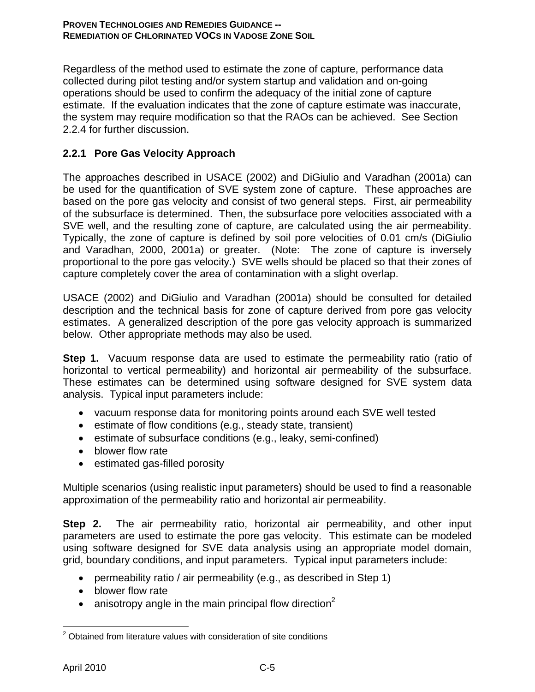Regardless of the method used to estimate the zone of capture, performance data collected during pilot testing and/or system startup and validation and on-going operations should be used to confirm the adequacy of the initial zone of capture estimate. If the evaluation indicates that the zone of capture estimate was inaccurate, the system may require modification so that the RAOs can be achieved. See Section 2.2.4 for further discussion.

# **2.2.1 Pore Gas Velocity Approach**

The approaches described in USACE (2002) and DiGiulio and Varadhan (2001a) can be used for the quantification of SVE system zone of capture. These approaches are based on the pore gas velocity and consist of two general steps. First, air permeability of the subsurface is determined. Then, the subsurface pore velocities associated with a SVE well, and the resulting zone of capture, are calculated using the air permeability. Typically, the zone of capture is defined by soil pore velocities of 0.01 cm/s (DiGiulio and Varadhan, 2000, 2001a) or greater. (Note: The zone of capture is inversely proportional to the pore gas velocity.) SVE wells should be placed so that their zones of capture completely cover the area of contamination with a slight overlap.

USACE (2002) and DiGiulio and Varadhan (2001a) should be consulted for detailed description and the technical basis for zone of capture derived from pore gas velocity estimates. A generalized description of the pore gas velocity approach is summarized below. Other appropriate methods may also be used.

**Step 1.** Vacuum response data are used to estimate the permeability ratio (ratio of horizontal to vertical permeability) and horizontal air permeability of the subsurface. These estimates can be determined using software designed for SVE system data analysis. Typical input parameters include:

- vacuum response data for monitoring points around each SVE well tested
- estimate of flow conditions (e.g., steady state, transient)
- estimate of subsurface conditions (e.g., leaky, semi-confined)
- blower flow rate
- estimated gas-filled porosity

Multiple scenarios (using realistic input parameters) should be used to find a reasonable approximation of the permeability ratio and horizontal air permeability.

**Step 2.** The air permeability ratio, horizontal air permeability, and other input parameters are used to estimate the pore gas velocity. This estimate can be modeled using software designed for SVE data analysis using an appropriate model domain, grid, boundary conditions, and input parameters. Typical input parameters include:

- permeability ratio / air permeability (e.g., as described in Step 1)
- blower flow rate
- anisotropy angle in the main principal flow direction<sup>2</sup>

<sup>1</sup>  $2$  Obtained from literature values with consideration of site conditions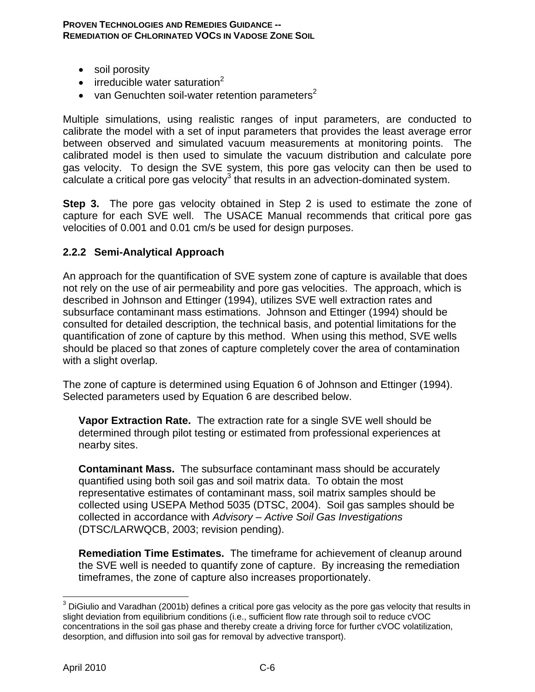#### **PROVEN TECHNOLOGIES AND REMEDIES GUIDANCE -- REMEDIATION OF CHLORINATED VOCS IN VADOSE ZONE SOIL**

- soil porosity
- $\bullet$  irreducible water saturation<sup>2</sup>
- van Genuchten soil-water retention parameters<sup>2</sup>

Multiple simulations, using realistic ranges of input parameters, are conducted to calibrate the model with a set of input parameters that provides the least average error between observed and simulated vacuum measurements at monitoring points. The calibrated model is then used to simulate the vacuum distribution and calculate pore gas velocity. To design the SVE system, this pore gas velocity can then be used to  $c$ alculate a critical pore gas velocity $3$  that results in an advection-dominated system.

**Step 3.** The pore gas velocity obtained in Step 2 is used to estimate the zone of capture for each SVE well. The USACE Manual recommends that critical pore gas velocities of 0.001 and 0.01 cm/s be used for design purposes.

### **2.2.2 Semi-Analytical Approach**

An approach for the quantification of SVE system zone of capture is available that does not rely on the use of air permeability and pore gas velocities. The approach, which is described in Johnson and Ettinger (1994), utilizes SVE well extraction rates and subsurface contaminant mass estimations. Johnson and Ettinger (1994) should be consulted for detailed description, the technical basis, and potential limitations for the quantification of zone of capture by this method. When using this method, SVE wells should be placed so that zones of capture completely cover the area of contamination with a slight overlap.

The zone of capture is determined using Equation 6 of Johnson and Ettinger (1994). Selected parameters used by Equation 6 are described below.

**Vapor Extraction Rate.** The extraction rate for a single SVE well should be determined through pilot testing or estimated from professional experiences at nearby sites.

**Contaminant Mass.** The subsurface contaminant mass should be accurately quantified using both soil gas and soil matrix data. To obtain the most representative estimates of contaminant mass, soil matrix samples should be collected using USEPA Method 5035 (DTSC, 2004). Soil gas samples should be collected in accordance with *Advisory – Active Soil Gas Investigations* (DTSC/LARWQCB, 2003; revision pending).

**Remediation Time Estimates.** The timeframe for achievement of cleanup around the SVE well is needed to quantify zone of capture. By increasing the remediation timeframes, the zone of capture also increases proportionately.

 $\overline{a}$  $^3$  DiGiulio and Varadhan (2001b) defines a critical pore gas velocity as the pore gas velocity that results in slight deviation from equilibrium conditions (i.e., sufficient flow rate through soil to reduce cVOC concentrations in the soil gas phase and thereby create a driving force for further cVOC volatilization, desorption, and diffusion into soil gas for removal by advective transport).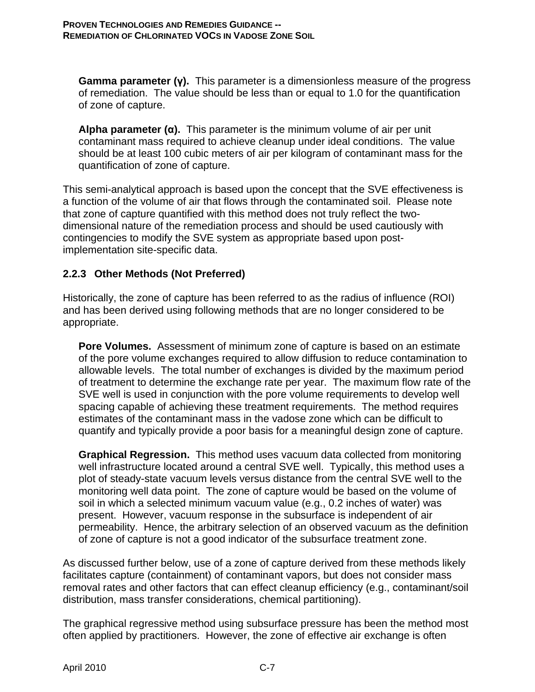**Gamma parameter (γ).** This parameter is a dimensionless measure of the progress of remediation. The value should be less than or equal to 1.0 for the quantification of zone of capture.

**Alpha parameter (α).** This parameter is the minimum volume of air per unit contaminant mass required to achieve cleanup under ideal conditions. The value should be at least 100 cubic meters of air per kilogram of contaminant mass for the quantification of zone of capture.

This semi-analytical approach is based upon the concept that the SVE effectiveness is a function of the volume of air that flows through the contaminated soil. Please note that zone of capture quantified with this method does not truly reflect the twodimensional nature of the remediation process and should be used cautiously with contingencies to modify the SVE system as appropriate based upon postimplementation site-specific data.

### **2.2.3 Other Methods (Not Preferred)**

Historically, the zone of capture has been referred to as the radius of influence (ROI) and has been derived using following methods that are no longer considered to be appropriate.

**Pore Volumes.** Assessment of minimum zone of capture is based on an estimate of the pore volume exchanges required to allow diffusion to reduce contamination to allowable levels. The total number of exchanges is divided by the maximum period of treatment to determine the exchange rate per year. The maximum flow rate of the SVE well is used in conjunction with the pore volume requirements to develop well spacing capable of achieving these treatment requirements. The method requires estimates of the contaminant mass in the vadose zone which can be difficult to quantify and typically provide a poor basis for a meaningful design zone of capture.

**Graphical Regression.** This method uses vacuum data collected from monitoring well infrastructure located around a central SVE well. Typically, this method uses a plot of steady-state vacuum levels versus distance from the central SVE well to the monitoring well data point. The zone of capture would be based on the volume of soil in which a selected minimum vacuum value (e.g., 0.2 inches of water) was present. However, vacuum response in the subsurface is independent of air permeability. Hence, the arbitrary selection of an observed vacuum as the definition of zone of capture is not a good indicator of the subsurface treatment zone.

As discussed further below, use of a zone of capture derived from these methods likely facilitates capture (containment) of contaminant vapors, but does not consider mass removal rates and other factors that can effect cleanup efficiency (e.g., contaminant/soil distribution, mass transfer considerations, chemical partitioning).

The graphical regressive method using subsurface pressure has been the method most often applied by practitioners. However, the zone of effective air exchange is often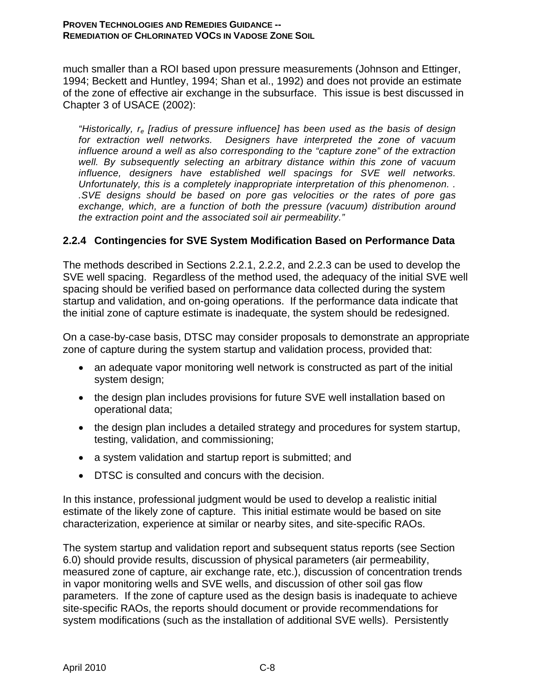#### **PROVEN TECHNOLOGIES AND REMEDIES GUIDANCE -- REMEDIATION OF CHLORINATED VOCS IN VADOSE ZONE SOIL**

much smaller than a ROI based upon pressure measurements (Johnson and Ettinger, 1994; Beckett and Huntley, 1994; Shan et al., 1992) and does not provide an estimate of the zone of effective air exchange in the subsurface. This issue is best discussed in Chapter 3 of USACE (2002):

*"Historically, re [radius of pressure influence] has been used as the basis of design for extraction well networks. Designers have interpreted the zone of vacuum influence around a well as also corresponding to the "capture zone" of the extraction well. By subsequently selecting an arbitrary distance within this zone of vacuum influence, designers have established well spacings for SVE well networks. Unfortunately, this is a completely inappropriate interpretation of this phenomenon. . .SVE designs should be based on pore gas velocities or the rates of pore gas exchange, which, are a function of both the pressure (vacuum) distribution around the extraction point and the associated soil air permeability."* 

### **2.2.4 Contingencies for SVE System Modification Based on Performance Data**

The methods described in Sections 2.2.1, 2.2.2, and 2.2.3 can be used to develop the SVE well spacing. Regardless of the method used, the adequacy of the initial SVE well spacing should be verified based on performance data collected during the system startup and validation, and on-going operations. If the performance data indicate that the initial zone of capture estimate is inadequate, the system should be redesigned.

On a case-by-case basis, DTSC may consider proposals to demonstrate an appropriate zone of capture during the system startup and validation process, provided that:

- an adequate vapor monitoring well network is constructed as part of the initial system design;
- the design plan includes provisions for future SVE well installation based on operational data;
- the design plan includes a detailed strategy and procedures for system startup, testing, validation, and commissioning;
- a system validation and startup report is submitted; and
- DTSC is consulted and concurs with the decision.

In this instance, professional judgment would be used to develop a realistic initial estimate of the likely zone of capture. This initial estimate would be based on site characterization, experience at similar or nearby sites, and site-specific RAOs.

The system startup and validation report and subsequent status reports (see Section 6.0) should provide results, discussion of physical parameters (air permeability, measured zone of capture, air exchange rate, etc.), discussion of concentration trends in vapor monitoring wells and SVE wells, and discussion of other soil gas flow parameters. If the zone of capture used as the design basis is inadequate to achieve site-specific RAOs, the reports should document or provide recommendations for system modifications (such as the installation of additional SVE wells). Persistently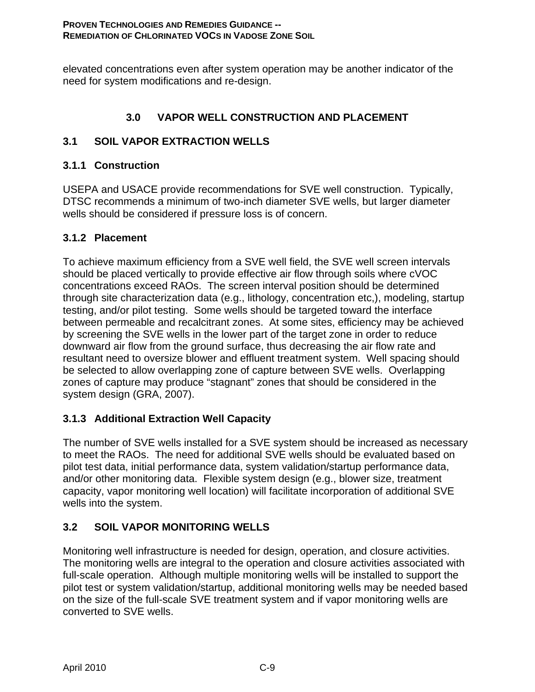elevated concentrations even after system operation may be another indicator of the need for system modifications and re-design.

# **3.0 VAPOR WELL CONSTRUCTION AND PLACEMENT**

# **3.1 SOIL VAPOR EXTRACTION WELLS**

# **3.1.1 Construction**

USEPA and USACE provide recommendations for SVE well construction. Typically, DTSC recommends a minimum of two-inch diameter SVE wells, but larger diameter wells should be considered if pressure loss is of concern.

# **3.1.2 Placement**

To achieve maximum efficiency from a SVE well field, the SVE well screen intervals should be placed vertically to provide effective air flow through soils where cVOC concentrations exceed RAOs. The screen interval position should be determined through site characterization data (e.g., lithology, concentration etc,), modeling, startup testing, and/or pilot testing. Some wells should be targeted toward the interface between permeable and recalcitrant zones. At some sites, efficiency may be achieved by screening the SVE wells in the lower part of the target zone in order to reduce downward air flow from the ground surface, thus decreasing the air flow rate and resultant need to oversize blower and effluent treatment system. Well spacing should be selected to allow overlapping zone of capture between SVE wells. Overlapping zones of capture may produce "stagnant" zones that should be considered in the system design (GRA, 2007).

# **3.1.3 Additional Extraction Well Capacity**

The number of SVE wells installed for a SVE system should be increased as necessary to meet the RAOs. The need for additional SVE wells should be evaluated based on pilot test data, initial performance data, system validation/startup performance data, and/or other monitoring data. Flexible system design (e.g., blower size, treatment capacity, vapor monitoring well location) will facilitate incorporation of additional SVE wells into the system.

# **3.2 SOIL VAPOR MONITORING WELLS**

Monitoring well infrastructure is needed for design, operation, and closure activities. The monitoring wells are integral to the operation and closure activities associated with full-scale operation. Although multiple monitoring wells will be installed to support the pilot test or system validation/startup, additional monitoring wells may be needed based on the size of the full-scale SVE treatment system and if vapor monitoring wells are converted to SVE wells.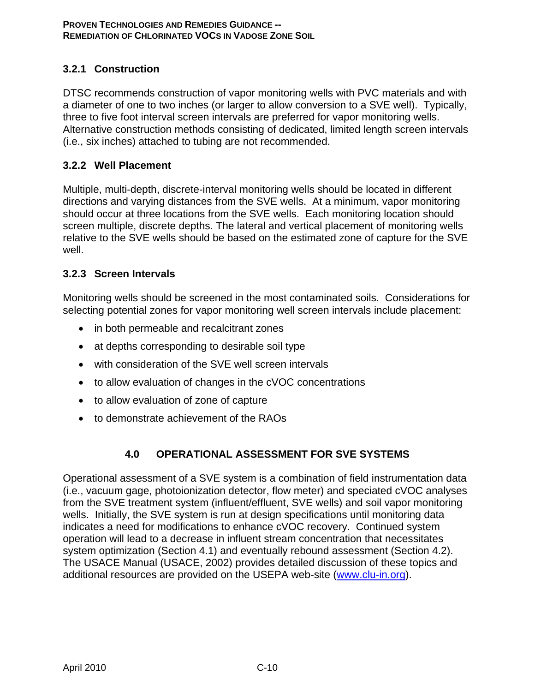# **3.2.1 Construction**

DTSC recommends construction of vapor monitoring wells with PVC materials and with a diameter of one to two inches (or larger to allow conversion to a SVE well). Typically, three to five foot interval screen intervals are preferred for vapor monitoring wells. Alternative construction methods consisting of dedicated, limited length screen intervals (i.e., six inches) attached to tubing are not recommended.

### **3.2.2 Well Placement**

Multiple, multi-depth, discrete-interval monitoring wells should be located in different directions and varying distances from the SVE wells. At a minimum, vapor monitoring should occur at three locations from the SVE wells. Each monitoring location should screen multiple, discrete depths. The lateral and vertical placement of monitoring wells relative to the SVE wells should be based on the estimated zone of capture for the SVE well.

### **3.2.3 Screen Intervals**

Monitoring wells should be screened in the most contaminated soils. Considerations for selecting potential zones for vapor monitoring well screen intervals include placement:

- in both permeable and recalcitrant zones
- at depths corresponding to desirable soil type
- with consideration of the SVE well screen intervals
- to allow evaluation of changes in the cVOC concentrations
- to allow evaluation of zone of capture
- to demonstrate achievement of the RAOs

### **4.0 OPERATIONAL ASSESSMENT FOR SVE SYSTEMS**

Operational assessment of a SVE system is a combination of field instrumentation data (i.e., vacuum gage, photoionization detector, flow meter) and speciated cVOC analyses from the SVE treatment system (influent/effluent, SVE wells) and soil vapor monitoring wells. Initially, the SVE system is run at design specifications until monitoring data indicates a need for modifications to enhance cVOC recovery. Continued system operation will lead to a decrease in influent stream concentration that necessitates system optimization (Section 4.1) and eventually rebound assessment (Section 4.2). The USACE Manual (USACE, 2002) provides detailed discussion of these topics and additional resources are provided on the USEPA web-site (www.clu-in.org).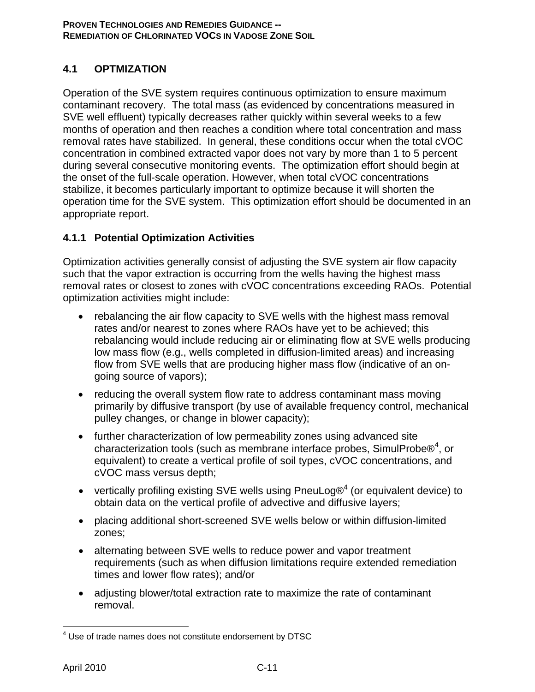# **4.1 OPTMIZATION**

Operation of the SVE system requires continuous optimization to ensure maximum contaminant recovery. The total mass (as evidenced by concentrations measured in SVE well effluent) typically decreases rather quickly within several weeks to a few months of operation and then reaches a condition where total concentration and mass removal rates have stabilized. In general, these conditions occur when the total cVOC concentration in combined extracted vapor does not vary by more than 1 to 5 percent during several consecutive monitoring events. The optimization effort should begin at the onset of the full-scale operation. However, when total cVOC concentrations stabilize, it becomes particularly important to optimize because it will shorten the operation time for the SVE system. This optimization effort should be documented in an appropriate report.

# **4.1.1 Potential Optimization Activities**

Optimization activities generally consist of adjusting the SVE system air flow capacity such that the vapor extraction is occurring from the wells having the highest mass removal rates or closest to zones with cVOC concentrations exceeding RAOs. Potential optimization activities might include:

- rebalancing the air flow capacity to SVE wells with the highest mass removal rates and/or nearest to zones where RAOs have yet to be achieved; this rebalancing would include reducing air or eliminating flow at SVE wells producing low mass flow (e.g., wells completed in diffusion-limited areas) and increasing flow from SVE wells that are producing higher mass flow (indicative of an ongoing source of vapors);
- reducing the overall system flow rate to address contaminant mass moving primarily by diffusive transport (by use of available frequency control, mechanical pulley changes, or change in blower capacity);
- further characterization of low permeability zones using advanced site characterization tools (such as membrane interface probes, SimulProbe $@^4$ , or equivalent) to create a vertical profile of soil types, cVOC concentrations, and cVOC mass versus depth;
- vertically profiling existing SVE wells using PneuLog $\mathcal{O}^4$  (or equivalent device) to obtain data on the vertical profile of advective and diffusive layers;
- placing additional short-screened SVE wells below or within diffusion-limited zones;
- alternating between SVE wells to reduce power and vapor treatment requirements (such as when diffusion limitations require extended remediation times and lower flow rates); and/or
- adjusting blower/total extraction rate to maximize the rate of contaminant removal.

 $\overline{a}$ <sup>4</sup> Use of trade names does not constitute endorsement by DTSC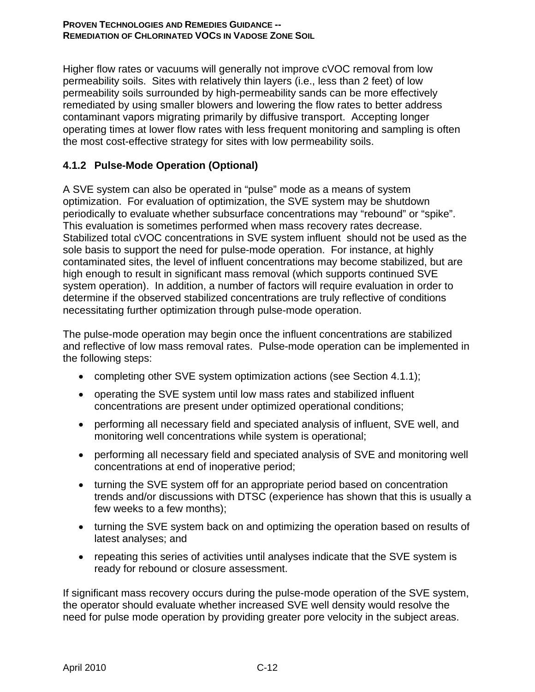Higher flow rates or vacuums will generally not improve cVOC removal from low permeability soils. Sites with relatively thin layers (i.e., less than 2 feet) of low permeability soils surrounded by high-permeability sands can be more effectively remediated by using smaller blowers and lowering the flow rates to better address contaminant vapors migrating primarily by diffusive transport. Accepting longer operating times at lower flow rates with less frequent monitoring and sampling is often the most cost-effective strategy for sites with low permeability soils.

## **4.1.2 Pulse-Mode Operation (Optional)**

A SVE system can also be operated in "pulse" mode as a means of system optimization. For evaluation of optimization, the SVE system may be shutdown periodically to evaluate whether subsurface concentrations may "rebound" or "spike". This evaluation is sometimes performed when mass recovery rates decrease. Stabilized total cVOC concentrations in SVE system influent should not be used as the sole basis to support the need for pulse-mode operation. For instance, at highly contaminated sites, the level of influent concentrations may become stabilized, but are high enough to result in significant mass removal (which supports continued SVE system operation). In addition, a number of factors will require evaluation in order to determine if the observed stabilized concentrations are truly reflective of conditions necessitating further optimization through pulse-mode operation.

The pulse-mode operation may begin once the influent concentrations are stabilized and reflective of low mass removal rates. Pulse-mode operation can be implemented in the following steps:

- completing other SVE system optimization actions (see Section 4.1.1);
- operating the SVE system until low mass rates and stabilized influent concentrations are present under optimized operational conditions;
- performing all necessary field and speciated analysis of influent, SVE well, and monitoring well concentrations while system is operational;
- performing all necessary field and speciated analysis of SVE and monitoring well concentrations at end of inoperative period;
- turning the SVE system off for an appropriate period based on concentration trends and/or discussions with DTSC (experience has shown that this is usually a few weeks to a few months);
- turning the SVE system back on and optimizing the operation based on results of latest analyses; and
- repeating this series of activities until analyses indicate that the SVE system is ready for rebound or closure assessment.

If significant mass recovery occurs during the pulse-mode operation of the SVE system, the operator should evaluate whether increased SVE well density would resolve the need for pulse mode operation by providing greater pore velocity in the subject areas.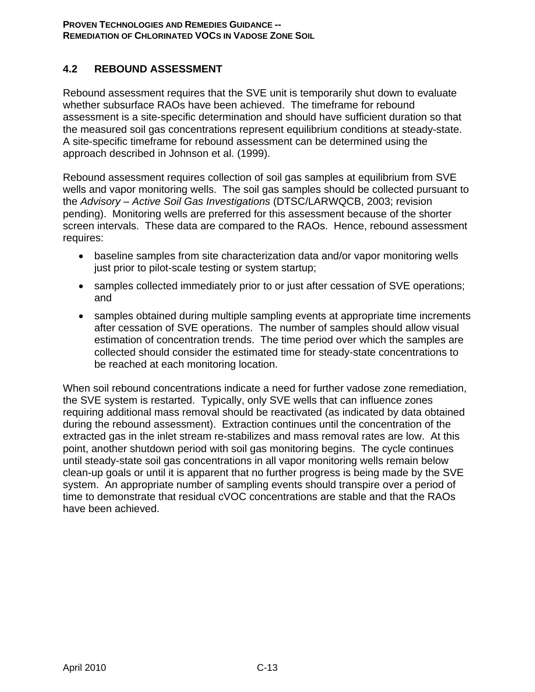## **4.2 REBOUND ASSESSMENT**

Rebound assessment requires that the SVE unit is temporarily shut down to evaluate whether subsurface RAOs have been achieved. The timeframe for rebound assessment is a site-specific determination and should have sufficient duration so that the measured soil gas concentrations represent equilibrium conditions at steady-state. A site-specific timeframe for rebound assessment can be determined using the approach described in Johnson et al. (1999).

Rebound assessment requires collection of soil gas samples at equilibrium from SVE wells and vapor monitoring wells. The soil gas samples should be collected pursuant to the *Advisory – Active Soil Gas Investigations* (DTSC/LARWQCB, 2003; revision pending). Monitoring wells are preferred for this assessment because of the shorter screen intervals. These data are compared to the RAOs. Hence, rebound assessment requires:

- baseline samples from site characterization data and/or vapor monitoring wells just prior to pilot-scale testing or system startup;
- samples collected immediately prior to or just after cessation of SVE operations; and
- samples obtained during multiple sampling events at appropriate time increments after cessation of SVE operations. The number of samples should allow visual estimation of concentration trends. The time period over which the samples are collected should consider the estimated time for steady-state concentrations to be reached at each monitoring location.

When soil rebound concentrations indicate a need for further vadose zone remediation, the SVE system is restarted. Typically, only SVE wells that can influence zones requiring additional mass removal should be reactivated (as indicated by data obtained during the rebound assessment). Extraction continues until the concentration of the extracted gas in the inlet stream re-stabilizes and mass removal rates are low. At this point, another shutdown period with soil gas monitoring begins. The cycle continues until steady-state soil gas concentrations in all vapor monitoring wells remain below clean-up goals or until it is apparent that no further progress is being made by the SVE system. An appropriate number of sampling events should transpire over a period of time to demonstrate that residual cVOC concentrations are stable and that the RAOs have been achieved.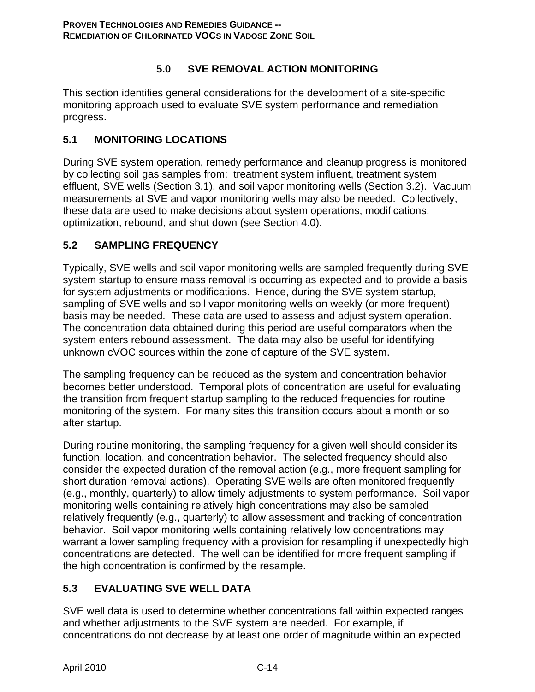# **5.0 SVE REMOVAL ACTION MONITORING**

This section identifies general considerations for the development of a site-specific monitoring approach used to evaluate SVE system performance and remediation progress.

### **5.1 MONITORING LOCATIONS**

During SVE system operation, remedy performance and cleanup progress is monitored by collecting soil gas samples from: treatment system influent, treatment system effluent, SVE wells (Section 3.1), and soil vapor monitoring wells (Section 3.2). Vacuum measurements at SVE and vapor monitoring wells may also be needed. Collectively, these data are used to make decisions about system operations, modifications, optimization, rebound, and shut down (see Section 4.0).

## **5.2 SAMPLING FREQUENCY**

Typically, SVE wells and soil vapor monitoring wells are sampled frequently during SVE system startup to ensure mass removal is occurring as expected and to provide a basis for system adjustments or modifications. Hence, during the SVE system startup, sampling of SVE wells and soil vapor monitoring wells on weekly (or more frequent) basis may be needed. These data are used to assess and adjust system operation. The concentration data obtained during this period are useful comparators when the system enters rebound assessment. The data may also be useful for identifying unknown cVOC sources within the zone of capture of the SVE system.

The sampling frequency can be reduced as the system and concentration behavior becomes better understood. Temporal plots of concentration are useful for evaluating the transition from frequent startup sampling to the reduced frequencies for routine monitoring of the system. For many sites this transition occurs about a month or so after startup.

During routine monitoring, the sampling frequency for a given well should consider its function, location, and concentration behavior. The selected frequency should also consider the expected duration of the removal action (e.g., more frequent sampling for short duration removal actions). Operating SVE wells are often monitored frequently (e.g., monthly, quarterly) to allow timely adjustments to system performance. Soil vapor monitoring wells containing relatively high concentrations may also be sampled relatively frequently (e.g., quarterly) to allow assessment and tracking of concentration behavior. Soil vapor monitoring wells containing relatively low concentrations may warrant a lower sampling frequency with a provision for resampling if unexpectedly high concentrations are detected. The well can be identified for more frequent sampling if the high concentration is confirmed by the resample.

# **5.3 EVALUATING SVE WELL DATA**

SVE well data is used to determine whether concentrations fall within expected ranges and whether adjustments to the SVE system are needed. For example, if concentrations do not decrease by at least one order of magnitude within an expected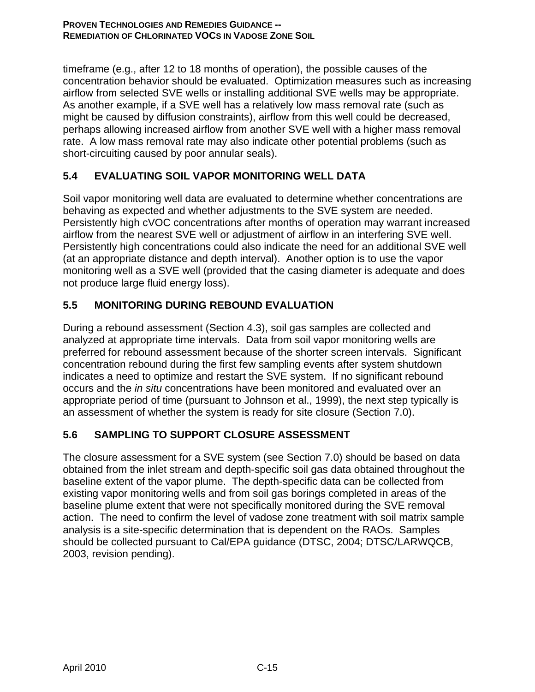timeframe (e.g., after 12 to 18 months of operation), the possible causes of the concentration behavior should be evaluated. Optimization measures such as increasing airflow from selected SVE wells or installing additional SVE wells may be appropriate. As another example, if a SVE well has a relatively low mass removal rate (such as might be caused by diffusion constraints), airflow from this well could be decreased, perhaps allowing increased airflow from another SVE well with a higher mass removal rate. A low mass removal rate may also indicate other potential problems (such as short-circuiting caused by poor annular seals).

# **5.4 EVALUATING SOIL VAPOR MONITORING WELL DATA**

Soil vapor monitoring well data are evaluated to determine whether concentrations are behaving as expected and whether adjustments to the SVE system are needed. Persistently high cVOC concentrations after months of operation may warrant increased airflow from the nearest SVE well or adjustment of airflow in an interfering SVE well. Persistently high concentrations could also indicate the need for an additional SVE well (at an appropriate distance and depth interval). Another option is to use the vapor monitoring well as a SVE well (provided that the casing diameter is adequate and does not produce large fluid energy loss).

## **5.5 MONITORING DURING REBOUND EVALUATION**

During a rebound assessment (Section 4.3), soil gas samples are collected and analyzed at appropriate time intervals. Data from soil vapor monitoring wells are preferred for rebound assessment because of the shorter screen intervals. Significant concentration rebound during the first few sampling events after system shutdown indicates a need to optimize and restart the SVE system. If no significant rebound occurs and the *in situ* concentrations have been monitored and evaluated over an appropriate period of time (pursuant to Johnson et al., 1999), the next step typically is an assessment of whether the system is ready for site closure (Section 7.0).

### **5.6 SAMPLING TO SUPPORT CLOSURE ASSESSMENT**

The closure assessment for a SVE system (see Section 7.0) should be based on data obtained from the inlet stream and depth-specific soil gas data obtained throughout the baseline extent of the vapor plume. The depth-specific data can be collected from existing vapor monitoring wells and from soil gas borings completed in areas of the baseline plume extent that were not specifically monitored during the SVE removal action. The need to confirm the level of vadose zone treatment with soil matrix sample analysis is a site-specific determination that is dependent on the RAOs. Samples should be collected pursuant to Cal/EPA guidance (DTSC, 2004; DTSC/LARWQCB, 2003, revision pending).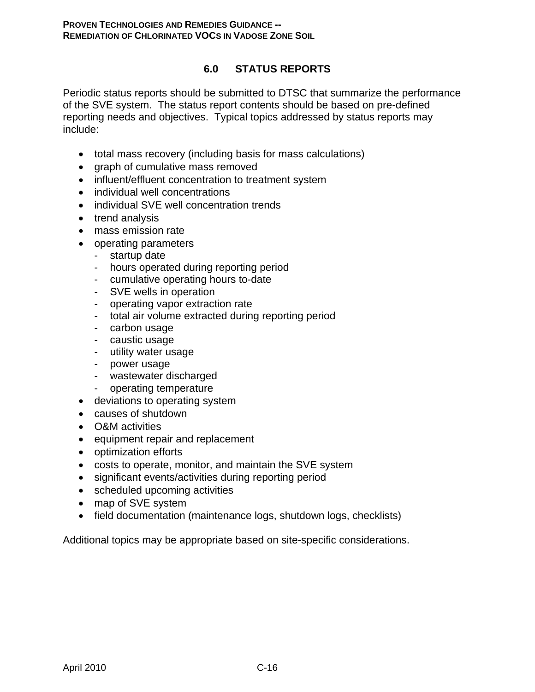### **6.0 STATUS REPORTS**

Periodic status reports should be submitted to DTSC that summarize the performance of the SVE system. The status report contents should be based on pre-defined reporting needs and objectives. Typical topics addressed by status reports may include:

- total mass recovery (including basis for mass calculations)
- graph of cumulative mass removed
- influent/effluent concentration to treatment system
- individual well concentrations
- individual SVE well concentration trends
- trend analysis
- mass emission rate
- operating parameters
	- startup date
	- hours operated during reporting period
	- cumulative operating hours to-date
	- SVE wells in operation
	- operating vapor extraction rate
	- total air volume extracted during reporting period
	- carbon usage
	- caustic usage
	- utility water usage
	- power usage
	- wastewater discharged
	- operating temperature
- deviations to operating system
- causes of shutdown
- O&M activities
- equipment repair and replacement
- optimization efforts
- costs to operate, monitor, and maintain the SVE system
- significant events/activities during reporting period
- scheduled upcoming activities
- map of SVE system
- field documentation (maintenance logs, shutdown logs, checklists)

Additional topics may be appropriate based on site-specific considerations.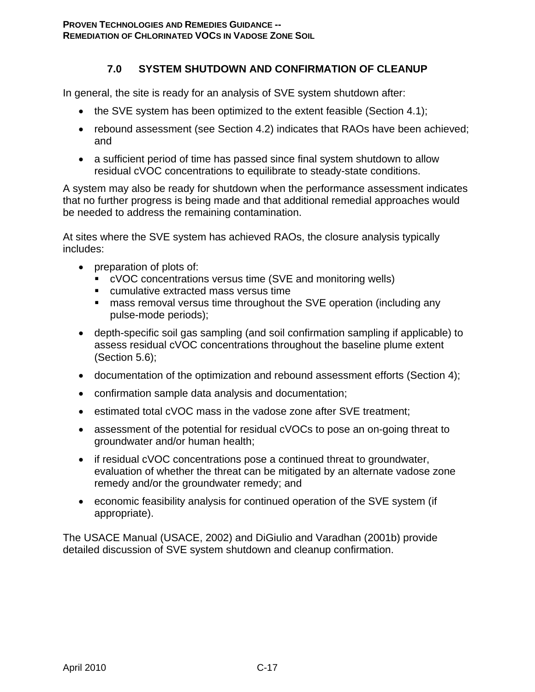## **7.0 SYSTEM SHUTDOWN AND CONFIRMATION OF CLEANUP**

In general, the site is ready for an analysis of SVE system shutdown after:

- the SVE system has been optimized to the extent feasible (Section 4.1);
- rebound assessment (see Section 4.2) indicates that RAOs have been achieved; and
- a sufficient period of time has passed since final system shutdown to allow residual cVOC concentrations to equilibrate to steady-state conditions.

A system may also be ready for shutdown when the performance assessment indicates that no further progress is being made and that additional remedial approaches would be needed to address the remaining contamination.

At sites where the SVE system has achieved RAOs, the closure analysis typically includes:

- preparation of plots of:
	- cVOC concentrations versus time (SVE and monitoring wells)
	- cumulative extracted mass versus time
	- mass removal versus time throughout the SVE operation (including any pulse-mode periods);
- depth-specific soil gas sampling (and soil confirmation sampling if applicable) to assess residual cVOC concentrations throughout the baseline plume extent (Section 5.6);
- documentation of the optimization and rebound assessment efforts (Section 4);
- confirmation sample data analysis and documentation;
- estimated total cVOC mass in the vadose zone after SVE treatment;
- assessment of the potential for residual cVOCs to pose an on-going threat to groundwater and/or human health;
- if residual cVOC concentrations pose a continued threat to groundwater, evaluation of whether the threat can be mitigated by an alternate vadose zone remedy and/or the groundwater remedy; and
- economic feasibility analysis for continued operation of the SVE system (if appropriate).

The USACE Manual (USACE, 2002) and DiGiulio and Varadhan (2001b) provide detailed discussion of SVE system shutdown and cleanup confirmation.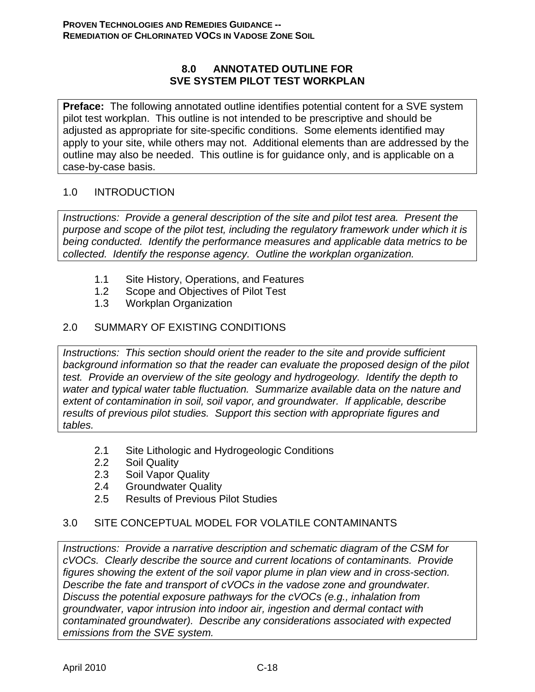### **8.0 ANNOTATED OUTLINE FOR SVE SYSTEM PILOT TEST WORKPLAN**

**Preface:** The following annotated outline identifies potential content for a SVE system pilot test workplan. This outline is not intended to be prescriptive and should be adjusted as appropriate for site-specific conditions. Some elements identified may apply to your site, while others may not. Additional elements than are addressed by the outline may also be needed. This outline is for guidance only, and is applicable on a case-by-case basis.

### 1.0 INTRODUCTION

*Instructions: Provide a general description of the site and pilot test area. Present the purpose and scope of the pilot test, including the regulatory framework under which it is being conducted. Identify the performance measures and applicable data metrics to be collected. Identify the response agency. Outline the workplan organization.* 

- 1.1 Site History, Operations, and Features
- 1.2 Scope and Objectives of Pilot Test
- 1.3 Workplan Organization

### 2.0 SUMMARY OF EXISTING CONDITIONS

*Instructions: This section should orient the reader to the site and provide sufficient background information so that the reader can evaluate the proposed design of the pilot test. Provide an overview of the site geology and hydrogeology. Identify the depth to water and typical water table fluctuation. Summarize available data on the nature and extent of contamination in soil, soil vapor, and groundwater. If applicable, describe results of previous pilot studies. Support this section with appropriate figures and tables.* 

- 2.1 Site Lithologic and Hydrogeologic Conditions
- 2.2 Soil Quality
- 2.3 Soil Vapor Quality
- 2.4 Groundwater Quality
- 2.5 Results of Previous Pilot Studies

### 3.0 SITE CONCEPTUAL MODEL FOR VOLATILE CONTAMINANTS

*Instructions: Provide a narrative description and schematic diagram of the CSM for cVOCs. Clearly describe the source and current locations of contaminants. Provide figures showing the extent of the soil vapor plume in plan view and in cross-section. Describe the fate and transport of cVOCs in the vadose zone and groundwater. Discuss the potential exposure pathways for the cVOCs (e.g., inhalation from groundwater, vapor intrusion into indoor air, ingestion and dermal contact with contaminated groundwater). Describe any considerations associated with expected emissions from the SVE system.*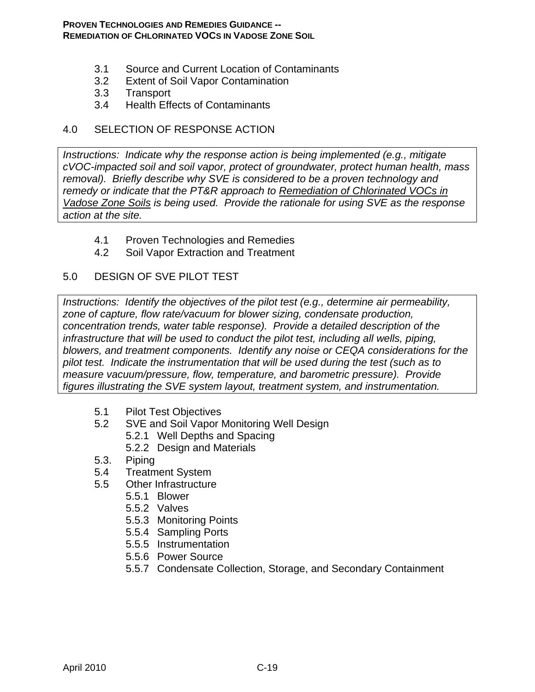#### **PROVEN TECHNOLOGIES AND REMEDIES GUIDANCE -- REMEDIATION OF CHLORINATED VOCS IN VADOSE ZONE SOIL**

- 3.1 Source and Current Location of Contaminants
- 3.2 Extent of Soil Vapor Contamination
- 3.3 Transport
- 3.4 Health Effects of Contaminants

### 4.0 SELECTION OF RESPONSE ACTION

*Instructions: Indicate why the response action is being implemented (e.g., mitigate*  $\overline{a}$ *cVOC-impacted soil and soil vapor, protect of groundwater, protect human health, mass removal). Briefly describe why SVE is considered to be a proven technology and remedy or indicate that the PT&R approach to Remediation of Chlorinated VOCs in Vadose Zone Soils is being used. Provide the rationale for using SVE as the response action at the site.* 

- 4.1 Proven Technologies and Remedies
- 4.2 Soil Vapor Extraction and Treatment

### 5.0 DESIGN OF SVE PILOT TEST

*Instructions: Identify the objectives of the pilot test (e.g., determine air permeability, zone of capture, flow rate/vacuum for blower sizing, condensate production, concentration trends, water table response). Provide a detailed description of the infrastructure that will be used to conduct the pilot test, including all wells, piping, blowers, and treatment components. Identify any noise or CEQA considerations for the pilot test. Indicate the instrumentation that will be used during the test (such as to measure vacuum/pressure, flow, temperature, and barometric pressure). Provide figures illustrating the SVE system layout, treatment system, and instrumentation.* 

- 5.1 Pilot Test Objectives
- 5.2 SVE and Soil Vapor Monitoring Well Design
	- 5.2.1 Well Depths and Spacing
	- 5.2.2 Design and Materials
- 5.3. Piping
- 5.4 Treatment System
- 5.5 Other Infrastructure
	- 5.5.1 Blower
	- 5.5.2 Valves
	- 5.5.3 Monitoring Points
	- 5.5.4 Sampling Ports
	- 5.5.5 Instrumentation
	- 5.5.6 Power Source
	- 5.5.7 Condensate Collection, Storage, and Secondary Containment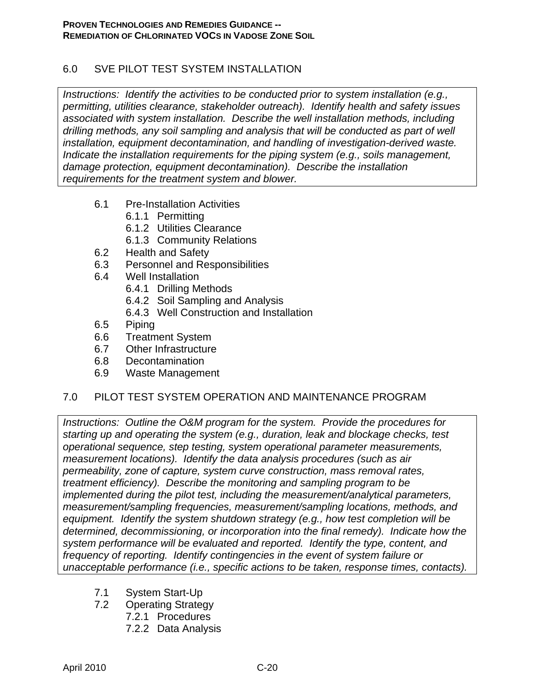## 6.0 SVE PILOT TEST SYSTEM INSTALLATION

*Instructions: Identify the activities to be conducted prior to system installation (e.g., permitting, utilities clearance, stakeholder outreach). Identify health and safety issues associated with system installation. Describe the well installation methods, including drilling methods, any soil sampling and analysis that will be conducted as part of well installation, equipment decontamination, and handling of investigation-derived waste. Indicate the installation requirements for the piping system (e.g., soils management, damage protection, equipment decontamination). Describe the installation requirements for the treatment system and blower.* 

- 6.1 Pre-Installation Activities
	- 6.1.1 Permitting
	- 6.1.2 Utilities Clearance
	- 6.1.3 Community Relations
- 6.2 Health and Safety
- 6.3 Personnel and Responsibilities
- 6.4 Well Installation
	- 6.4.1 Drilling Methods
	- 6.4.2 Soil Sampling and Analysis
	- 6.4.3 Well Construction and Installation
- 6.5 Piping
- 6.6 Treatment System
- 6.7 Other Infrastructure
- 6.8 Decontamination
- 6.9 Waste Management

### 7.0 PILOT TEST SYSTEM OPERATION AND MAINTENANCE PROGRAM

*Instructions: Outline the O&M program for the system. Provide the procedures for starting up and operating the system (e.g., duration, leak and blockage checks, test operational sequence, step testing, system operational parameter measurements, measurement locations). Identify the data analysis procedures (such as air permeability, zone of capture, system curve construction, mass removal rates, treatment efficiency). Describe the monitoring and sampling program to be implemented during the pilot test, including the measurement/analytical parameters, measurement/sampling frequencies, measurement/sampling locations, methods, and equipment. Identify the system shutdown strategy (e.g., how test completion will be determined, decommissioning, or incorporation into the final remedy). Indicate how the system performance will be evaluated and reported. Identify the type, content, and frequency of reporting. Identify contingencies in the event of system failure or unacceptable performance (i.e., specific actions to be taken, response times, contacts).* 

- 7.1 System Start-Up
- 7.2 Operating Strategy
	- 7.2.1 Procedures
	- 7.2.2 Data Analysis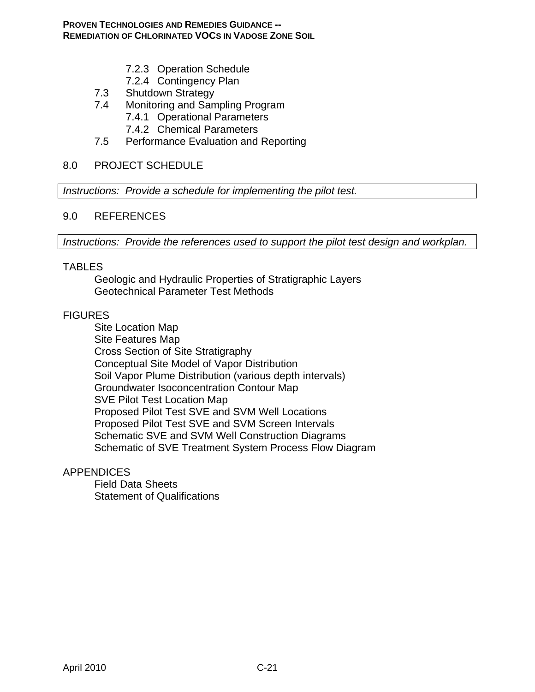- 7.2.3 Operation Schedule
- 7.2.4 Contingency Plan
- 7.3 Shutdown Strategy
- 7.4 Monitoring and Sampling Program
	- 7.4.1 Operational Parameters
	- 7.4.2 Chemical Parameters
- 7.5 Performance Evaluation and Reporting

#### 8.0 PROJECT SCHEDULE

*Instructions: Provide a schedule for implementing the pilot test.* 

#### 9.0 REFERENCES

*Instructions: Provide the references used to support the pilot test design and workplan.* 

#### TABLES

Geologic and Hydraulic Properties of Stratigraphic Layers Geotechnical Parameter Test Methods

#### **FIGURES**

Site Location Map Site Features Map Cross Section of Site Stratigraphy Conceptual Site Model of Vapor Distribution Soil Vapor Plume Distribution (various depth intervals) Groundwater Isoconcentration Contour Map SVE Pilot Test Location Map Proposed Pilot Test SVE and SVM Well Locations Proposed Pilot Test SVE and SVM Screen Intervals Schematic SVE and SVM Well Construction Diagrams Schematic of SVE Treatment System Process Flow Diagram

#### **APPENDICES**

Field Data Sheets Statement of Qualifications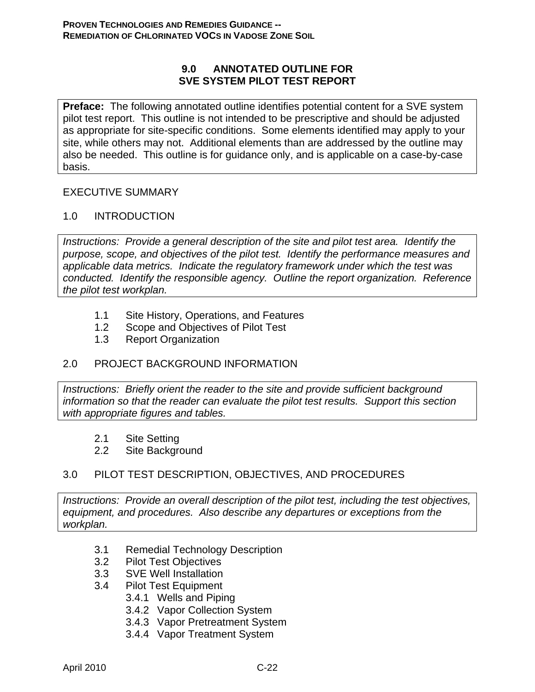### **9.0 ANNOTATED OUTLINE FOR SVE SYSTEM PILOT TEST REPORT**

**Preface:** The following annotated outline identifies potential content for a SVE system pilot test report. This outline is not intended to be prescriptive and should be adjusted as appropriate for site-specific conditions. Some elements identified may apply to your site, while others may not. Additional elements than are addressed by the outline may also be needed. This outline is for guidance only, and is applicable on a case-by-case basis.

### EXECUTIVE SUMMARY

### 1.0 INTRODUCTION

*Instructions: Provide a general description of the site and pilot test area. Identify the purpose, scope, and objectives of the pilot test. Identify the performance measures and applicable data metrics. Indicate the regulatory framework under which the test was conducted. Identify the responsible agency. Outline the report organization. Reference the pilot test workplan.* 

- 1.1 Site History, Operations, and Features
- 1.2 Scope and Objectives of Pilot Test
- 1.3 Report Organization

### 2.0 PROJECT BACKGROUND INFORMATION

*Instructions: Briefly orient the reader to the site and provide sufficient background information so that the reader can evaluate the pilot test results. Support this section with appropriate figures and tables.* 

- 2.1 Site Setting
- 2.2 Site Background

### 3.0 PILOT TEST DESCRIPTION, OBJECTIVES, AND PROCEDURES

*Instructions: Provide an overall description of the pilot test, including the test objectives, equipment, and procedures. Also describe any departures or exceptions from the workplan.* 

- 3.1 Remedial Technology Description
- 3.2 Pilot Test Objectives
- 3.3 SVE Well Installation
- 3.4 Pilot Test Equipment
	- 3.4.1 Wells and Piping
	- 3.4.2 Vapor Collection System
	- 3.4.3 Vapor Pretreatment System
	- 3.4.4 Vapor Treatment System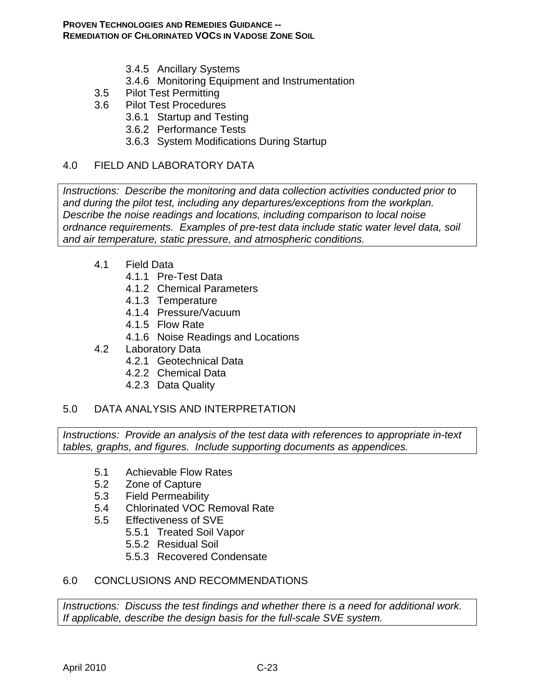- 3.4.5 Ancillary Systems
- 3.4.6 Monitoring Equipment and Instrumentation
- 3.5 Pilot Test Permitting
- 3.6 Pilot Test Procedures
	- 3.6.1 Startup and Testing
	- 3.6.2 Performance Tests
	- 3.6.3 System Modifications During Startup

### 4.0 FIELD AND LABORATORY DATA

*Instructions: Describe the monitoring and data collection activities conducted prior to and during the pilot test, including any departures/exceptions from the workplan. Describe the noise readings and locations, including comparison to local noise ordnance requirements. Examples of pre-test data include static water level data, soil and air temperature, static pressure, and atmospheric conditions.* 

- 4.1 Field Data
	- 4.1.1 Pre-Test Data
	- 4.1.2 Chemical Parameters
	- 4.1.3 Temperature
	- 4.1.4 Pressure/Vacuum
	- 4.1.5 Flow Rate
	- 4.1.6 Noise Readings and Locations
- 4.2 Laboratory Data
	- 4.2.1 Geotechnical Data
	- 4.2.2 Chemical Data
	- 4.2.3 Data Quality

### 5.0 DATA ANALYSIS AND INTERPRETATION

*Instructions: Provide an analysis of the test data with references to appropriate in-text tables, graphs, and figures. Include supporting documents as appendices.* 

- 5.1 Achievable Flow Rates
- 5.2 Zone of Capture
- 5.3 Field Permeability
- 5.4 Chlorinated VOC Removal Rate
- 5.5 Effectiveness of SVE
	- 5.5.1 Treated Soil Vapor
	- 5.5.2 Residual Soil
	- 5.5.3 Recovered Condensate

### 6.0 CONCLUSIONS AND RECOMMENDATIONS

*Instructions: Discuss the test findings and whether there is a need for additional work. If applicable, describe the design basis for the full-scale SVE system.*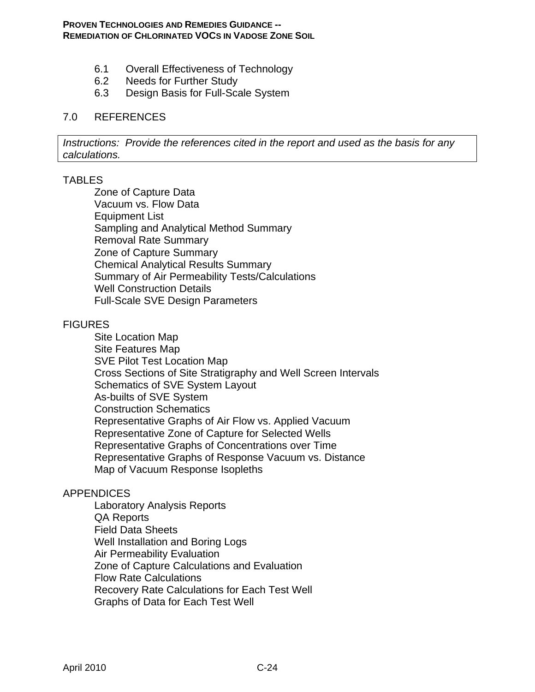- 6.1 Overall Effectiveness of Technology
- 6.2 Needs for Further Study
- 6.3 Design Basis for Full-Scale System

#### 7.0 REFERENCES

*Instructions: Provide the references cited in the report and used as the basis for any calculations.* 

#### TABLES

Zone of Capture Data Vacuum vs. Flow Data Equipment List Sampling and Analytical Method Summary Removal Rate Summary Zone of Capture Summary Chemical Analytical Results Summary Summary of Air Permeability Tests/Calculations Well Construction Details Full-Scale SVE Design Parameters

#### **FIGURES**

Site Location Map Site Features Map SVE Pilot Test Location Map Cross Sections of Site Stratigraphy and Well Screen Intervals Schematics of SVE System Layout As-builts of SVE System Construction Schematics Representative Graphs of Air Flow vs. Applied Vacuum Representative Zone of Capture for Selected Wells Representative Graphs of Concentrations over Time Representative Graphs of Response Vacuum vs. Distance Map of Vacuum Response Isopleths

#### APPENDICES

Laboratory Analysis Reports QA Reports Field Data Sheets Well Installation and Boring Logs Air Permeability Evaluation Zone of Capture Calculations and Evaluation Flow Rate Calculations Recovery Rate Calculations for Each Test Well Graphs of Data for Each Test Well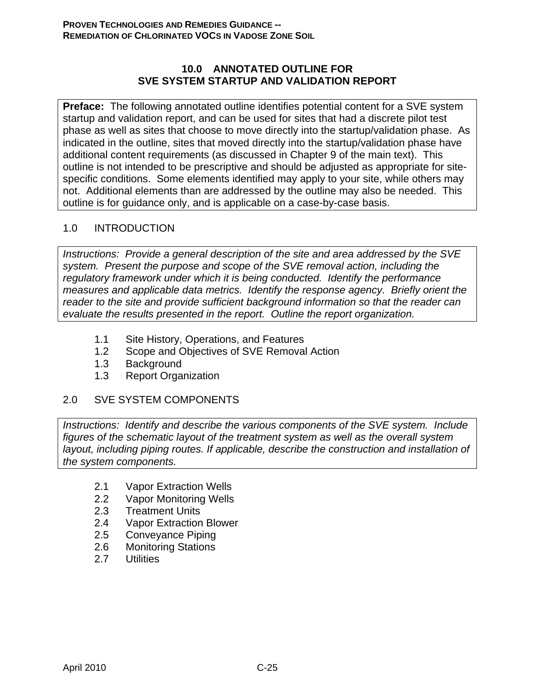### **10.0 ANNOTATED OUTLINE FOR SVE SYSTEM STARTUP AND VALIDATION REPORT**

**Preface:** The following annotated outline identifies potential content for a SVE system startup and validation report, and can be used for sites that had a discrete pilot test phase as well as sites that choose to move directly into the startup/validation phase. As indicated in the outline, sites that moved directly into the startup/validation phase have additional content requirements (as discussed in Chapter 9 of the main text). This outline is not intended to be prescriptive and should be adjusted as appropriate for sitespecific conditions. Some elements identified may apply to your site, while others may not. Additional elements than are addressed by the outline may also be needed. This outline is for guidance only, and is applicable on a case-by-case basis.

## 1.0 INTRODUCTION

*Instructions: Provide a general description of the site and area addressed by the SVE system. Present the purpose and scope of the SVE removal action, including the regulatory framework under which it is being conducted. Identify the performance measures and applicable data metrics. Identify the response agency. Briefly orient the reader to the site and provide sufficient background information so that the reader can evaluate the results presented in the report. Outline the report organization.* 

- 1.1 Site History, Operations, and Features
- 1.2 Scope and Objectives of SVE Removal Action
- 1.3 Background
- 1.3 Report Organization

# 2.0 SVE SYSTEM COMPONENTS

*Instructions: Identify and describe the various components of the SVE system. Include figures of the schematic layout of the treatment system as well as the overall system layout, including piping routes. If applicable, describe the construction and installation of the system components.* 

- 2.1 Vapor Extraction Wells
- 2.2 Vapor Monitoring Wells
- 2.3 Treatment Units
- 2.4 Vapor Extraction Blower
- 2.5 Conveyance Piping
- 2.6 Monitoring Stations
- 2.7 Utilities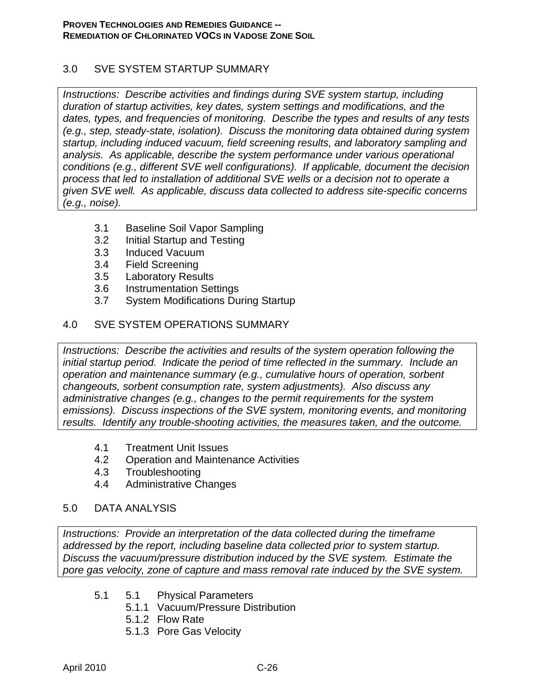### 3.0 SVE SYSTEM STARTUP SUMMARY

*Instructions: Describe activities and findings during SVE system startup, including duration of startup activities, key dates, system settings and modifications, and the dates, types, and frequencies of monitoring. Describe the types and results of any tests (e.g., step, steady-state, isolation). Discuss the monitoring data obtained during system startup, including induced vacuum, field screening results, and laboratory sampling and analysis. As applicable, describe the system performance under various operational conditions (e.g., different SVE well configurations). If applicable, document the decision process that led to installation of additional SVE wells or a decision not to operate a given SVE well. As applicable, discuss data collected to address site-specific concerns (e.g., noise).* 

- 3.1 Baseline Soil Vapor Sampling
- 3.2 Initial Startup and Testing
- 3.3 Induced Vacuum
- 3.4 Field Screening
- 3.5 Laboratory Results
- 3.6 Instrumentation Settings
- 3.7 System Modifications During Startup

### 4.0 SVE SYSTEM OPERATIONS SUMMARY

*Instructions: Describe the activities and results of the system operation following the initial startup period. Indicate the period of time reflected in the summary. Include an operation and maintenance summary (e.g., cumulative hours of operation, sorbent changeouts, sorbent consumption rate, system adjustments). Also discuss any administrative changes (e.g., changes to the permit requirements for the system emissions). Discuss inspections of the SVE system, monitoring events, and monitoring results. Identify any trouble-shooting activities, the measures taken, and the outcome.* 

- 4.1 Treatment Unit Issues
- 4.2 Operation and Maintenance Activities
- 4.3 Troubleshooting
- 4.4 Administrative Changes

### 5.0 DATA ANALYSIS

*Instructions: Provide an interpretation of the data collected during the timeframe addressed by the report, including baseline data collected prior to system startup. Discuss the vacuum/pressure distribution induced by the SVE system. Estimate the pore gas velocity, zone of capture and mass removal rate induced by the SVE system.* 

- 5.1 5.1 Physical Parameters
	- 5.1.1 Vacuum/Pressure Distribution
	- 5.1.2 Flow Rate
	- 5.1.3 Pore Gas Velocity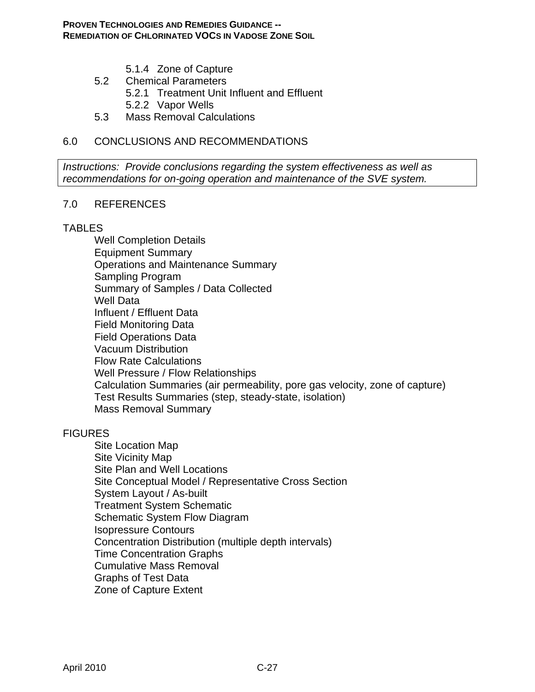- 5.1.4 Zone of Capture
- 5.2 Chemical Parameters
	- 5.2.1 Treatment Unit Influent and Effluent
	- 5.2.2 Vapor Wells
- 5.3 Mass Removal Calculations

## 6.0 CONCLUSIONS AND RECOMMENDATIONS

*Instructions: Provide conclusions regarding the system effectiveness as well as recommendations for on-going operation and maintenance of the SVE system.* 

#### 7.0 REFERENCES

#### TABLES

Well Completion Details Equipment Summary Operations and Maintenance Summary Sampling Program Summary of Samples / Data Collected Well Data Influent / Effluent Data Field Monitoring Data Field Operations Data Vacuum Distribution Flow Rate Calculations Well Pressure / Flow Relationships Calculation Summaries (air permeability, pore gas velocity, zone of capture) Test Results Summaries (step, steady-state, isolation) Mass Removal Summary

### **FIGURES**

Site Location Map Site Vicinity Map Site Plan and Well Locations Site Conceptual Model / Representative Cross Section System Layout / As-built Treatment System Schematic Schematic System Flow Diagram Isopressure Contours Concentration Distribution (multiple depth intervals) Time Concentration Graphs Cumulative Mass Removal Graphs of Test Data Zone of Capture Extent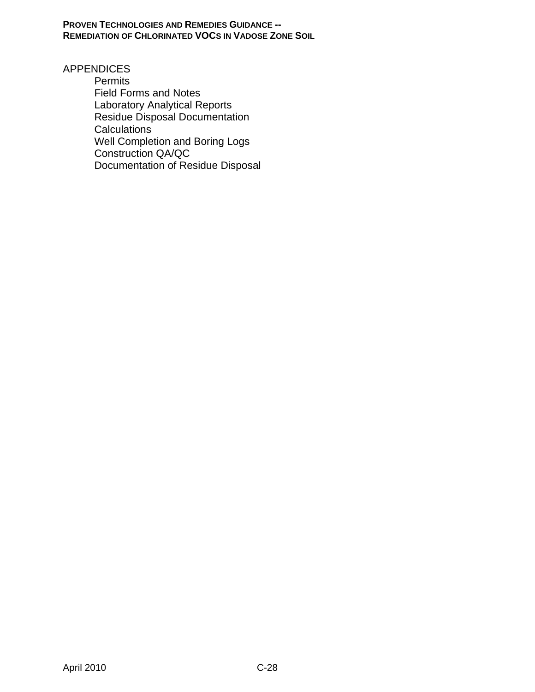**PROVEN TECHNOLOGIES AND REMEDIES GUIDANCE -- REMEDIATION OF CHLORINATED VOCS IN VADOSE ZONE SOIL**

APPENDICES

**Permits** Field Forms and Notes Laboratory Analytical Reports Residue Disposal Documentation **Calculations** Well Completion and Boring Logs Construction QA/QC Documentation of Residue Disposal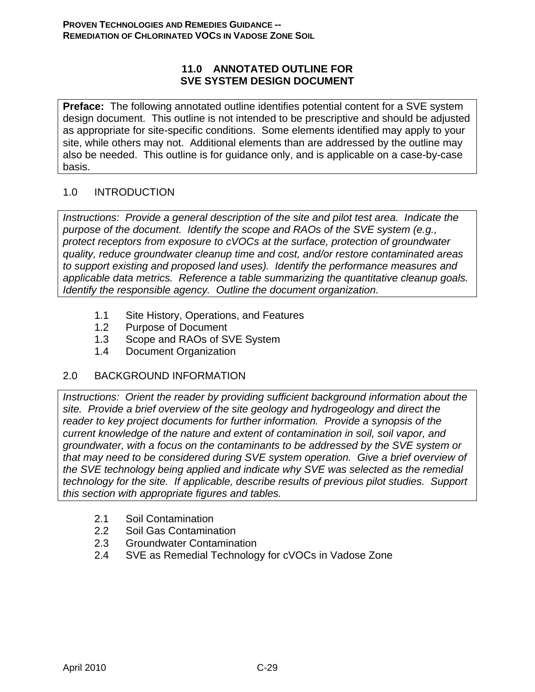### **11.0 ANNOTATED OUTLINE FOR SVE SYSTEM DESIGN DOCUMENT**

**Preface:** The following annotated outline identifies potential content for a SVE system design document. This outline is not intended to be prescriptive and should be adjusted as appropriate for site-specific conditions. Some elements identified may apply to your site, while others may not. Additional elements than are addressed by the outline may also be needed. This outline is for guidance only, and is applicable on a case-by-case basis.

## 1.0 INTRODUCTION

*Instructions: Provide a general description of the site and pilot test area. Indicate the purpose of the document. Identify the scope and RAOs of the SVE system (e.g., protect receptors from exposure to cVOCs at the surface, protection of groundwater quality, reduce groundwater cleanup time and cost, and/or restore contaminated areas to support existing and proposed land uses). Identify the performance measures and applicable data metrics. Reference a table summarizing the quantitative cleanup goals. Identify the responsible agency. Outline the document organization.* 

- 1.1 Site History, Operations, and Features
- 1.2 Purpose of Document
- 1.3 Scope and RAOs of SVE System
- 1.4 Document Organization

### 2.0 BACKGROUND INFORMATION

*Instructions: Orient the reader by providing sufficient background information about the site. Provide a brief overview of the site geology and hydrogeology and direct the reader to key project documents for further information. Provide a synopsis of the current knowledge of the nature and extent of contamination in soil, soil vapor, and groundwater, with a focus on the contaminants to be addressed by the SVE system or that may need to be considered during SVE system operation. Give a brief overview of the SVE technology being applied and indicate why SVE was selected as the remedial technology for the site. If applicable, describe results of previous pilot studies. Support this section with appropriate figures and tables.* 

- 2.1 Soil Contamination
- 2.2 Soil Gas Contamination
- 2.3 Groundwater Contamination
- 2.4 SVE as Remedial Technology for cVOCs in Vadose Zone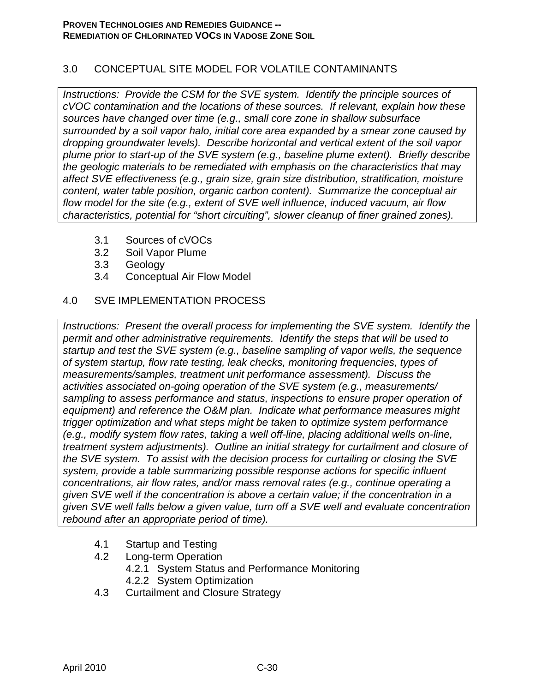### 3.0 CONCEPTUAL SITE MODEL FOR VOLATILE CONTAMINANTS

*Instructions: Provide the CSM for the SVE system. Identify the principle sources of cVOC contamination and the locations of these sources. If relevant, explain how these sources have changed over time (e.g., small core zone in shallow subsurface surrounded by a soil vapor halo, initial core area expanded by a smear zone caused by dropping groundwater levels). Describe horizontal and vertical extent of the soil vapor plume prior to start-up of the SVE system (e.g., baseline plume extent). Briefly describe the geologic materials to be remediated with emphasis on the characteristics that may affect SVE effectiveness (e.g., grain size, grain size distribution, stratification, moisture content, water table position, organic carbon content). Summarize the conceptual air flow model for the site (e.g., extent of SVE well influence, induced vacuum, air flow characteristics, potential for "short circuiting", slower cleanup of finer grained zones).* 

- 3.1 Sources of cVOCs
- 3.2 Soil Vapor Plume
- 3.3 Geology
- 3.4 Conceptual Air Flow Model

### 4.0 SVE IMPLEMENTATION PROCESS

*Instructions: Present the overall process for implementing the SVE system. Identify the permit and other administrative requirements. Identify the steps that will be used to startup and test the SVE system (e.g., baseline sampling of vapor wells, the sequence of system startup, flow rate testing, leak checks, monitoring frequencies, types of measurements/samples, treatment unit performance assessment). Discuss the activities associated on-going operation of the SVE system (e.g., measurements/ sampling to assess performance and status, inspections to ensure proper operation of equipment) and reference the O&M plan. Indicate what performance measures might trigger optimization and what steps might be taken to optimize system performance (e.g., modify system flow rates, taking a well off-line, placing additional wells on-line, treatment system adjustments). Outline an initial strategy for curtailment and closure of the SVE system. To assist with the decision process for curtailing or closing the SVE system, provide a table summarizing possible response actions for specific influent concentrations, air flow rates, and/or mass removal rates (e.g., continue operating a given SVE well if the concentration is above a certain value; if the concentration in a given SVE well falls below a given value, turn off a SVE well and evaluate concentration rebound after an appropriate period of time).* 

- 4.1 Startup and Testing
- 4.2 Long-term Operation 4.2.1 System Status and Performance Monitoring
	- 4.2.2 System Optimization
- 4.3 Curtailment and Closure Strategy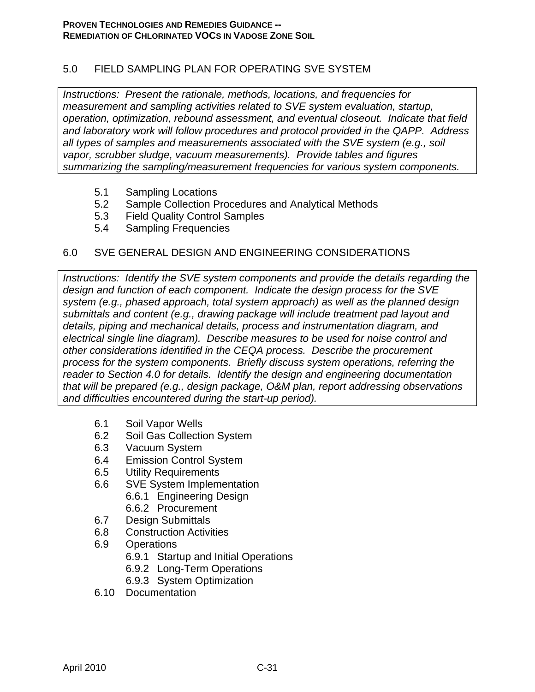## 5.0 FIELD SAMPLING PLAN FOR OPERATING SVE SYSTEM

*Instructions: Present the rationale, methods, locations, and frequencies for measurement and sampling activities related to SVE system evaluation, startup, operation, optimization, rebound assessment, and eventual closeout. Indicate that field and laboratory work will follow procedures and protocol provided in the QAPP. Address all types of samples and measurements associated with the SVE system (e.g., soil vapor, scrubber sludge, vacuum measurements). Provide tables and figures summarizing the sampling/measurement frequencies for various system components.* 

- 5.1 Sampling Locations
- 5.2 Sample Collection Procedures and Analytical Methods
- 5.3 Field Quality Control Samples
- 5.4 Sampling Frequencies

### 6.0 SVE GENERAL DESIGN AND ENGINEERING CONSIDERATIONS

*Instructions: Identify the SVE system components and provide the details regarding the design and function of each component. Indicate the design process for the SVE system (e.g., phased approach, total system approach) as well as the planned design submittals and content (e.g., drawing package will include treatment pad layout and details, piping and mechanical details, process and instrumentation diagram, and electrical single line diagram). Describe measures to be used for noise control and other considerations identified in the CEQA process. Describe the procurement process for the system components. Briefly discuss system operations, referring the reader to Section 4.0 for details. Identify the design and engineering documentation that will be prepared (e.g., design package, O&M plan, report addressing observations and difficulties encountered during the start-up period).* 

- 6.1 Soil Vapor Wells
- 6.2 Soil Gas Collection System
- 6.3 Vacuum System
- 6.4 Emission Control System
- 6.5 Utility Requirements
- 6.6 SVE System Implementation
	- 6.6.1 Engineering Design
	- 6.6.2 Procurement
- 6.7 Design Submittals
- 6.8 Construction Activities
- 6.9 Operations
	- 6.9.1 Startup and Initial Operations
	- 6.9.2 Long-Term Operations
	- 6.9.3 System Optimization
- 6.10 Documentation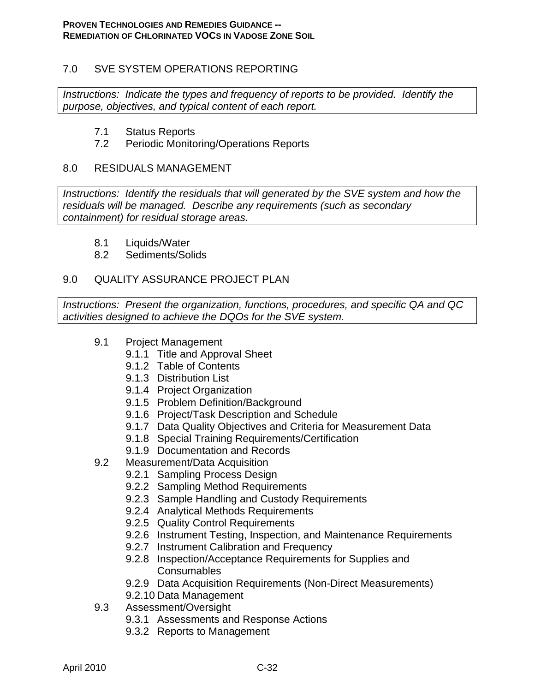### 7.0 SVE SYSTEM OPERATIONS REPORTING

*Instructions: Indicate the types and frequency of reports to be provided. Identify the purpose, objectives, and typical content of each report.* 

- 7.1 Status Reports
- 7.2 Periodic Monitoring/Operations Reports

### 8.0 RESIDUALS MANAGEMENT

*Instructions: Identify the residuals that will generated by the SVE system and how the residuals will be managed. Describe any requirements (such as secondary containment) for residual storage areas.* 

- 8.1 Liquids/Water
- 8.2 Sediments/Solids

### 9.0 QUALITY ASSURANCE PROJECT PLAN

*Instructions: Present the organization, functions, procedures, and specific QA and QC activities designed to achieve the DQOs for the SVE system.* 

- 9.1 Project Management
	- 9.1.1 Title and Approval Sheet
	- 9.1.2 Table of Contents
	- 9.1.3 Distribution List
	- 9.1.4 Project Organization
	- 9.1.5 Problem Definition/Background
	- 9.1.6 Project/Task Description and Schedule
	- 9.1.7 Data Quality Objectives and Criteria for Measurement Data
	- 9.1.8 Special Training Requirements/Certification
	- 9.1.9 Documentation and Records
- 9.2 Measurement/Data Acquisition
	- 9.2.1 Sampling Process Design
	- 9.2.2 Sampling Method Requirements
	- 9.2.3 Sample Handling and Custody Requirements
	- 9.2.4 Analytical Methods Requirements
	- 9.2.5 Quality Control Requirements
	- 9.2.6 Instrument Testing, Inspection, and Maintenance Requirements
	- 9.2.7 Instrument Calibration and Frequency
	- 9.2.8 Inspection/Acceptance Requirements for Supplies and **Consumables**
	- 9.2.9 Data Acquisition Requirements (Non-Direct Measurements)
	- 9.2.10 Data Management
- 9.3 Assessment/Oversight
	- 9.3.1 Assessments and Response Actions
	- 9.3.2 Reports to Management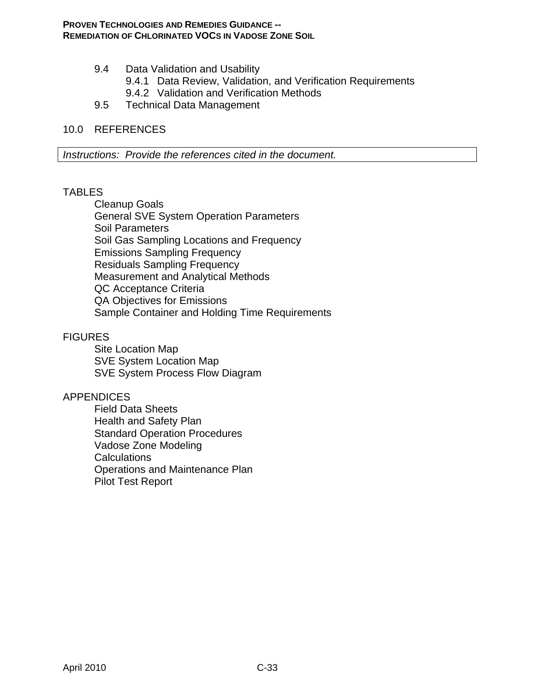- 9.4 Data Validation and Usability
	- 9.4.1 Data Review, Validation, and Verification Requirements 9.4.2 Validation and Verification Methods
	-
- 9.5 Technical Data Management

### 10.0 REFERENCES

*Instructions: Provide the references cited in the document.* 

### **TABLES**

Cleanup Goals General SVE System Operation Parameters Soil Parameters Soil Gas Sampling Locations and Frequency Emissions Sampling Frequency Residuals Sampling Frequency Measurement and Analytical Methods QC Acceptance Criteria QA Objectives for Emissions Sample Container and Holding Time Requirements

### **FIGURES**

Site Location Map SVE System Location Map SVE System Process Flow Diagram

### APPENDICES

Field Data Sheets Health and Safety Plan Standard Operation Procedures Vadose Zone Modeling **Calculations** Operations and Maintenance Plan Pilot Test Report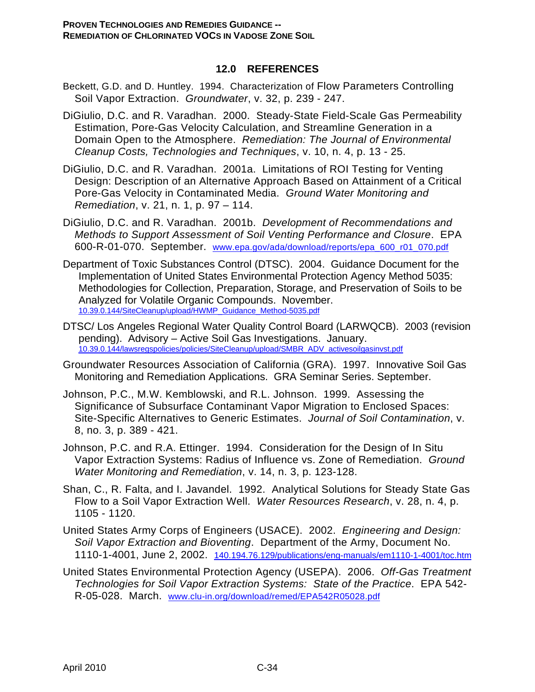### **12.0 REFERENCES**

- Beckett, G.D. and D. Huntley. 1994. Characterization of Flow Parameters Controlling Soil Vapor Extraction. *Groundwater*, v. 32, p. 239 - 247.
- DiGiulio, D.C. and R. Varadhan. 2000. Steady-State Field-Scale Gas Permeability Estimation, Pore-Gas Velocity Calculation, and Streamline Generation in a Domain Open to the Atmosphere. *Remediation: The Journal of Environmental Cleanup Costs, Technologies and Techniques*, v. 10, n. 4, p. 13 - 25.
- DiGiulio, D.C. and R. Varadhan. 2001a. Limitations of ROI Testing for Venting Design: Description of an Alternative Approach Based on Attainment of a Critical Pore-Gas Velocity in Contaminated Media. *Ground Water Monitoring and Remediation*, v. 21, n. 1, p. 97 – 114.
- DiGiulio, D.C. and R. Varadhan. 2001b. *Development of Recommendations and Methods to Support Assessment of Soil Venting Performance and Closure*. EPA 600-R-01-070. September. www.epa.gov/ada/download/reports/epa\_600\_r01\_070.pdf
- Department of Toxic Substances Control (DTSC). 2004. Guidance Document for the Implementation of United States Environmental Protection Agency Method 5035: Methodologies for Collection, Preparation, Storage, and Preservation of Soils to be Analyzed for Volatile Organic Compounds. November. 10.39.0.144/SiteCleanup/upload/HWMP\_Guidance\_Method-5035.pdf
- DTSC/ Los Angeles Regional Water Quality Control Board (LARWQCB). 2003 (revision pending). Advisory – Active Soil Gas Investigations. January. 10.39.0.144/lawsregspolicies/policies/SiteCleanup/upload/SMBR\_ADV\_activesoilgasinvst.pdf
- Groundwater Resources Association of California (GRA). 1997. Innovative Soil Gas Monitoring and Remediation Applications. GRA Seminar Series. September.
- Johnson, P.C., M.W. Kemblowski, and R.L. Johnson. 1999. Assessing the Significance of Subsurface Contaminant Vapor Migration to Enclosed Spaces: Site-Specific Alternatives to Generic Estimates. *Journal of Soil Contamination*, v. 8, no. 3, p. 389 - 421.
- Johnson, P.C. and R.A. Ettinger. 1994. Consideration for the Design of In Situ Vapor Extraction Systems: Radius of Influence vs. Zone of Remediation. *Ground Water Monitoring and Remediation*, v. 14, n. 3, p. 123-128.
- Shan, C., R. Falta, and I. Javandel. 1992. Analytical Solutions for Steady State Gas Flow to a Soil Vapor Extraction Well. *Water Resources Research*, v. 28, n. 4, p. 1105 - 1120.
- United States Army Corps of Engineers (USACE). 2002. *Engineering and Design: Soil Vapor Extraction and Bioventing*. Department of the Army, Document No. 1110-1-4001, June 2, 2002. 140.194.76.129/publications/eng-manuals/em1110-1-4001/toc.htm
- United States Environmental Protection Agency (USEPA). 2006. *Off-Gas Treatment Technologies for Soil Vapor Extraction Systems: State of the Practice*. EPA 542- R-05-028. March. www.clu-in.org/download/remed/EPA542R05028.pdf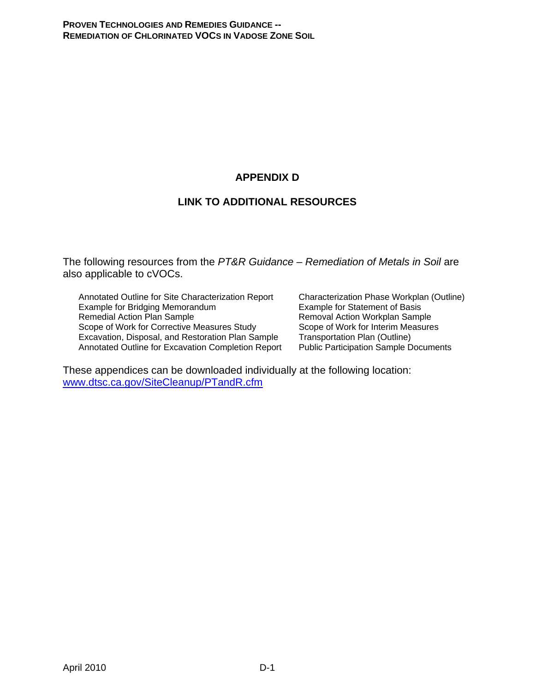# **APPENDIX D**

# **LINK TO ADDITIONAL RESOURCES**

The following resources from the *PT&R Guidance – Remediation of Metals in Soil* are also applicable to cVOCs.

Annotated Outline for Site Characterization Report Characterization Phase Workplan (Outline) Example for Bridging Memorandum **Example for Statement of Basis**<br>
Remedial Action Plan Sample **Example Statement of Basis**<br>
Removal Action Workplan Samp Scope of Work for Corrective Measures Study<br>
Excavation, Disposal, and Restoration Plan Sample Transportation Plan (Outline) Excavation, Disposal, and Restoration Plan Sample Transportation Plan (Outline)<br>Annotated Outline for Excavation Completion Report Public Participation Sample Documents Annotated Outline for Excavation Completion Report

Removal Action Workplan Sample<br>Scope of Work for Interim Measures

These appendices can be downloaded individually at the following location: www.dtsc.ca.gov/SiteCleanup/PTandR.cfm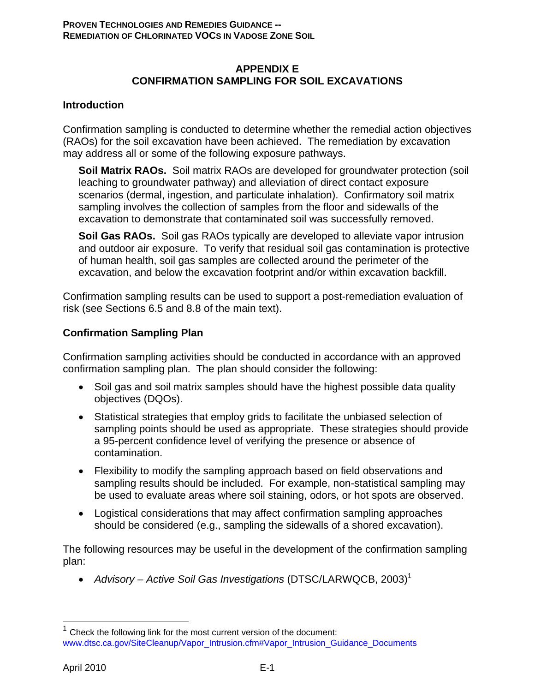### **APPENDIX E CONFIRMATION SAMPLING FOR SOIL EXCAVATIONS**

### **Introduction**

Confirmation sampling is conducted to determine whether the remedial action objectives (RAOs) for the soil excavation have been achieved. The remediation by excavation may address all or some of the following exposure pathways.

**Soil Matrix RAOs.** Soil matrix RAOs are developed for groundwater protection (soil leaching to groundwater pathway) and alleviation of direct contact exposure scenarios (dermal, ingestion, and particulate inhalation). Confirmatory soil matrix sampling involves the collection of samples from the floor and sidewalls of the excavation to demonstrate that contaminated soil was successfully removed.

**Soil Gas RAOs.** Soil gas RAOs typically are developed to alleviate vapor intrusion and outdoor air exposure. To verify that residual soil gas contamination is protective of human health, soil gas samples are collected around the perimeter of the excavation, and below the excavation footprint and/or within excavation backfill.

Confirmation sampling results can be used to support a post-remediation evaluation of risk (see Sections 6.5 and 8.8 of the main text).

### **Confirmation Sampling Plan**

Confirmation sampling activities should be conducted in accordance with an approved confirmation sampling plan. The plan should consider the following:

- Soil gas and soil matrix samples should have the highest possible data quality objectives (DQOs).
- Statistical strategies that employ grids to facilitate the unbiased selection of sampling points should be used as appropriate. These strategies should provide a 95-percent confidence level of verifying the presence or absence of contamination.
- Flexibility to modify the sampling approach based on field observations and sampling results should be included. For example, non-statistical sampling may be used to evaluate areas where soil staining, odors, or hot spots are observed.
- Logistical considerations that may affect confirmation sampling approaches should be considered (e.g., sampling the sidewalls of a shored excavation).

The following resources may be useful in the development of the confirmation sampling plan:

• Advisory – Active Soil Gas Investigations (DTSC/LARWQCB, 2003)<sup>1</sup>

1

<sup>1</sup> Check the following link for the most current version of the document: www.dtsc.ca.gov/SiteCleanup/Vapor\_Intrusion.cfm#Vapor\_Intrusion\_Guidance\_Documents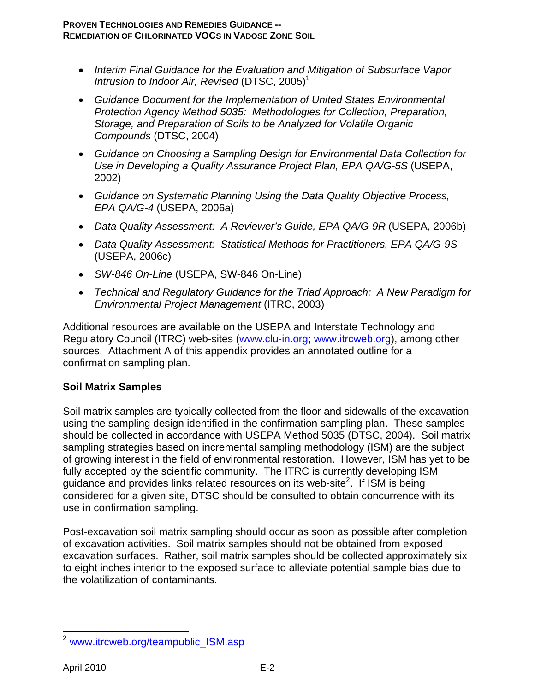- *Interim Final Guidance for the Evaluation and Mitigation of Subsurface Vapor Intrusion to Indoor Air, Revised* (DTSC, 2005)<sup>1</sup>
- *Guidance Document for the Implementation of United States Environmental Protection Agency Method 5035: Methodologies for Collection, Preparation, Storage, and Preparation of Soils to be Analyzed for Volatile Organic Compounds* (DTSC, 2004)
- *Guidance on Choosing a Sampling Design for Environmental Data Collection for Use in Developing a Quality Assurance Project Plan, EPA QA/G-5S* (USEPA, 2002)
- *Guidance on Systematic Planning Using the Data Quality Objective Process, EPA QA/G-4* (USEPA, 2006a)
- *Data Quality Assessment: A Reviewer's Guide, EPA QA/G-9R* (USEPA, 2006b)
- *Data Quality Assessment: Statistical Methods for Practitioners, EPA QA/G-9S* (USEPA, 2006c)
- *SW-846 On-Line* (USEPA, SW-846 On-Line)
- *Technical and Regulatory Guidance for the Triad Approach: A New Paradigm for Environmental Project Management* (ITRC, 2003)

Additional resources are available on the USEPA and Interstate Technology and Requlatory Council (ITRC) web-sites (www.clu-in.org; www.itrcweb.org), among other sources. Attachment A of this appendix provides an annotated outline for a confirmation sampling plan.

# **Soil Matrix Samples**

Soil matrix samples are typically collected from the floor and sidewalls of the excavation using the sampling design identified in the confirmation sampling plan. These samples should be collected in accordance with USEPA Method 5035 (DTSC, 2004). Soil matrix sampling strategies based on incremental sampling methodology (ISM) are the subject of growing interest in the field of environmental restoration. However, ISM has yet to be fully accepted by the scientific community. The ITRC is currently developing ISM guidance and provides links related resources on its web-site<sup>2</sup>. If ISM is being considered for a given site, DTSC should be consulted to obtain concurrence with its use in confirmation sampling.

Post-excavation soil matrix sampling should occur as soon as possible after completion of excavation activities. Soil matrix samples should not be obtained from exposed excavation surfaces. Rather, soil matrix samples should be collected approximately six to eight inches interior to the exposed surface to alleviate potential sample bias due to the volatilization of contaminants.

 $\overline{a}$ <sup>2</sup> www.itrcweb.org/teampublic\_ISM.asp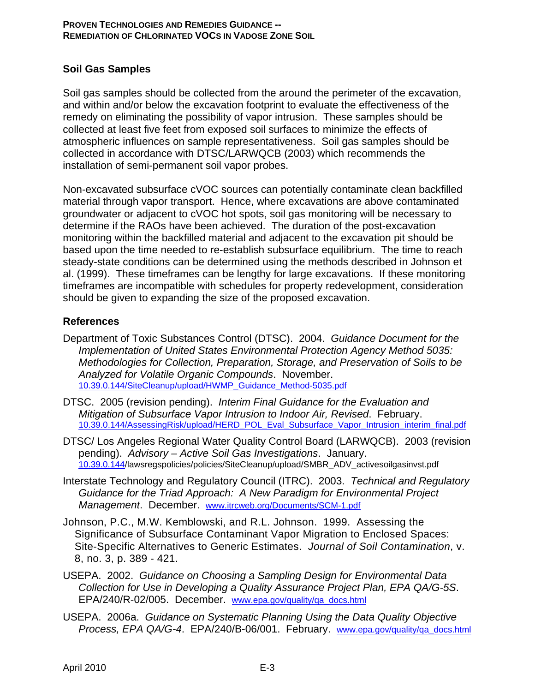#### **PROVEN TECHNOLOGIES AND REMEDIES GUIDANCE -- REMEDIATION OF CHLORINATED VOCS IN VADOSE ZONE SOIL**

### **Soil Gas Samples**

Soil gas samples should be collected from the around the perimeter of the excavation, and within and/or below the excavation footprint to evaluate the effectiveness of the remedy on eliminating the possibility of vapor intrusion. These samples should be collected at least five feet from exposed soil surfaces to minimize the effects of atmospheric influences on sample representativeness. Soil gas samples should be collected in accordance with DTSC/LARWQCB (2003) which recommends the installation of semi-permanent soil vapor probes.

Non-excavated subsurface cVOC sources can potentially contaminate clean backfilled material through vapor transport. Hence, where excavations are above contaminated groundwater or adjacent to cVOC hot spots, soil gas monitoring will be necessary to determine if the RAOs have been achieved. The duration of the post-excavation monitoring within the backfilled material and adjacent to the excavation pit should be based upon the time needed to re-establish subsurface equilibrium. The time to reach steady-state conditions can be determined using the methods described in Johnson et al. (1999). These timeframes can be lengthy for large excavations. If these monitoring timeframes are incompatible with schedules for property redevelopment, consideration should be given to expanding the size of the proposed excavation.

### **References**

- Department of Toxic Substances Control (DTSC). 2004. *Guidance Document for the Implementation of United States Environmental Protection Agency Method 5035: Methodologies for Collection, Preparation, Storage, and Preservation of Soils to be Analyzed for Volatile Organic Compounds*. November. 10.39.0.144/SiteCleanup/upload/HWMP\_Guidance\_Method-5035.pdf
- DTSC. 2005 (revision pending). *Interim Final Guidance for the Evaluation and Mitigation of Subsurface Vapor Intrusion to Indoor Air, Revised*. February. 10.39.0.144/AssessingRisk/upload/HERD\_POL\_Eval\_Subsurface\_Vapor\_Intrusion\_interim\_final.pdf
- DTSC/ Los Angeles Regional Water Quality Control Board (LARWQCB). 2003 (revision pending). *Advisory – Active Soil Gas Investigations*. January. 10.39.0.144/lawsregspolicies/policies/SiteCleanup/upload/SMBR\_ADV\_activesoilgasinvst.pdf
- Interstate Technology and Regulatory Council (ITRC). 2003. *Technical and Regulatory Guidance for the Triad Approach: A New Paradigm for Environmental Project Management*. December. www.itrcweb.org/Documents/SCM-1.pdf
- Johnson, P.C., M.W. Kemblowski, and R.L. Johnson. 1999. Assessing the Significance of Subsurface Contaminant Vapor Migration to Enclosed Spaces: Site-Specific Alternatives to Generic Estimates. *Journal of Soil Contamination*, v. 8, no. 3, p. 389 - 421.
- USEPA. 2002. *Guidance on Choosing a Sampling Design for Environmental Data Collection for Use in Developing a Quality Assurance Project Plan, EPA QA/G-5S*. EPA/240/R-02/005. December. www.epa.gov/quality/qa\_docs.html
- USEPA. 2006a. *Guidance on Systematic Planning Using the Data Quality Objective Process, EPA QA/G-4*. EPA/240/B-06/001. February. www.epa.gov/quality/qa\_docs.html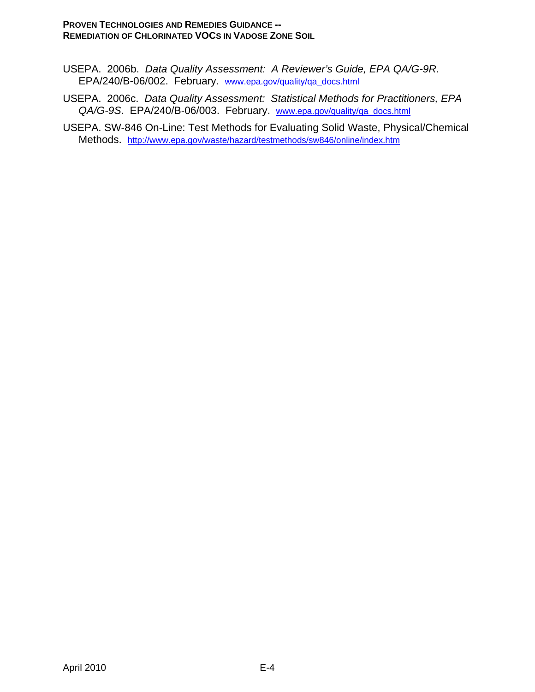#### **PROVEN TECHNOLOGIES AND REMEDIES GUIDANCE -- REMEDIATION OF CHLORINATED VOCS IN VADOSE ZONE SOIL**

- USEPA. 2006b. *Data Quality Assessment: A Reviewer's Guide, EPA QA/G-9R*. EPA/240/B-06/002. February. www.epa.gov/quality/qa\_docs.html
- USEPA. 2006c. *Data Quality Assessment: Statistical Methods for Practitioners, EPA QA/G-9S*. EPA/240/B-06/003. February. www.epa.gov/quality/qa\_docs.html
- USEPA. SW-846 On-Line: Test Methods for Evaluating Solid Waste, Physical/Chemical Methods. http://www.epa.gov/waste/hazard/testmethods/sw846/online/index.htm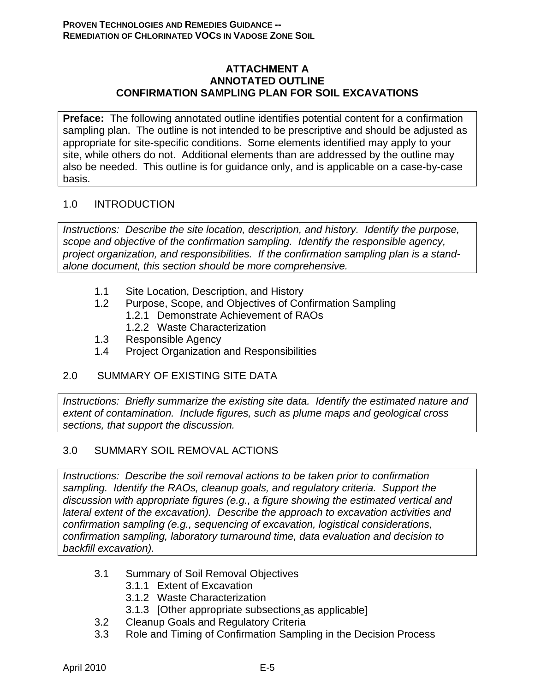### **ATTACHMENT A ANNOTATED OUTLINE CONFIRMATION SAMPLING PLAN FOR SOIL EXCAVATIONS**

**Preface:** The following annotated outline identifies potential content for a confirmation sampling plan. The outline is not intended to be prescriptive and should be adjusted as appropriate for site-specific conditions. Some elements identified may apply to your site, while others do not. Additional elements than are addressed by the outline may also be needed. This outline is for guidance only, and is applicable on a case-by-case basis.

### 1.0 INTRODUCTION

*Instructions: Describe the site location, description, and history. Identify the purpose, scope and objective of the confirmation sampling. Identify the responsible agency, project organization, and responsibilities. If the confirmation sampling plan is a standalone document, this section should be more comprehensive.* 

- 1.1 Site Location, Description, and History
- 1.2 Purpose, Scope, and Objectives of Confirmation Sampling 1.2.1 Demonstrate Achievement of RAOs
	-
	- 1.2.2 Waste Characterization
- 1.3 Responsible Agency
- 1.4 Project Organization and Responsibilities

### 2.0 SUMMARY OF EXISTING SITE DATA

*Instructions: Briefly summarize the existing site data. Identify the estimated nature and extent of contamination. Include figures, such as plume maps and geological cross sections, that support the discussion.* 

# 3.0 SUMMARY SOIL REMOVAL ACTIONS

*Instructions: Describe the soil removal actions to be taken prior to confirmation sampling. Identify the RAOs, cleanup goals, and regulatory criteria. Support the discussion with appropriate figures (e.g., a figure showing the estimated vertical and lateral extent of the excavation). Describe the approach to excavation activities and confirmation sampling (e.g., sequencing of excavation, logistical considerations, confirmation sampling, laboratory turnaround time, data evaluation and decision to backfill excavation).* 

- 3.1 Summary of Soil Removal Objectives
	- 3.1.1 Extent of Excavation
	- 3.1.2 Waste Characterization
	- 3.1.3 [Other appropriate subsections as applicable]
- 3.2 Cleanup Goals and Regulatory Criteria
- 3.3 Role and Timing of Confirmation Sampling in the Decision Process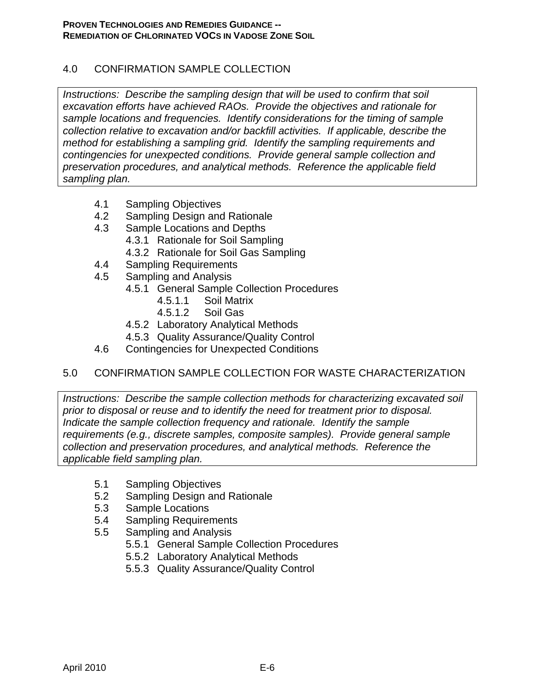# 4.0 CONFIRMATION SAMPLE COLLECTION

*Instructions: Describe the sampling design that will be used to confirm that soil excavation efforts have achieved RAOs. Provide the objectives and rationale for sample locations and frequencies. Identify considerations for the timing of sample collection relative to excavation and/or backfill activities. If applicable, describe the method for establishing a sampling grid. Identify the sampling requirements and contingencies for unexpected conditions. Provide general sample collection and preservation procedures, and analytical methods. Reference the applicable field sampling plan.* 

- 4.1 Sampling Objectives
- 4.2 Sampling Design and Rationale
- 4.3 Sample Locations and Depths
	- 4.3.1 Rationale for Soil Sampling
	- 4.3.2 Rationale for Soil Gas Sampling
- 4.4 Sampling Requirements
- 4.5 Sampling and Analysis
	- 4.5.1 General Sample Collection Procedures
		- 4.5.1.1 Soil Matrix
		- 4.5.1.2 Soil Gas
	- 4.5.2 Laboratory Analytical Methods
	- 4.5.3 Quality Assurance/Quality Control
- 4.6 Contingencies for Unexpected Conditions

# 5.0 CONFIRMATION SAMPLE COLLECTION FOR WASTE CHARACTERIZATION

*Instructions: Describe the sample collection methods for characterizing excavated soil prior to disposal or reuse and to identify the need for treatment prior to disposal. Indicate the sample collection frequency and rationale. Identify the sample requirements (e.g., discrete samples, composite samples). Provide general sample collection and preservation procedures, and analytical methods. Reference the applicable field sampling plan.* 

- 5.1 Sampling Objectives
- 5.2 Sampling Design and Rationale
- 5.3 Sample Locations
- 5.4 Sampling Requirements
- 5.5 Sampling and Analysis
	- 5.5.1 General Sample Collection Procedures
	- 5.5.2 Laboratory Analytical Methods
	- 5.5.3 Quality Assurance/Quality Control